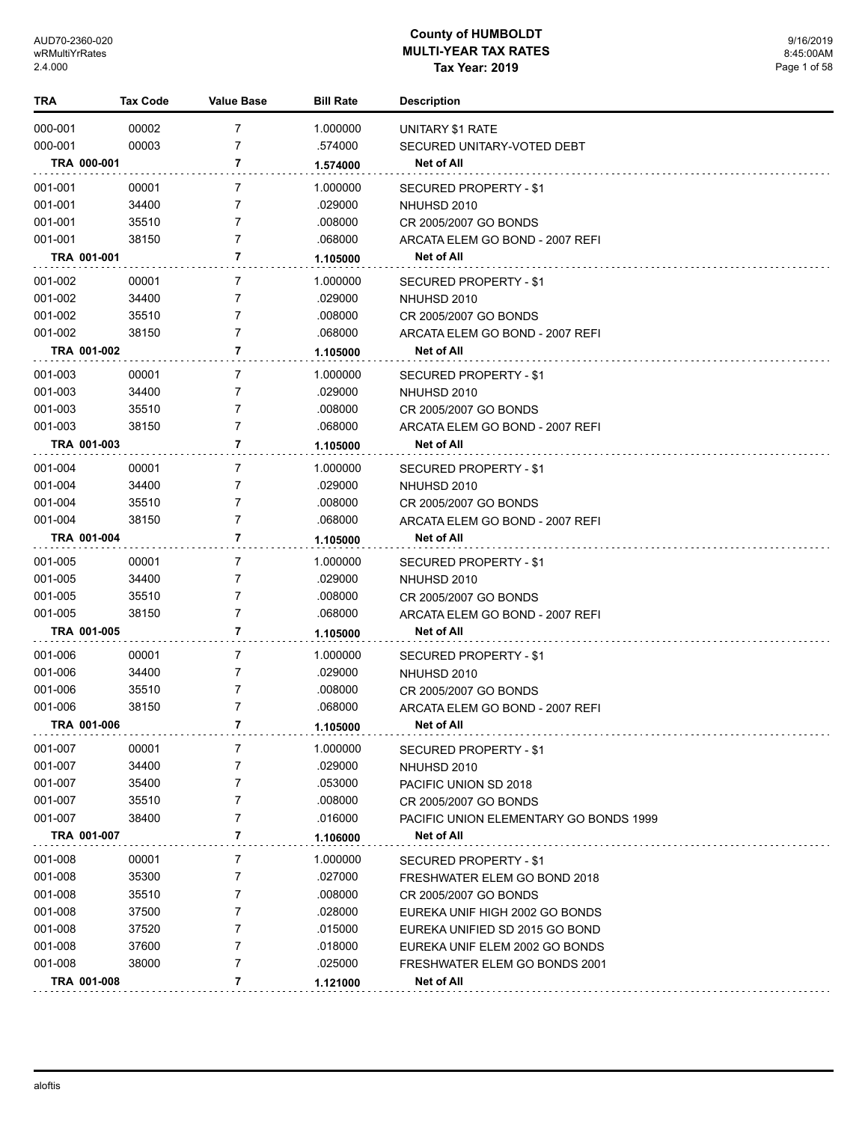| TRA         | <b>Tax Code</b> | <b>Value Base</b> | <b>Bill Rate</b> | <b>Description</b>                     |
|-------------|-----------------|-------------------|------------------|----------------------------------------|
| 000-001     | 00002           | 7                 | 1.000000         | UNITARY \$1 RATE                       |
| 000-001     | 00003           | 7                 | .574000          | SECURED UNITARY-VOTED DEBT             |
| TRA 000-001 |                 | 7                 | 1.574000         | Net of All                             |
| 001-001     | 00001           | $\overline{7}$    | 1.000000         | SECURED PROPERTY - \$1                 |
| 001-001     | 34400           | 7                 | .029000          | NHUHSD 2010                            |
| 001-001     | 35510           | 7                 | .008000          | CR 2005/2007 GO BONDS                  |
| 001-001     | 38150           | 7                 | .068000          | ARCATA ELEM GO BOND - 2007 REFI        |
| TRA 001-001 |                 | 7                 | 1.105000         | Net of All                             |
| 001-002     | 00001           | 7                 | 1.000000         | SECURED PROPERTY - \$1                 |
| 001-002     | 34400           | 7                 | .029000          | NHUHSD 2010                            |
| 001-002     | 35510           | 7                 | .008000          | CR 2005/2007 GO BONDS                  |
| 001-002     | 38150           | 7                 | .068000          | ARCATA ELEM GO BOND - 2007 REFI        |
| TRA 001-002 |                 | 7                 | 1.105000         | Net of All                             |
| 001-003     | 00001           | 7                 | 1.000000         | SECURED PROPERTY - \$1                 |
| 001-003     | 34400           | 7                 | .029000          | NHUHSD 2010                            |
| 001-003     | 35510           | 7                 | .008000          | CR 2005/2007 GO BONDS                  |
| 001-003     | 38150           | 7                 | .068000          | ARCATA ELEM GO BOND - 2007 REFI        |
| TRA 001-003 |                 | 7                 | 1.105000         | Net of All                             |
| 001-004     | 00001           | 7                 | 1.000000         | SECURED PROPERTY - \$1                 |
| 001-004     | 34400           | 7                 | .029000          | NHUHSD 2010                            |
| 001-004     | 35510           | 7                 | .008000          | CR 2005/2007 GO BONDS                  |
| 001-004     | 38150           | $\overline{7}$    | .068000          | ARCATA ELEM GO BOND - 2007 REFI        |
| TRA 001-004 |                 | 7                 | 1.105000         | Net of All                             |
| 001-005     | 00001           | 7                 | 1.000000         | SECURED PROPERTY - \$1                 |
| 001-005     | 34400           | 7                 | .029000          | NHUHSD 2010                            |
| 001-005     | 35510           | 7                 | .008000          | CR 2005/2007 GO BONDS                  |
| 001-005     | 38150           | $\overline{7}$    | .068000          | ARCATA ELEM GO BOND - 2007 REFI        |
| TRA 001-005 |                 | 7                 | 1.105000         | Net of All                             |
| 001-006     | 00001           | 7                 | 1.000000         | SECURED PROPERTY - \$1                 |
| 001-006     | 34400           | 7                 | .029000          | NHUHSD 2010                            |
| 001-006     | 35510           | 7                 | .008000          | CR 2005/2007 GO BONDS                  |
| 001-006     | 38150           | 7                 | .068000          | ARCATA ELEM GO BOND - 2007 REFI        |
| TRA 001-006 |                 | 7                 | 1.105000         | <b>Net of All</b>                      |
| 001-007     | 00001           | 7                 | 1.000000         | SECURED PROPERTY - \$1                 |
| 001-007     | 34400           | 7                 | .029000          | NHUHSD 2010                            |
| 001-007     | 35400           | 7                 | .053000          | PACIFIC UNION SD 2018                  |
| 001-007     | 35510           | 7                 | .008000          | CR 2005/2007 GO BONDS                  |
| 001-007     | 38400           | 7                 | .016000          | PACIFIC UNION ELEMENTARY GO BONDS 1999 |
| TRA 001-007 |                 | 7                 | 1.106000         | Net of All                             |
| 001-008     | 00001           | 7                 | 1.000000         | SECURED PROPERTY - \$1                 |
| 001-008     | 35300           | 7                 | .027000          | FRESHWATER ELEM GO BOND 2018           |
| 001-008     | 35510           | 7                 | .008000          | CR 2005/2007 GO BONDS                  |
| 001-008     | 37500           | 7                 | .028000          | EUREKA UNIF HIGH 2002 GO BONDS         |
| 001-008     | 37520           | 7                 | .015000          | EUREKA UNIFIED SD 2015 GO BOND         |
| 001-008     | 37600           | 7                 | .018000          | EUREKA UNIF ELEM 2002 GO BONDS         |
| 001-008     | 38000           | 7                 | .025000          | FRESHWATER ELEM GO BONDS 2001          |
| TRA 001-008 |                 | 7                 | 1.121000         | Net of All                             |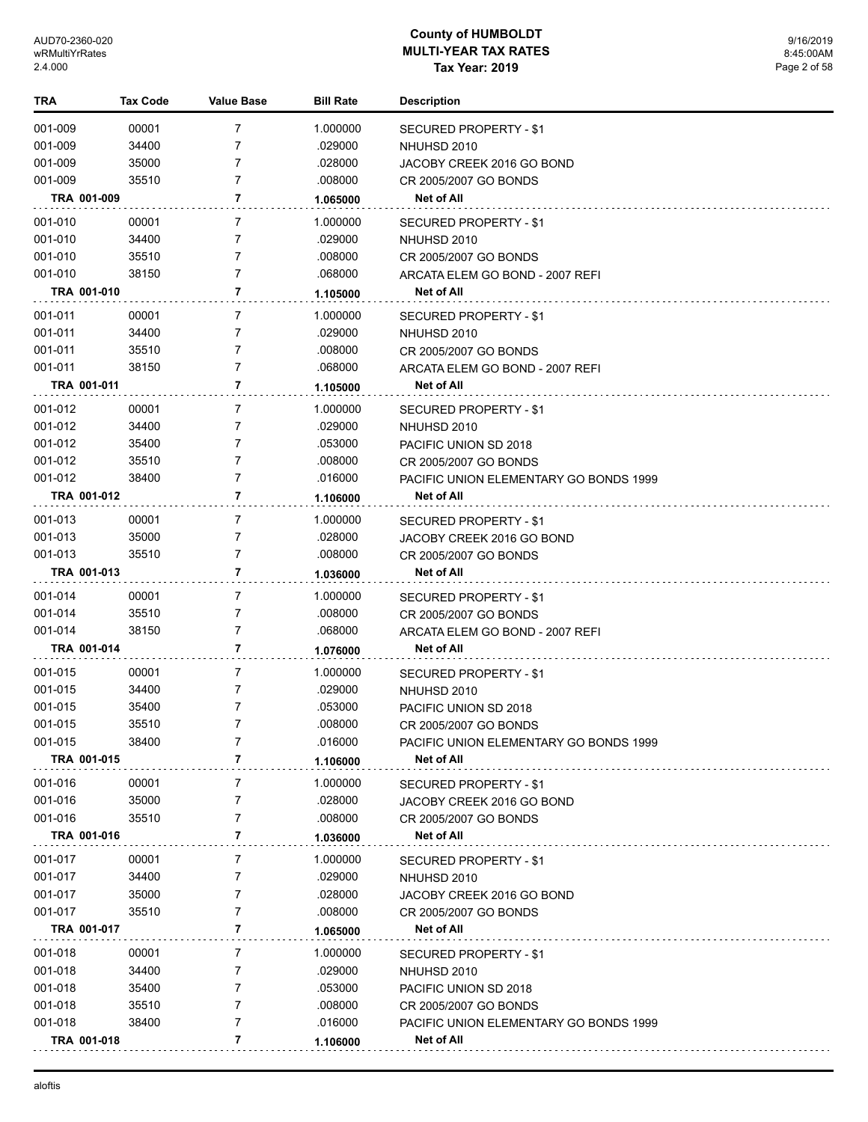| TRA         | <b>Tax Code</b> | <b>Value Base</b> | <b>Bill Rate</b> | <b>Description</b>                     |
|-------------|-----------------|-------------------|------------------|----------------------------------------|
| 001-009     | 00001           | 7                 | 1.000000         | SECURED PROPERTY - \$1                 |
| 001-009     | 34400           | 7                 | .029000          | NHUHSD 2010                            |
| 001-009     | 35000           | 7                 | .028000          | JACOBY CREEK 2016 GO BOND              |
| 001-009     | 35510           | 7                 | .008000          | CR 2005/2007 GO BONDS                  |
| TRA 001-009 |                 | 7                 | 1.065000         | Net of All                             |
| 001-010     | 00001           | 7                 | 1.000000         | SECURED PROPERTY - \$1                 |
| 001-010     | 34400           | 7                 | .029000          | NHUHSD 2010                            |
| 001-010     | 35510           | 7                 | .008000          | CR 2005/2007 GO BONDS                  |
| 001-010     | 38150           | 7                 | .068000          | ARCATA ELEM GO BOND - 2007 REFI        |
| TRA 001-010 |                 | 7                 | 1.105000         | <b>Net of All</b>                      |
| 001-011     | 00001           | $\overline{7}$    | 1.000000         | SECURED PROPERTY - \$1                 |
| 001-011     | 34400           | 7                 | .029000          | NHUHSD 2010                            |
| 001-011     | 35510           | 7                 | .008000          | CR 2005/2007 GO BONDS                  |
| 001-011     | 38150           | 7                 | .068000          | ARCATA ELEM GO BOND - 2007 REFI        |
| TRA 001-011 |                 | 7                 | 1.105000         | Net of All                             |
| 001-012     | 00001           | 7                 | 1.000000         | SECURED PROPERTY - \$1                 |
| 001-012     | 34400           | 7                 | .029000          | NHUHSD 2010                            |
| 001-012     | 35400           | 7                 | .053000          | PACIFIC UNION SD 2018                  |
| 001-012     | 35510           | 7                 | .008000          | CR 2005/2007 GO BONDS                  |
| 001-012     | 38400           | 7                 | .016000          | PACIFIC UNION ELEMENTARY GO BONDS 1999 |
| TRA 001-012 |                 | 7                 | 1.106000         | <b>Net of All</b>                      |
| 001-013     | 00001           | $\overline{7}$    | 1.000000         | SECURED PROPERTY - \$1                 |
| 001-013     | 35000           | 7                 | .028000          | JACOBY CREEK 2016 GO BOND              |
| 001-013     | 35510           | 7                 | .008000          | CR 2005/2007 GO BONDS                  |
| TRA 001-013 |                 | 7                 | 1.036000         | Net of All                             |
| 001-014     | 00001           | 7                 | 1.000000         | SECURED PROPERTY - \$1                 |
| 001-014     | 35510           | 7                 | .008000          | CR 2005/2007 GO BONDS                  |
| 001-014     | 38150           | 7                 | .068000          | ARCATA ELEM GO BOND - 2007 REFI        |
| TRA 001-014 |                 | 7                 | 1.076000         | Net of All                             |
| 001-015     | 00001           | $\overline{7}$    | 1.000000         | <b>SECURED PROPERTY - \$1</b>          |
| 001-015     | 34400           | 7                 | .029000          | NHUHSD 2010                            |
| 001-015     | 35400           | 7                 | .053000          | PACIFIC UNION SD 2018                  |
| 001-015     | 35510           | 7                 | .008000          | CR 2005/2007 GO BONDS                  |
| 001-015     | 38400           | 7                 | .016000          | PACIFIC UNION ELEMENTARY GO BONDS 1999 |
| TRA 001-015 |                 | 7                 | 1.106000         | Net of All                             |
| 001-016     | 00001           | 7                 | 1.000000         | SECURED PROPERTY - \$1                 |
| 001-016     | 35000           | 7                 | .028000          | JACOBY CREEK 2016 GO BOND              |
| 001-016     | 35510           | 7                 | .008000          | CR 2005/2007 GO BONDS                  |
| TRA 001-016 |                 | 7                 | 1.036000         | <b>Net of All</b>                      |
| 001-017     | 00001           | 7                 | 1.000000         | <b>SECURED PROPERTY - \$1</b>          |
| 001-017     | 34400           | 7                 | .029000          | NHUHSD 2010                            |
| 001-017     | 35000           | 7                 | .028000          | JACOBY CREEK 2016 GO BOND              |
| 001-017     | 35510           | 7                 | .008000          | CR 2005/2007 GO BONDS                  |
| TRA 001-017 |                 | 7                 | 1.065000         | Net of All                             |
| 001-018     | 00001           | 7                 | 1.000000         | SECURED PROPERTY - \$1                 |
| 001-018     | 34400           | 7                 | .029000          | NHUHSD 2010                            |
| 001-018     | 35400           | 7                 | .053000          | PACIFIC UNION SD 2018                  |
| 001-018     | 35510           | 7                 | .008000          | CR 2005/2007 GO BONDS                  |
| 001-018     | 38400           | 7                 | .016000          | PACIFIC UNION ELEMENTARY GO BONDS 1999 |
| TRA 001-018 |                 | 7                 | 1.106000         | Net of All                             |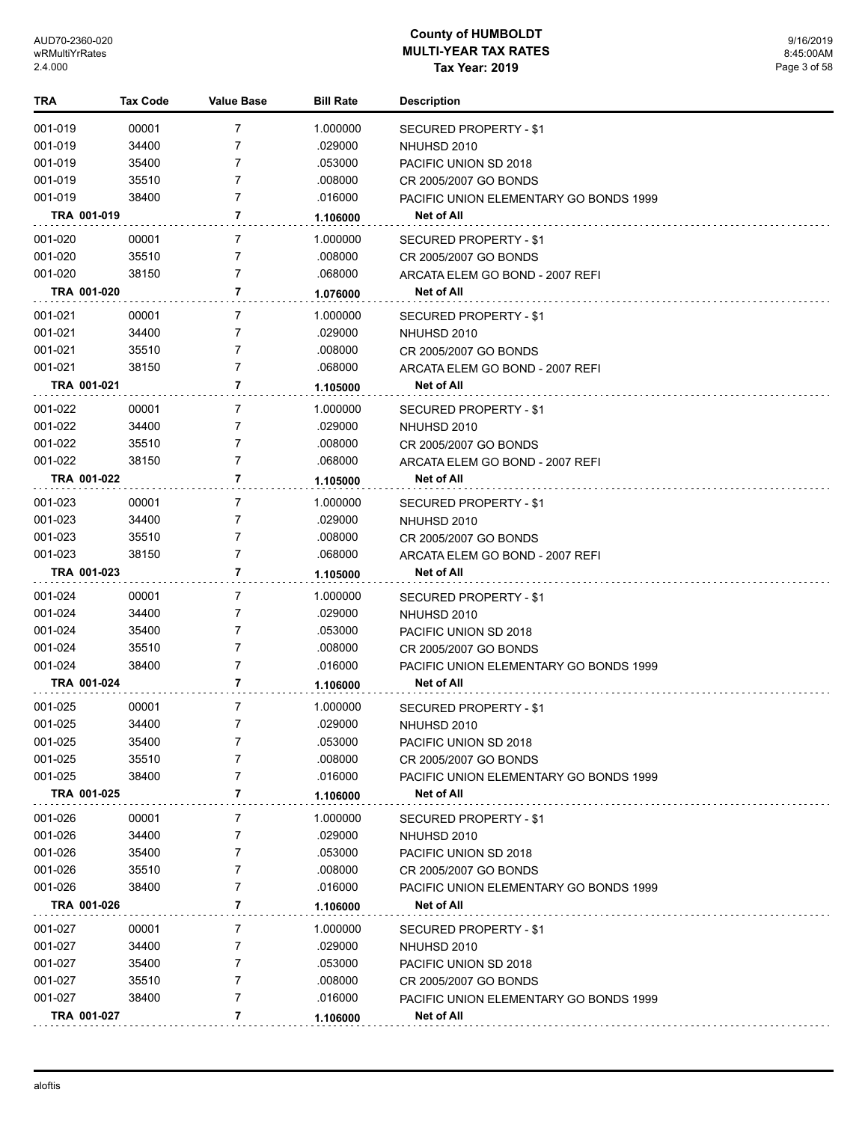| TRA         | <b>Tax Code</b> | <b>Value Base</b> | <b>Bill Rate</b> | <b>Description</b>                     |
|-------------|-----------------|-------------------|------------------|----------------------------------------|
| 001-019     | 00001           | 7                 | 1.000000         | <b>SECURED PROPERTY - \$1</b>          |
| 001-019     | 34400           | 7                 | .029000          | NHUHSD 2010                            |
| 001-019     | 35400           | 7                 | .053000          | PACIFIC UNION SD 2018                  |
| 001-019     | 35510           | 7                 | .008000          | CR 2005/2007 GO BONDS                  |
| 001-019     | 38400           | 7                 | .016000          | PACIFIC UNION ELEMENTARY GO BONDS 1999 |
| TRA 001-019 |                 | 7                 | 1.106000         | Net of All                             |
| 001-020     | 00001           | 7                 | 1.000000         | SECURED PROPERTY - \$1                 |
| 001-020     | 35510           | 7                 | .008000          | CR 2005/2007 GO BONDS                  |
| 001-020     | 38150           | 7                 | .068000          | ARCATA ELEM GO BOND - 2007 REFI        |
| TRA 001-020 |                 | 7                 | 1.076000         | Net of All                             |
| 001-021     | 00001           | 7                 | 1.000000         | <b>SECURED PROPERTY - \$1</b>          |
| 001-021     | 34400           | 7                 | .029000          | NHUHSD 2010                            |
| 001-021     | 35510           | 7                 | .008000          | CR 2005/2007 GO BONDS                  |
| 001-021     | 38150           | $\overline{7}$    | .068000          | ARCATA ELEM GO BOND - 2007 REFI        |
| TRA 001-021 |                 | 7                 | 1.105000         | Net of All                             |
| 001-022     | 00001           | 7                 | 1.000000         | <b>SECURED PROPERTY - \$1</b>          |
| 001-022     | 34400           | 7                 | .029000          | NHUHSD 2010                            |
| 001-022     | 35510           | 7                 | .008000          | CR 2005/2007 GO BONDS                  |
| 001-022     | 38150           | 7                 | .068000          | ARCATA ELEM GO BOND - 2007 REFI        |
| TRA 001-022 |                 | 7                 | 1.105000         | Net of All                             |
| 001-023     | 00001           | 7                 | 1.000000         | <b>SECURED PROPERTY - \$1</b>          |
| 001-023     | 34400           | 7                 | .029000          | NHUHSD 2010                            |
| 001-023     | 35510           | 7                 | .008000          | CR 2005/2007 GO BONDS                  |
| 001-023     | 38150           | 7                 | .068000          | ARCATA ELEM GO BOND - 2007 REFI        |
| TRA 001-023 |                 | 7                 | 1.105000         | Net of All                             |
| 001-024     | 00001           | 7                 | 1.000000         | SECURED PROPERTY - \$1                 |
| 001-024     | 34400           | 7                 | .029000          | NHUHSD 2010                            |
| 001-024     | 35400           | $\overline{7}$    | .053000          | PACIFIC UNION SD 2018                  |
| 001-024     | 35510           | $\overline{7}$    | .008000          | CR 2005/2007 GO BONDS                  |
| 001-024     | 38400           | 7                 | .016000          | PACIFIC UNION ELEMENTARY GO BONDS 1999 |
| TRA 001-024 |                 | 7                 | 1.106000         | <b>Net of All</b>                      |
| 001-025     | 00001           | $\overline{7}$    | 1.000000         | SECURED PROPERTY - \$1                 |
| 001-025     | 34400           | 7                 | 029000           | NHUHSD 2010                            |
| 001-025     | 35400           | 7                 | .053000          | PACIFIC UNION SD 2018                  |
| 001-025     | 35510           | 7                 | .008000          | CR 2005/2007 GO BONDS                  |
| 001-025     | 38400           | 7                 | .016000          | PACIFIC UNION ELEMENTARY GO BONDS 1999 |
| TRA 001-025 |                 | 7                 | 1.106000         | Net of All                             |
| 001-026     | 00001           | 7                 | 1.000000         | SECURED PROPERTY - \$1                 |
| 001-026     | 34400           | 7                 | .029000          | NHUHSD 2010                            |
| 001-026     | 35400           | 7                 | .053000          | PACIFIC UNION SD 2018                  |
| 001-026     | 35510           | 7                 | .008000          | CR 2005/2007 GO BONDS                  |
| 001-026     | 38400           | 7                 | .016000          | PACIFIC UNION ELEMENTARY GO BONDS 1999 |
| TRA 001-026 |                 | 7                 | 1.106000         | <b>Net of All</b>                      |
| 001-027     | 00001           | 7                 | 1.000000         | SECURED PROPERTY - \$1                 |
| 001-027     | 34400           | 7                 | .029000          | NHUHSD 2010                            |
| 001-027     | 35400           | 7                 | .053000          | PACIFIC UNION SD 2018                  |
| 001-027     | 35510           | 7                 | .008000          | CR 2005/2007 GO BONDS                  |
| 001-027     | 38400           | 7                 | .016000          | PACIFIC UNION ELEMENTARY GO BONDS 1999 |
| TRA 001-027 |                 | 7                 | 1.106000         | <b>Net of All</b>                      |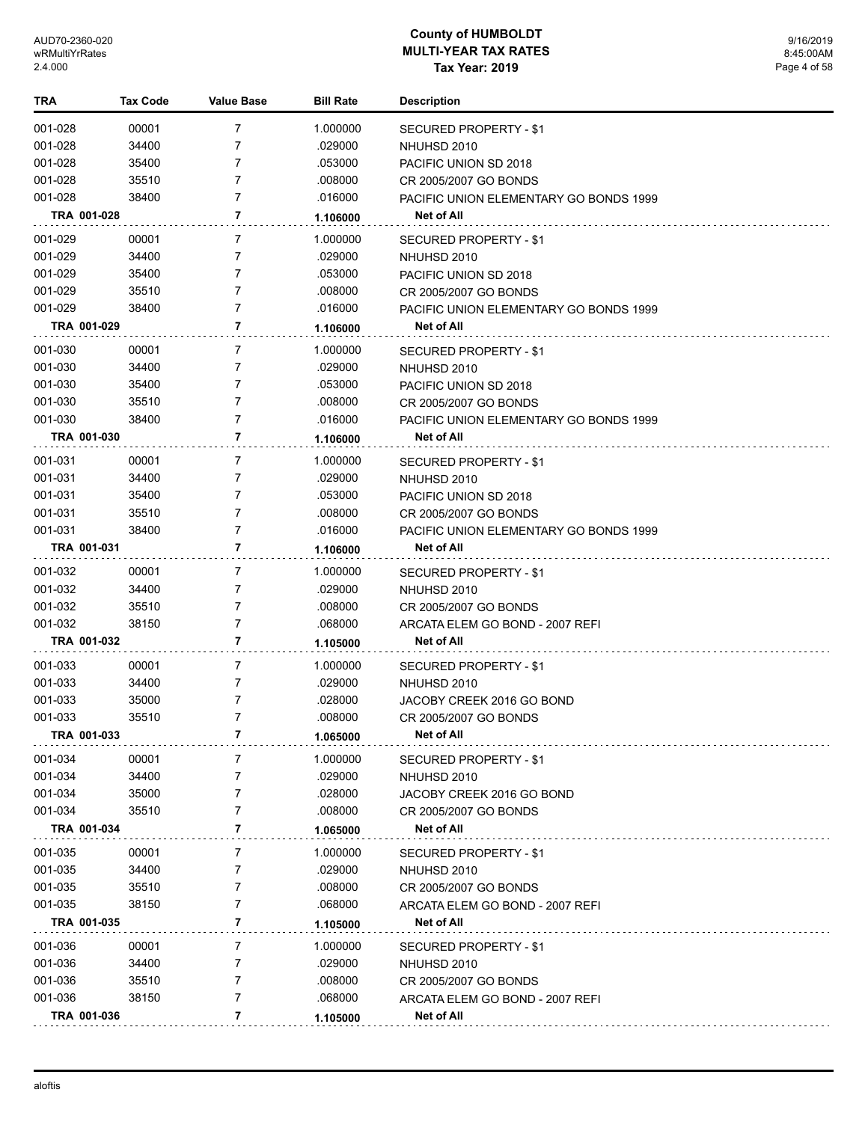| TRA         | Tax Code | Value Base     | <b>Bill Rate</b> | <b>Description</b>                     |
|-------------|----------|----------------|------------------|----------------------------------------|
| 001-028     | 00001    | $\overline{7}$ | 1.000000         | SECURED PROPERTY - \$1                 |
| 001-028     | 34400    | 7              | .029000          | NHUHSD 2010                            |
| 001-028     | 35400    | 7              | .053000          | PACIFIC UNION SD 2018                  |
| 001-028     | 35510    | 7              | .008000          | CR 2005/2007 GO BONDS                  |
| 001-028     | 38400    | 7              | .016000          | PACIFIC UNION ELEMENTARY GO BONDS 1999 |
| TRA 001-028 |          | $\overline{7}$ | 1.106000         | <b>Net of All</b>                      |
| 001-029     | 00001    | 7              | 1.000000         | SECURED PROPERTY - \$1                 |
| 001-029     | 34400    | 7              | .029000          | NHUHSD 2010                            |
| 001-029     | 35400    | 7              | .053000          | PACIFIC UNION SD 2018                  |
| 001-029     | 35510    | $\overline{7}$ | .008000          | CR 2005/2007 GO BONDS                  |
| 001-029     | 38400    | $\overline{7}$ | .016000          | PACIFIC UNION ELEMENTARY GO BONDS 1999 |
| TRA 001-029 |          | 7              | 1.106000         | Net of All                             |
| 001-030     | 00001    | $\overline{7}$ | 1.000000         | SECURED PROPERTY - \$1                 |
| 001-030     | 34400    | 7              | .029000          | NHUHSD 2010                            |
| 001-030     | 35400    | 7              | .053000          | PACIFIC UNION SD 2018                  |
| 001-030     | 35510    | 7              | .008000          | CR 2005/2007 GO BONDS                  |
| 001-030     | 38400    | $\overline{7}$ | .016000          | PACIFIC UNION ELEMENTARY GO BONDS 1999 |
| TRA 001-030 |          | 7              | 1.106000         | <b>Net of All</b>                      |
| 001-031     | 00001    | 7              | 1.000000         | SECURED PROPERTY - \$1                 |
| 001-031     | 34400    | $\overline{7}$ | .029000          | NHUHSD 2010                            |
| 001-031     | 35400    | 7              | .053000          | PACIFIC UNION SD 2018                  |
| 001-031     | 35510    | $\overline{7}$ | .008000          | CR 2005/2007 GO BONDS                  |
| 001-031     | 38400    | $\overline{7}$ | .016000          | PACIFIC UNION ELEMENTARY GO BONDS 1999 |
| TRA 001-031 |          | 7              | 1.106000         | Net of All                             |
| 001-032     | 00001    | $\overline{7}$ | 1.000000         | SECURED PROPERTY - \$1                 |
| 001-032     | 34400    | 7              | .029000          | NHUHSD 2010                            |
| 001-032     | 35510    | $\overline{7}$ | .008000          | CR 2005/2007 GO BONDS                  |
| 001-032     | 38150    | $\overline{7}$ | .068000          | ARCATA ELEM GO BOND - 2007 REFI        |
| TRA 001-032 |          | 7              | 1.105000         | Net of All                             |
| 001-033     | 00001    | 7              | 1.000000         | SECURED PROPERTY - \$1                 |
| 001-033     | 34400    | $\overline{7}$ | .029000          | NHUHSD 2010                            |
| 001-033     | 35000    | $\overline{7}$ | .028000          | JACOBY CREEK 2016 GO BOND              |
| 001-033     | 35510    | $\overline{7}$ | .008000          | CR 2005/2007 GO BONDS                  |
| TRA 001-033 |          | $\overline{7}$ | 1.065000         | Net of All                             |
| 001-034     | 00001    | 7              | 1.000000         | SECURED PROPERTY - \$1                 |
| 001-034     | 34400    | 7              | .029000          | NHUHSD 2010                            |
| 001-034     | 35000    | 7              | .028000          | JACOBY CREEK 2016 GO BOND              |
| 001-034     | 35510    | 7              | .008000          | CR 2005/2007 GO BONDS                  |
| TRA 001-034 |          | 7              | 1.065000         | Net of All                             |
| 001-035     | 00001    | $\overline{7}$ | 1.000000         | SECURED PROPERTY - \$1                 |
| 001-035     | 34400    | 7              | .029000          | NHUHSD 2010                            |
| 001-035     | 35510    | 7              | .008000          | CR 2005/2007 GO BONDS                  |
| 001-035     | 38150    | 7              | .068000          | ARCATA ELEM GO BOND - 2007 REFI        |
| TRA 001-035 |          | $\overline{7}$ | 1.105000         | Net of All                             |
| 001-036     | 00001    | 7              | 1.000000         | SECURED PROPERTY - \$1                 |
| 001-036     | 34400    | 7              | .029000          | NHUHSD 2010                            |
| 001-036     | 35510    | 7              | .008000          | CR 2005/2007 GO BONDS                  |
| 001-036     | 38150    | $\overline{7}$ | .068000          | ARCATA ELEM GO BOND - 2007 REFI        |
| TRA 001-036 |          | $\overline{7}$ | 1.105000         | Net of All                             |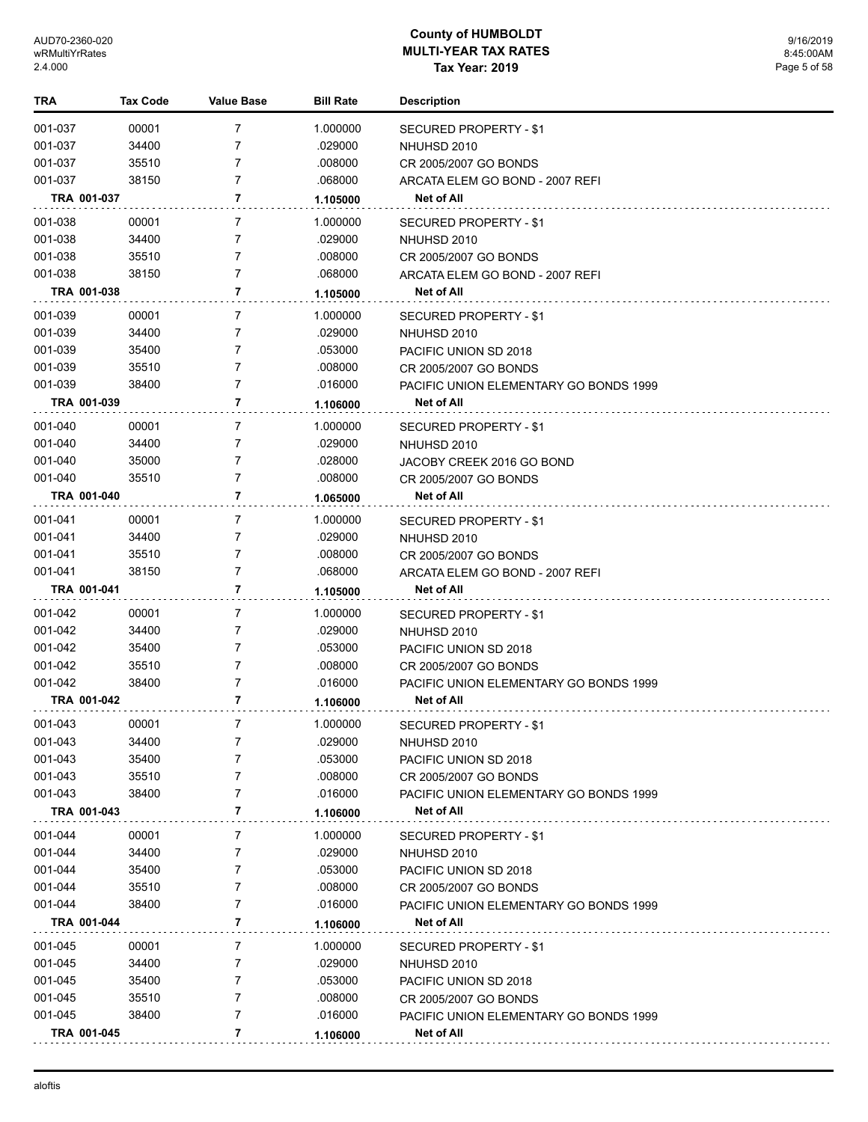| TRA         | <b>Tax Code</b> | <b>Value Base</b> | <b>Bill Rate</b> | <b>Description</b>                     |
|-------------|-----------------|-------------------|------------------|----------------------------------------|
| 001-037     | 00001           | 7                 | 1.000000         | SECURED PROPERTY - \$1                 |
| 001-037     | 34400           | 7                 | .029000          | NHUHSD 2010                            |
| 001-037     | 35510           | 7                 | .008000          | CR 2005/2007 GO BONDS                  |
| 001-037     | 38150           | 7                 | .068000          | ARCATA ELEM GO BOND - 2007 REFI        |
| TRA 001-037 |                 | 7                 | 1.105000         | Net of All                             |
| 001-038     | 00001           | 7                 | 1.000000         | SECURED PROPERTY - \$1                 |
| 001-038     | 34400           | 7                 | .029000          | NHUHSD 2010                            |
| 001-038     | 35510           | 7                 | .008000          | CR 2005/2007 GO BONDS                  |
| 001-038     | 38150           | $\overline{7}$    | .068000          | ARCATA ELEM GO BOND - 2007 REFI        |
| TRA 001-038 |                 | 7                 | 1.105000         | <b>Net of All</b>                      |
| 001-039     | 00001           | 7                 | 1.000000         | SECURED PROPERTY - \$1                 |
| 001-039     | 34400           | 7                 | .029000          | NHUHSD 2010                            |
| 001-039     | 35400           | 7                 | .053000          | PACIFIC UNION SD 2018                  |
| 001-039     | 35510           | 7                 | .008000          | CR 2005/2007 GO BONDS                  |
| 001-039     | 38400           | 7                 | .016000          | PACIFIC UNION ELEMENTARY GO BONDS 1999 |
| TRA 001-039 |                 | $\overline{7}$    | 1.106000         | <b>Net of All</b>                      |
| 001-040     | 00001           | 7                 | 1.000000         | SECURED PROPERTY - \$1                 |
| 001-040     | 34400           | $\overline{7}$    | .029000          | NHUHSD 2010                            |
| 001-040     | 35000           | 7                 | .028000          | JACOBY CREEK 2016 GO BOND              |
| 001-040     | 35510           | 7                 | .008000          | CR 2005/2007 GO BONDS                  |
| TRA 001-040 |                 | 7                 | 1.065000         | Net of All                             |
| 001-041     | 00001           | 7                 | 1.000000         | <b>SECURED PROPERTY - \$1</b>          |
| 001-041     | 34400           | 7                 | .029000          | NHUHSD 2010                            |
| 001-041     | 35510           | 7                 | .008000          | CR 2005/2007 GO BONDS                  |
| 001-041     | 38150           | 7                 | .068000          | ARCATA ELEM GO BOND - 2007 REFI        |
| TRA 001-041 |                 | 7                 | 1.105000         | Net of All                             |
| 001-042     | 00001           | 7                 | 1.000000         | SECURED PROPERTY - \$1                 |
| 001-042     | 34400           | 7                 | .029000          | NHUHSD 2010                            |
| 001-042     | 35400           | 7                 | .053000          | PACIFIC UNION SD 2018                  |
| 001-042     | 35510           | 7                 | .008000          | CR 2005/2007 GO BONDS                  |
| 001-042     | 38400           | 7                 | .016000          | PACIFIC UNION ELEMENTARY GO BONDS 1999 |
| TRA 001-042 |                 | 7                 | 1.106000         | Net of All                             |
| 001-043     | 00001           | 7                 | 1.000000         | <b>SECURED PROPERTY - \$1</b>          |
| 001-043     | 34400           | 7                 | .029000          | NHUHSD 2010                            |
| 001-043     | 35400           | 7                 | .053000          | PACIFIC UNION SD 2018                  |
| 001-043     | 35510           | 7                 | .008000          | CR 2005/2007 GO BONDS                  |
| 001-043     | 38400           | 7                 | .016000          | PACIFIC UNION ELEMENTARY GO BONDS 1999 |
| TRA 001-043 |                 | 7                 | 1.106000         | Net of All                             |
| 001-044     | 00001           | 7                 | 1.000000         | SECURED PROPERTY - \$1                 |
| 001-044     | 34400           | 7                 | .029000          | NHUHSD 2010                            |
| 001-044     | 35400           | 7                 | .053000          | PACIFIC UNION SD 2018                  |
| 001-044     | 35510           | 7                 | .008000          | CR 2005/2007 GO BONDS                  |
| 001-044     | 38400           | 7                 | .016000          | PACIFIC UNION ELEMENTARY GO BONDS 1999 |
| TRA 001-044 |                 | 7                 | 1.106000         | Net of All                             |
| 001-045     | 00001           | 7                 | 1.000000         | SECURED PROPERTY - \$1                 |
| 001-045     | 34400           | 7                 | .029000          | NHUHSD 2010                            |
| 001-045     | 35400           | 7                 | .053000          | PACIFIC UNION SD 2018                  |
| 001-045     | 35510           | 7                 | .008000          | CR 2005/2007 GO BONDS                  |
| 001-045     | 38400           | 7                 | .016000          | PACIFIC UNION ELEMENTARY GO BONDS 1999 |
| TRA 001-045 |                 | 7                 | 1.106000         | Net of All                             |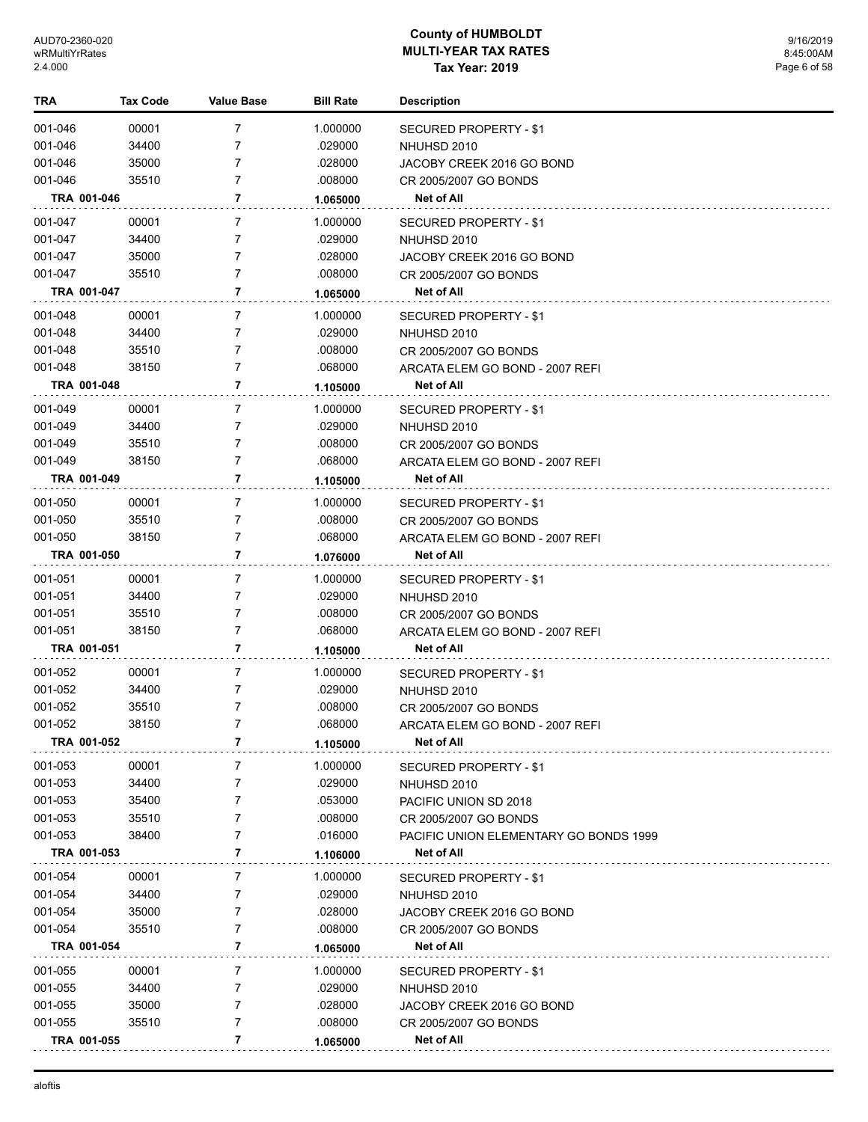| TRA         | <b>Tax Code</b> | <b>Value Base</b> | <b>Bill Rate</b> | <b>Description</b>                     |
|-------------|-----------------|-------------------|------------------|----------------------------------------|
| 001-046     | 00001           | 7                 | 1.000000         | SECURED PROPERTY - \$1                 |
| 001-046     | 34400           | 7                 | .029000          | NHUHSD 2010                            |
| 001-046     | 35000           | 7                 | .028000          | JACOBY CREEK 2016 GO BOND              |
| 001-046     | 35510           | 7                 | .008000          | CR 2005/2007 GO BONDS                  |
| TRA 001-046 |                 | 7                 | 1.065000         | Net of All                             |
| 001-047     | 00001           | 7                 | 1.000000         | SECURED PROPERTY - \$1                 |
| 001-047     | 34400           | 7                 | .029000          | NHUHSD 2010                            |
| 001-047     | 35000           | 7                 | .028000          | JACOBY CREEK 2016 GO BOND              |
| 001-047     | 35510           | 7                 | .008000          | CR 2005/2007 GO BONDS                  |
| TRA 001-047 |                 | 7                 | 1.065000         | <b>Net of All</b>                      |
| 001-048     | 00001           | 7                 | 1.000000         | SECURED PROPERTY - \$1                 |
| 001-048     | 34400           | 7                 | .029000          | NHUHSD 2010                            |
| 001-048     | 35510           | 7                 | .008000          | CR 2005/2007 GO BONDS                  |
| 001-048     | 38150           | 7                 | .068000          | ARCATA ELEM GO BOND - 2007 REFI        |
| TRA 001-048 |                 | 7                 | 1.105000         | Net of All                             |
| 001-049     | 00001           | 7                 | 1.000000         | SECURED PROPERTY - \$1                 |
| 001-049     | 34400           | 7                 | .029000          | NHUHSD 2010                            |
| 001-049     | 35510           | 7                 | .008000          | CR 2005/2007 GO BONDS                  |
| 001-049     | 38150           | 7                 | .068000          | ARCATA ELEM GO BOND - 2007 REFI        |
| TRA 001-049 |                 | 7                 | 1.105000         | <b>Net of All</b>                      |
| 001-050     | 00001           | 7                 | 1.000000         | SECURED PROPERTY - \$1                 |
| 001-050     | 35510           | 7                 | .008000          | CR 2005/2007 GO BONDS                  |
| 001-050     | 38150           | 7                 | .068000          | ARCATA ELEM GO BOND - 2007 REFI        |
| TRA 001-050 |                 | 7                 | 1.076000         | <b>Net of All</b>                      |
| 001-051     | 00001           | 7                 | 1.000000         | SECURED PROPERTY - \$1                 |
| 001-051     | 34400           | 7                 | .029000          | NHUHSD 2010                            |
| 001-051     | 35510           | 7                 | .008000          | CR 2005/2007 GO BONDS                  |
| 001-051     | 38150           | 7                 | .068000          | ARCATA ELEM GO BOND - 2007 REFI        |
| TRA 001-051 |                 | 7                 | 1.105000         | <b>Net of All</b>                      |
| 001-052     | 00001           | 7                 | 1.000000         | <b>SECURED PROPERTY - \$1</b>          |
| 001-052     | 34400           | 7                 | .029000          | NHUHSD 2010                            |
| 001-052     | 35510           | 7                 | .008000          | CR 2005/2007 GO BONDS                  |
| 001-052     | 38150           | 7                 | .068000          | ARCATA ELEM GO BOND - 2007 REFI        |
| TRA 001-052 |                 | 7                 | 1.105000         | Net of All                             |
| 001-053     | 00001           | 7                 | 1.000000         | <b>SECURED PROPERTY - \$1</b>          |
| 001-053     | 34400           | 7                 | .029000          | NHUHSD 2010                            |
| 001-053     | 35400           | 7                 | .053000          | PACIFIC UNION SD 2018                  |
| 001-053     | 35510           | 7                 | .008000          | CR 2005/2007 GO BONDS                  |
| 001-053     | 38400           | 7                 | .016000          | PACIFIC UNION ELEMENTARY GO BONDS 1999 |
| TRA 001-053 |                 | 7                 | 1.106000         | Net of All                             |
| 001-054     | 00001           | 7                 | 1.000000         | <b>SECURED PROPERTY - \$1</b>          |
| 001-054     | 34400           | 7                 | .029000          | NHUHSD 2010                            |
| 001-054     | 35000           | 7                 | .028000          | JACOBY CREEK 2016 GO BOND              |
| 001-054     | 35510           | 7                 | .008000          | CR 2005/2007 GO BONDS                  |
| TRA 001-054 |                 | 7                 | 1.065000         | Net of All                             |
| 001-055     | 00001           | 7                 | 1.000000         | SECURED PROPERTY - \$1                 |
| 001-055     | 34400           | 7                 | .029000          | NHUHSD 2010                            |
| 001-055     | 35000           | 7                 | .028000          | JACOBY CREEK 2016 GO BOND              |
| 001-055     | 35510           | 7                 | .008000          | CR 2005/2007 GO BONDS                  |
| TRA 001-055 |                 | 7                 | 1.065000         | Net of All                             |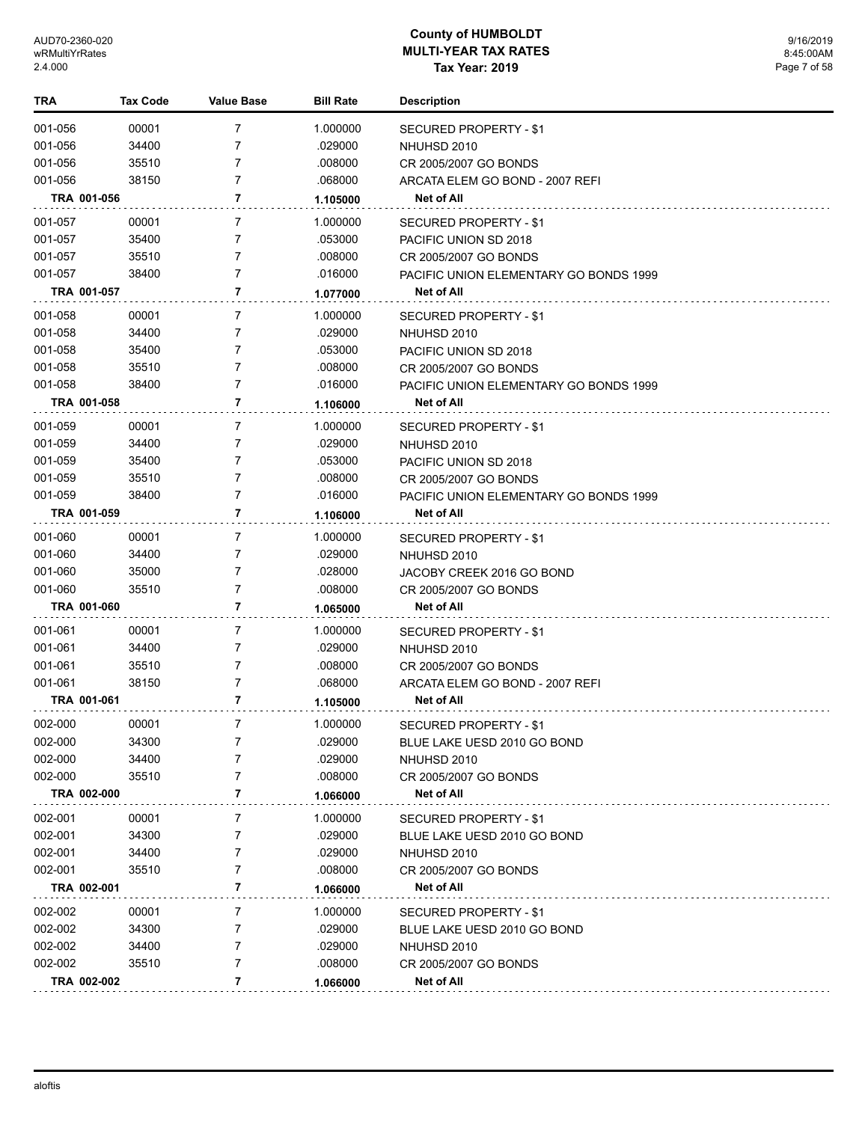| TRA         | <b>Tax Code</b> | Value Base     | <b>Bill Rate</b> | <b>Description</b>                     |
|-------------|-----------------|----------------|------------------|----------------------------------------|
| 001-056     | 00001           | 7              | 1.000000         | <b>SECURED PROPERTY - \$1</b>          |
| 001-056     | 34400           | 7              | .029000          | NHUHSD 2010                            |
| 001-056     | 35510           | 7              | .008000          | CR 2005/2007 GO BONDS                  |
| 001-056     | 38150           | 7              | .068000          | ARCATA ELEM GO BOND - 2007 REFI        |
| TRA 001-056 |                 | 7              | 1.105000         | Net of All                             |
| 001-057     | 00001           | 7              | 1.000000         | SECURED PROPERTY - \$1                 |
| 001-057     | 35400           | 7              | .053000          | PACIFIC UNION SD 2018                  |
| 001-057     | 35510           | 7              | .008000          | CR 2005/2007 GO BONDS                  |
| 001-057     | 38400           | 7              | .016000          | PACIFIC UNION ELEMENTARY GO BONDS 1999 |
| TRA 001-057 |                 | 7              | 1.077000         | Net of All                             |
| 001-058     | 00001           | 7              | 1.000000         | SECURED PROPERTY - \$1                 |
| 001-058     | 34400           | 7              | .029000          | NHUHSD 2010                            |
| 001-058     | 35400           | 7              | .053000          | PACIFIC UNION SD 2018                  |
| 001-058     | 35510           | 7              | .008000          | CR 2005/2007 GO BONDS                  |
| 001-058     | 38400           | 7              | .016000          | PACIFIC UNION ELEMENTARY GO BONDS 1999 |
| TRA 001-058 |                 | 7              | 1.106000         | Net of All                             |
| 001-059     | 00001           | 7              | 1.000000         | SECURED PROPERTY - \$1                 |
| 001-059     | 34400           | 7              | .029000          | NHUHSD 2010                            |
| 001-059     | 35400           | 7              | .053000          | PACIFIC UNION SD 2018                  |
| 001-059     | 35510           | 7              | .008000          | CR 2005/2007 GO BONDS                  |
| 001-059     | 38400           | 7              | .016000          | PACIFIC UNION ELEMENTARY GO BONDS 1999 |
| TRA 001-059 |                 | 7              | 1.106000         | Net of All                             |
| 001-060     | 00001           | $\overline{7}$ | 1.000000         | SECURED PROPERTY - \$1                 |
| 001-060     | 34400           | 7              | .029000          | NHUHSD 2010                            |
| 001-060     | 35000           | 7              | .028000          | JACOBY CREEK 2016 GO BOND              |
| 001-060     | 35510           | 7              | .008000          | CR 2005/2007 GO BONDS                  |
| TRA 001-060 |                 | 7              | 1.065000         | Net of All                             |
| 001-061     | 00001           | 7              | 1.000000         | SECURED PROPERTY - \$1                 |
| 001-061     | 34400           | 7              | .029000          | NHUHSD 2010                            |
| 001-061     | 35510           | 7              | .008000          | CR 2005/2007 GO BONDS                  |
| 001-061     | 38150           | 7              | .068000          | ARCATA ELEM GO BOND - 2007 REFI        |
| TRA 001-061 |                 | 7              | 1.105000         | Net of All                             |
| 002-000     | 00001           | 7              | 1.000000         | SECURED PROPERTY - \$1                 |
| 002-000     | 34300           | 7              | .029000          | BLUE LAKE UESD 2010 GO BOND            |
| 002-000     | 34400           | 7              | .029000          | NHUHSD 2010                            |
| 002-000     | 35510           | 7              | .008000          | CR 2005/2007 GO BONDS                  |
| TRA 002-000 |                 | 7              | 1.066000         | Net of All                             |
| 002-001     | 00001           | 7              | 1.000000         | SECURED PROPERTY - \$1                 |
| 002-001     | 34300           | 7              | .029000          | BLUE LAKE UESD 2010 GO BOND            |
| 002-001     | 34400           | 7              | .029000          | NHUHSD 2010                            |
| 002-001     | 35510           | 7              | .008000          | CR 2005/2007 GO BONDS                  |
| TRA 002-001 |                 | 7              | 1.066000         | Net of All                             |
| 002-002     | 00001           | 7              | 1.000000         | SECURED PROPERTY - \$1                 |
| 002-002     | 34300           | 7              | .029000          | BLUE LAKE UESD 2010 GO BOND            |
| 002-002     | 34400           | 7              | .029000          | NHUHSD 2010                            |
| 002-002     | 35510           | 7              | .008000          | CR 2005/2007 GO BONDS                  |
| TRA 002-002 |                 | 7              | 1.066000         | Net of All                             |
|             |                 |                |                  |                                        |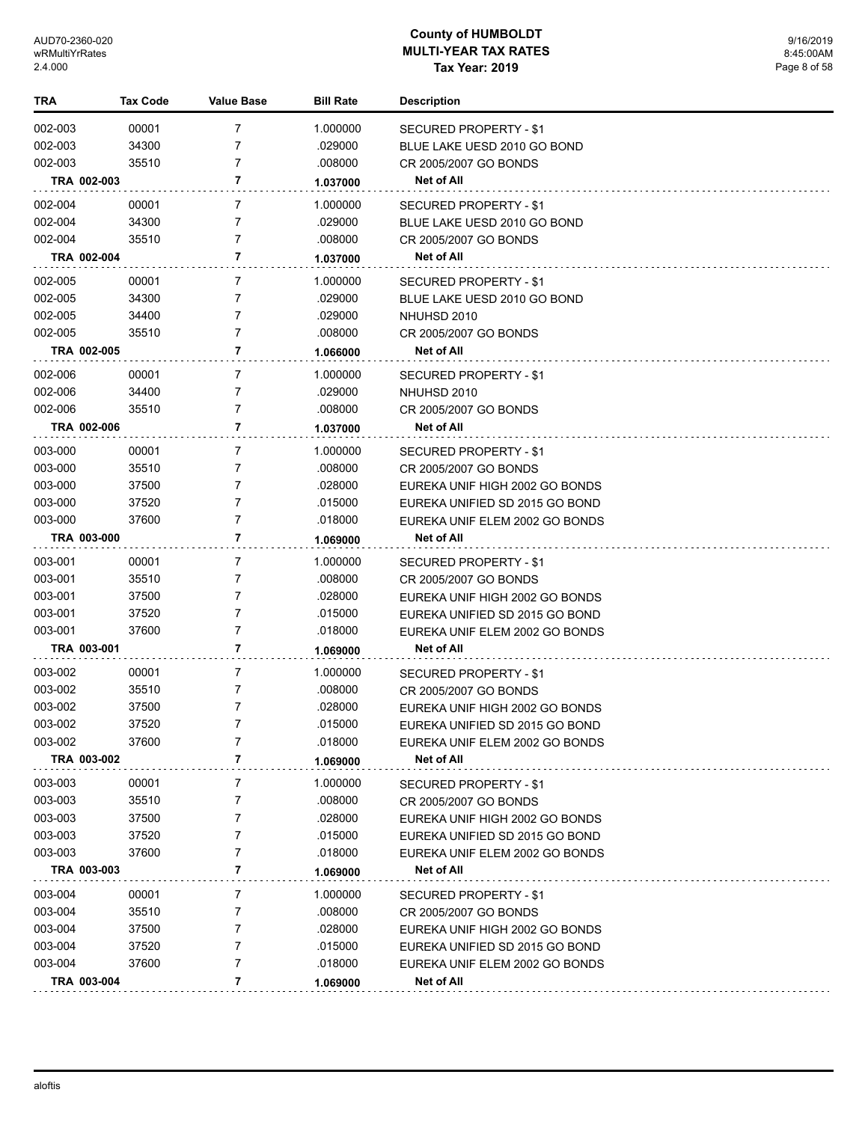| TRA         | <b>Tax Code</b> | <b>Value Base</b> | <b>Bill Rate</b> | <b>Description</b>             |
|-------------|-----------------|-------------------|------------------|--------------------------------|
| 002-003     | 00001           | 7                 | 1.000000         | SECURED PROPERTY - \$1         |
| 002-003     | 34300           | 7                 | .029000          | BLUE LAKE UESD 2010 GO BOND    |
| 002-003     | 35510           | 7                 | .008000          | CR 2005/2007 GO BONDS          |
| TRA 002-003 |                 | 7                 | 1.037000         | Net of All                     |
| 002-004     | 00001           | 7                 | 1.000000         | <b>SECURED PROPERTY - \$1</b>  |
| 002-004     | 34300           | 7                 | .029000          | BLUE LAKE UESD 2010 GO BOND    |
| 002-004     | 35510           | $\overline{7}$    | .008000          | CR 2005/2007 GO BONDS          |
| TRA 002-004 |                 | 7                 | 1.037000         | <b>Net of All</b>              |
| 002-005     | 00001           | 7                 | 1.000000         | SECURED PROPERTY - \$1         |
| 002-005     | 34300           | 7                 | .029000          | BLUE LAKE UESD 2010 GO BOND    |
| 002-005     | 34400           | 7                 | .029000          | NHUHSD 2010                    |
| 002-005     | 35510           | $\overline{7}$    | .008000          | CR 2005/2007 GO BONDS          |
| TRA 002-005 |                 | 7                 | 1.066000         | Net of All                     |
| 002-006     | 00001           | 7                 | 1.000000         | SECURED PROPERTY - \$1         |
| 002-006     | 34400           | 7                 | .029000          | NHUHSD 2010                    |
| 002-006     | 35510           | $\overline{7}$    | .008000          | CR 2005/2007 GO BONDS          |
| TRA 002-006 |                 | 7                 | 1.037000         | Net of All                     |
| 003-000     | 00001           | 7                 | 1.000000         | SECURED PROPERTY - \$1         |
| 003-000     | 35510           | 7                 | .008000          | CR 2005/2007 GO BONDS          |
| 003-000     | 37500           | 7                 | .028000          | EUREKA UNIF HIGH 2002 GO BONDS |
| 003-000     | 37520           | 7                 | .015000          | EUREKA UNIFIED SD 2015 GO BOND |
| 003-000     | 37600           | 7                 | .018000          | EUREKA UNIF ELEM 2002 GO BONDS |
| TRA 003-000 |                 | 7                 | 1.069000         | Net of All                     |
| 003-001     | 00001           | 7                 | 1.000000         | SECURED PROPERTY - \$1         |
| 003-001     | 35510           | 7                 | .008000          | CR 2005/2007 GO BONDS          |
| 003-001     | 37500           | 7                 | .028000          | EUREKA UNIF HIGH 2002 GO BONDS |
| 003-001     | 37520           | 7                 | .015000          | EUREKA UNIFIED SD 2015 GO BOND |
| 003-001     | 37600           | 7                 | .018000          | EUREKA UNIF ELEM 2002 GO BONDS |
| TRA 003-001 |                 | 7                 | 1.069000         | <b>Net of All</b>              |
| 003-002     | 00001           | 7                 | 1.000000         | SECURED PROPERTY - \$1         |
| 003-002     | 35510           | 7                 | .008000          | CR 2005/2007 GO BONDS          |
| 003-002     | 37500           | 7                 | .028000          | EUREKA UNIF HIGH 2002 GO BONDS |
| 003-002     | 37520           | 7                 | .015000          | EUREKA UNIFIED SD 2015 GO BOND |
| 003-002     | 37600           | 7                 | .018000          | EUREKA UNIF ELEM 2002 GO BONDS |
| TRA 003-002 |                 | 7                 | 1.069000         | Net of All                     |
| 003-003     | 00001           | 7                 | 1.000000         | <b>SECURED PROPERTY - \$1</b>  |
| 003-003     | 35510           | 7                 | .008000          | CR 2005/2007 GO BONDS          |
| 003-003     | 37500           | 7                 | .028000          | EUREKA UNIF HIGH 2002 GO BONDS |
| 003-003     | 37520           | 7                 | .015000          | EUREKA UNIFIED SD 2015 GO BOND |
| 003-003     | 37600           | 7                 | .018000          | EUREKA UNIF ELEM 2002 GO BONDS |
| TRA 003-003 |                 | 7                 | 1.069000         | Net of All                     |
| 003-004     | 00001           | 7                 | 1.000000         | SECURED PROPERTY - \$1         |
| 003-004     | 35510           | 7                 | .008000          | CR 2005/2007 GO BONDS          |
| 003-004     | 37500           | 7                 | .028000          | EUREKA UNIF HIGH 2002 GO BONDS |
| 003-004     | 37520           | 7                 | .015000          | EUREKA UNIFIED SD 2015 GO BOND |
| 003-004     | 37600           | 7                 | .018000          | EUREKA UNIF ELEM 2002 GO BONDS |
| TRA 003-004 |                 | 7                 | 1.069000         | Net of All                     |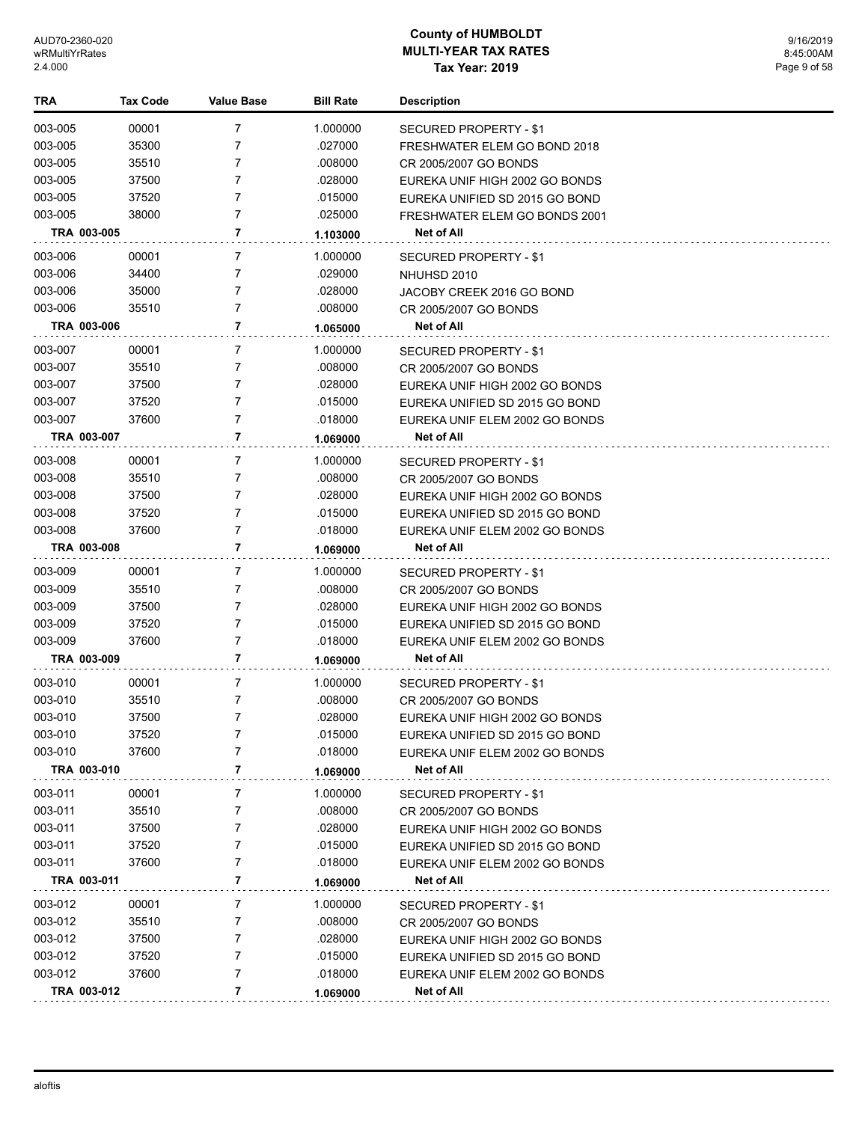| TRA         | <b>Tax Code</b> | <b>Value Base</b> | <b>Bill Rate</b> | <b>Description</b>             |
|-------------|-----------------|-------------------|------------------|--------------------------------|
| 003-005     | 00001           | 7                 | 1.000000         | SECURED PROPERTY - \$1         |
| 003-005     | 35300           | 7                 | .027000          | FRESHWATER ELEM GO BOND 2018   |
| 003-005     | 35510           | 7                 | .008000          | CR 2005/2007 GO BONDS          |
| 003-005     | 37500           | 7                 | .028000          | EUREKA UNIF HIGH 2002 GO BONDS |
| 003-005     | 37520           | 7                 | .015000          | EUREKA UNIFIED SD 2015 GO BOND |
| 003-005     | 38000           | 7                 | .025000          | FRESHWATER ELEM GO BONDS 2001  |
| TRA 003-005 |                 | 7                 | 1.103000         | Net of All                     |
| 003-006     | 00001           | 7                 | 1.000000         | <b>SECURED PROPERTY - \$1</b>  |
| 003-006     | 34400           | 7                 | .029000          | NHUHSD 2010                    |
| 003-006     | 35000           | 7                 | .028000          | JACOBY CREEK 2016 GO BOND      |
| 003-006     | 35510           | 7                 | .008000          | CR 2005/2007 GO BONDS          |
| TRA 003-006 |                 | 7                 | 1.065000         | Net of All                     |
| 003-007     | 00001           | 7                 | 1.000000         | SECURED PROPERTY - \$1         |
| 003-007     | 35510           | 7                 | .008000          | CR 2005/2007 GO BONDS          |
| 003-007     | 37500           | 7                 | .028000          | EUREKA UNIF HIGH 2002 GO BONDS |
| 003-007     | 37520           | 7                 | .015000          | EUREKA UNIFIED SD 2015 GO BOND |
| 003-007     | 37600           | 7                 | .018000          | EUREKA UNIF ELEM 2002 GO BONDS |
| TRA 003-007 |                 | 7                 | 1.069000         | Net of All                     |
| 003-008     | 00001           | 7                 | 1.000000         | SECURED PROPERTY - \$1         |
| 003-008     | 35510           | 7                 | .008000          | CR 2005/2007 GO BONDS          |
| 003-008     | 37500           | 7                 | .028000          | EUREKA UNIF HIGH 2002 GO BONDS |
| 003-008     | 37520           | 7                 | .015000          | EUREKA UNIFIED SD 2015 GO BOND |
| 003-008     | 37600           | 7                 | .018000          | EUREKA UNIF ELEM 2002 GO BONDS |
| TRA 003-008 |                 | 7                 | 1.069000         | Net of All                     |
| 003-009     | 00001           | 7                 | 1.000000         | SECURED PROPERTY - \$1         |
| 003-009     | 35510           | 7                 | .008000          | CR 2005/2007 GO BONDS          |
| 003-009     | 37500           | 7                 | .028000          | EUREKA UNIF HIGH 2002 GO BONDS |
| 003-009     | 37520           | 7                 | .015000          | EUREKA UNIFIED SD 2015 GO BOND |
| 003-009     | 37600           | 7                 | .018000          | EUREKA UNIF ELEM 2002 GO BONDS |
| TRA 003-009 |                 | 7                 | 1.069000         | Net of All                     |
| 003-010     | 00001           | 7                 | 1.000000         | SECURED PROPERTY - \$1         |
| 003-010     | 35510           | 7                 | .008000          | CR 2005/2007 GO BONDS          |
| 003-010     | 37500           | 7                 | .028000          | EUREKA UNIF HIGH 2002 GO BONDS |
| 003-010     | 37520           | 7                 | .015000          | EUREKA UNIFIED SD 2015 GO BOND |
| 003-010     | 37600           | 7                 | .018000          | EUREKA UNIF ELEM 2002 GO BONDS |
| TRA 003-010 |                 | 7                 | 1.069000         | Net of All                     |
| 003-011     | 00001           | 7                 | 1.000000         | <b>SECURED PROPERTY - \$1</b>  |
| 003-011     | 35510           | 7                 | .008000          | CR 2005/2007 GO BONDS          |
| 003-011     | 37500           | 7                 | .028000          | EUREKA UNIF HIGH 2002 GO BONDS |
| 003-011     | 37520           | 7                 | .015000          | EUREKA UNIFIED SD 2015 GO BOND |
| 003-011     | 37600           | 7                 | .018000          | EUREKA UNIF ELEM 2002 GO BONDS |
| TRA 003-011 |                 | 7                 | 1.069000         | Net of All                     |
| 003-012     | 00001           | 7                 | 1.000000         | SECURED PROPERTY - \$1         |
| 003-012     | 35510           | 7                 | .008000          | CR 2005/2007 GO BONDS          |
| 003-012     | 37500           | 7                 | .028000          | EUREKA UNIF HIGH 2002 GO BONDS |
| 003-012     | 37520           | 7                 | .015000          | EUREKA UNIFIED SD 2015 GO BOND |
| 003-012     | 37600           | 7                 | .018000          | EUREKA UNIF ELEM 2002 GO BONDS |
| TRA 003-012 |                 | 7                 | 1.069000         | Net of All                     |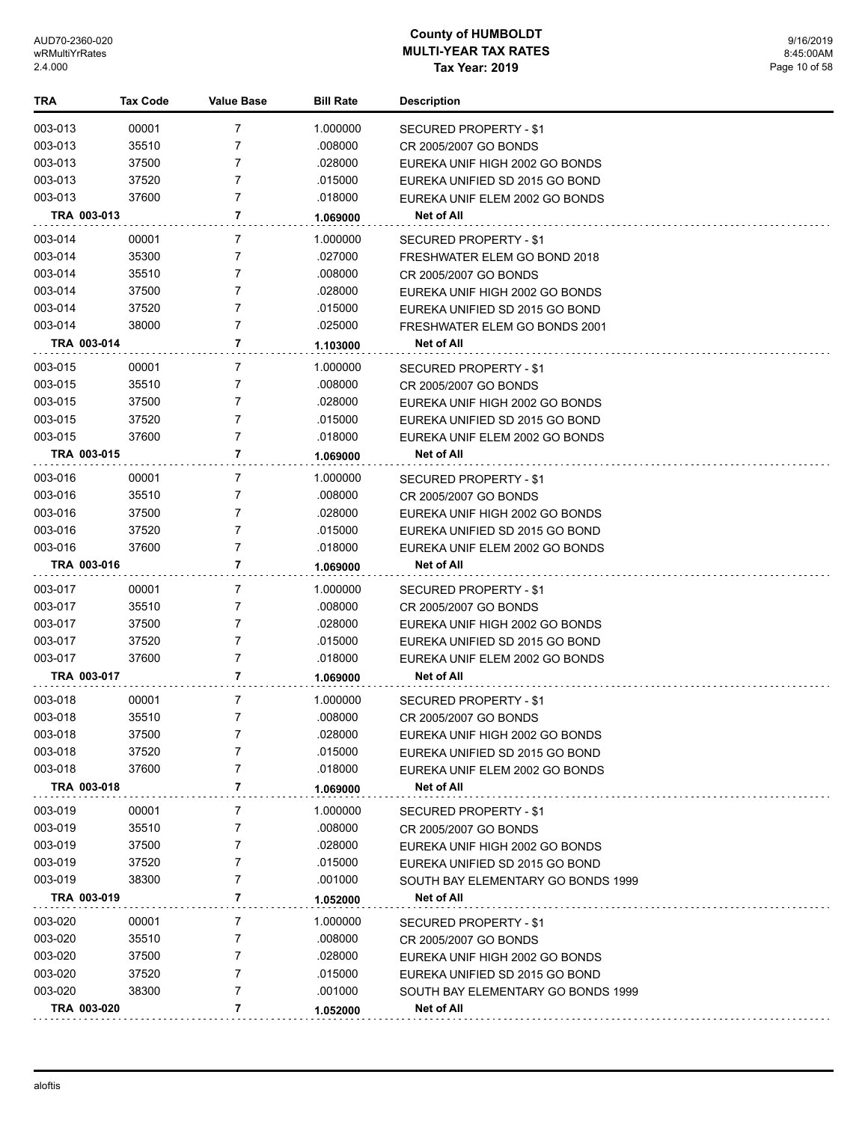| TRA                    | <b>Tax Code</b> | <b>Value Base</b> | <b>Bill Rate</b>    | <b>Description</b>                              |
|------------------------|-----------------|-------------------|---------------------|-------------------------------------------------|
| 003-013                | 00001           | 7                 | 1.000000            | SECURED PROPERTY - \$1                          |
| 003-013                | 35510           | 7                 | .008000             | CR 2005/2007 GO BONDS                           |
| 003-013                | 37500           | 7                 | .028000             | EUREKA UNIF HIGH 2002 GO BONDS                  |
| 003-013                | 37520           | 7                 | .015000             | EUREKA UNIFIED SD 2015 GO BOND                  |
| 003-013                | 37600           | 7                 | .018000             | EUREKA UNIF ELEM 2002 GO BONDS                  |
| TRA 003-013            |                 | 7                 | 1.069000            | Net of All                                      |
| 003-014                | 00001           | 7                 | 1.000000            | SECURED PROPERTY - \$1                          |
| 003-014                | 35300           | 7                 | .027000             | FRESHWATER ELEM GO BOND 2018                    |
| 003-014                | 35510           | 7                 | .008000             | CR 2005/2007 GO BONDS                           |
| 003-014                | 37500           | 7                 | .028000             | EUREKA UNIF HIGH 2002 GO BONDS                  |
| 003-014                | 37520           | 7                 | .015000             | EUREKA UNIFIED SD 2015 GO BOND                  |
| 003-014                | 38000           | 7                 | .025000             | FRESHWATER ELEM GO BONDS 2001                   |
| TRA 003-014            |                 | 7                 | 1.103000            | Net of All                                      |
|                        |                 |                   |                     |                                                 |
| 003-015                | 00001           | 7                 | 1.000000            | SECURED PROPERTY - \$1                          |
| 003-015                | 35510           | 7<br>7            | .008000             | CR 2005/2007 GO BONDS                           |
| 003-015                | 37500           | 7                 | .028000             | EUREKA UNIF HIGH 2002 GO BONDS                  |
| 003-015                | 37520           | 7                 | .015000             | EUREKA UNIFIED SD 2015 GO BOND                  |
| 003-015<br>TRA 003-015 | 37600           | 7                 | .018000             | EUREKA UNIF ELEM 2002 GO BONDS<br>Net of All    |
|                        |                 |                   | 1.069000            |                                                 |
| 003-016                | 00001           | 7                 | 1.000000            | SECURED PROPERTY - \$1                          |
| 003-016                | 35510           | 7                 | .008000             | CR 2005/2007 GO BONDS                           |
| 003-016                | 37500           | 7                 | .028000             | EUREKA UNIF HIGH 2002 GO BONDS                  |
| 003-016                | 37520           | 7                 | .015000             | EUREKA UNIFIED SD 2015 GO BOND                  |
| 003-016                | 37600           | 7                 | .018000             | EUREKA UNIF ELEM 2002 GO BONDS                  |
| TRA 003-016            |                 | 7                 | 1.069000            | Net of All                                      |
| 003-017                | 00001           | 7                 | 1.000000            | SECURED PROPERTY - \$1                          |
| 003-017                | 35510           | 7                 | .008000             | CR 2005/2007 GO BONDS                           |
| 003-017                | 37500           | 7                 | .028000             | EUREKA UNIF HIGH 2002 GO BONDS                  |
| 003-017                | 37520           | 7                 | .015000             | EUREKA UNIFIED SD 2015 GO BOND                  |
| 003-017                | 37600           | 7                 | .018000             | EUREKA UNIF ELEM 2002 GO BONDS                  |
| TRA 003-017            |                 | 7                 | 1.069000            | Net of All                                      |
| 003-018                | 00001           | 7                 | 1.000000            | SECURED PROPERTY - \$1                          |
| 003-018                | 35510           | 7                 | .008000             | CR 2005/2007 GO BONDS                           |
| 003-018                | 37500           |                   | .028000             | EUREKA UNIF HIGH 2002 GO BONDS                  |
| 003-018                | 37520           | 7                 | .015000             | EUREKA UNIFIED SD 2015 GO BOND                  |
| 003-018                | 37600           | 7                 | .018000             | EUREKA UNIF ELEM 2002 GO BONDS                  |
| TRA 003-018            |                 | 7                 | 1.069000            | Net of All                                      |
| 003-019                | 00001           | 7                 | 1.000000            | SECURED PROPERTY - \$1                          |
| 003-019                | 35510           | 7                 | .008000             | CR 2005/2007 GO BONDS                           |
| 003-019                | 37500           | 7                 | .028000             | EUREKA UNIF HIGH 2002 GO BONDS                  |
| 003-019                | 37520           | 7                 | .015000             | EUREKA UNIFIED SD 2015 GO BOND                  |
| 003-019                | 38300           | 7                 | .001000             | SOUTH BAY ELEMENTARY GO BONDS 1999              |
| TRA 003-019            |                 | 7                 | 1.052000            | Net of All                                      |
| 003-020                | 00001           | 7                 |                     |                                                 |
| 003-020                | 35510           | 7                 | 1.000000<br>.008000 | SECURED PROPERTY - \$1<br>CR 2005/2007 GO BONDS |
| 003-020                | 37500           | 7                 | .028000             | EUREKA UNIF HIGH 2002 GO BONDS                  |
| 003-020                | 37520           | 7                 | .015000             | EUREKA UNIFIED SD 2015 GO BOND                  |
| 003-020                | 38300           | 7                 | .001000             | SOUTH BAY ELEMENTARY GO BONDS 1999              |
| TRA 003-020            |                 | 7                 |                     | Net of All                                      |
|                        |                 |                   | 1.052000            |                                                 |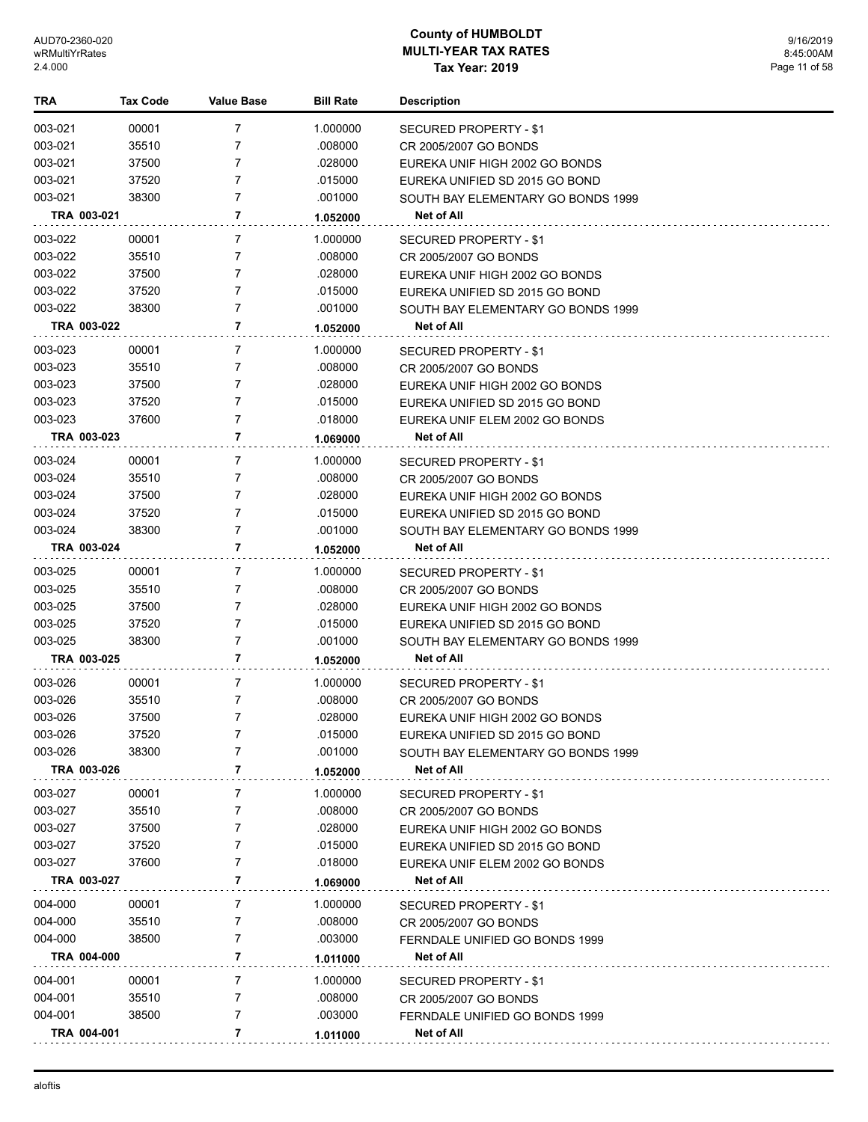9/16/2019 8:45:00AM Page 11 of 58

| TRA         | <b>Tax Code</b> | Value Base     | <b>Bill Rate</b> | <b>Description</b>                 |
|-------------|-----------------|----------------|------------------|------------------------------------|
| 003-021     | 00001           | 7              | 1.000000         | SECURED PROPERTY - \$1             |
| 003-021     | 35510           | 7              | .008000          | CR 2005/2007 GO BONDS              |
| 003-021     | 37500           | $\overline{7}$ | .028000          | EUREKA UNIF HIGH 2002 GO BONDS     |
| 003-021     | 37520           | $\overline{7}$ | .015000          | EUREKA UNIFIED SD 2015 GO BOND     |
| 003-021     | 38300           | 7              | .001000          | SOUTH BAY ELEMENTARY GO BONDS 1999 |
| TRA 003-021 |                 | 7              | 1.052000         | Net of All                         |
| 003-022     | 00001           | 7              | 1.000000         | SECURED PROPERTY - \$1             |
| 003-022     | 35510           | 7              | .008000          | CR 2005/2007 GO BONDS              |
| 003-022     | 37500           | $\overline{7}$ | .028000          | EUREKA UNIF HIGH 2002 GO BONDS     |
| 003-022     | 37520           | $\overline{7}$ | .015000          | EUREKA UNIFIED SD 2015 GO BOND     |
| 003-022     | 38300           | 7              | .001000          | SOUTH BAY ELEMENTARY GO BONDS 1999 |
| TRA 003-022 |                 | 7              | 1.052000         | Net of All                         |
| 003-023     | 00001           | 7              | 1.000000         | SECURED PROPERTY - \$1             |
| 003-023     | 35510           | $\overline{7}$ | .008000          | CR 2005/2007 GO BONDS              |
| 003-023     | 37500           | 7              | .028000          | EUREKA UNIF HIGH 2002 GO BONDS     |
| 003-023     | 37520           | 7              | .015000          | EUREKA UNIFIED SD 2015 GO BOND     |
| 003-023     | 37600           | 7              | .018000          | EUREKA UNIF ELEM 2002 GO BONDS     |
| TRA 003-023 |                 | 7              | 1.069000         | Net of All                         |
| 003-024     | 00001           | 7              | 1.000000         | SECURED PROPERTY - \$1             |
| 003-024     | 35510           | 7              | .008000          | CR 2005/2007 GO BONDS              |
| 003-024     | 37500           | 7              | .028000          | EUREKA UNIF HIGH 2002 GO BONDS     |
| 003-024     | 37520           | 7              | .015000          | EUREKA UNIFIED SD 2015 GO BOND     |
| 003-024     | 38300           | $\overline{7}$ | .001000          | SOUTH BAY ELEMENTARY GO BONDS 1999 |
| TRA 003-024 |                 | $\overline{7}$ | 1.052000         | Net of All                         |
| 003-025     | 00001           | $\overline{7}$ | 1.000000         | SECURED PROPERTY - \$1             |
| 003-025     | 35510           | 7              | .008000          | CR 2005/2007 GO BONDS              |
| 003-025     | 37500           | 7              | .028000          | EUREKA UNIF HIGH 2002 GO BONDS     |
| 003-025     | 37520           | $\overline{7}$ | .015000          | EUREKA UNIFIED SD 2015 GO BOND     |
| 003-025     | 38300           | 7              | .001000          | SOUTH BAY ELEMENTARY GO BONDS 1999 |
| TRA 003-025 |                 | $\overline{7}$ | 1.052000         | Net of All                         |
| 003-026     | 00001           | 7              | 1.000000         | SECURED PROPERTY - \$1             |
| 003-026     | 35510           | 7              | .008000          | CR 2005/2007 GO BONDS              |
| 003-026     | 37500           | $\overline{7}$ | .028000          | EUREKA UNIF HIGH 2002 GO BONDS     |
| 003-026     | 37520           | $\overline{7}$ | .015000          | EUREKA UNIFIED SD 2015 GO BOND     |
| 003-026     | 38300           | 7              | .001000          | SOUTH BAY ELEMENTARY GO BONDS 1999 |
| TRA 003-026 |                 | 7              | 1.052000         | <b>Net of All</b>                  |
| 003-027     | 00001           | 7              | 1.000000         | SECURED PROPERTY - \$1             |
| 003-027     | 35510           | 7              | .008000          | CR 2005/2007 GO BONDS              |
| 003-027     | 37500           | 7              | .028000          | EUREKA UNIF HIGH 2002 GO BONDS     |
| 003-027     | 37520           | 7              | .015000          | EUREKA UNIFIED SD 2015 GO BOND     |
| 003-027     | 37600           | 7              | .018000          | EUREKA UNIF ELEM 2002 GO BONDS     |
| TRA 003-027 |                 | 7              | 1.069000         | Net of All                         |
| 004-000     | 00001           | $\overline{7}$ | 1.000000         | SECURED PROPERTY - \$1             |
| 004-000     | 35510           | 7              | .008000          | CR 2005/2007 GO BONDS              |
| 004-000     | 38500           | 7              | .003000          | FERNDALE UNIFIED GO BONDS 1999     |
| TRA 004-000 |                 | $\overline{7}$ | 1.011000         | <b>Net of All</b>                  |
| 004-001     | 00001           | 7              | 1.000000         | SECURED PROPERTY - \$1             |
| 004-001     | 35510           | 7              | .008000          | CR 2005/2007 GO BONDS              |
| 004-001     | 38500           | 7              | .003000          | FERNDALE UNIFIED GO BONDS 1999     |
| TRA 004-001 |                 | 7              | 1.011000         | Net of All                         |
|             |                 |                |                  |                                    |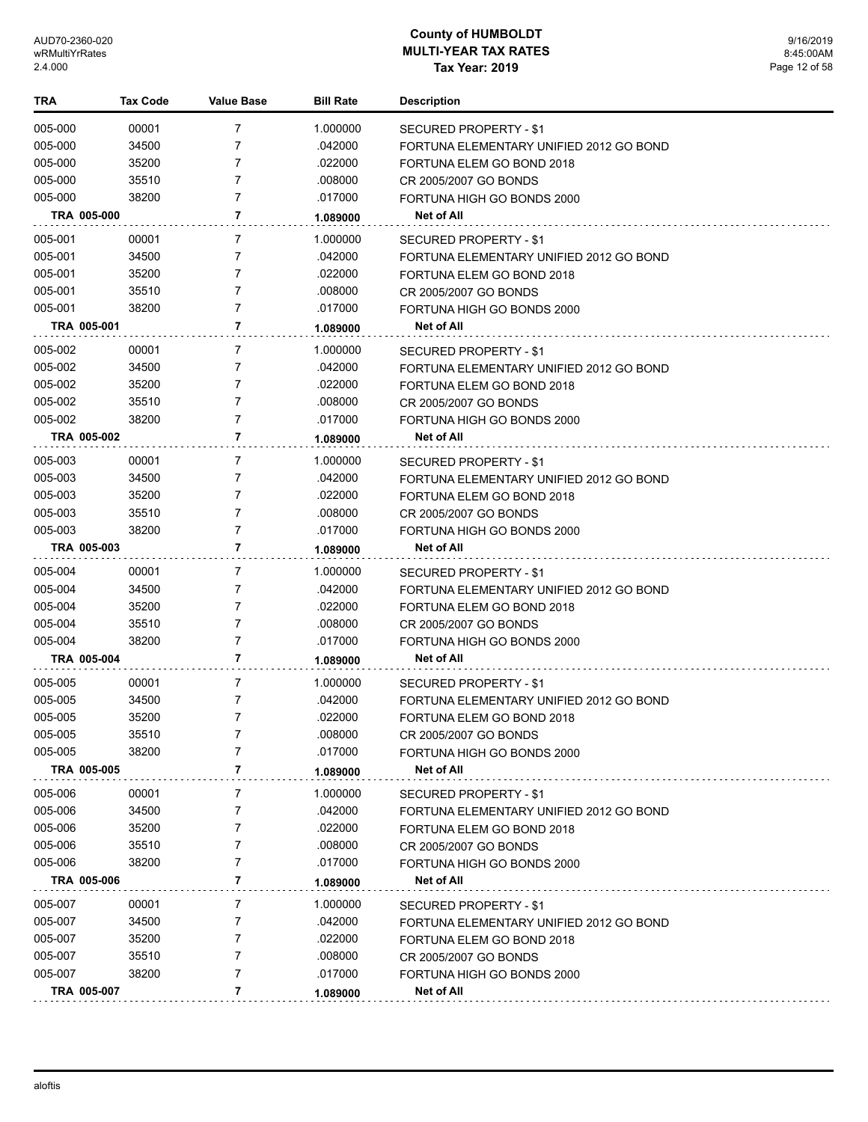| <b>TRA</b>         | <b>Tax Code</b> | Value Base | <b>Bill Rate</b> | <b>Description</b>                      |
|--------------------|-----------------|------------|------------------|-----------------------------------------|
| 005-000            | 00001           | 7          | 1.000000         | SECURED PROPERTY - \$1                  |
| 005-000            | 34500           | 7          | .042000          | FORTUNA ELEMENTARY UNIFIED 2012 GO BOND |
| 005-000            | 35200           | 7          | .022000          | FORTUNA ELEM GO BOND 2018               |
| 005-000            | 35510           | 7          | .008000          | CR 2005/2007 GO BONDS                   |
| 005-000            | 38200           | 7          | .017000          | FORTUNA HIGH GO BONDS 2000              |
|                    | TRA 005-000     | 7          | 1.089000         | Net of All                              |
| 005-001            | 00001           | 7          | 1.000000         | SECURED PROPERTY - \$1                  |
| 005-001            | 34500           | 7          | .042000          | FORTUNA ELEMENTARY UNIFIED 2012 GO BOND |
| 005-001            | 35200           | 7          | .022000          | FORTUNA ELEM GO BOND 2018               |
| 005-001            | 35510           | 7          | .008000          | CR 2005/2007 GO BONDS                   |
| 005-001            | 38200           | 7          | .017000          | FORTUNA HIGH GO BONDS 2000              |
|                    | TRA 005-001     | 7          | 1.089000         | Net of All                              |
| 005-002            | 00001           | 7          | 1.000000         | SECURED PROPERTY - \$1                  |
| 005-002            | 34500           | 7          | .042000          | FORTUNA ELEMENTARY UNIFIED 2012 GO BOND |
| 005-002            | 35200           | 7          | .022000          | FORTUNA ELEM GO BOND 2018               |
| 005-002            | 35510           | 7          | .008000          | CR 2005/2007 GO BONDS                   |
| 005-002            | 38200           | 7          | .017000          | FORTUNA HIGH GO BONDS 2000              |
|                    | TRA 005-002     | 7          | 1.089000         | Net of All                              |
| 005-003            | 00001           | 7          | 1.000000         | <b>SECURED PROPERTY - \$1</b>           |
| 005-003            | 34500           | 7          | .042000          | FORTUNA ELEMENTARY UNIFIED 2012 GO BOND |
| 005-003            | 35200           | 7          | .022000          | FORTUNA ELEM GO BOND 2018               |
| 005-003            | 35510           | 7          | .008000          | CR 2005/2007 GO BONDS                   |
| 005-003            | 38200           | 7          | .017000          | FORTUNA HIGH GO BONDS 2000              |
|                    | TRA 005-003     | 7          | 1.089000         | Net of All                              |
| 005-004            | 00001           | 7          | 1.000000         | SECURED PROPERTY - \$1                  |
| 005-004            | 34500           | 7          | .042000          | FORTUNA ELEMENTARY UNIFIED 2012 GO BOND |
| 005-004            | 35200           | 7          | .022000          | FORTUNA ELEM GO BOND 2018               |
| 005-004            | 35510           | 7          | .008000          | CR 2005/2007 GO BONDS                   |
| 005-004            | 38200           | 7          | .017000          | FORTUNA HIGH GO BONDS 2000              |
|                    | TRA 005-004     | 7          | 1.089000         | Net of All                              |
| 005-005            | 00001           | 7          | 1.000000         | SECURED PROPERTY - \$1                  |
| 005-005            | 34500           | 7          | .042000          | FORTUNA ELEMENTARY UNIFIED 2012 GO BOND |
| 005-005            | 35200           | 7          | .022000          | FORTUNA ELEM GO BOND 2018               |
| 005-005            | 35510           | 7          | .008000          | CR 2005/2007 GO BONDS                   |
| 005-005            | 38200           | 7          | .017000          | FORTUNA HIGH GO BONDS 2000              |
|                    | TRA 005-005     | 7          | 1.089000         | Net of All                              |
| 005-006            | 00001           | 7          | 1.000000         | SECURED PROPERTY - \$1                  |
| 005-006            | 34500           | 7          | .042000          | FORTUNA ELEMENTARY UNIFIED 2012 GO BOND |
| 005-006            | 35200           | 7          | .022000          | FORTUNA ELEM GO BOND 2018               |
| 005-006            | 35510           | 7          | .008000          | CR 2005/2007 GO BONDS                   |
| 005-006            | 38200           | 7          | .017000          | FORTUNA HIGH GO BONDS 2000              |
|                    | TRA 005-006     | 7          | 1.089000         | Net of All                              |
|                    |                 |            |                  |                                         |
| 005-007            | 00001           | 7          | 1.000000         | SECURED PROPERTY - \$1                  |
| 005-007            | 34500           | 7          | .042000          | FORTUNA ELEMENTARY UNIFIED 2012 GO BOND |
| 005-007            | 35200           | 7          | .022000          | FORTUNA ELEM GO BOND 2018               |
| 005-007<br>005-007 | 35510<br>38200  | 7<br>7     | .008000          | CR 2005/2007 GO BONDS                   |
|                    |                 |            | .017000          | FORTUNA HIGH GO BONDS 2000              |
|                    | TRA 005-007     | 7          | 1.089000         | Net of All                              |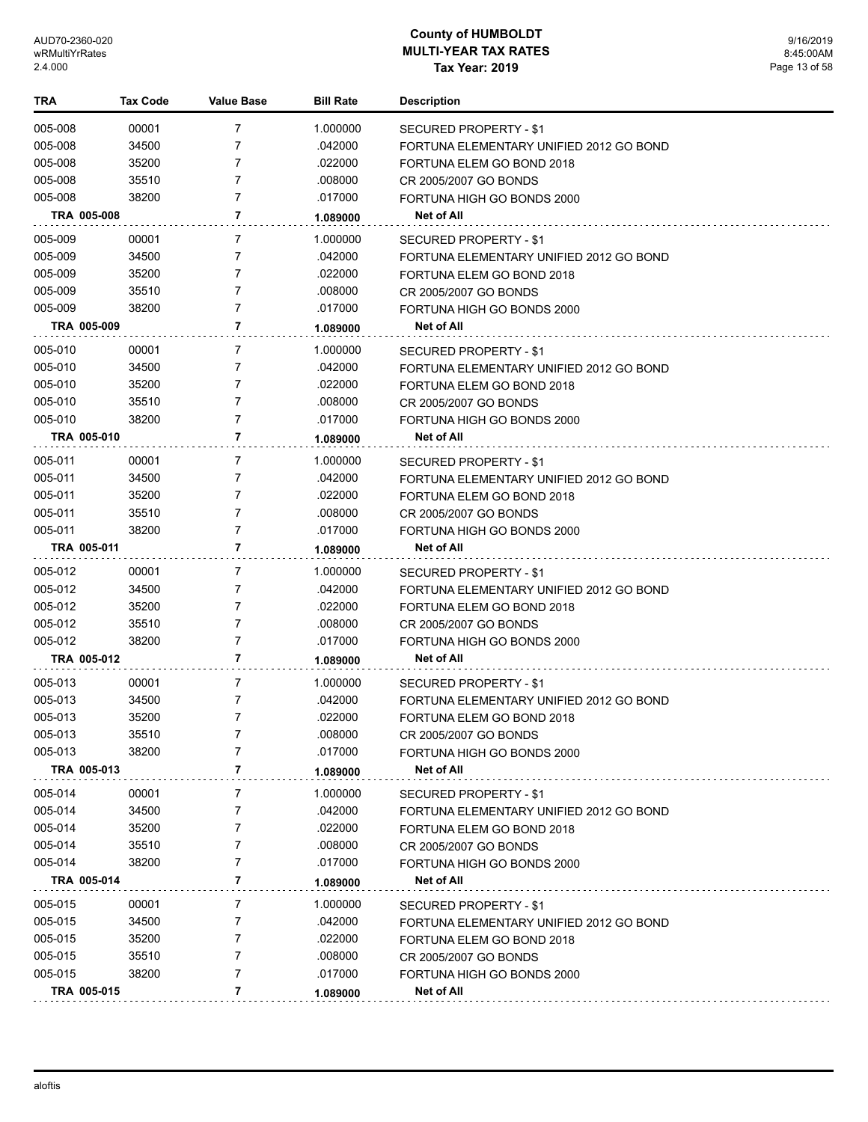| TRA         | <b>Tax Code</b> | <b>Value Base</b> | <b>Bill Rate</b> | <b>Description</b>                      |
|-------------|-----------------|-------------------|------------------|-----------------------------------------|
| 005-008     | 00001           | 7                 | 1.000000         | SECURED PROPERTY - \$1                  |
| 005-008     | 34500           | 7                 | .042000          | FORTUNA ELEMENTARY UNIFIED 2012 GO BOND |
| 005-008     | 35200           | 7                 | .022000          | FORTUNA ELEM GO BOND 2018               |
| 005-008     | 35510           | 7                 | .008000          | CR 2005/2007 GO BONDS                   |
| 005-008     | 38200           | 7                 | .017000          | FORTUNA HIGH GO BONDS 2000              |
| TRA 005-008 |                 | 7                 | 1.089000         | Net of All                              |
| 005-009     | 00001           | 7                 | 1.000000         | SECURED PROPERTY - \$1                  |
| 005-009     | 34500           | 7                 | .042000          | FORTUNA ELEMENTARY UNIFIED 2012 GO BOND |
| 005-009     | 35200           | 7                 | .022000          | FORTUNA ELEM GO BOND 2018               |
| 005-009     | 35510           | 7                 | .008000          | CR 2005/2007 GO BONDS                   |
| 005-009     | 38200           | 7                 | .017000          | FORTUNA HIGH GO BONDS 2000              |
| TRA 005-009 |                 | 7                 | 1.089000         | Net of All                              |
| 005-010     | 00001           | 7                 | 1.000000         | SECURED PROPERTY - \$1                  |
| 005-010     | 34500           | 7                 | .042000          | FORTUNA ELEMENTARY UNIFIED 2012 GO BOND |
| 005-010     | 35200           | 7                 | .022000          | FORTUNA ELEM GO BOND 2018               |
| 005-010     | 35510           | 7                 | .008000          | CR 2005/2007 GO BONDS                   |
| 005-010     | 38200           | 7                 | .017000          | FORTUNA HIGH GO BONDS 2000              |
| TRA 005-010 |                 | 7                 | 1.089000         | Net of All                              |
| 005-011     | 00001           | 7                 | 1.000000         | SECURED PROPERTY - \$1                  |
| 005-011     | 34500           | 7                 | .042000          | FORTUNA ELEMENTARY UNIFIED 2012 GO BOND |
| 005-011     | 35200           | 7                 | .022000          | FORTUNA ELEM GO BOND 2018               |
| 005-011     | 35510           | 7                 | .008000          | CR 2005/2007 GO BONDS                   |
| 005-011     | 38200           | $\overline{7}$    | .017000          | FORTUNA HIGH GO BONDS 2000              |
| TRA 005-011 |                 | 7                 | 1.089000         | Net of All                              |
| 005-012     | 00001           | 7                 | 1.000000         | SECURED PROPERTY - \$1                  |
| 005-012     | 34500           | 7                 | .042000          | FORTUNA ELEMENTARY UNIFIED 2012 GO BOND |
| 005-012     | 35200           | 7                 | .022000          | FORTUNA ELEM GO BOND 2018               |
| 005-012     | 35510           | 7                 | .008000          | CR 2005/2007 GO BONDS                   |
| 005-012     | 38200           | 7                 | .017000          | FORTUNA HIGH GO BONDS 2000              |
| TRA 005-012 |                 | 7                 | 1.089000         | Net of All                              |
| 005-013     | 00001           | 7                 | 1.000000         | SECURED PROPERTY - \$1                  |
| 005-013     | 34500           | 7                 | .042000          | FORTUNA ELEMENTARY UNIFIED 2012 GO BOND |
| 005-013     | 35200           | 7                 | .022000          | FORTUNA ELEM GO BOND 2018               |
| 005-013     | 35510           | 7                 | .008000          | CR 2005/2007 GO BONDS                   |
| 005-013     | 38200           | 7                 | .017000          | FORTUNA HIGH GO BONDS 2000              |
| TRA 005-013 |                 | 7                 | 1.089000         | <b>Net of All</b>                       |
| 005-014     | 00001           | 7                 | 1.000000         | SECURED PROPERTY - \$1                  |
| 005-014     | 34500           | 7                 | .042000          | FORTUNA ELEMENTARY UNIFIED 2012 GO BOND |
| 005-014     | 35200           | 7                 | .022000          | FORTUNA ELEM GO BOND 2018               |
| 005-014     | 35510           | 7                 | .008000          | CR 2005/2007 GO BONDS                   |
| 005-014     | 38200           | 7                 | .017000          | FORTUNA HIGH GO BONDS 2000              |
| TRA 005-014 |                 | 7                 | 1.089000         | Net of All                              |
| 005-015     | 00001           | 7                 | 1.000000         | SECURED PROPERTY - \$1                  |
| 005-015     | 34500           | 7                 | .042000          | FORTUNA ELEMENTARY UNIFIED 2012 GO BOND |
| 005-015     | 35200           | 7                 | .022000          | FORTUNA ELEM GO BOND 2018               |
| 005-015     | 35510           | 7                 | .008000          | CR 2005/2007 GO BONDS                   |
| 005-015     | 38200           | 7                 | .017000          | FORTUNA HIGH GO BONDS 2000              |
| TRA 005-015 |                 | 7                 | 1.089000         | Net of All                              |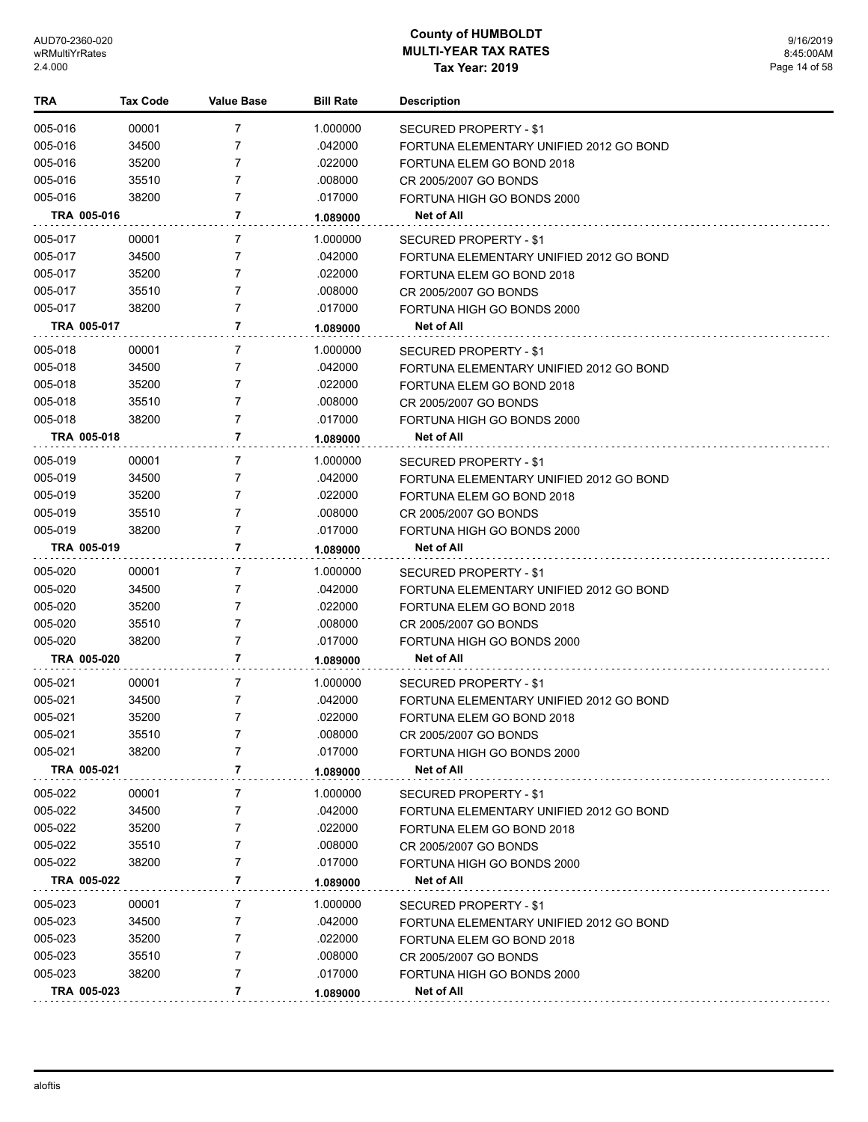| TRA         | <b>Tax Code</b> | Value Base     | <b>Bill Rate</b> | <b>Description</b>                      |
|-------------|-----------------|----------------|------------------|-----------------------------------------|
| 005-016     | 00001           | 7              | 1.000000         | <b>SECURED PROPERTY - \$1</b>           |
| 005-016     | 34500           | 7              | .042000          | FORTUNA ELEMENTARY UNIFIED 2012 GO BOND |
| 005-016     | 35200           | 7              | .022000          | FORTUNA ELEM GO BOND 2018               |
| 005-016     | 35510           | 7              | .008000          | CR 2005/2007 GO BONDS                   |
| 005-016     | 38200           | 7              | .017000          | FORTUNA HIGH GO BONDS 2000              |
| TRA 005-016 |                 | $\overline{7}$ | 1.089000         | Net of All                              |
| 005-017     | 00001           | 7              | 1.000000         | <b>SECURED PROPERTY - \$1</b>           |
| 005-017     | 34500           | 7              | .042000          | FORTUNA ELEMENTARY UNIFIED 2012 GO BOND |
| 005-017     | 35200           | 7              | .022000          | FORTUNA ELEM GO BOND 2018               |
| 005-017     | 35510           | 7              | .008000          | CR 2005/2007 GO BONDS                   |
| 005-017     | 38200           | 7              | .017000          | FORTUNA HIGH GO BONDS 2000              |
| TRA 005-017 |                 | 7              | 1.089000         | Net of All                              |
| 005-018     | 00001           | 7              | 1.000000         | SECURED PROPERTY - \$1                  |
| 005-018     | 34500           | 7              | .042000          | FORTUNA ELEMENTARY UNIFIED 2012 GO BOND |
| 005-018     | 35200           | 7              | .022000          | FORTUNA ELEM GO BOND 2018               |
| 005-018     | 35510           | 7              | .008000          | CR 2005/2007 GO BONDS                   |
| 005-018     | 38200           | 7              | .017000          | FORTUNA HIGH GO BONDS 2000              |
| TRA 005-018 |                 | 7              | 1.089000         | <b>Net of All</b>                       |
| 005-019     | 00001           | 7              | 1.000000         | SECURED PROPERTY - \$1                  |
| 005-019     | 34500           | 7              | .042000          | FORTUNA ELEMENTARY UNIFIED 2012 GO BOND |
| 005-019     | 35200           | $\overline{7}$ | .022000          | FORTUNA ELEM GO BOND 2018               |
| 005-019     | 35510           | 7              | .008000          | CR 2005/2007 GO BONDS                   |
| 005-019     | 38200           | 7              | .017000          | FORTUNA HIGH GO BONDS 2000              |
| TRA 005-019 |                 | 7              | 1.089000         | Net of All                              |
| 005-020     | 00001           | 7              | 1.000000         | SECURED PROPERTY - \$1                  |
| 005-020     | 34500           | 7              | .042000          | FORTUNA ELEMENTARY UNIFIED 2012 GO BOND |
| 005-020     | 35200           | 7              | .022000          | FORTUNA ELEM GO BOND 2018               |
| 005-020     | 35510           | 7              | .008000          | CR 2005/2007 GO BONDS                   |
| 005-020     | 38200           | $\overline{7}$ | .017000          | FORTUNA HIGH GO BONDS 2000              |
| TRA 005-020 |                 | 7              | 1.089000         | <b>Net of All</b>                       |
| 005-021     | 00001           | 7              | 1.000000         | SECURED PROPERTY - \$1                  |
| 005-021     | 34500           | 7              | .042000          | FORTUNA ELEMENTARY UNIFIED 2012 GO BOND |
| 005-021     | 35200           | $\overline{7}$ | .022000          | FORTUNA ELEM GO BOND 2018               |
| 005-021     | 35510           | 7              | .008000          | CR 2005/2007 GO BONDS                   |
| 005-021     | 38200           | 7              | .017000          | FORTUNA HIGH GO BONDS 2000              |
| TRA 005-021 |                 | 7              | 1.089000         | <b>Net of All</b>                       |
| 005-022     | 00001           | 7              | 1.000000         | SECURED PROPERTY - \$1                  |
| 005-022     | 34500           | 7              | .042000          | FORTUNA ELEMENTARY UNIFIED 2012 GO BOND |
| 005-022     | 35200           | 7              | .022000          | FORTUNA ELEM GO BOND 2018               |
| 005-022     | 35510           | 7              | .008000          | CR 2005/2007 GO BONDS                   |
| 005-022     | 38200           | 7              | .017000          | FORTUNA HIGH GO BONDS 2000              |
| TRA 005-022 |                 | 7              | 1.089000         | <b>Net of All</b>                       |
| 005-023     | 00001           | 7              | 1.000000         | SECURED PROPERTY - \$1                  |
| 005-023     | 34500           | 7              | .042000          | FORTUNA ELEMENTARY UNIFIED 2012 GO BOND |
| 005-023     | 35200           | 7              | .022000          | FORTUNA ELEM GO BOND 2018               |
| 005-023     | 35510           | 7              | .008000          | CR 2005/2007 GO BONDS                   |
| 005-023     | 38200           | $\overline{7}$ | .017000          | FORTUNA HIGH GO BONDS 2000              |
| TRA 005-023 |                 | $\overline{7}$ | 1.089000         | Net of All                              |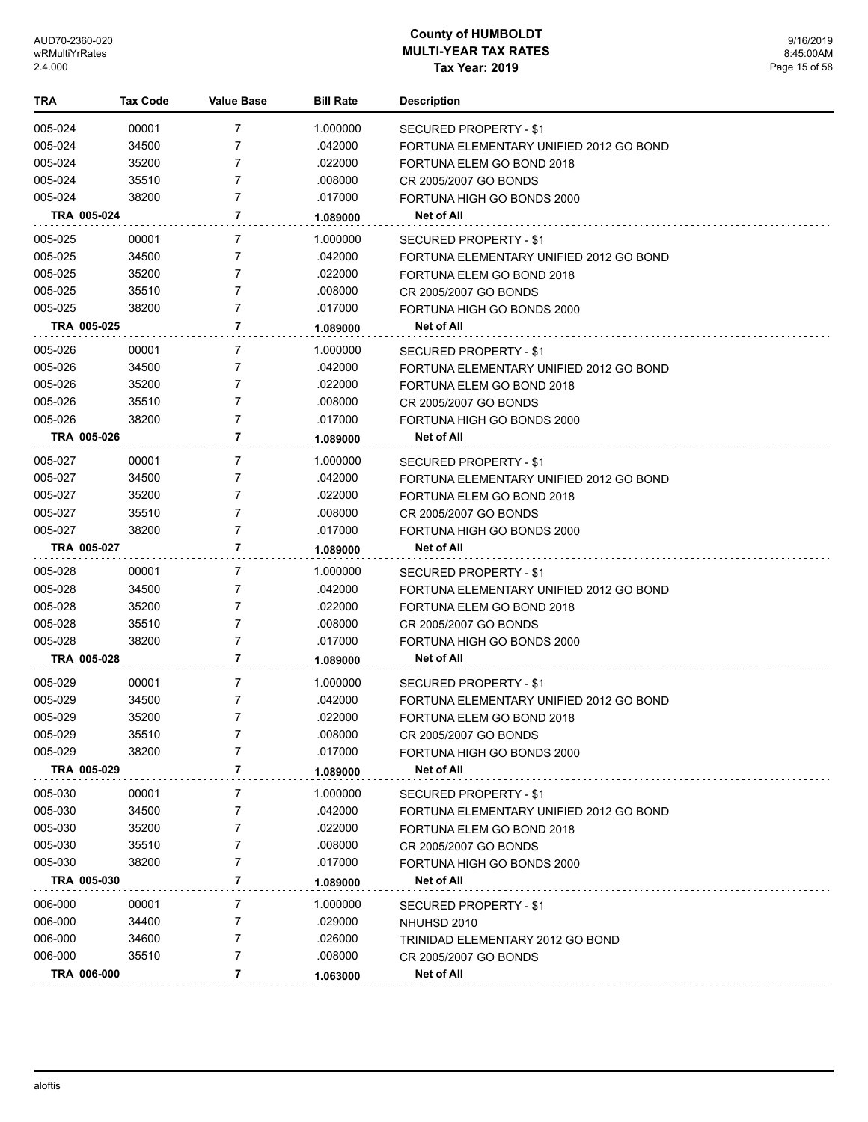| TRA         | <b>Tax Code</b> | <b>Value Base</b> | <b>Bill Rate</b> | <b>Description</b>                      |
|-------------|-----------------|-------------------|------------------|-----------------------------------------|
| 005-024     | 00001           | 7                 | 1.000000         | SECURED PROPERTY - \$1                  |
| 005-024     | 34500           | 7                 | .042000          | FORTUNA ELEMENTARY UNIFIED 2012 GO BOND |
| 005-024     | 35200           | 7                 | .022000          | FORTUNA ELEM GO BOND 2018               |
| 005-024     | 35510           | 7                 | .008000          | CR 2005/2007 GO BONDS                   |
| 005-024     | 38200           | 7                 | .017000          | FORTUNA HIGH GO BONDS 2000              |
| TRA 005-024 |                 | 7                 | 1.089000         | Net of All                              |
| 005-025     | 00001           | 7                 | 1.000000         | SECURED PROPERTY - \$1                  |
| 005-025     | 34500           | 7                 | .042000          | FORTUNA ELEMENTARY UNIFIED 2012 GO BOND |
| 005-025     | 35200           | 7                 | .022000          | FORTUNA ELEM GO BOND 2018               |
| 005-025     | 35510           | 7                 | .008000          | CR 2005/2007 GO BONDS                   |
| 005-025     | 38200           | 7                 | .017000          | FORTUNA HIGH GO BONDS 2000              |
| TRA 005-025 |                 | 7                 | 1.089000         | Net of All                              |
| 005-026     | 00001           | 7                 | 1.000000         | SECURED PROPERTY - \$1                  |
| 005-026     | 34500           | 7                 | .042000          | FORTUNA ELEMENTARY UNIFIED 2012 GO BOND |
| 005-026     | 35200           | 7                 | .022000          | FORTUNA ELEM GO BOND 2018               |
| 005-026     | 35510           | 7                 | .008000          | CR 2005/2007 GO BONDS                   |
| 005-026     | 38200           | 7                 | .017000          | FORTUNA HIGH GO BONDS 2000              |
| TRA 005-026 |                 | 7                 | 1.089000         | Net of All                              |
| 005-027     | 00001           | 7                 | 1.000000         | SECURED PROPERTY - \$1                  |
| 005-027     | 34500           | 7                 | .042000          | FORTUNA ELEMENTARY UNIFIED 2012 GO BOND |
| 005-027     | 35200           | 7                 | .022000          | FORTUNA ELEM GO BOND 2018               |
| 005-027     | 35510           | 7                 | .008000          | CR 2005/2007 GO BONDS                   |
| 005-027     | 38200           | $\overline{7}$    | .017000          | FORTUNA HIGH GO BONDS 2000              |
| TRA 005-027 |                 | 7                 | 1.089000         | Net of All                              |
| 005-028     | 00001           | 7                 | 1.000000         | SECURED PROPERTY - \$1                  |
| 005-028     | 34500           | 7                 | .042000          | FORTUNA ELEMENTARY UNIFIED 2012 GO BOND |
| 005-028     | 35200           | 7                 | .022000          | FORTUNA ELEM GO BOND 2018               |
| 005-028     | 35510           | 7                 | .008000          | CR 2005/2007 GO BONDS                   |
| 005-028     | 38200           | 7                 | .017000          | FORTUNA HIGH GO BONDS 2000              |
| TRA 005-028 |                 | 7                 | 1.089000         | Net of All                              |
| 005-029     | 00001           | 7                 | 1.000000         | SECURED PROPERTY - \$1                  |
| 005-029     | 34500           | 7                 | .042000          | FORTUNA ELEMENTARY UNIFIED 2012 GO BOND |
| 005-029     | 35200           | 7                 | .022000          | FORTUNA ELEM GO BOND 2018               |
| 005-029     | 35510           | 7                 | .008000          | CR 2005/2007 GO BONDS                   |
| 005-029     | 38200           | 7                 | .017000          | FORTUNA HIGH GO BONDS 2000              |
| TRA 005-029 |                 | 7                 | 1.089000         | <b>Net of All</b>                       |
| 005-030     | 00001           | 7                 | 1.000000         | SECURED PROPERTY - \$1                  |
| 005-030     | 34500           | 7                 | .042000          | FORTUNA ELEMENTARY UNIFIED 2012 GO BOND |
| 005-030     | 35200           | 7                 | .022000          | FORTUNA ELEM GO BOND 2018               |
| 005-030     | 35510           | 7                 | .008000          | CR 2005/2007 GO BONDS                   |
| 005-030     | 38200           | 7                 | .017000          | FORTUNA HIGH GO BONDS 2000              |
| TRA 005-030 |                 | 7                 | 1.089000         | Net of All                              |
| 006-000     | 00001           | 7                 | 1.000000         | SECURED PROPERTY - \$1                  |
| 006-000     | 34400           | 7                 | .029000          | NHUHSD 2010                             |
| 006-000     | 34600           | 7                 | .026000          | TRINIDAD ELEMENTARY 2012 GO BOND        |
| 006-000     | 35510           | 7                 | .008000          | CR 2005/2007 GO BONDS                   |
| TRA 006-000 |                 | 7                 | 1.063000         | Net of All                              |
|             |                 |                   |                  |                                         |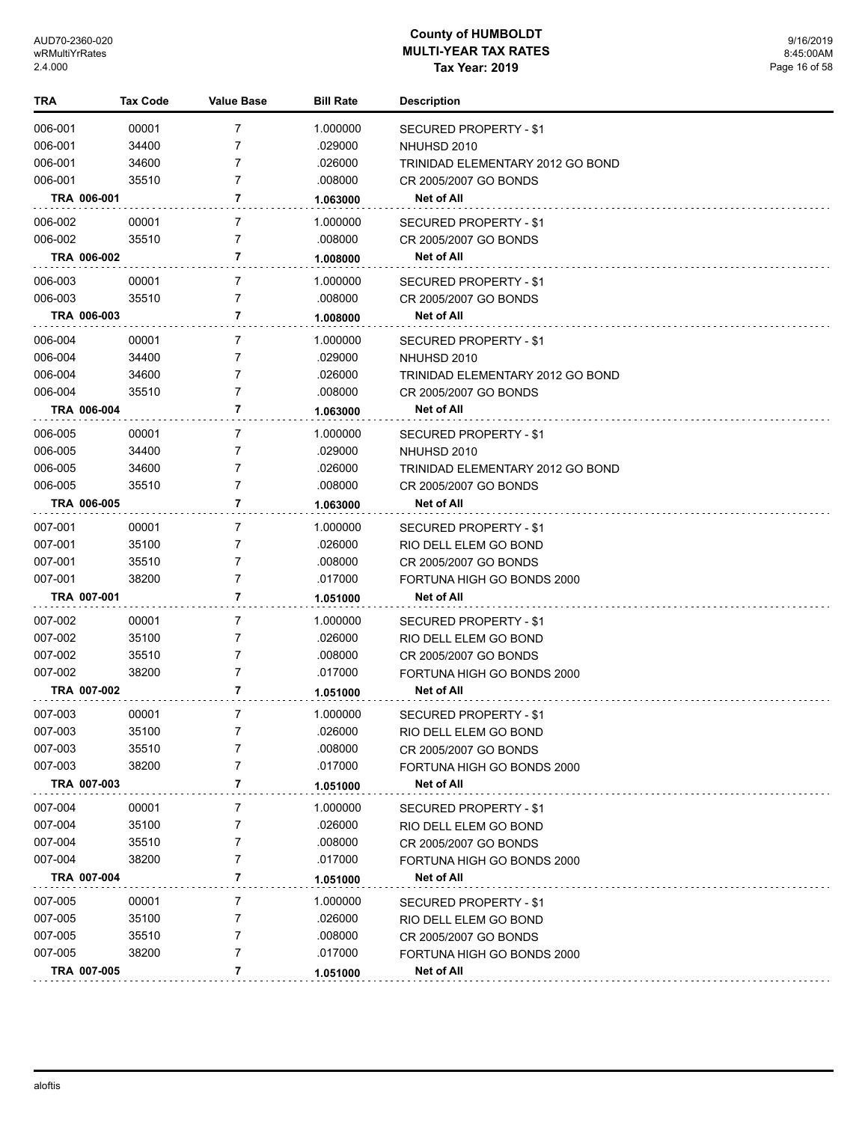| 006-001<br>00001<br>7<br>1.000000<br><b>SECURED PROPERTY - \$1</b><br>006-001<br>34400<br>7<br>.029000<br>NHUHSD 2010<br>006-001<br>7<br>34600<br>.026000<br>TRINIDAD ELEMENTARY 2012 GO BOND<br>006-001<br>7<br>35510<br>.008000<br>CR 2005/2007 GO BONDS<br>7<br>TRA 006-001<br>Net of All<br>1.063000<br>006-002<br>00001<br>7<br>1.000000<br><b>SECURED PROPERTY - \$1</b><br>006-002<br>35510<br>7<br>.008000<br>CR 2005/2007 GO BONDS<br>TRA 006-002<br>7<br><b>Net of All</b><br>1.008000<br>006-003<br>00001<br>7<br>1.000000<br>SECURED PROPERTY - \$1<br>006-003<br>7<br>35510<br>.008000<br>CR 2005/2007 GO BONDS<br>7<br>TRA 006-003<br>Net of All<br>1.008000<br>006-004<br>00001<br>7<br>1.000000<br>SECURED PROPERTY - \$1<br>006-004<br>.029000<br>34400<br>7<br>NHUHSD 2010<br>006-004<br>34600<br>7<br>.026000<br>TRINIDAD ELEMENTARY 2012 GO BOND<br>006-004<br>35510<br>7<br>.008000<br>CR 2005/2007 GO BONDS<br>7<br><b>Net of All</b><br>TRA 006-004<br>1.063000<br>006-005<br>00001<br>7<br>1.000000<br>SECURED PROPERTY - \$1<br>006-005<br>34400<br>7<br>.029000<br>NHUHSD 2010<br>006-005<br>34600<br>7<br>.026000<br>TRINIDAD ELEMENTARY 2012 GO BOND<br>006-005<br>7<br>35510<br>.008000<br>CR 2005/2007 GO BONDS<br>TRA 006-005<br>7<br><b>Net of All</b><br>1.063000<br>007-001<br>00001<br>7<br>1.000000<br>SECURED PROPERTY - \$1<br>007-001<br>35100<br>7<br>.026000<br>RIO DELL ELEM GO BOND<br>007-001<br>35510<br>7<br>.008000<br>CR 2005/2007 GO BONDS<br>007-001<br>38200<br>7<br>.017000<br>FORTUNA HIGH GO BONDS 2000<br>TRA 007-001<br>7<br>Net of All<br>1.051000<br>007-002<br>00001<br>7<br>1.000000<br>SECURED PROPERTY - \$1<br>007-002<br>35100<br>7<br>.026000<br>RIO DELL ELEM GO BOND<br>7<br>007-002<br>35510<br>.008000<br>CR 2005/2007 GO BONDS<br>7<br>007-002<br>38200<br>.017000<br>FORTUNA HIGH GO BONDS 2000<br>7<br>TRA 007-002<br>Net of All<br>1.051000<br>007-003<br>00001<br>7<br>1.000000<br>SECURED PROPERTY - \$1<br>.026000<br>35100<br>007-003<br>RIO DELL ELEM GO BOND<br>007-003<br>35510<br>.008000<br>7<br>CR 2005/2007 GO BONDS<br>007-003<br>38200<br>7<br>.017000<br>FORTUNA HIGH GO BONDS 2000<br>7<br>TRA 007-003<br>Net of All<br>1.051000<br>007-004<br>00001<br>7<br>1.000000<br>SECURED PROPERTY - \$1<br>007-004<br>35100<br>7<br>.026000<br>RIO DELL ELEM GO BOND<br>35510<br>.008000<br>007-004<br>7<br>CR 2005/2007 GO BONDS<br>007-004<br>7<br>38200<br>.017000<br>FORTUNA HIGH GO BONDS 2000<br>TRA 007-004<br>7<br><b>Net of All</b><br>1.051000<br>007-005<br>00001<br>7<br>1.000000<br>SECURED PROPERTY - \$1<br>007-005<br>35100<br>7<br>.026000<br>RIO DELL ELEM GO BOND<br>007-005<br>35510<br>7<br>.008000<br>CR 2005/2007 GO BONDS<br>007-005<br>7<br>38200<br>.017000<br>FORTUNA HIGH GO BONDS 2000<br>TRA 007-005<br>7<br>Net of All<br>1.051000 | TRA | Tax Code | Value Base | <b>Bill Rate</b> | <b>Description</b> |
|---------------------------------------------------------------------------------------------------------------------------------------------------------------------------------------------------------------------------------------------------------------------------------------------------------------------------------------------------------------------------------------------------------------------------------------------------------------------------------------------------------------------------------------------------------------------------------------------------------------------------------------------------------------------------------------------------------------------------------------------------------------------------------------------------------------------------------------------------------------------------------------------------------------------------------------------------------------------------------------------------------------------------------------------------------------------------------------------------------------------------------------------------------------------------------------------------------------------------------------------------------------------------------------------------------------------------------------------------------------------------------------------------------------------------------------------------------------------------------------------------------------------------------------------------------------------------------------------------------------------------------------------------------------------------------------------------------------------------------------------------------------------------------------------------------------------------------------------------------------------------------------------------------------------------------------------------------------------------------------------------------------------------------------------------------------------------------------------------------------------------------------------------------------------------------------------------------------------------------------------------------------------------------------------------------------------------------------------------------------------------------------------------------------------------------------------------------------------------------------------------------------------------------------------------------------------------------------------------------------------------------------------------------------------------------------------------------------------------------------------------------------------------------------------------------------------------------------------------|-----|----------|------------|------------------|--------------------|
|                                                                                                                                                                                                                                                                                                                                                                                                                                                                                                                                                                                                                                                                                                                                                                                                                                                                                                                                                                                                                                                                                                                                                                                                                                                                                                                                                                                                                                                                                                                                                                                                                                                                                                                                                                                                                                                                                                                                                                                                                                                                                                                                                                                                                                                                                                                                                                                                                                                                                                                                                                                                                                                                                                                                                                                                                                                   |     |          |            |                  |                    |
|                                                                                                                                                                                                                                                                                                                                                                                                                                                                                                                                                                                                                                                                                                                                                                                                                                                                                                                                                                                                                                                                                                                                                                                                                                                                                                                                                                                                                                                                                                                                                                                                                                                                                                                                                                                                                                                                                                                                                                                                                                                                                                                                                                                                                                                                                                                                                                                                                                                                                                                                                                                                                                                                                                                                                                                                                                                   |     |          |            |                  |                    |
|                                                                                                                                                                                                                                                                                                                                                                                                                                                                                                                                                                                                                                                                                                                                                                                                                                                                                                                                                                                                                                                                                                                                                                                                                                                                                                                                                                                                                                                                                                                                                                                                                                                                                                                                                                                                                                                                                                                                                                                                                                                                                                                                                                                                                                                                                                                                                                                                                                                                                                                                                                                                                                                                                                                                                                                                                                                   |     |          |            |                  |                    |
|                                                                                                                                                                                                                                                                                                                                                                                                                                                                                                                                                                                                                                                                                                                                                                                                                                                                                                                                                                                                                                                                                                                                                                                                                                                                                                                                                                                                                                                                                                                                                                                                                                                                                                                                                                                                                                                                                                                                                                                                                                                                                                                                                                                                                                                                                                                                                                                                                                                                                                                                                                                                                                                                                                                                                                                                                                                   |     |          |            |                  |                    |
|                                                                                                                                                                                                                                                                                                                                                                                                                                                                                                                                                                                                                                                                                                                                                                                                                                                                                                                                                                                                                                                                                                                                                                                                                                                                                                                                                                                                                                                                                                                                                                                                                                                                                                                                                                                                                                                                                                                                                                                                                                                                                                                                                                                                                                                                                                                                                                                                                                                                                                                                                                                                                                                                                                                                                                                                                                                   |     |          |            |                  |                    |
|                                                                                                                                                                                                                                                                                                                                                                                                                                                                                                                                                                                                                                                                                                                                                                                                                                                                                                                                                                                                                                                                                                                                                                                                                                                                                                                                                                                                                                                                                                                                                                                                                                                                                                                                                                                                                                                                                                                                                                                                                                                                                                                                                                                                                                                                                                                                                                                                                                                                                                                                                                                                                                                                                                                                                                                                                                                   |     |          |            |                  |                    |
|                                                                                                                                                                                                                                                                                                                                                                                                                                                                                                                                                                                                                                                                                                                                                                                                                                                                                                                                                                                                                                                                                                                                                                                                                                                                                                                                                                                                                                                                                                                                                                                                                                                                                                                                                                                                                                                                                                                                                                                                                                                                                                                                                                                                                                                                                                                                                                                                                                                                                                                                                                                                                                                                                                                                                                                                                                                   |     |          |            |                  |                    |
|                                                                                                                                                                                                                                                                                                                                                                                                                                                                                                                                                                                                                                                                                                                                                                                                                                                                                                                                                                                                                                                                                                                                                                                                                                                                                                                                                                                                                                                                                                                                                                                                                                                                                                                                                                                                                                                                                                                                                                                                                                                                                                                                                                                                                                                                                                                                                                                                                                                                                                                                                                                                                                                                                                                                                                                                                                                   |     |          |            |                  |                    |
|                                                                                                                                                                                                                                                                                                                                                                                                                                                                                                                                                                                                                                                                                                                                                                                                                                                                                                                                                                                                                                                                                                                                                                                                                                                                                                                                                                                                                                                                                                                                                                                                                                                                                                                                                                                                                                                                                                                                                                                                                                                                                                                                                                                                                                                                                                                                                                                                                                                                                                                                                                                                                                                                                                                                                                                                                                                   |     |          |            |                  |                    |
|                                                                                                                                                                                                                                                                                                                                                                                                                                                                                                                                                                                                                                                                                                                                                                                                                                                                                                                                                                                                                                                                                                                                                                                                                                                                                                                                                                                                                                                                                                                                                                                                                                                                                                                                                                                                                                                                                                                                                                                                                                                                                                                                                                                                                                                                                                                                                                                                                                                                                                                                                                                                                                                                                                                                                                                                                                                   |     |          |            |                  |                    |
|                                                                                                                                                                                                                                                                                                                                                                                                                                                                                                                                                                                                                                                                                                                                                                                                                                                                                                                                                                                                                                                                                                                                                                                                                                                                                                                                                                                                                                                                                                                                                                                                                                                                                                                                                                                                                                                                                                                                                                                                                                                                                                                                                                                                                                                                                                                                                                                                                                                                                                                                                                                                                                                                                                                                                                                                                                                   |     |          |            |                  |                    |
|                                                                                                                                                                                                                                                                                                                                                                                                                                                                                                                                                                                                                                                                                                                                                                                                                                                                                                                                                                                                                                                                                                                                                                                                                                                                                                                                                                                                                                                                                                                                                                                                                                                                                                                                                                                                                                                                                                                                                                                                                                                                                                                                                                                                                                                                                                                                                                                                                                                                                                                                                                                                                                                                                                                                                                                                                                                   |     |          |            |                  |                    |
|                                                                                                                                                                                                                                                                                                                                                                                                                                                                                                                                                                                                                                                                                                                                                                                                                                                                                                                                                                                                                                                                                                                                                                                                                                                                                                                                                                                                                                                                                                                                                                                                                                                                                                                                                                                                                                                                                                                                                                                                                                                                                                                                                                                                                                                                                                                                                                                                                                                                                                                                                                                                                                                                                                                                                                                                                                                   |     |          |            |                  |                    |
|                                                                                                                                                                                                                                                                                                                                                                                                                                                                                                                                                                                                                                                                                                                                                                                                                                                                                                                                                                                                                                                                                                                                                                                                                                                                                                                                                                                                                                                                                                                                                                                                                                                                                                                                                                                                                                                                                                                                                                                                                                                                                                                                                                                                                                                                                                                                                                                                                                                                                                                                                                                                                                                                                                                                                                                                                                                   |     |          |            |                  |                    |
|                                                                                                                                                                                                                                                                                                                                                                                                                                                                                                                                                                                                                                                                                                                                                                                                                                                                                                                                                                                                                                                                                                                                                                                                                                                                                                                                                                                                                                                                                                                                                                                                                                                                                                                                                                                                                                                                                                                                                                                                                                                                                                                                                                                                                                                                                                                                                                                                                                                                                                                                                                                                                                                                                                                                                                                                                                                   |     |          |            |                  |                    |
|                                                                                                                                                                                                                                                                                                                                                                                                                                                                                                                                                                                                                                                                                                                                                                                                                                                                                                                                                                                                                                                                                                                                                                                                                                                                                                                                                                                                                                                                                                                                                                                                                                                                                                                                                                                                                                                                                                                                                                                                                                                                                                                                                                                                                                                                                                                                                                                                                                                                                                                                                                                                                                                                                                                                                                                                                                                   |     |          |            |                  |                    |
|                                                                                                                                                                                                                                                                                                                                                                                                                                                                                                                                                                                                                                                                                                                                                                                                                                                                                                                                                                                                                                                                                                                                                                                                                                                                                                                                                                                                                                                                                                                                                                                                                                                                                                                                                                                                                                                                                                                                                                                                                                                                                                                                                                                                                                                                                                                                                                                                                                                                                                                                                                                                                                                                                                                                                                                                                                                   |     |          |            |                  |                    |
|                                                                                                                                                                                                                                                                                                                                                                                                                                                                                                                                                                                                                                                                                                                                                                                                                                                                                                                                                                                                                                                                                                                                                                                                                                                                                                                                                                                                                                                                                                                                                                                                                                                                                                                                                                                                                                                                                                                                                                                                                                                                                                                                                                                                                                                                                                                                                                                                                                                                                                                                                                                                                                                                                                                                                                                                                                                   |     |          |            |                  |                    |
|                                                                                                                                                                                                                                                                                                                                                                                                                                                                                                                                                                                                                                                                                                                                                                                                                                                                                                                                                                                                                                                                                                                                                                                                                                                                                                                                                                                                                                                                                                                                                                                                                                                                                                                                                                                                                                                                                                                                                                                                                                                                                                                                                                                                                                                                                                                                                                                                                                                                                                                                                                                                                                                                                                                                                                                                                                                   |     |          |            |                  |                    |
|                                                                                                                                                                                                                                                                                                                                                                                                                                                                                                                                                                                                                                                                                                                                                                                                                                                                                                                                                                                                                                                                                                                                                                                                                                                                                                                                                                                                                                                                                                                                                                                                                                                                                                                                                                                                                                                                                                                                                                                                                                                                                                                                                                                                                                                                                                                                                                                                                                                                                                                                                                                                                                                                                                                                                                                                                                                   |     |          |            |                  |                    |
|                                                                                                                                                                                                                                                                                                                                                                                                                                                                                                                                                                                                                                                                                                                                                                                                                                                                                                                                                                                                                                                                                                                                                                                                                                                                                                                                                                                                                                                                                                                                                                                                                                                                                                                                                                                                                                                                                                                                                                                                                                                                                                                                                                                                                                                                                                                                                                                                                                                                                                                                                                                                                                                                                                                                                                                                                                                   |     |          |            |                  |                    |
|                                                                                                                                                                                                                                                                                                                                                                                                                                                                                                                                                                                                                                                                                                                                                                                                                                                                                                                                                                                                                                                                                                                                                                                                                                                                                                                                                                                                                                                                                                                                                                                                                                                                                                                                                                                                                                                                                                                                                                                                                                                                                                                                                                                                                                                                                                                                                                                                                                                                                                                                                                                                                                                                                                                                                                                                                                                   |     |          |            |                  |                    |
|                                                                                                                                                                                                                                                                                                                                                                                                                                                                                                                                                                                                                                                                                                                                                                                                                                                                                                                                                                                                                                                                                                                                                                                                                                                                                                                                                                                                                                                                                                                                                                                                                                                                                                                                                                                                                                                                                                                                                                                                                                                                                                                                                                                                                                                                                                                                                                                                                                                                                                                                                                                                                                                                                                                                                                                                                                                   |     |          |            |                  |                    |
|                                                                                                                                                                                                                                                                                                                                                                                                                                                                                                                                                                                                                                                                                                                                                                                                                                                                                                                                                                                                                                                                                                                                                                                                                                                                                                                                                                                                                                                                                                                                                                                                                                                                                                                                                                                                                                                                                                                                                                                                                                                                                                                                                                                                                                                                                                                                                                                                                                                                                                                                                                                                                                                                                                                                                                                                                                                   |     |          |            |                  |                    |
|                                                                                                                                                                                                                                                                                                                                                                                                                                                                                                                                                                                                                                                                                                                                                                                                                                                                                                                                                                                                                                                                                                                                                                                                                                                                                                                                                                                                                                                                                                                                                                                                                                                                                                                                                                                                                                                                                                                                                                                                                                                                                                                                                                                                                                                                                                                                                                                                                                                                                                                                                                                                                                                                                                                                                                                                                                                   |     |          |            |                  |                    |
|                                                                                                                                                                                                                                                                                                                                                                                                                                                                                                                                                                                                                                                                                                                                                                                                                                                                                                                                                                                                                                                                                                                                                                                                                                                                                                                                                                                                                                                                                                                                                                                                                                                                                                                                                                                                                                                                                                                                                                                                                                                                                                                                                                                                                                                                                                                                                                                                                                                                                                                                                                                                                                                                                                                                                                                                                                                   |     |          |            |                  |                    |
|                                                                                                                                                                                                                                                                                                                                                                                                                                                                                                                                                                                                                                                                                                                                                                                                                                                                                                                                                                                                                                                                                                                                                                                                                                                                                                                                                                                                                                                                                                                                                                                                                                                                                                                                                                                                                                                                                                                                                                                                                                                                                                                                                                                                                                                                                                                                                                                                                                                                                                                                                                                                                                                                                                                                                                                                                                                   |     |          |            |                  |                    |
|                                                                                                                                                                                                                                                                                                                                                                                                                                                                                                                                                                                                                                                                                                                                                                                                                                                                                                                                                                                                                                                                                                                                                                                                                                                                                                                                                                                                                                                                                                                                                                                                                                                                                                                                                                                                                                                                                                                                                                                                                                                                                                                                                                                                                                                                                                                                                                                                                                                                                                                                                                                                                                                                                                                                                                                                                                                   |     |          |            |                  |                    |
|                                                                                                                                                                                                                                                                                                                                                                                                                                                                                                                                                                                                                                                                                                                                                                                                                                                                                                                                                                                                                                                                                                                                                                                                                                                                                                                                                                                                                                                                                                                                                                                                                                                                                                                                                                                                                                                                                                                                                                                                                                                                                                                                                                                                                                                                                                                                                                                                                                                                                                                                                                                                                                                                                                                                                                                                                                                   |     |          |            |                  |                    |
|                                                                                                                                                                                                                                                                                                                                                                                                                                                                                                                                                                                                                                                                                                                                                                                                                                                                                                                                                                                                                                                                                                                                                                                                                                                                                                                                                                                                                                                                                                                                                                                                                                                                                                                                                                                                                                                                                                                                                                                                                                                                                                                                                                                                                                                                                                                                                                                                                                                                                                                                                                                                                                                                                                                                                                                                                                                   |     |          |            |                  |                    |
|                                                                                                                                                                                                                                                                                                                                                                                                                                                                                                                                                                                                                                                                                                                                                                                                                                                                                                                                                                                                                                                                                                                                                                                                                                                                                                                                                                                                                                                                                                                                                                                                                                                                                                                                                                                                                                                                                                                                                                                                                                                                                                                                                                                                                                                                                                                                                                                                                                                                                                                                                                                                                                                                                                                                                                                                                                                   |     |          |            |                  |                    |
|                                                                                                                                                                                                                                                                                                                                                                                                                                                                                                                                                                                                                                                                                                                                                                                                                                                                                                                                                                                                                                                                                                                                                                                                                                                                                                                                                                                                                                                                                                                                                                                                                                                                                                                                                                                                                                                                                                                                                                                                                                                                                                                                                                                                                                                                                                                                                                                                                                                                                                                                                                                                                                                                                                                                                                                                                                                   |     |          |            |                  |                    |
|                                                                                                                                                                                                                                                                                                                                                                                                                                                                                                                                                                                                                                                                                                                                                                                                                                                                                                                                                                                                                                                                                                                                                                                                                                                                                                                                                                                                                                                                                                                                                                                                                                                                                                                                                                                                                                                                                                                                                                                                                                                                                                                                                                                                                                                                                                                                                                                                                                                                                                                                                                                                                                                                                                                                                                                                                                                   |     |          |            |                  |                    |
|                                                                                                                                                                                                                                                                                                                                                                                                                                                                                                                                                                                                                                                                                                                                                                                                                                                                                                                                                                                                                                                                                                                                                                                                                                                                                                                                                                                                                                                                                                                                                                                                                                                                                                                                                                                                                                                                                                                                                                                                                                                                                                                                                                                                                                                                                                                                                                                                                                                                                                                                                                                                                                                                                                                                                                                                                                                   |     |          |            |                  |                    |
|                                                                                                                                                                                                                                                                                                                                                                                                                                                                                                                                                                                                                                                                                                                                                                                                                                                                                                                                                                                                                                                                                                                                                                                                                                                                                                                                                                                                                                                                                                                                                                                                                                                                                                                                                                                                                                                                                                                                                                                                                                                                                                                                                                                                                                                                                                                                                                                                                                                                                                                                                                                                                                                                                                                                                                                                                                                   |     |          |            |                  |                    |
|                                                                                                                                                                                                                                                                                                                                                                                                                                                                                                                                                                                                                                                                                                                                                                                                                                                                                                                                                                                                                                                                                                                                                                                                                                                                                                                                                                                                                                                                                                                                                                                                                                                                                                                                                                                                                                                                                                                                                                                                                                                                                                                                                                                                                                                                                                                                                                                                                                                                                                                                                                                                                                                                                                                                                                                                                                                   |     |          |            |                  |                    |
|                                                                                                                                                                                                                                                                                                                                                                                                                                                                                                                                                                                                                                                                                                                                                                                                                                                                                                                                                                                                                                                                                                                                                                                                                                                                                                                                                                                                                                                                                                                                                                                                                                                                                                                                                                                                                                                                                                                                                                                                                                                                                                                                                                                                                                                                                                                                                                                                                                                                                                                                                                                                                                                                                                                                                                                                                                                   |     |          |            |                  |                    |
|                                                                                                                                                                                                                                                                                                                                                                                                                                                                                                                                                                                                                                                                                                                                                                                                                                                                                                                                                                                                                                                                                                                                                                                                                                                                                                                                                                                                                                                                                                                                                                                                                                                                                                                                                                                                                                                                                                                                                                                                                                                                                                                                                                                                                                                                                                                                                                                                                                                                                                                                                                                                                                                                                                                                                                                                                                                   |     |          |            |                  |                    |
|                                                                                                                                                                                                                                                                                                                                                                                                                                                                                                                                                                                                                                                                                                                                                                                                                                                                                                                                                                                                                                                                                                                                                                                                                                                                                                                                                                                                                                                                                                                                                                                                                                                                                                                                                                                                                                                                                                                                                                                                                                                                                                                                                                                                                                                                                                                                                                                                                                                                                                                                                                                                                                                                                                                                                                                                                                                   |     |          |            |                  |                    |
|                                                                                                                                                                                                                                                                                                                                                                                                                                                                                                                                                                                                                                                                                                                                                                                                                                                                                                                                                                                                                                                                                                                                                                                                                                                                                                                                                                                                                                                                                                                                                                                                                                                                                                                                                                                                                                                                                                                                                                                                                                                                                                                                                                                                                                                                                                                                                                                                                                                                                                                                                                                                                                                                                                                                                                                                                                                   |     |          |            |                  |                    |
|                                                                                                                                                                                                                                                                                                                                                                                                                                                                                                                                                                                                                                                                                                                                                                                                                                                                                                                                                                                                                                                                                                                                                                                                                                                                                                                                                                                                                                                                                                                                                                                                                                                                                                                                                                                                                                                                                                                                                                                                                                                                                                                                                                                                                                                                                                                                                                                                                                                                                                                                                                                                                                                                                                                                                                                                                                                   |     |          |            |                  |                    |
|                                                                                                                                                                                                                                                                                                                                                                                                                                                                                                                                                                                                                                                                                                                                                                                                                                                                                                                                                                                                                                                                                                                                                                                                                                                                                                                                                                                                                                                                                                                                                                                                                                                                                                                                                                                                                                                                                                                                                                                                                                                                                                                                                                                                                                                                                                                                                                                                                                                                                                                                                                                                                                                                                                                                                                                                                                                   |     |          |            |                  |                    |
|                                                                                                                                                                                                                                                                                                                                                                                                                                                                                                                                                                                                                                                                                                                                                                                                                                                                                                                                                                                                                                                                                                                                                                                                                                                                                                                                                                                                                                                                                                                                                                                                                                                                                                                                                                                                                                                                                                                                                                                                                                                                                                                                                                                                                                                                                                                                                                                                                                                                                                                                                                                                                                                                                                                                                                                                                                                   |     |          |            |                  |                    |
|                                                                                                                                                                                                                                                                                                                                                                                                                                                                                                                                                                                                                                                                                                                                                                                                                                                                                                                                                                                                                                                                                                                                                                                                                                                                                                                                                                                                                                                                                                                                                                                                                                                                                                                                                                                                                                                                                                                                                                                                                                                                                                                                                                                                                                                                                                                                                                                                                                                                                                                                                                                                                                                                                                                                                                                                                                                   |     |          |            |                  |                    |
|                                                                                                                                                                                                                                                                                                                                                                                                                                                                                                                                                                                                                                                                                                                                                                                                                                                                                                                                                                                                                                                                                                                                                                                                                                                                                                                                                                                                                                                                                                                                                                                                                                                                                                                                                                                                                                                                                                                                                                                                                                                                                                                                                                                                                                                                                                                                                                                                                                                                                                                                                                                                                                                                                                                                                                                                                                                   |     |          |            |                  |                    |
|                                                                                                                                                                                                                                                                                                                                                                                                                                                                                                                                                                                                                                                                                                                                                                                                                                                                                                                                                                                                                                                                                                                                                                                                                                                                                                                                                                                                                                                                                                                                                                                                                                                                                                                                                                                                                                                                                                                                                                                                                                                                                                                                                                                                                                                                                                                                                                                                                                                                                                                                                                                                                                                                                                                                                                                                                                                   |     |          |            |                  |                    |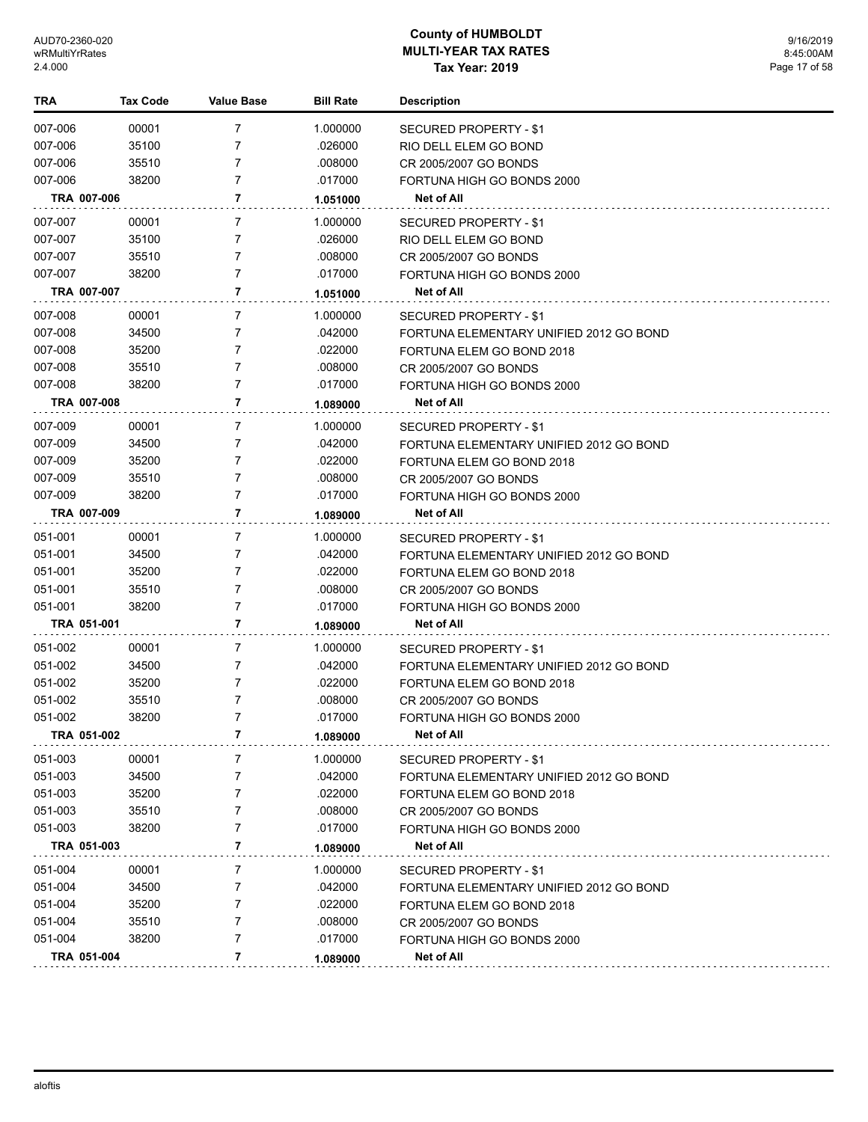| TRA         | <b>Tax Code</b> | Value Base     | <b>Bill Rate</b> | <b>Description</b>                      |
|-------------|-----------------|----------------|------------------|-----------------------------------------|
| 007-006     | 00001           | 7              | 1.000000         | <b>SECURED PROPERTY - \$1</b>           |
| 007-006     | 35100           | 7              | .026000          | RIO DELL ELEM GO BOND                   |
| 007-006     | 35510           | 7              | .008000          | CR 2005/2007 GO BONDS                   |
| 007-006     | 38200           | 7              | .017000          | FORTUNA HIGH GO BONDS 2000              |
| TRA 007-006 |                 | 7              | 1.051000         | Net of All                              |
| 007-007     | 00001           | 7              | 1.000000         | <b>SECURED PROPERTY - \$1</b>           |
| 007-007     | 35100           | 7              | .026000          | RIO DELL ELEM GO BOND                   |
| 007-007     | 35510           | 7              | .008000          | CR 2005/2007 GO BONDS                   |
| 007-007     | 38200           | $\overline{7}$ | .017000          | FORTUNA HIGH GO BONDS 2000              |
| TRA 007-007 |                 | 7              | 1.051000         | Net of All                              |
| 007-008     | 00001           | 7              | 1.000000         | SECURED PROPERTY - \$1                  |
| 007-008     | 34500           | 7              | .042000          | FORTUNA ELEMENTARY UNIFIED 2012 GO BOND |
| 007-008     | 35200           | 7              | .022000          | FORTUNA ELEM GO BOND 2018               |
| 007-008     | 35510           | $\overline{7}$ | .008000          | CR 2005/2007 GO BONDS                   |
| 007-008     | 38200           | $\overline{7}$ | .017000          | FORTUNA HIGH GO BONDS 2000              |
| TRA 007-008 |                 | 7              | 1.089000         | <b>Net of All</b>                       |
| 007-009     | 00001           | 7              | 1.000000         | <b>SECURED PROPERTY - \$1</b>           |
| 007-009     | 34500           | 7              | .042000          | FORTUNA ELEMENTARY UNIFIED 2012 GO BOND |
| 007-009     | 35200           | 7              | .022000          | FORTUNA ELEM GO BOND 2018               |
| 007-009     | 35510           | $\overline{7}$ | .008000          | CR 2005/2007 GO BONDS                   |
| 007-009     | 38200           | $\overline{7}$ | .017000          | FORTUNA HIGH GO BONDS 2000              |
| TRA 007-009 |                 | 7              | 1.089000         | Net of All                              |
| 051-001     | 00001           | $\overline{7}$ | 1.000000         | SECURED PROPERTY - \$1                  |
| 051-001     | 34500           | 7              | .042000          | FORTUNA ELEMENTARY UNIFIED 2012 GO BOND |
| 051-001     | 35200           | $\overline{7}$ | .022000          | FORTUNA ELEM GO BOND 2018               |
| 051-001     | 35510           | $\overline{7}$ | .008000          | CR 2005/2007 GO BONDS                   |
| 051-001     | 38200           | $\overline{7}$ | .017000          | FORTUNA HIGH GO BONDS 2000              |
| TRA 051-001 |                 | 7              | 1.089000         | <b>Net of All</b>                       |
| 051-002     | 00001           | 7              | 1.000000         | SECURED PROPERTY - \$1                  |
| 051-002     | 34500           | $\overline{7}$ | .042000          | FORTUNA ELEMENTARY UNIFIED 2012 GO BOND |
| 051-002     | 35200           | 7              | .022000          | FORTUNA ELEM GO BOND 2018               |
| 051-002     | 35510           | 7              | .008000          | CR 2005/2007 GO BONDS                   |
| 051-002     | 38200           | $\overline{7}$ | .017000          | FORTUNA HIGH GO BONDS 2000              |
| TRA 051-002 |                 | 7              | 1.089000         | Net of All                              |
| 051-003     | 00001           | 7              | 1.000000         | <b>SECURED PROPERTY - \$1</b>           |
| 051-003     | 34500           | 7              | .042000          | FORTUNA ELEMENTARY UNIFIED 2012 GO BOND |
| 051-003     | 35200           | 7              | .022000          | FORTUNA ELEM GO BOND 2018               |
| 051-003     | 35510           | 7              | .008000          | CR 2005/2007 GO BONDS                   |
| 051-003     | 38200           | 7              | .017000          | FORTUNA HIGH GO BONDS 2000              |
| TRA 051-003 |                 | 7              | 1.089000         | <b>Net of All</b>                       |
| 051-004     | 00001           | 7              | 1.000000         | <b>SECURED PROPERTY - \$1</b>           |
| 051-004     | 34500           | 7              | .042000          | FORTUNA ELEMENTARY UNIFIED 2012 GO BOND |
| 051-004     | 35200           | 7              | .022000          | FORTUNA ELEM GO BOND 2018               |
| 051-004     | 35510           | 7              | .008000          | CR 2005/2007 GO BONDS                   |
| 051-004     | 38200           | $\overline{7}$ | .017000          | FORTUNA HIGH GO BONDS 2000              |
| TRA 051-004 |                 | 7              | 1.089000         | Net of All                              |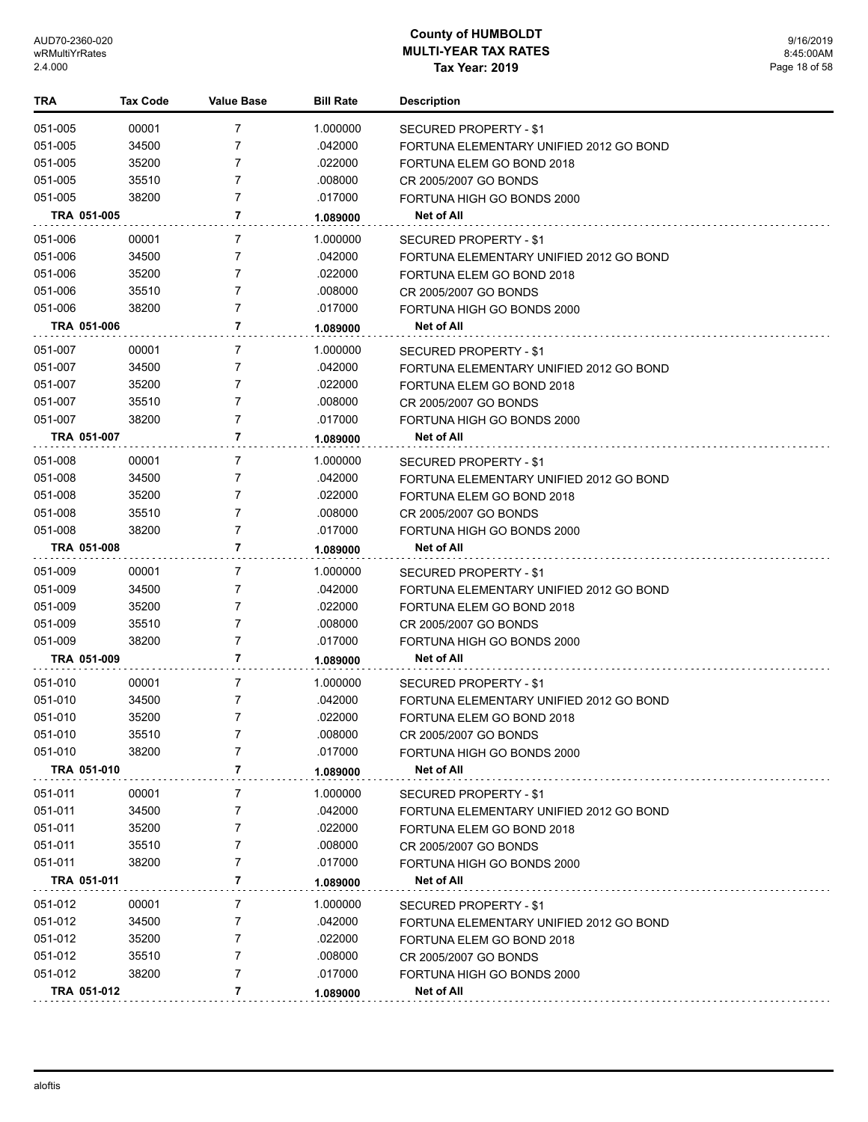| TRA         | <b>Tax Code</b> | <b>Value Base</b> | <b>Bill Rate</b> | <b>Description</b>                      |
|-------------|-----------------|-------------------|------------------|-----------------------------------------|
| 051-005     | 00001           | 7                 | 1.000000         | SECURED PROPERTY - \$1                  |
| 051-005     | 34500           | 7                 | .042000          | FORTUNA ELEMENTARY UNIFIED 2012 GO BOND |
| 051-005     | 35200           | 7                 | .022000          | FORTUNA ELEM GO BOND 2018               |
| 051-005     | 35510           | 7                 | .008000          | CR 2005/2007 GO BONDS                   |
| 051-005     | 38200           | 7                 | .017000          | FORTUNA HIGH GO BONDS 2000              |
| TRA 051-005 |                 | 7                 | 1.089000         | Net of All                              |
| 051-006     | 00001           | 7                 | 1.000000         | SECURED PROPERTY - \$1                  |
| 051-006     | 34500           | 7                 | .042000          | FORTUNA ELEMENTARY UNIFIED 2012 GO BOND |
| 051-006     | 35200           | 7                 | .022000          | FORTUNA ELEM GO BOND 2018               |
| 051-006     | 35510           | 7                 | .008000          | CR 2005/2007 GO BONDS                   |
| 051-006     | 38200           | 7                 | .017000          | FORTUNA HIGH GO BONDS 2000              |
| TRA 051-006 |                 | 7                 | 1.089000         | Net of All                              |
| 051-007     | 00001           | 7                 | 1.000000         | SECURED PROPERTY - \$1                  |
| 051-007     | 34500           | 7                 | .042000          | FORTUNA ELEMENTARY UNIFIED 2012 GO BOND |
| 051-007     | 35200           | 7                 | .022000          | FORTUNA ELEM GO BOND 2018               |
| 051-007     | 35510           | 7                 | .008000          | CR 2005/2007 GO BONDS                   |
| 051-007     | 38200           | 7                 | .017000          | FORTUNA HIGH GO BONDS 2000              |
| TRA 051-007 |                 | 7                 | 1.089000         | Net of All                              |
| 051-008     | 00001           | 7                 | 1.000000         | <b>SECURED PROPERTY - \$1</b>           |
| 051-008     | 34500           | 7                 | .042000          | FORTUNA ELEMENTARY UNIFIED 2012 GO BOND |
| 051-008     | 35200           | 7                 | .022000          | FORTUNA ELEM GO BOND 2018               |
| 051-008     | 35510           | 7                 | .008000          | CR 2005/2007 GO BONDS                   |
| 051-008     | 38200           | $\overline{7}$    | .017000          | FORTUNA HIGH GO BONDS 2000              |
| TRA 051-008 |                 | 7                 | 1.089000         | Net of All                              |
| 051-009     | 00001           | 7                 | 1.000000         | SECURED PROPERTY - \$1                  |
| 051-009     | 34500           | 7                 | .042000          | FORTUNA ELEMENTARY UNIFIED 2012 GO BOND |
| 051-009     | 35200           | 7                 | .022000          | FORTUNA ELEM GO BOND 2018               |
| 051-009     | 35510           | 7                 | .008000          | CR 2005/2007 GO BONDS                   |
| 051-009     | 38200           | 7                 | .017000          | FORTUNA HIGH GO BONDS 2000              |
| TRA 051-009 |                 | 7                 | 1.089000         | Net of All                              |
| 051-010     | 00001           | 7                 | 1.000000         | SECURED PROPERTY - \$1                  |
| 051-010     | 34500           | 7                 | .042000          | FORTUNA ELEMENTARY UNIFIED 2012 GO BOND |
| 051-010     | 35200           | 7                 | .022000          | FORTUNA ELEM GO BOND 2018               |
| 051-010     | 35510           | 7                 | .008000          | CR 2005/2007 GO BONDS                   |
| 051-010     | 38200           | 7                 | .017000          | FORTUNA HIGH GO BONDS 2000              |
| TRA 051-010 |                 | 7                 | 1.089000         | <b>Net of All</b>                       |
| 051-011     | 00001           | 7                 | 1.000000         | SECURED PROPERTY - \$1                  |
| 051-011     | 34500           | 7                 | .042000          | FORTUNA ELEMENTARY UNIFIED 2012 GO BOND |
| 051-011     | 35200           | 7                 | .022000          | FORTUNA ELEM GO BOND 2018               |
| 051-011     | 35510           | 7                 | .008000          | CR 2005/2007 GO BONDS                   |
| 051-011     | 38200           | 7                 | .017000          | FORTUNA HIGH GO BONDS 2000              |
| TRA 051-011 |                 | 7                 | 1.089000         | Net of All                              |
| 051-012     | 00001           | 7                 | 1.000000         | SECURED PROPERTY - \$1                  |
| 051-012     | 34500           | 7                 | .042000          | FORTUNA ELEMENTARY UNIFIED 2012 GO BOND |
| 051-012     | 35200           | 7                 | .022000          | FORTUNA ELEM GO BOND 2018               |
| 051-012     | 35510           | 7                 | .008000          | CR 2005/2007 GO BONDS                   |
| 051-012     | 38200           | 7                 | .017000          | FORTUNA HIGH GO BONDS 2000              |
| TRA 051-012 |                 | 7                 | 1.089000         | Net of All                              |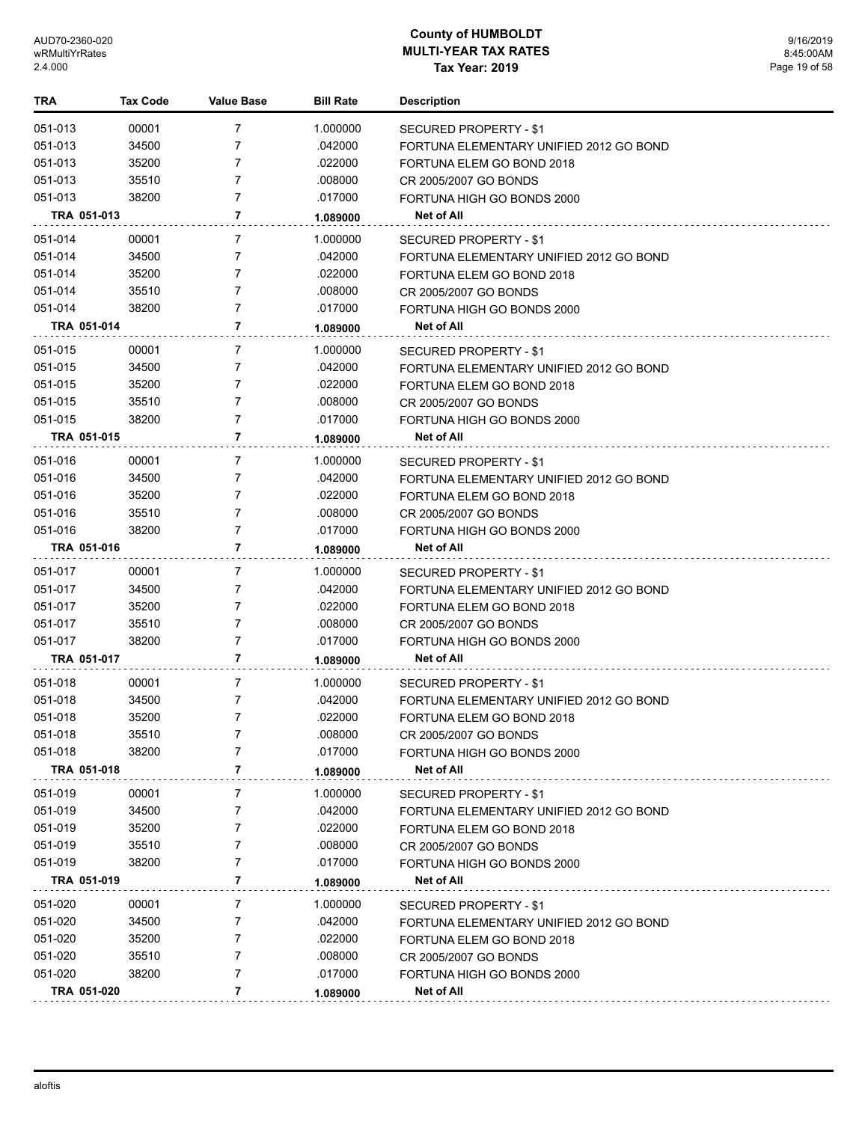| TRA         | <b>Tax Code</b> | Value Base     | <b>Bill Rate</b> | <b>Description</b>                      |
|-------------|-----------------|----------------|------------------|-----------------------------------------|
| 051-013     | 00001           | 7              | 1.000000         | <b>SECURED PROPERTY - \$1</b>           |
| 051-013     | 34500           | 7              | .042000          | FORTUNA ELEMENTARY UNIFIED 2012 GO BOND |
| 051-013     | 35200           | 7              | .022000          | FORTUNA ELEM GO BOND 2018               |
| 051-013     | 35510           | 7              | .008000          | CR 2005/2007 GO BONDS                   |
| 051-013     | 38200           | 7              | .017000          | FORTUNA HIGH GO BONDS 2000              |
| TRA 051-013 |                 | 7              | 1.089000         | Net of All                              |
| 051-014     | 00001           | 7              | 1.000000         | SECURED PROPERTY - \$1                  |
| 051-014     | 34500           | 7              | .042000          | FORTUNA ELEMENTARY UNIFIED 2012 GO BOND |
| 051-014     | 35200           | 7              | .022000          | FORTUNA ELEM GO BOND 2018               |
| 051-014     | 35510           | 7              | .008000          | CR 2005/2007 GO BONDS                   |
| 051-014     | 38200           | 7              | .017000          | FORTUNA HIGH GO BONDS 2000              |
| TRA 051-014 |                 | 7              | 1.089000         | Net of All                              |
| 051-015     | 00001           | 7              | 1.000000         | SECURED PROPERTY - \$1                  |
| 051-015     | 34500           | 7              | .042000          | FORTUNA ELEMENTARY UNIFIED 2012 GO BOND |
| 051-015     | 35200           | 7              | .022000          | FORTUNA ELEM GO BOND 2018               |
| 051-015     | 35510           | 7              | .008000          | CR 2005/2007 GO BONDS                   |
| 051-015     | 38200           | 7              | .017000          | FORTUNA HIGH GO BONDS 2000              |
| TRA 051-015 |                 | 7              | 1.089000         | Net of All                              |
| 051-016     | 00001           | 7              | 1.000000         | SECURED PROPERTY - \$1                  |
| 051-016     | 34500           | 7              | .042000          | FORTUNA ELEMENTARY UNIFIED 2012 GO BOND |
| 051-016     | 35200           | 7              | .022000          | FORTUNA ELEM GO BOND 2018               |
| 051-016     | 35510           | $\overline{7}$ | .008000          | CR 2005/2007 GO BONDS                   |
| 051-016     | 38200           | $\overline{7}$ | .017000          | FORTUNA HIGH GO BONDS 2000              |
| TRA 051-016 |                 | 7              | 1.089000         | Net of All                              |
| 051-017     | 00001           | 7              | 1.000000         | SECURED PROPERTY - \$1                  |
| 051-017     | 34500           | 7              | .042000          | FORTUNA ELEMENTARY UNIFIED 2012 GO BOND |
| 051-017     | 35200           | 7              | .022000          | FORTUNA ELEM GO BOND 2018               |
| 051-017     | 35510           | $\overline{7}$ | .008000          | CR 2005/2007 GO BONDS                   |
| 051-017     | 38200           | $\overline{7}$ | .017000          | FORTUNA HIGH GO BONDS 2000              |
| TRA 051-017 |                 | 7              | 1.089000         | <b>Net of All</b>                       |
| 051-018     | 00001           | 7              | 1.000000         | SECURED PROPERTY - \$1                  |
| 051-018     | 34500           | 7              | .042000          | FORTUNA ELEMENTARY UNIFIED 2012 GO BOND |
| 051-018     | 35200           | $\overline{7}$ | .022000          | FORTUNA ELEM GO BOND 2018               |
| 051-018     | 35510           | 7              | .008000          | CR 2005/2007 GO BONDS                   |
| 051-018     | 38200           | 7              | .017000          | FORTUNA HIGH GO BONDS 2000              |
| TRA 051-018 |                 | 7              | 1.089000         | Net of All                              |
| 051-019     | 00001           | 7              | 1.000000         | SECURED PROPERTY - \$1                  |
| 051-019     | 34500           | 7              | .042000          | FORTUNA ELEMENTARY UNIFIED 2012 GO BOND |
| 051-019     | 35200           | 7              | .022000          | FORTUNA ELEM GO BOND 2018               |
| 051-019     | 35510           | 7              | .008000          | CR 2005/2007 GO BONDS                   |
| 051-019     | 38200           | 7              | .017000          | FORTUNA HIGH GO BONDS 2000              |
| TRA 051-019 |                 | 7              | 1.089000         | Net of All                              |
| 051-020     | 00001           | 7              | 1.000000         | SECURED PROPERTY - \$1                  |
| 051-020     | 34500           | 7              | .042000          | FORTUNA ELEMENTARY UNIFIED 2012 GO BOND |
| 051-020     | 35200           | 7              | .022000          | FORTUNA ELEM GO BOND 2018               |
| 051-020     | 35510           | 7              | .008000          | CR 2005/2007 GO BONDS                   |
| 051-020     | 38200           | 7              | .017000          | FORTUNA HIGH GO BONDS 2000              |
| TRA 051-020 |                 | 7              | 1.089000         | Net of All                              |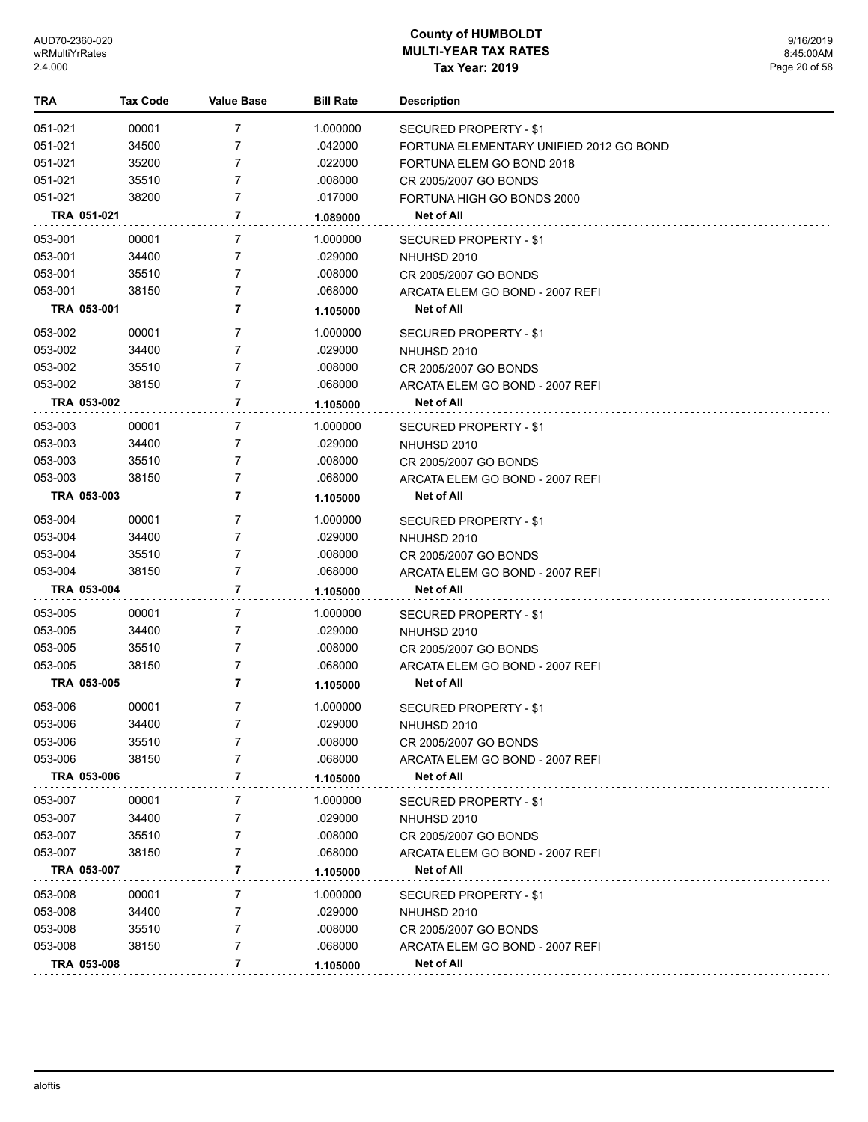| TRA         | <b>Tax Code</b> | <b>Value Base</b> | <b>Bill Rate</b> | <b>Description</b>                      |
|-------------|-----------------|-------------------|------------------|-----------------------------------------|
| 051-021     | 00001           | 7                 | 1.000000         | SECURED PROPERTY - \$1                  |
| 051-021     | 34500           | 7                 | .042000          | FORTUNA ELEMENTARY UNIFIED 2012 GO BOND |
| 051-021     | 35200           | 7                 | .022000          | FORTUNA ELEM GO BOND 2018               |
| 051-021     | 35510           | 7                 | .008000          | CR 2005/2007 GO BONDS                   |
| 051-021     | 38200           | $\overline{7}$    | .017000          | FORTUNA HIGH GO BONDS 2000              |
| TRA 051-021 |                 | 7                 | 1.089000         | Net of All                              |
| 053-001     | 00001           | 7                 | 1.000000         | SECURED PROPERTY - \$1                  |
| 053-001     | 34400           | 7                 | .029000          | NHUHSD 2010                             |
| 053-001     | 35510           | 7                 | .008000          | CR 2005/2007 GO BONDS                   |
| 053-001     | 38150           | 7                 | .068000          | ARCATA ELEM GO BOND - 2007 REFI         |
| TRA 053-001 |                 | 7                 | 1.105000         | Net of All                              |
| 053-002     | 00001           | 7                 | 1.000000         | SECURED PROPERTY - \$1                  |
| 053-002     | 34400           | 7                 | .029000          | NHUHSD 2010                             |
| 053-002     | 35510           | 7                 | .008000          | CR 2005/2007 GO BONDS                   |
| 053-002     | 38150           | $\overline{7}$    | .068000          | ARCATA ELEM GO BOND - 2007 REFI         |
| TRA 053-002 |                 | 7                 | 1.105000         | Net of All                              |
| 053-003     | 00001           | 7                 | 1.000000         | SECURED PROPERTY - \$1                  |
| 053-003     | 34400           | 7                 | .029000          | NHUHSD 2010                             |
| 053-003     | 35510           | 7                 | .008000          | CR 2005/2007 GO BONDS                   |
| 053-003     | 38150           | 7                 | .068000          | ARCATA ELEM GO BOND - 2007 REFI         |
| TRA 053-003 |                 | 7                 | 1.105000         | Net of All                              |
| 053-004     | 00001           | 7                 | 1.000000         | <b>SECURED PROPERTY - \$1</b>           |
| 053-004     | 34400           | 7                 | .029000          | NHUHSD 2010                             |
| 053-004     | 35510           | 7                 | .008000          | CR 2005/2007 GO BONDS                   |
| 053-004     | 38150           | $\overline{7}$    | .068000          | ARCATA ELEM GO BOND - 2007 REFI         |
| TRA 053-004 |                 | 7                 | 1.105000         | Net of All                              |
| 053-005     | 00001           | 7                 | 1.000000         | SECURED PROPERTY - \$1                  |
| 053-005     | 34400           | 7                 | .029000          | NHUHSD 2010                             |
| 053-005     | 35510           | 7                 | .008000          | CR 2005/2007 GO BONDS                   |
| 053-005     | 38150           | 7                 | .068000          | ARCATA ELEM GO BOND - 2007 REFI         |
| TRA 053-005 |                 | 7                 | 1.105000         | Net of All                              |
| 053-006     | 00001           | 7                 | 1.000000         | <b>SECURED PROPERTY - \$1</b>           |
| 053-006     | 34400           | 7                 | 029000           | NHUHSD 2010                             |
| 053-006     | 35510           | 7                 | .008000          | CR 2005/2007 GO BONDS                   |
| 053-006     | 38150           | 7                 | .068000          | ARCATA ELEM GO BOND - 2007 REFI         |
| TRA 053-006 |                 | 7                 | 1.105000         | Net of All                              |
| 053-007     | 00001           | 7                 | 1.000000         | <b>SECURED PROPERTY - \$1</b>           |
| 053-007     | 34400           | 7                 | .029000          | NHUHSD 2010                             |
| 053-007     | 35510           | 7                 | .008000          | CR 2005/2007 GO BONDS                   |
| 053-007     | 38150           | 7                 | .068000          | ARCATA ELEM GO BOND - 2007 REFI         |
| TRA 053-007 |                 | 7                 | 1.105000         | Net of All                              |
| 053-008     | 00001           | 7                 | 1.000000         | SECURED PROPERTY - \$1                  |
| 053-008     | 34400           | 7                 | .029000          | NHUHSD 2010                             |
| 053-008     | 35510           | 7                 | .008000          | CR 2005/2007 GO BONDS                   |
| 053-008     | 38150           | 7                 | .068000          | ARCATA ELEM GO BOND - 2007 REFI         |
| TRA 053-008 |                 | 7                 | 1.105000         | Net of All                              |
|             |                 |                   |                  |                                         |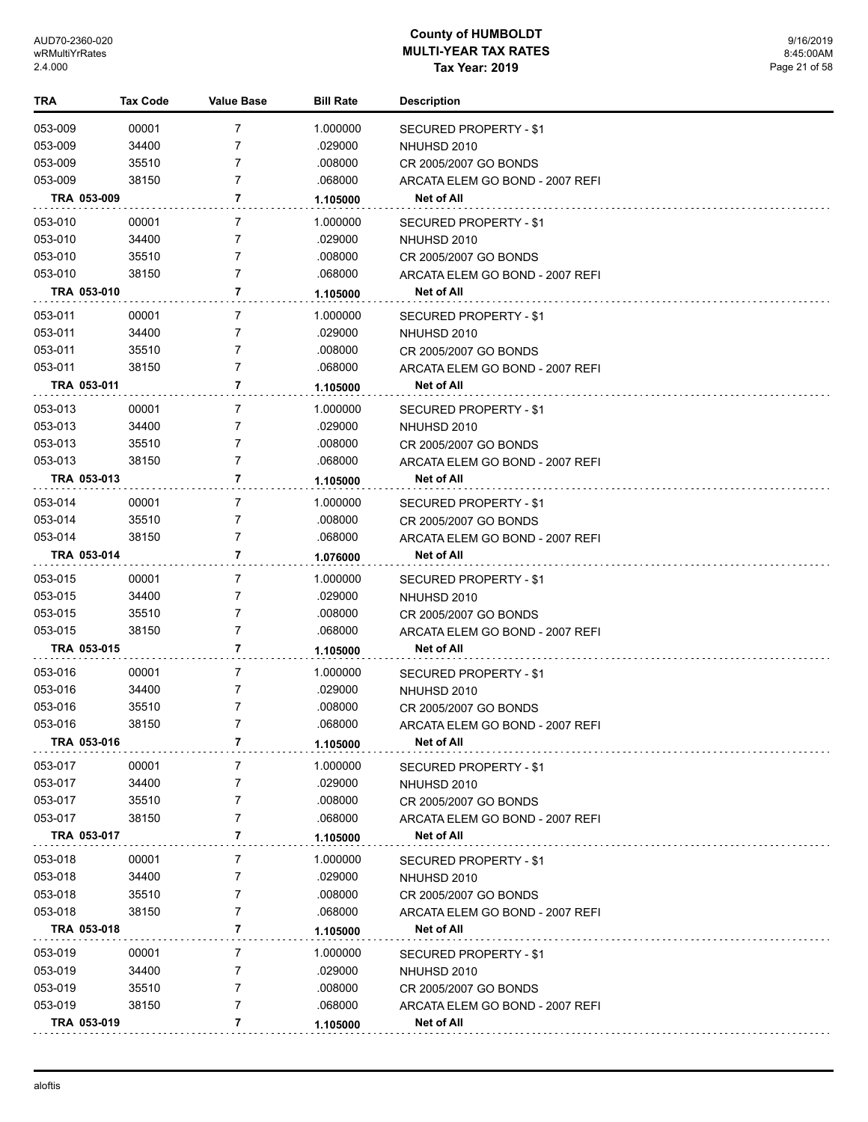| TRA                    | <b>Tax Code</b> | <b>Value Base</b> | <b>Bill Rate</b>   | <b>Description</b>                                       |
|------------------------|-----------------|-------------------|--------------------|----------------------------------------------------------|
| 053-009                | 00001           | 7                 | 1.000000           | SECURED PROPERTY - \$1                                   |
| 053-009                | 34400           | 7                 | .029000            | NHUHSD 2010                                              |
| 053-009                | 35510           | 7                 | .008000            | CR 2005/2007 GO BONDS                                    |
| 053-009                | 38150           | 7                 | .068000            | ARCATA ELEM GO BOND - 2007 REFI                          |
| TRA 053-009            |                 | 7                 | 1.105000           | Net of All                                               |
| 053-010                | 00001           | 7                 | 1.000000           | SECURED PROPERTY - \$1                                   |
| 053-010                | 34400           | 7                 | .029000            | NHUHSD 2010                                              |
| 053-010                | 35510           | 7                 | .008000            | CR 2005/2007 GO BONDS                                    |
| 053-010                | 38150           | 7                 | .068000            | ARCATA ELEM GO BOND - 2007 REFI                          |
| TRA 053-010            |                 | 7                 | 1.105000           | Net of All                                               |
| 053-011                | 00001           | 7                 | 1.000000           | <b>SECURED PROPERTY - \$1</b>                            |
| 053-011                | 34400           | 7                 | .029000            | NHUHSD 2010                                              |
| 053-011                | 35510           | 7                 | .008000            | CR 2005/2007 GO BONDS                                    |
| 053-011                | 38150           | 7                 | .068000            | ARCATA ELEM GO BOND - 2007 REFI                          |
| TRA 053-011            |                 | 7                 | 1.105000           | Net of All                                               |
| 053-013                | 00001           | 7                 | 1.000000           | SECURED PROPERTY - \$1                                   |
| 053-013                | 34400           | 7                 | .029000            | NHUHSD 2010                                              |
| 053-013                | 35510           | 7                 | .008000            | CR 2005/2007 GO BONDS                                    |
| 053-013                | 38150           | 7                 | .068000            | ARCATA ELEM GO BOND - 2007 REFI                          |
| TRA 053-013            |                 | 7                 | 1.105000           | Net of All                                               |
| 053-014                | 00001           | $\overline{7}$    | 1.000000           | SECURED PROPERTY - \$1                                   |
| 053-014                | 35510           | 7                 | .008000            | CR 2005/2007 GO BONDS                                    |
| 053-014                | 38150           | 7                 | .068000            | ARCATA ELEM GO BOND - 2007 REFI                          |
| TRA 053-014            |                 | 7                 | 1.076000           | Net of All                                               |
| 053-015                | 00001           | 7                 | 1.000000           | SECURED PROPERTY - \$1                                   |
| 053-015                | 34400           | 7                 | .029000            | NHUHSD 2010                                              |
| 053-015                | 35510           | 7                 | .008000            | CR 2005/2007 GO BONDS                                    |
| 053-015                | 38150           | 7                 | .068000            | ARCATA ELEM GO BOND - 2007 REFI                          |
| TRA 053-015            |                 | 7                 | 1.105000           | <b>Net of All</b>                                        |
| 053-016                | 00001           | $\overline{7}$    | 1.000000           | SECURED PROPERTY - \$1                                   |
| 053-016                | 34400           | 7                 | .029000            | NHUHSD 2010                                              |
| 053-016                | 35510           | 7                 | .008000            | CR 2005/2007 GO BONDS                                    |
| 053-016                | 38150           | 7                 | .068000            | ARCATA ELEM GO BOND - 2007 REFI                          |
| TRA 053-016            |                 | 7                 | 1.105000           | Net of All                                               |
| 053-017                | 00001           | 7                 | 1.000000           | <b>SECURED PROPERTY - \$1</b>                            |
| 053-017                | 34400           | 7                 | .029000            | NHUHSD 2010                                              |
| 053-017                | 35510           | 7                 | .008000            | CR 2005/2007 GO BONDS                                    |
| 053-017<br>TRA 053-017 | 38150           | 7<br>7            | .068000            | ARCATA ELEM GO BOND - 2007 REFI<br>Net of All            |
|                        |                 |                   | 1.105000           |                                                          |
| 053-018                | 00001           | 7                 | 1.000000           | SECURED PROPERTY - \$1                                   |
| 053-018<br>053-018     | 34400<br>35510  | 7<br>7            | .029000<br>.008000 | NHUHSD 2010                                              |
| 053-018                | 38150           | 7                 | .068000            | CR 2005/2007 GO BONDS<br>ARCATA ELEM GO BOND - 2007 REFI |
| TRA 053-018            |                 | 7                 | 1.105000           | Net of All                                               |
| 053-019                | 00001           | 7                 | 1.000000           | <b>SECURED PROPERTY - \$1</b>                            |
| 053-019                | 34400           | 7                 | .029000            | NHUHSD 2010                                              |
| 053-019                | 35510           | 7                 | .008000            | CR 2005/2007 GO BONDS                                    |
| 053-019                | 38150           | 7                 | .068000            | ARCATA ELEM GO BOND - 2007 REFI                          |
| TRA 053-019            |                 | 7                 | 1.105000           | Net of All                                               |
|                        |                 |                   |                    |                                                          |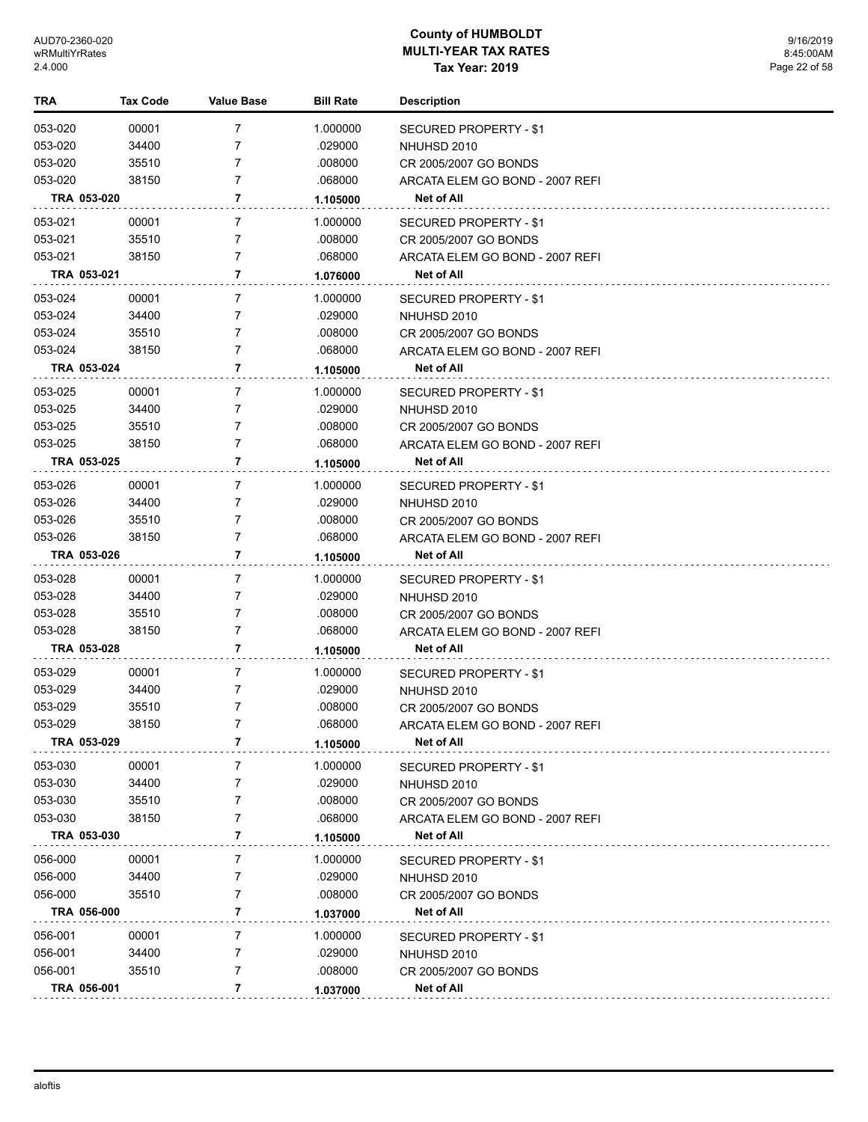| TRA     | Tax Code       | <b>Value Base</b> | <b>Bill Rate</b> | <b>Description</b>                              |
|---------|----------------|-------------------|------------------|-------------------------------------------------|
| 053-020 | 00001          | 7                 | 1.000000         | SECURED PROPERTY - \$1                          |
| 053-020 | 34400          | 7                 | .029000          | NHUHSD 2010                                     |
| 053-020 | 35510          | 7                 | .008000          | CR 2005/2007 GO BONDS                           |
| 053-020 | 38150          | 7                 | .068000          | ARCATA ELEM GO BOND - 2007 REFI                 |
|         | TRA 053-020    | 7                 | 1.105000         | Net of All                                      |
| 053-021 | 00001          | 7                 | 1.000000         |                                                 |
| 053-021 | 35510          | 7                 | .008000          | SECURED PROPERTY - \$1<br>CR 2005/2007 GO BONDS |
| 053-021 | 38150          | 7                 | .068000          | ARCATA ELEM GO BOND - 2007 REFI                 |
|         | TRA 053-021    | 7                 | 1.076000         | Net of All                                      |
|         |                |                   |                  |                                                 |
| 053-024 | 00001          | 7                 | 1.000000         | SECURED PROPERTY - \$1                          |
| 053-024 | 34400          | 7                 | .029000          | NHUHSD 2010                                     |
| 053-024 | 35510<br>38150 | 7<br>7            | .008000          | CR 2005/2007 GO BONDS                           |
| 053-024 | TRA 053-024    | 7                 | .068000          | ARCATA ELEM GO BOND - 2007 REFI<br>Net of All   |
|         |                |                   | 1.105000         |                                                 |
| 053-025 | 00001          | 7                 | 1.000000         | SECURED PROPERTY - \$1                          |
| 053-025 | 34400          | 7                 | .029000          | NHUHSD 2010                                     |
| 053-025 | 35510          | 7                 | .008000          | CR 2005/2007 GO BONDS                           |
| 053-025 | 38150          | 7                 | .068000          | ARCATA ELEM GO BOND - 2007 REFI                 |
|         | TRA 053-025    | 7                 | 1.105000         | Net of All                                      |
| 053-026 | 00001          | 7                 | 1.000000         | SECURED PROPERTY - \$1                          |
| 053-026 | 34400          | 7                 | .029000          | NHUHSD 2010                                     |
| 053-026 | 35510          | 7                 | .008000          | CR 2005/2007 GO BONDS                           |
| 053-026 | 38150          | 7                 | .068000          | ARCATA ELEM GO BOND - 2007 REFI                 |
|         | TRA 053-026    | 7                 | 1.105000         | Net of All                                      |
| 053-028 | 00001          | 7                 | 1.000000         | SECURED PROPERTY - \$1                          |
| 053-028 | 34400          | 7                 | .029000          | NHUHSD 2010                                     |
| 053-028 | 35510          | 7                 | .008000          | CR 2005/2007 GO BONDS                           |
| 053-028 | 38150          | 7                 | .068000          | ARCATA ELEM GO BOND - 2007 REFI                 |
|         | TRA 053-028    | 7                 | 1.105000         | Net of All                                      |
| 053-029 | 00001          | 7                 | 1.000000         | SECURED PROPERTY - \$1                          |
| 053-029 | 34400          | 7                 | .029000          | NHUHSD 2010                                     |
| 053-029 | 35510          | 7                 | .008000          | CR 2005/2007 GO BONDS                           |
| 053-029 | 38150          | 7                 | .068000          | ARCATA ELEM GO BOND - 2007 REFI                 |
|         | TRA 053-029    | 7                 | 1.105000         | Net of All                                      |
| 053-030 | 00001          | 7                 | 1.000000         | <b>SECURED PROPERTY - \$1</b>                   |
| 053-030 | 34400          | 7                 | .029000          | NHUHSD 2010                                     |
| 053-030 | 35510          | 7                 | .008000          | CR 2005/2007 GO BONDS                           |
| 053-030 | 38150          | 7                 | .068000          | ARCATA ELEM GO BOND - 2007 REFI                 |
|         | TRA 053-030    | 7                 | 1.105000         | Net of All                                      |
| 056-000 | 00001          | 7                 | 1.000000         |                                                 |
| 056-000 | 34400          | 7                 | .029000          | <b>SECURED PROPERTY - \$1</b>                   |
| 056-000 | 35510          | 7                 | .008000          | NHUHSD 2010<br>CR 2005/2007 GO BONDS            |
|         | TRA 056-000    | 7                 | 1.037000         | Net of All                                      |
|         |                |                   |                  |                                                 |
| 056-001 | 00001          | 7                 | 1.000000         | SECURED PROPERTY - \$1                          |
| 056-001 | 34400          | 7                 | .029000          | NHUHSD 2010                                     |
| 056-001 | 35510          | 7                 | .008000          | CR 2005/2007 GO BONDS                           |
|         | TRA 056-001    | 7                 | 1.037000         | <b>Net of All</b>                               |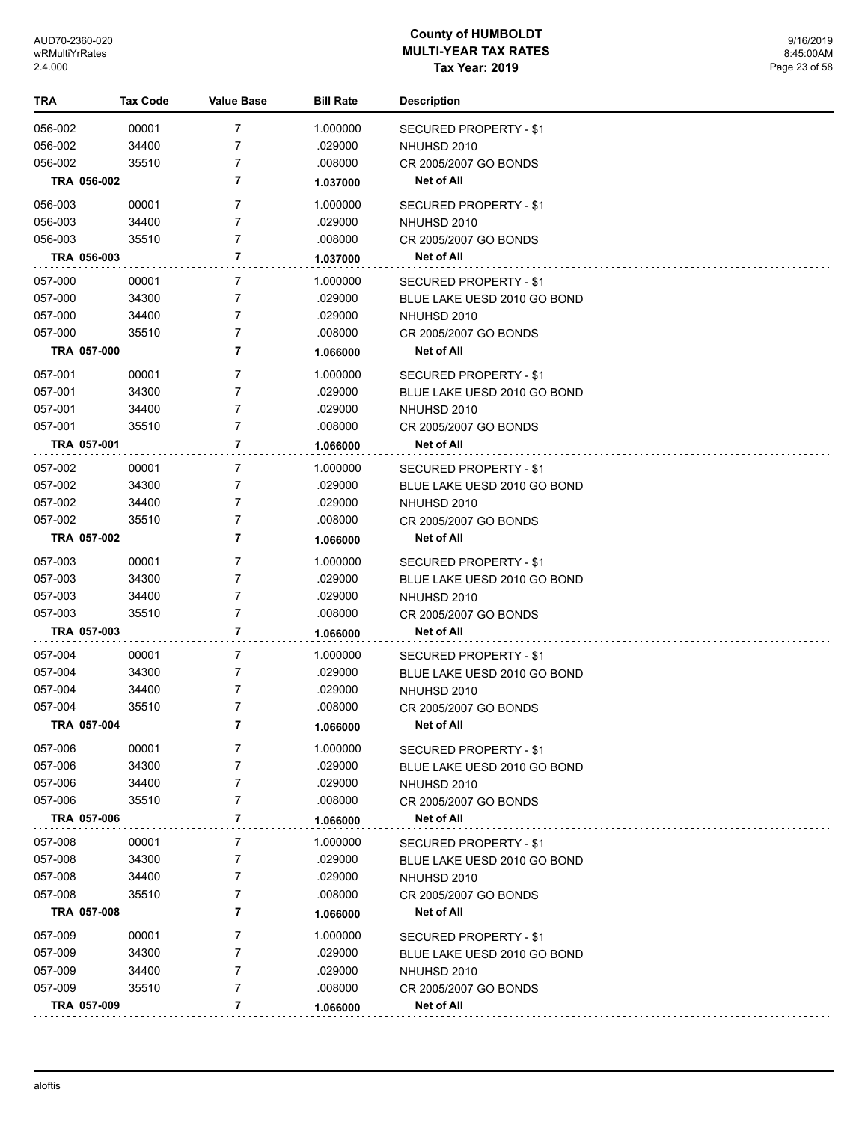| TRA     |             | <b>Tax Code</b> | <b>Value Base</b> | <b>Bill Rate</b> | <b>Description</b>          |
|---------|-------------|-----------------|-------------------|------------------|-----------------------------|
| 056-002 |             | 00001           | 7                 | 1.000000         | SECURED PROPERTY - \$1      |
| 056-002 |             | 34400           | 7                 | .029000          | NHUHSD 2010                 |
| 056-002 |             | 35510           | 7                 | .008000          | CR 2005/2007 GO BONDS       |
|         | TRA 056-002 |                 | 7                 | 1.037000         | Net of All                  |
| 056-003 |             | 00001           | 7                 | 1.000000         | SECURED PROPERTY - \$1      |
| 056-003 |             | 34400           | 7                 | .029000          | NHUHSD 2010                 |
| 056-003 |             | 35510           | 7                 | .008000          | CR 2005/2007 GO BONDS       |
|         | TRA 056-003 |                 | 7                 | 1.037000         | Net of All                  |
| 057-000 |             | 00001           | 7                 | 1.000000         | SECURED PROPERTY - \$1      |
| 057-000 |             | 34300           | 7                 | .029000          | BLUE LAKE UESD 2010 GO BOND |
| 057-000 |             | 34400           | 7                 | .029000          | NHUHSD 2010                 |
| 057-000 |             | 35510           | $\overline{7}$    | .008000          | CR 2005/2007 GO BONDS       |
|         | TRA 057-000 |                 | 7                 | 1.066000         | Net of All                  |
|         |             |                 |                   |                  |                             |
| 057-001 |             | 00001           | 7                 | 1.000000         | SECURED PROPERTY - \$1      |
| 057-001 |             | 34300           | 7                 | .029000          | BLUE LAKE UESD 2010 GO BOND |
| 057-001 |             | 34400           | 7                 | .029000          | NHUHSD 2010                 |
| 057-001 |             | 35510           | $\overline{7}$    | .008000          | CR 2005/2007 GO BONDS       |
|         | TRA 057-001 |                 | 7                 | 1.066000         | Net of All                  |
| 057-002 |             | 00001           | 7                 | 1.000000         | SECURED PROPERTY - \$1      |
| 057-002 |             | 34300           | 7                 | .029000          | BLUE LAKE UESD 2010 GO BOND |
| 057-002 |             | 34400           | 7                 | .029000          | NHUHSD 2010                 |
| 057-002 |             | 35510           | $\overline{7}$    | .008000          | CR 2005/2007 GO BONDS       |
|         | TRA 057-002 |                 | 7                 | 1.066000         | Net of All                  |
| 057-003 |             | 00001           | 7                 | 1.000000         | SECURED PROPERTY - \$1      |
| 057-003 |             | 34300           | 7                 | .029000          | BLUE LAKE UESD 2010 GO BOND |
| 057-003 |             | 34400           | 7                 | .029000          | NHUHSD 2010                 |
| 057-003 |             | 35510           | $\overline{7}$    | .008000          | CR 2005/2007 GO BONDS       |
|         | TRA 057-003 |                 | 7                 | 1.066000         | Net of All                  |
| 057-004 |             | 00001           | 7                 | 1.000000         | SECURED PROPERTY - \$1      |
| 057-004 |             | 34300           | 7                 | .029000          | BLUE LAKE UESD 2010 GO BOND |
| 057-004 |             | 34400           | 7                 | .029000          | NHUHSD 2010                 |
| 057-004 |             | 35510           | 7                 | .008000          | CR 2005/2007 GO BONDS       |
|         | TRA 057-004 |                 | 7                 | 1.066000         | Net of All                  |
| 057-006 |             | 00001           | 7                 | 1.000000         | SECURED PROPERTY - \$1      |
| 057-006 |             | 34300           | 7                 | .029000          | BLUE LAKE UESD 2010 GO BOND |
| 057-006 |             | 34400           | 7                 | .029000          | NHUHSD 2010                 |
| 057-006 |             | 35510           | 7                 | .008000          | CR 2005/2007 GO BONDS       |
|         | TRA 057-006 |                 | 7                 | 1.066000         | Net of All                  |
| 057-008 |             | 00001           | 7                 | 1.000000         | SECURED PROPERTY - \$1      |
| 057-008 |             | 34300           | 7                 | .029000          | BLUE LAKE UESD 2010 GO BOND |
| 057-008 |             | 34400           | 7                 | .029000          | NHUHSD 2010                 |
| 057-008 |             | 35510           | 7                 | .008000          | CR 2005/2007 GO BONDS       |
|         | TRA 057-008 |                 | 7                 | 1.066000         | Net of All                  |
| 057-009 |             | 00001           | 7                 | 1.000000         | SECURED PROPERTY - \$1      |
| 057-009 |             | 34300           | 7                 | .029000          | BLUE LAKE UESD 2010 GO BOND |
| 057-009 |             | 34400           | 7                 | .029000          | NHUHSD 2010                 |
| 057-009 |             | 35510           | $\overline{7}$    | .008000          | CR 2005/2007 GO BONDS       |
|         | TRA 057-009 |                 | 7                 | 1.066000         | Net of All                  |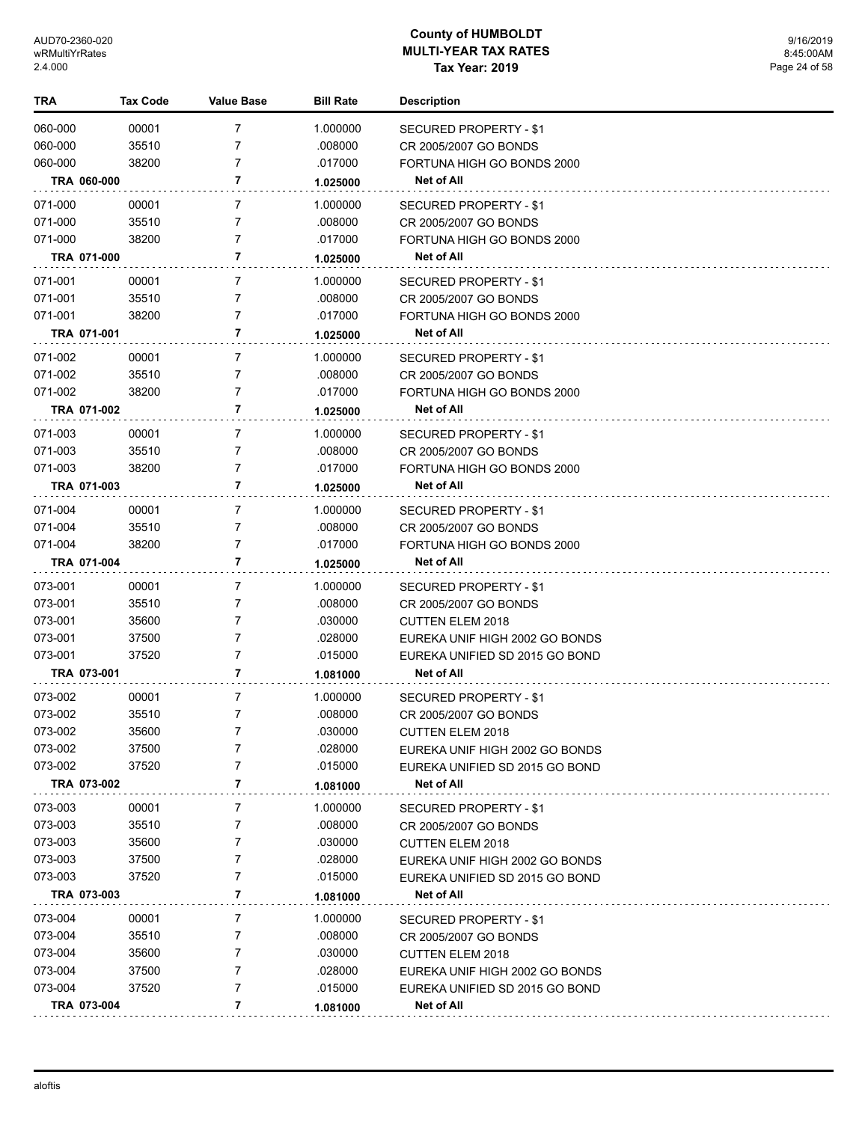| 060-000<br>00001<br>1.000000<br>7<br>SECURED PROPERTY - \$1<br>060-000<br>35510<br>7<br>.008000<br>CR 2005/2007 GO BONDS<br>060-000<br>38200<br>7<br>.017000<br>FORTUNA HIGH GO BONDS 2000<br>TRA 060-000<br>7<br>Net of All<br>1.025000<br>071-000<br>00001<br>7<br>1.000000<br><b>SECURED PROPERTY - \$1</b><br>071-000<br>35510<br>7<br>.008000<br>CR 2005/2007 GO BONDS<br>38200<br>071-000<br>7<br>.017000<br>FORTUNA HIGH GO BONDS 2000<br>TRA 071-000<br>7<br>Net of All<br>1.025000<br>071-001<br>00001<br>7<br>1.000000<br><b>SECURED PROPERTY - \$1</b><br>35510<br>$\overline{7}$<br>071-001<br>.008000<br>CR 2005/2007 GO BONDS<br>071-001<br>38200<br>7<br>.017000<br>FORTUNA HIGH GO BONDS 2000<br>TRA 071-001<br>7<br>Net of All<br>1.025000<br>071-002<br>7<br>1.000000<br>00001<br>SECURED PROPERTY - \$1<br>071-002<br>35510<br>$\overline{7}$<br>.008000<br>CR 2005/2007 GO BONDS<br>$\overline{7}$<br>071-002<br>38200<br>.017000<br>FORTUNA HIGH GO BONDS 2000<br>TRA 071-002<br>7<br>Net of All<br>1.025000<br>071-003<br>00001<br>7<br>1.000000<br>SECURED PROPERTY - \$1<br>071-003<br>35510<br>7<br>.008000<br>CR 2005/2007 GO BONDS<br>$\overline{7}$<br>071-003<br>38200<br>.017000<br>FORTUNA HIGH GO BONDS 2000<br>TRA 071-003<br>7<br><b>Net of All</b><br>1.025000<br>071-004<br>7<br>1.000000<br>00001<br>SECURED PROPERTY - \$1<br>35510<br>071-004<br>7<br>.008000<br>CR 2005/2007 GO BONDS<br>7<br>071-004<br>38200<br>.017000<br>FORTUNA HIGH GO BONDS 2000<br>7<br><b>Net of All</b><br>TRA 071-004<br>1.025000<br>073-001<br>00001<br>7<br>1.000000<br>SECURED PROPERTY - \$1<br>073-001<br>35510<br>7<br>.008000<br>CR 2005/2007 GO BONDS<br>073-001<br>35600<br>7<br>.030000<br><b>CUTTEN ELEM 2018</b><br>37500<br>7<br>073-001<br>.028000<br>EUREKA UNIF HIGH 2002 GO BONDS<br>$\overline{7}$<br>073-001<br>37520<br>.015000<br>EUREKA UNIFIED SD 2015 GO BOND<br>7<br>TRA 073-001<br><b>Net of All</b><br>1.081000<br>073-002<br>00001<br>7<br>1.000000<br>SECURED PROPERTY - \$1<br>35510<br>$\overline{7}$<br>073-002<br>.008000<br>CR 2005/2007 GO BONDS<br>073-002<br>35600<br>.030000<br><b>CUTTEN ELEM 2018</b><br>073-002<br>37500<br>7<br>.028000<br>EUREKA UNIF HIGH 2002 GO BONDS<br>073-002<br>37520<br>.015000<br>7<br>EUREKA UNIFIED SD 2015 GO BOND<br>7<br>TRA 073-002<br>Net of All<br>1.081000<br>073-003<br>7<br>1.000000<br>00001<br><b>SECURED PROPERTY - \$1</b><br>073-003<br>35510<br>.008000<br>7<br>CR 2005/2007 GO BONDS<br>.030000<br>073-003<br>35600<br>7<br><b>CUTTEN ELEM 2018</b><br>073-003<br>37500<br>.028000<br>7<br>EUREKA UNIF HIGH 2002 GO BONDS<br>073-003<br>37520<br>.015000<br>7<br>EUREKA UNIFIED SD 2015 GO BOND<br>TRA 073-003<br>7<br>Net of All<br>1.081000<br>073-004<br>00001<br>7<br>1.000000<br>SECURED PROPERTY - \$1<br>073-004<br>35510<br>.008000<br>7<br>CR 2005/2007 GO BONDS<br>073-004<br>35600<br>7<br>.030000<br><b>CUTTEN ELEM 2018</b><br>073-004<br>37500<br>.028000<br>7<br>EUREKA UNIF HIGH 2002 GO BONDS | <b>TRA</b> | <b>Tax Code</b> | Value Base | <b>Bill Rate</b> | <b>Description</b> |
|-------------------------------------------------------------------------------------------------------------------------------------------------------------------------------------------------------------------------------------------------------------------------------------------------------------------------------------------------------------------------------------------------------------------------------------------------------------------------------------------------------------------------------------------------------------------------------------------------------------------------------------------------------------------------------------------------------------------------------------------------------------------------------------------------------------------------------------------------------------------------------------------------------------------------------------------------------------------------------------------------------------------------------------------------------------------------------------------------------------------------------------------------------------------------------------------------------------------------------------------------------------------------------------------------------------------------------------------------------------------------------------------------------------------------------------------------------------------------------------------------------------------------------------------------------------------------------------------------------------------------------------------------------------------------------------------------------------------------------------------------------------------------------------------------------------------------------------------------------------------------------------------------------------------------------------------------------------------------------------------------------------------------------------------------------------------------------------------------------------------------------------------------------------------------------------------------------------------------------------------------------------------------------------------------------------------------------------------------------------------------------------------------------------------------------------------------------------------------------------------------------------------------------------------------------------------------------------------------------------------------------------------------------------------------------------------------------------------------------------------------------------------------------------------------------------------------------------------------------------------------------------------------------------------------------------------------------------------------------------------------------------------------|------------|-----------------|------------|------------------|--------------------|
|                                                                                                                                                                                                                                                                                                                                                                                                                                                                                                                                                                                                                                                                                                                                                                                                                                                                                                                                                                                                                                                                                                                                                                                                                                                                                                                                                                                                                                                                                                                                                                                                                                                                                                                                                                                                                                                                                                                                                                                                                                                                                                                                                                                                                                                                                                                                                                                                                                                                                                                                                                                                                                                                                                                                                                                                                                                                                                                                                                                                                         |            |                 |            |                  |                    |
|                                                                                                                                                                                                                                                                                                                                                                                                                                                                                                                                                                                                                                                                                                                                                                                                                                                                                                                                                                                                                                                                                                                                                                                                                                                                                                                                                                                                                                                                                                                                                                                                                                                                                                                                                                                                                                                                                                                                                                                                                                                                                                                                                                                                                                                                                                                                                                                                                                                                                                                                                                                                                                                                                                                                                                                                                                                                                                                                                                                                                         |            |                 |            |                  |                    |
|                                                                                                                                                                                                                                                                                                                                                                                                                                                                                                                                                                                                                                                                                                                                                                                                                                                                                                                                                                                                                                                                                                                                                                                                                                                                                                                                                                                                                                                                                                                                                                                                                                                                                                                                                                                                                                                                                                                                                                                                                                                                                                                                                                                                                                                                                                                                                                                                                                                                                                                                                                                                                                                                                                                                                                                                                                                                                                                                                                                                                         |            |                 |            |                  |                    |
|                                                                                                                                                                                                                                                                                                                                                                                                                                                                                                                                                                                                                                                                                                                                                                                                                                                                                                                                                                                                                                                                                                                                                                                                                                                                                                                                                                                                                                                                                                                                                                                                                                                                                                                                                                                                                                                                                                                                                                                                                                                                                                                                                                                                                                                                                                                                                                                                                                                                                                                                                                                                                                                                                                                                                                                                                                                                                                                                                                                                                         |            |                 |            |                  |                    |
|                                                                                                                                                                                                                                                                                                                                                                                                                                                                                                                                                                                                                                                                                                                                                                                                                                                                                                                                                                                                                                                                                                                                                                                                                                                                                                                                                                                                                                                                                                                                                                                                                                                                                                                                                                                                                                                                                                                                                                                                                                                                                                                                                                                                                                                                                                                                                                                                                                                                                                                                                                                                                                                                                                                                                                                                                                                                                                                                                                                                                         |            |                 |            |                  |                    |
|                                                                                                                                                                                                                                                                                                                                                                                                                                                                                                                                                                                                                                                                                                                                                                                                                                                                                                                                                                                                                                                                                                                                                                                                                                                                                                                                                                                                                                                                                                                                                                                                                                                                                                                                                                                                                                                                                                                                                                                                                                                                                                                                                                                                                                                                                                                                                                                                                                                                                                                                                                                                                                                                                                                                                                                                                                                                                                                                                                                                                         |            |                 |            |                  |                    |
|                                                                                                                                                                                                                                                                                                                                                                                                                                                                                                                                                                                                                                                                                                                                                                                                                                                                                                                                                                                                                                                                                                                                                                                                                                                                                                                                                                                                                                                                                                                                                                                                                                                                                                                                                                                                                                                                                                                                                                                                                                                                                                                                                                                                                                                                                                                                                                                                                                                                                                                                                                                                                                                                                                                                                                                                                                                                                                                                                                                                                         |            |                 |            |                  |                    |
|                                                                                                                                                                                                                                                                                                                                                                                                                                                                                                                                                                                                                                                                                                                                                                                                                                                                                                                                                                                                                                                                                                                                                                                                                                                                                                                                                                                                                                                                                                                                                                                                                                                                                                                                                                                                                                                                                                                                                                                                                                                                                                                                                                                                                                                                                                                                                                                                                                                                                                                                                                                                                                                                                                                                                                                                                                                                                                                                                                                                                         |            |                 |            |                  |                    |
|                                                                                                                                                                                                                                                                                                                                                                                                                                                                                                                                                                                                                                                                                                                                                                                                                                                                                                                                                                                                                                                                                                                                                                                                                                                                                                                                                                                                                                                                                                                                                                                                                                                                                                                                                                                                                                                                                                                                                                                                                                                                                                                                                                                                                                                                                                                                                                                                                                                                                                                                                                                                                                                                                                                                                                                                                                                                                                                                                                                                                         |            |                 |            |                  |                    |
|                                                                                                                                                                                                                                                                                                                                                                                                                                                                                                                                                                                                                                                                                                                                                                                                                                                                                                                                                                                                                                                                                                                                                                                                                                                                                                                                                                                                                                                                                                                                                                                                                                                                                                                                                                                                                                                                                                                                                                                                                                                                                                                                                                                                                                                                                                                                                                                                                                                                                                                                                                                                                                                                                                                                                                                                                                                                                                                                                                                                                         |            |                 |            |                  |                    |
|                                                                                                                                                                                                                                                                                                                                                                                                                                                                                                                                                                                                                                                                                                                                                                                                                                                                                                                                                                                                                                                                                                                                                                                                                                                                                                                                                                                                                                                                                                                                                                                                                                                                                                                                                                                                                                                                                                                                                                                                                                                                                                                                                                                                                                                                                                                                                                                                                                                                                                                                                                                                                                                                                                                                                                                                                                                                                                                                                                                                                         |            |                 |            |                  |                    |
|                                                                                                                                                                                                                                                                                                                                                                                                                                                                                                                                                                                                                                                                                                                                                                                                                                                                                                                                                                                                                                                                                                                                                                                                                                                                                                                                                                                                                                                                                                                                                                                                                                                                                                                                                                                                                                                                                                                                                                                                                                                                                                                                                                                                                                                                                                                                                                                                                                                                                                                                                                                                                                                                                                                                                                                                                                                                                                                                                                                                                         |            |                 |            |                  |                    |
|                                                                                                                                                                                                                                                                                                                                                                                                                                                                                                                                                                                                                                                                                                                                                                                                                                                                                                                                                                                                                                                                                                                                                                                                                                                                                                                                                                                                                                                                                                                                                                                                                                                                                                                                                                                                                                                                                                                                                                                                                                                                                                                                                                                                                                                                                                                                                                                                                                                                                                                                                                                                                                                                                                                                                                                                                                                                                                                                                                                                                         |            |                 |            |                  |                    |
|                                                                                                                                                                                                                                                                                                                                                                                                                                                                                                                                                                                                                                                                                                                                                                                                                                                                                                                                                                                                                                                                                                                                                                                                                                                                                                                                                                                                                                                                                                                                                                                                                                                                                                                                                                                                                                                                                                                                                                                                                                                                                                                                                                                                                                                                                                                                                                                                                                                                                                                                                                                                                                                                                                                                                                                                                                                                                                                                                                                                                         |            |                 |            |                  |                    |
|                                                                                                                                                                                                                                                                                                                                                                                                                                                                                                                                                                                                                                                                                                                                                                                                                                                                                                                                                                                                                                                                                                                                                                                                                                                                                                                                                                                                                                                                                                                                                                                                                                                                                                                                                                                                                                                                                                                                                                                                                                                                                                                                                                                                                                                                                                                                                                                                                                                                                                                                                                                                                                                                                                                                                                                                                                                                                                                                                                                                                         |            |                 |            |                  |                    |
|                                                                                                                                                                                                                                                                                                                                                                                                                                                                                                                                                                                                                                                                                                                                                                                                                                                                                                                                                                                                                                                                                                                                                                                                                                                                                                                                                                                                                                                                                                                                                                                                                                                                                                                                                                                                                                                                                                                                                                                                                                                                                                                                                                                                                                                                                                                                                                                                                                                                                                                                                                                                                                                                                                                                                                                                                                                                                                                                                                                                                         |            |                 |            |                  |                    |
|                                                                                                                                                                                                                                                                                                                                                                                                                                                                                                                                                                                                                                                                                                                                                                                                                                                                                                                                                                                                                                                                                                                                                                                                                                                                                                                                                                                                                                                                                                                                                                                                                                                                                                                                                                                                                                                                                                                                                                                                                                                                                                                                                                                                                                                                                                                                                                                                                                                                                                                                                                                                                                                                                                                                                                                                                                                                                                                                                                                                                         |            |                 |            |                  |                    |
|                                                                                                                                                                                                                                                                                                                                                                                                                                                                                                                                                                                                                                                                                                                                                                                                                                                                                                                                                                                                                                                                                                                                                                                                                                                                                                                                                                                                                                                                                                                                                                                                                                                                                                                                                                                                                                                                                                                                                                                                                                                                                                                                                                                                                                                                                                                                                                                                                                                                                                                                                                                                                                                                                                                                                                                                                                                                                                                                                                                                                         |            |                 |            |                  |                    |
|                                                                                                                                                                                                                                                                                                                                                                                                                                                                                                                                                                                                                                                                                                                                                                                                                                                                                                                                                                                                                                                                                                                                                                                                                                                                                                                                                                                                                                                                                                                                                                                                                                                                                                                                                                                                                                                                                                                                                                                                                                                                                                                                                                                                                                                                                                                                                                                                                                                                                                                                                                                                                                                                                                                                                                                                                                                                                                                                                                                                                         |            |                 |            |                  |                    |
|                                                                                                                                                                                                                                                                                                                                                                                                                                                                                                                                                                                                                                                                                                                                                                                                                                                                                                                                                                                                                                                                                                                                                                                                                                                                                                                                                                                                                                                                                                                                                                                                                                                                                                                                                                                                                                                                                                                                                                                                                                                                                                                                                                                                                                                                                                                                                                                                                                                                                                                                                                                                                                                                                                                                                                                                                                                                                                                                                                                                                         |            |                 |            |                  |                    |
|                                                                                                                                                                                                                                                                                                                                                                                                                                                                                                                                                                                                                                                                                                                                                                                                                                                                                                                                                                                                                                                                                                                                                                                                                                                                                                                                                                                                                                                                                                                                                                                                                                                                                                                                                                                                                                                                                                                                                                                                                                                                                                                                                                                                                                                                                                                                                                                                                                                                                                                                                                                                                                                                                                                                                                                                                                                                                                                                                                                                                         |            |                 |            |                  |                    |
|                                                                                                                                                                                                                                                                                                                                                                                                                                                                                                                                                                                                                                                                                                                                                                                                                                                                                                                                                                                                                                                                                                                                                                                                                                                                                                                                                                                                                                                                                                                                                                                                                                                                                                                                                                                                                                                                                                                                                                                                                                                                                                                                                                                                                                                                                                                                                                                                                                                                                                                                                                                                                                                                                                                                                                                                                                                                                                                                                                                                                         |            |                 |            |                  |                    |
|                                                                                                                                                                                                                                                                                                                                                                                                                                                                                                                                                                                                                                                                                                                                                                                                                                                                                                                                                                                                                                                                                                                                                                                                                                                                                                                                                                                                                                                                                                                                                                                                                                                                                                                                                                                                                                                                                                                                                                                                                                                                                                                                                                                                                                                                                                                                                                                                                                                                                                                                                                                                                                                                                                                                                                                                                                                                                                                                                                                                                         |            |                 |            |                  |                    |
|                                                                                                                                                                                                                                                                                                                                                                                                                                                                                                                                                                                                                                                                                                                                                                                                                                                                                                                                                                                                                                                                                                                                                                                                                                                                                                                                                                                                                                                                                                                                                                                                                                                                                                                                                                                                                                                                                                                                                                                                                                                                                                                                                                                                                                                                                                                                                                                                                                                                                                                                                                                                                                                                                                                                                                                                                                                                                                                                                                                                                         |            |                 |            |                  |                    |
|                                                                                                                                                                                                                                                                                                                                                                                                                                                                                                                                                                                                                                                                                                                                                                                                                                                                                                                                                                                                                                                                                                                                                                                                                                                                                                                                                                                                                                                                                                                                                                                                                                                                                                                                                                                                                                                                                                                                                                                                                                                                                                                                                                                                                                                                                                                                                                                                                                                                                                                                                                                                                                                                                                                                                                                                                                                                                                                                                                                                                         |            |                 |            |                  |                    |
|                                                                                                                                                                                                                                                                                                                                                                                                                                                                                                                                                                                                                                                                                                                                                                                                                                                                                                                                                                                                                                                                                                                                                                                                                                                                                                                                                                                                                                                                                                                                                                                                                                                                                                                                                                                                                                                                                                                                                                                                                                                                                                                                                                                                                                                                                                                                                                                                                                                                                                                                                                                                                                                                                                                                                                                                                                                                                                                                                                                                                         |            |                 |            |                  |                    |
|                                                                                                                                                                                                                                                                                                                                                                                                                                                                                                                                                                                                                                                                                                                                                                                                                                                                                                                                                                                                                                                                                                                                                                                                                                                                                                                                                                                                                                                                                                                                                                                                                                                                                                                                                                                                                                                                                                                                                                                                                                                                                                                                                                                                                                                                                                                                                                                                                                                                                                                                                                                                                                                                                                                                                                                                                                                                                                                                                                                                                         |            |                 |            |                  |                    |
|                                                                                                                                                                                                                                                                                                                                                                                                                                                                                                                                                                                                                                                                                                                                                                                                                                                                                                                                                                                                                                                                                                                                                                                                                                                                                                                                                                                                                                                                                                                                                                                                                                                                                                                                                                                                                                                                                                                                                                                                                                                                                                                                                                                                                                                                                                                                                                                                                                                                                                                                                                                                                                                                                                                                                                                                                                                                                                                                                                                                                         |            |                 |            |                  |                    |
|                                                                                                                                                                                                                                                                                                                                                                                                                                                                                                                                                                                                                                                                                                                                                                                                                                                                                                                                                                                                                                                                                                                                                                                                                                                                                                                                                                                                                                                                                                                                                                                                                                                                                                                                                                                                                                                                                                                                                                                                                                                                                                                                                                                                                                                                                                                                                                                                                                                                                                                                                                                                                                                                                                                                                                                                                                                                                                                                                                                                                         |            |                 |            |                  |                    |
|                                                                                                                                                                                                                                                                                                                                                                                                                                                                                                                                                                                                                                                                                                                                                                                                                                                                                                                                                                                                                                                                                                                                                                                                                                                                                                                                                                                                                                                                                                                                                                                                                                                                                                                                                                                                                                                                                                                                                                                                                                                                                                                                                                                                                                                                                                                                                                                                                                                                                                                                                                                                                                                                                                                                                                                                                                                                                                                                                                                                                         |            |                 |            |                  |                    |
|                                                                                                                                                                                                                                                                                                                                                                                                                                                                                                                                                                                                                                                                                                                                                                                                                                                                                                                                                                                                                                                                                                                                                                                                                                                                                                                                                                                                                                                                                                                                                                                                                                                                                                                                                                                                                                                                                                                                                                                                                                                                                                                                                                                                                                                                                                                                                                                                                                                                                                                                                                                                                                                                                                                                                                                                                                                                                                                                                                                                                         |            |                 |            |                  |                    |
|                                                                                                                                                                                                                                                                                                                                                                                                                                                                                                                                                                                                                                                                                                                                                                                                                                                                                                                                                                                                                                                                                                                                                                                                                                                                                                                                                                                                                                                                                                                                                                                                                                                                                                                                                                                                                                                                                                                                                                                                                                                                                                                                                                                                                                                                                                                                                                                                                                                                                                                                                                                                                                                                                                                                                                                                                                                                                                                                                                                                                         |            |                 |            |                  |                    |
|                                                                                                                                                                                                                                                                                                                                                                                                                                                                                                                                                                                                                                                                                                                                                                                                                                                                                                                                                                                                                                                                                                                                                                                                                                                                                                                                                                                                                                                                                                                                                                                                                                                                                                                                                                                                                                                                                                                                                                                                                                                                                                                                                                                                                                                                                                                                                                                                                                                                                                                                                                                                                                                                                                                                                                                                                                                                                                                                                                                                                         |            |                 |            |                  |                    |
|                                                                                                                                                                                                                                                                                                                                                                                                                                                                                                                                                                                                                                                                                                                                                                                                                                                                                                                                                                                                                                                                                                                                                                                                                                                                                                                                                                                                                                                                                                                                                                                                                                                                                                                                                                                                                                                                                                                                                                                                                                                                                                                                                                                                                                                                                                                                                                                                                                                                                                                                                                                                                                                                                                                                                                                                                                                                                                                                                                                                                         |            |                 |            |                  |                    |
|                                                                                                                                                                                                                                                                                                                                                                                                                                                                                                                                                                                                                                                                                                                                                                                                                                                                                                                                                                                                                                                                                                                                                                                                                                                                                                                                                                                                                                                                                                                                                                                                                                                                                                                                                                                                                                                                                                                                                                                                                                                                                                                                                                                                                                                                                                                                                                                                                                                                                                                                                                                                                                                                                                                                                                                                                                                                                                                                                                                                                         |            |                 |            |                  |                    |
|                                                                                                                                                                                                                                                                                                                                                                                                                                                                                                                                                                                                                                                                                                                                                                                                                                                                                                                                                                                                                                                                                                                                                                                                                                                                                                                                                                                                                                                                                                                                                                                                                                                                                                                                                                                                                                                                                                                                                                                                                                                                                                                                                                                                                                                                                                                                                                                                                                                                                                                                                                                                                                                                                                                                                                                                                                                                                                                                                                                                                         |            |                 |            |                  |                    |
|                                                                                                                                                                                                                                                                                                                                                                                                                                                                                                                                                                                                                                                                                                                                                                                                                                                                                                                                                                                                                                                                                                                                                                                                                                                                                                                                                                                                                                                                                                                                                                                                                                                                                                                                                                                                                                                                                                                                                                                                                                                                                                                                                                                                                                                                                                                                                                                                                                                                                                                                                                                                                                                                                                                                                                                                                                                                                                                                                                                                                         |            |                 |            |                  |                    |
|                                                                                                                                                                                                                                                                                                                                                                                                                                                                                                                                                                                                                                                                                                                                                                                                                                                                                                                                                                                                                                                                                                                                                                                                                                                                                                                                                                                                                                                                                                                                                                                                                                                                                                                                                                                                                                                                                                                                                                                                                                                                                                                                                                                                                                                                                                                                                                                                                                                                                                                                                                                                                                                                                                                                                                                                                                                                                                                                                                                                                         |            |                 |            |                  |                    |
|                                                                                                                                                                                                                                                                                                                                                                                                                                                                                                                                                                                                                                                                                                                                                                                                                                                                                                                                                                                                                                                                                                                                                                                                                                                                                                                                                                                                                                                                                                                                                                                                                                                                                                                                                                                                                                                                                                                                                                                                                                                                                                                                                                                                                                                                                                                                                                                                                                                                                                                                                                                                                                                                                                                                                                                                                                                                                                                                                                                                                         |            |                 |            |                  |                    |
|                                                                                                                                                                                                                                                                                                                                                                                                                                                                                                                                                                                                                                                                                                                                                                                                                                                                                                                                                                                                                                                                                                                                                                                                                                                                                                                                                                                                                                                                                                                                                                                                                                                                                                                                                                                                                                                                                                                                                                                                                                                                                                                                                                                                                                                                                                                                                                                                                                                                                                                                                                                                                                                                                                                                                                                                                                                                                                                                                                                                                         |            |                 |            |                  |                    |
|                                                                                                                                                                                                                                                                                                                                                                                                                                                                                                                                                                                                                                                                                                                                                                                                                                                                                                                                                                                                                                                                                                                                                                                                                                                                                                                                                                                                                                                                                                                                                                                                                                                                                                                                                                                                                                                                                                                                                                                                                                                                                                                                                                                                                                                                                                                                                                                                                                                                                                                                                                                                                                                                                                                                                                                                                                                                                                                                                                                                                         |            |                 |            |                  |                    |
|                                                                                                                                                                                                                                                                                                                                                                                                                                                                                                                                                                                                                                                                                                                                                                                                                                                                                                                                                                                                                                                                                                                                                                                                                                                                                                                                                                                                                                                                                                                                                                                                                                                                                                                                                                                                                                                                                                                                                                                                                                                                                                                                                                                                                                                                                                                                                                                                                                                                                                                                                                                                                                                                                                                                                                                                                                                                                                                                                                                                                         |            |                 |            |                  |                    |
|                                                                                                                                                                                                                                                                                                                                                                                                                                                                                                                                                                                                                                                                                                                                                                                                                                                                                                                                                                                                                                                                                                                                                                                                                                                                                                                                                                                                                                                                                                                                                                                                                                                                                                                                                                                                                                                                                                                                                                                                                                                                                                                                                                                                                                                                                                                                                                                                                                                                                                                                                                                                                                                                                                                                                                                                                                                                                                                                                                                                                         |            |                 |            |                  |                    |
|                                                                                                                                                                                                                                                                                                                                                                                                                                                                                                                                                                                                                                                                                                                                                                                                                                                                                                                                                                                                                                                                                                                                                                                                                                                                                                                                                                                                                                                                                                                                                                                                                                                                                                                                                                                                                                                                                                                                                                                                                                                                                                                                                                                                                                                                                                                                                                                                                                                                                                                                                                                                                                                                                                                                                                                                                                                                                                                                                                                                                         |            |                 |            |                  |                    |
|                                                                                                                                                                                                                                                                                                                                                                                                                                                                                                                                                                                                                                                                                                                                                                                                                                                                                                                                                                                                                                                                                                                                                                                                                                                                                                                                                                                                                                                                                                                                                                                                                                                                                                                                                                                                                                                                                                                                                                                                                                                                                                                                                                                                                                                                                                                                                                                                                                                                                                                                                                                                                                                                                                                                                                                                                                                                                                                                                                                                                         |            |                 |            |                  |                    |
|                                                                                                                                                                                                                                                                                                                                                                                                                                                                                                                                                                                                                                                                                                                                                                                                                                                                                                                                                                                                                                                                                                                                                                                                                                                                                                                                                                                                                                                                                                                                                                                                                                                                                                                                                                                                                                                                                                                                                                                                                                                                                                                                                                                                                                                                                                                                                                                                                                                                                                                                                                                                                                                                                                                                                                                                                                                                                                                                                                                                                         |            |                 |            |                  |                    |
| 073-004<br>37520<br>7<br>.015000<br>EUREKA UNIFIED SD 2015 GO BOND                                                                                                                                                                                                                                                                                                                                                                                                                                                                                                                                                                                                                                                                                                                                                                                                                                                                                                                                                                                                                                                                                                                                                                                                                                                                                                                                                                                                                                                                                                                                                                                                                                                                                                                                                                                                                                                                                                                                                                                                                                                                                                                                                                                                                                                                                                                                                                                                                                                                                                                                                                                                                                                                                                                                                                                                                                                                                                                                                      |            |                 |            |                  |                    |
| 7<br>TRA 073-004<br>Net of All<br>1.081000                                                                                                                                                                                                                                                                                                                                                                                                                                                                                                                                                                                                                                                                                                                                                                                                                                                                                                                                                                                                                                                                                                                                                                                                                                                                                                                                                                                                                                                                                                                                                                                                                                                                                                                                                                                                                                                                                                                                                                                                                                                                                                                                                                                                                                                                                                                                                                                                                                                                                                                                                                                                                                                                                                                                                                                                                                                                                                                                                                              |            |                 |            |                  |                    |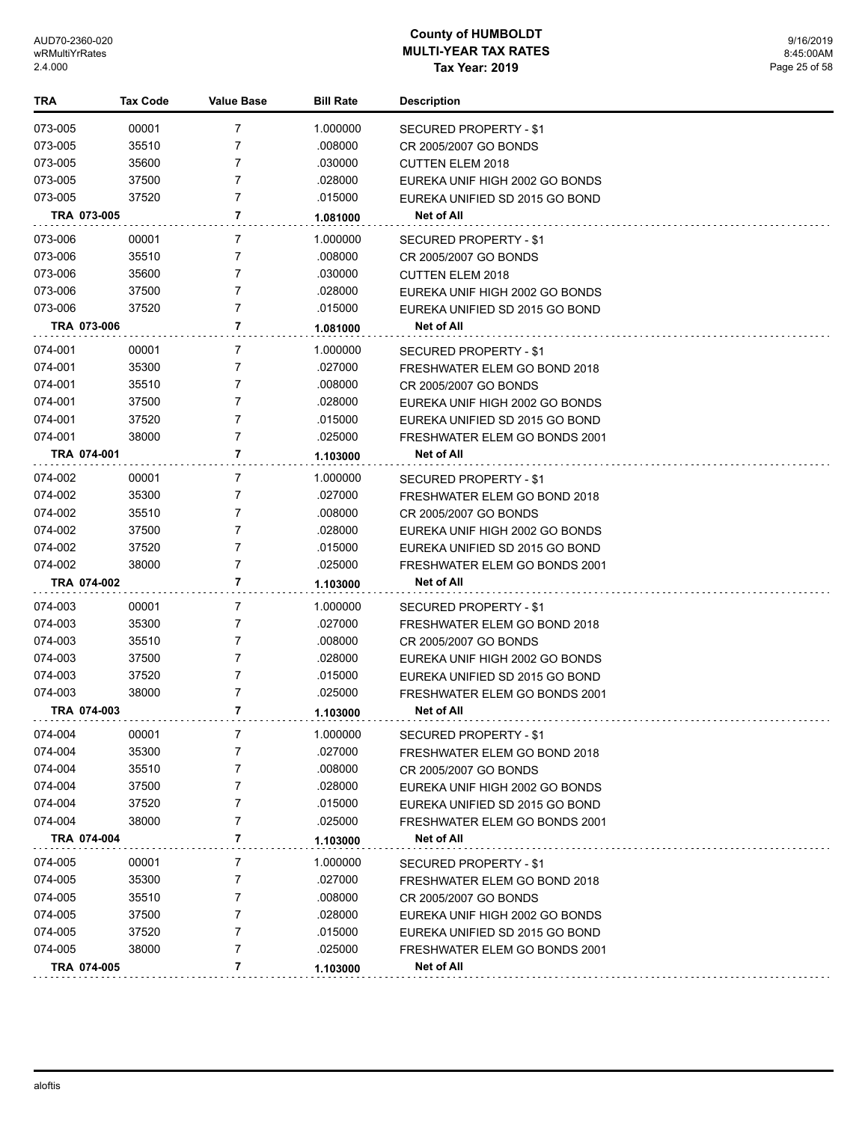| TRA         | <b>Tax Code</b> | <b>Value Base</b> | <b>Bill Rate</b> | <b>Description</b>             |
|-------------|-----------------|-------------------|------------------|--------------------------------|
| 073-005     | 00001           | $\overline{7}$    | 1.000000         | <b>SECURED PROPERTY - \$1</b>  |
| 073-005     | 35510           | 7                 | .008000          | CR 2005/2007 GO BONDS          |
| 073-005     | 35600           | 7                 | .030000          | <b>CUTTEN ELEM 2018</b>        |
| 073-005     | 37500           | 7                 | .028000          | EUREKA UNIF HIGH 2002 GO BONDS |
| 073-005     | 37520           | $\overline{7}$    | .015000          | EUREKA UNIFIED SD 2015 GO BOND |
| TRA 073-005 |                 | 7                 | 1.081000         | Net of All                     |
| 073-006     | 00001           | 7                 | 1.000000         | SECURED PROPERTY - \$1         |
| 073-006     | 35510           | 7                 | .008000          | CR 2005/2007 GO BONDS          |
| 073-006     | 35600           | 7                 | .030000          | <b>CUTTEN ELEM 2018</b>        |
| 073-006     | 37500           | $\overline{7}$    | .028000          | EUREKA UNIF HIGH 2002 GO BONDS |
| 073-006     | 37520           | $\overline{7}$    | .015000          | EUREKA UNIFIED SD 2015 GO BOND |
| TRA 073-006 |                 | 7                 | 1.081000         | Net of All                     |
| 074-001     | 00001           | 7                 | 1.000000         | SECURED PROPERTY - \$1         |
| 074-001     | 35300           | 7                 | .027000          | FRESHWATER ELEM GO BOND 2018   |
| 074-001     | 35510           | 7                 | .008000          | CR 2005/2007 GO BONDS          |
| 074-001     | 37500           | $\overline{7}$    | .028000          | EUREKA UNIF HIGH 2002 GO BONDS |
| 074-001     | 37520           | $\overline{7}$    | .015000          | EUREKA UNIFIED SD 2015 GO BOND |
| 074-001     | 38000           | $\overline{7}$    | .025000          | FRESHWATER ELEM GO BONDS 2001  |
| TRA 074-001 |                 | 7                 | 1.103000         | <b>Net of All</b>              |
| 074-002     | 00001           | 7                 | 1.000000         | SECURED PROPERTY - \$1         |
| 074-002     | 35300           | $\overline{7}$    | .027000          | FRESHWATER ELEM GO BOND 2018   |
| 074-002     | 35510           | 7                 | .008000          | CR 2005/2007 GO BONDS          |
| 074-002     | 37500           | $\overline{7}$    | .028000          | EUREKA UNIF HIGH 2002 GO BONDS |
| 074-002     | 37520           | $\overline{7}$    | .015000          | EUREKA UNIFIED SD 2015 GO BOND |
| 074-002     | 38000           | 7                 | .025000          | FRESHWATER ELEM GO BONDS 2001  |
| TRA 074-002 |                 | 7                 | 1.103000         | Net of All                     |
| 074-003     | 00001           | 7                 | 1.000000         | SECURED PROPERTY - \$1         |
| 074-003     | 35300           | $\overline{7}$    | .027000          | FRESHWATER ELEM GO BOND 2018   |
| 074-003     | 35510           | 7                 | .008000          | CR 2005/2007 GO BONDS          |
| 074-003     | 37500           | 7                 | .028000          | EUREKA UNIF HIGH 2002 GO BONDS |
| 074-003     | 37520           | 7                 | .015000          | EUREKA UNIFIED SD 2015 GO BOND |
| 074-003     | 38000           | 7                 | .025000          | FRESHWATER ELEM GO BONDS 2001  |
| TRA 074-003 |                 | 7                 | 1.103000         | <b>Net of All</b>              |
| 074-004     | 00001           |                   | 1.000000         | <b>SECURED PROPERTY - \$1</b>  |
| 074-004     | 35300           | 7                 | .027000          | FRESHWATER ELEM GO BOND 2018   |
| 074-004     | 35510           | 7                 | .008000          | CR 2005/2007 GO BONDS          |
| 074-004     | 37500           | 7                 | .028000          | EUREKA UNIF HIGH 2002 GO BONDS |
| 074-004     | 37520           | 7                 | .015000          | EUREKA UNIFIED SD 2015 GO BOND |
| 074-004     | 38000           | 7                 | .025000          | FRESHWATER ELEM GO BONDS 2001  |
| TRA 074-004 |                 | 7                 | 1.103000         | Net of All                     |
| 074-005     | 00001           | 7                 | 1.000000         | SECURED PROPERTY - \$1         |
| 074-005     | 35300           | $\overline{7}$    | .027000          | FRESHWATER ELEM GO BOND 2018   |
| 074-005     | 35510           | 7                 | .008000          | CR 2005/2007 GO BONDS          |
| 074-005     | 37500           | 7                 | .028000          | EUREKA UNIF HIGH 2002 GO BONDS |
| 074-005     | 37520           | $\overline{7}$    | .015000          | EUREKA UNIFIED SD 2015 GO BOND |
| 074-005     | 38000           | 7                 | .025000          | FRESHWATER ELEM GO BONDS 2001  |
| TRA 074-005 |                 | 7                 | 1.103000         | Net of All                     |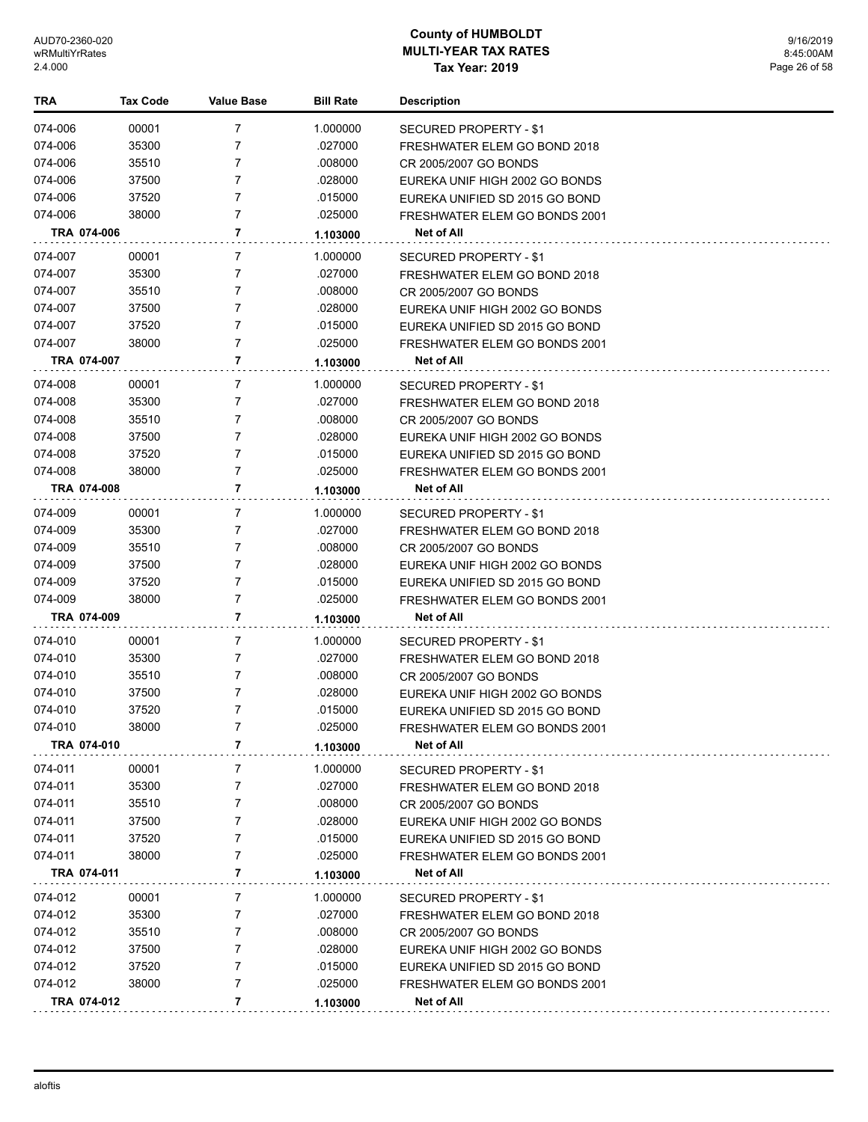| TRA     | Tax Code    | <b>Value Base</b> | <b>Bill Rate</b> | <b>Description</b>             |
|---------|-------------|-------------------|------------------|--------------------------------|
| 074-006 | 00001       | 7                 | 1.000000         | SECURED PROPERTY - \$1         |
| 074-006 | 35300       | 7                 | .027000          | FRESHWATER ELEM GO BOND 2018   |
| 074-006 | 35510       | 7                 | .008000          | CR 2005/2007 GO BONDS          |
| 074-006 | 37500       | 7                 | .028000          | EUREKA UNIF HIGH 2002 GO BONDS |
| 074-006 | 37520       | 7                 | .015000          | EUREKA UNIFIED SD 2015 GO BOND |
| 074-006 | 38000       | 7                 | .025000          | FRESHWATER ELEM GO BONDS 2001  |
|         | TRA 074-006 | 7                 | 1.103000         | Net of All                     |
| 074-007 | 00001       | 7                 | 1.000000         | SECURED PROPERTY - \$1         |
| 074-007 | 35300       | 7                 | .027000          | FRESHWATER ELEM GO BOND 2018   |
| 074-007 | 35510       | 7                 | .008000          | CR 2005/2007 GO BONDS          |
| 074-007 | 37500       | 7                 | .028000          | EUREKA UNIF HIGH 2002 GO BONDS |
| 074-007 | 37520       | 7                 | .015000          | EUREKA UNIFIED SD 2015 GO BOND |
| 074-007 | 38000       | 7                 | .025000          | FRESHWATER ELEM GO BONDS 2001  |
|         | TRA 074-007 | 7                 | 1.103000         | Net of All                     |
| 074-008 | 00001       | 7                 | 1.000000         | SECURED PROPERTY - \$1         |
| 074-008 | 35300       | 7                 | .027000          | FRESHWATER ELEM GO BOND 2018   |
| 074-008 | 35510       | 7                 | .008000          | CR 2005/2007 GO BONDS          |
| 074-008 | 37500       | 7                 | .028000          | EUREKA UNIF HIGH 2002 GO BONDS |
| 074-008 | 37520       | 7                 | .015000          | EUREKA UNIFIED SD 2015 GO BOND |
| 074-008 | 38000       | 7                 | .025000          | FRESHWATER ELEM GO BONDS 2001  |
|         | TRA 074-008 | 7                 | 1.103000         | <b>Net of All</b>              |
| 074-009 | 00001       | 7                 | 1.000000         | SECURED PROPERTY - \$1         |
| 074-009 | 35300       | 7                 | .027000          | FRESHWATER ELEM GO BOND 2018   |
| 074-009 | 35510       | 7                 | .008000          | CR 2005/2007 GO BONDS          |
| 074-009 | 37500       | 7                 | .028000          | EUREKA UNIF HIGH 2002 GO BONDS |
| 074-009 | 37520       | 7                 | .015000          | EUREKA UNIFIED SD 2015 GO BOND |
| 074-009 | 38000       | 7                 | .025000          | FRESHWATER ELEM GO BONDS 2001  |
|         | TRA 074-009 | 7                 | 1.103000         | Net of All                     |
| 074-010 | 00001       | 7                 | 1.000000         | SECURED PROPERTY - \$1         |
| 074-010 | 35300       | 7                 | .027000          | FRESHWATER ELEM GO BOND 2018   |
| 074-010 | 35510       | 7                 | .008000          | CR 2005/2007 GO BONDS          |
| 074-010 | 37500       | 7                 | .028000          | EUREKA UNIF HIGH 2002 GO BONDS |
| 074-010 | 37520       | 7                 | .015000          | EUREKA UNIFIED SD 2015 GO BOND |
| 074-010 | 38000       | 7                 | .025000          | FRESHWATER ELEM GO BONDS 2001  |
|         | TRA 074-010 | 7                 | 1.103000         | Net of All                     |
| 074-011 | 00001       | 7                 | 1.000000         | SECURED PROPERTY - \$1         |
| 074-011 | 35300       | 7                 | .027000          | FRESHWATER ELEM GO BOND 2018   |
| 074-011 | 35510       | 7                 | .008000          | CR 2005/2007 GO BONDS          |
| 074-011 | 37500       | 7                 | .028000          | EUREKA UNIF HIGH 2002 GO BONDS |
| 074-011 | 37520       | 7                 | .015000          | EUREKA UNIFIED SD 2015 GO BOND |
| 074-011 | 38000       | 7                 | .025000          | FRESHWATER ELEM GO BONDS 2001  |
|         | TRA 074-011 | 7                 | 1.103000         | Net of All                     |
| 074-012 | 00001       | 7                 | 1.000000         | SECURED PROPERTY - \$1         |
| 074-012 | 35300       | 7                 | .027000          | FRESHWATER ELEM GO BOND 2018   |
| 074-012 | 35510       | 7                 | .008000          | CR 2005/2007 GO BONDS          |
| 074-012 | 37500       | 7                 | .028000          | EUREKA UNIF HIGH 2002 GO BONDS |
| 074-012 | 37520       | 7                 | .015000          | EUREKA UNIFIED SD 2015 GO BOND |
| 074-012 | 38000       | $\overline{7}$    | .025000          | FRESHWATER ELEM GO BONDS 2001  |
|         | TRA 074-012 | 7                 | 1.103000         | Net of All                     |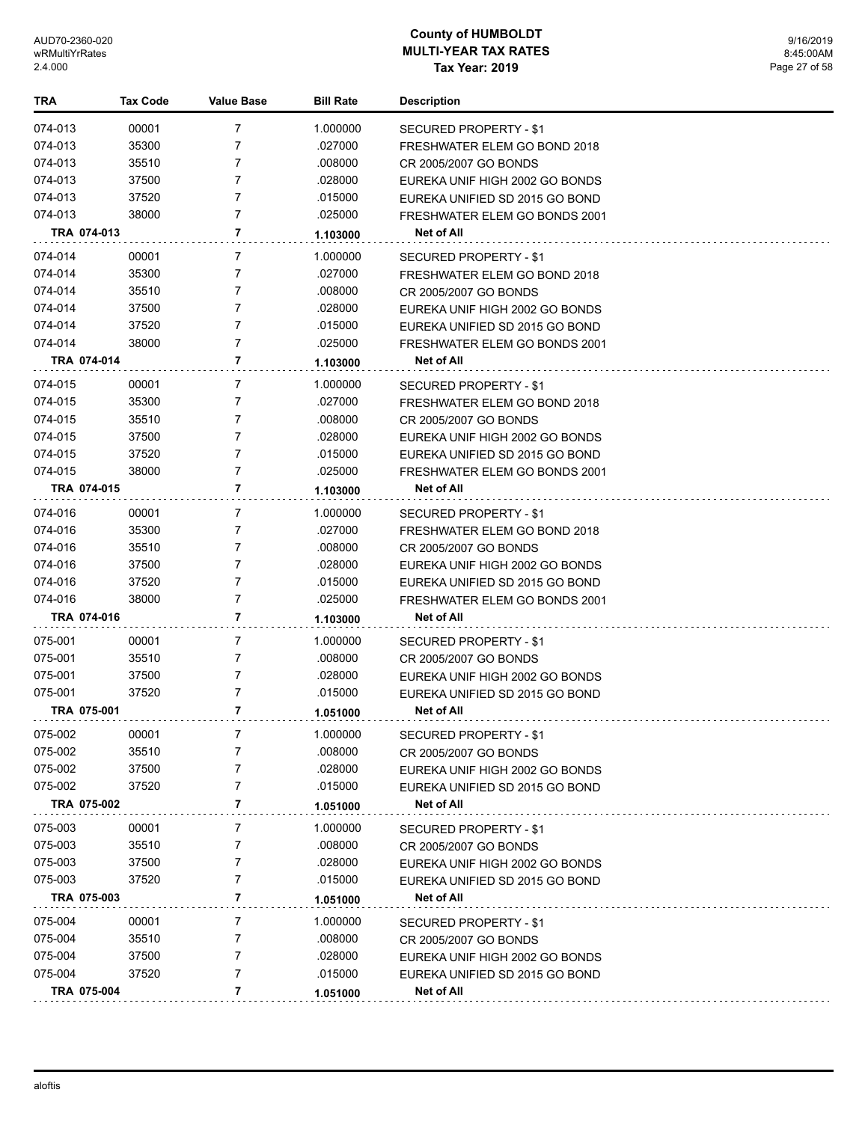| <b>TRA</b>  | <b>Tax Code</b> | <b>Value Base</b> | <b>Bill Rate</b> | <b>Description</b>             |
|-------------|-----------------|-------------------|------------------|--------------------------------|
| 074-013     | 00001           | 7                 | 1.000000         | SECURED PROPERTY - \$1         |
| 074-013     | 35300           | $\overline{7}$    | .027000          | FRESHWATER ELEM GO BOND 2018   |
| 074-013     | 35510           | 7                 | .008000          | CR 2005/2007 GO BONDS          |
| 074-013     | 37500           | 7                 | .028000          | EUREKA UNIF HIGH 2002 GO BONDS |
| 074-013     | 37520           | 7                 | .015000          | EUREKA UNIFIED SD 2015 GO BOND |
| 074-013     | 38000           | 7                 | .025000          | FRESHWATER ELEM GO BONDS 2001  |
| TRA 074-013 |                 | 7                 | 1.103000         | Net of All                     |
| 074-014     | 00001           | 7                 | 1.000000         | <b>SECURED PROPERTY - \$1</b>  |
| 074-014     | 35300           | $\overline{7}$    | .027000          | FRESHWATER ELEM GO BOND 2018   |
| 074-014     | 35510           | $\overline{7}$    | .008000          | CR 2005/2007 GO BONDS          |
| 074-014     | 37500           | 7                 | .028000          | EUREKA UNIF HIGH 2002 GO BONDS |
| 074-014     | 37520           | 7                 | .015000          | EUREKA UNIFIED SD 2015 GO BOND |
| 074-014     | 38000           | 7                 | .025000          | FRESHWATER ELEM GO BONDS 2001  |
| TRA 074-014 |                 | 7                 | 1.103000         | Net of All                     |
| 074-015     | 00001           | 7                 | 1.000000         | SECURED PROPERTY - \$1         |
| 074-015     | 35300           | $\overline{7}$    | .027000          | FRESHWATER ELEM GO BOND 2018   |
| 074-015     | 35510           | 7                 | .008000          | CR 2005/2007 GO BONDS          |
| 074-015     | 37500           | 7                 | .028000          | EUREKA UNIF HIGH 2002 GO BONDS |
| 074-015     | 37520           | $\overline{7}$    | .015000          | EUREKA UNIFIED SD 2015 GO BOND |
| 074-015     | 38000           | 7                 | .025000          | FRESHWATER ELEM GO BONDS 2001  |
| TRA 074-015 |                 | 7                 | 1.103000         | <b>Net of All</b>              |
| 074-016     | 00001           | 7                 | 1.000000         | SECURED PROPERTY - \$1         |
| 074-016     | 35300           | 7                 | .027000          | FRESHWATER ELEM GO BOND 2018   |
| 074-016     | 35510           | 7                 | .008000          | CR 2005/2007 GO BONDS          |
| 074-016     | 37500           | 7                 | .028000          | EUREKA UNIF HIGH 2002 GO BONDS |
| 074-016     | 37520           | 7                 | .015000          | EUREKA UNIFIED SD 2015 GO BOND |
| 074-016     | 38000           | 7                 | .025000          | FRESHWATER ELEM GO BONDS 2001  |
| TRA 074-016 |                 | 7                 | 1.103000         | Net of All                     |
| 075-001     | 00001           | 7                 | 1.000000         | SECURED PROPERTY - \$1         |
| 075-001     | 35510           | 7                 | .008000          | CR 2005/2007 GO BONDS          |
| 075-001     | 37500           | 7                 | .028000          | EUREKA UNIF HIGH 2002 GO BONDS |
| 075-001     | 37520           | 7                 | .015000          | EUREKA UNIFIED SD 2015 GO BOND |
| TRA 075-001 |                 | 7                 | 1.051000         | Net of All                     |
| 075-002     | 00001           | 7                 | 1.000000         | SECURED PROPERTY - \$1         |
| 075-002     | 35510           | 7                 | .008000          | CR 2005/2007 GO BONDS          |
| 075-002     | 37500           | 7                 | .028000          | EUREKA UNIF HIGH 2002 GO BONDS |
| 075-002     | 37520           | 7                 | .015000          | EUREKA UNIFIED SD 2015 GO BOND |
| TRA 075-002 |                 | 7                 | 1.051000         | Net of All                     |
| 075-003     | 00001           | 7                 | 1.000000         | <b>SECURED PROPERTY - \$1</b>  |
| 075-003     | 35510           | 7                 | .008000          | CR 2005/2007 GO BONDS          |
| 075-003     | 37500           | 7                 | .028000          | EUREKA UNIF HIGH 2002 GO BONDS |
| 075-003     | 37520           | 7                 | .015000          | EUREKA UNIFIED SD 2015 GO BOND |
| TRA 075-003 |                 | 7                 | 1.051000         | Net of All                     |
| 075-004     | 00001           | 7                 | 1.000000         | <b>SECURED PROPERTY - \$1</b>  |
| 075-004     | 35510           | 7                 | .008000          | CR 2005/2007 GO BONDS          |
| 075-004     | 37500           | 7                 | .028000          | EUREKA UNIF HIGH 2002 GO BONDS |
| 075-004     | 37520           | 7                 | .015000          | EUREKA UNIFIED SD 2015 GO BOND |
| TRA 075-004 |                 | 7                 | 1.051000         | Net of All                     |
|             |                 |                   |                  |                                |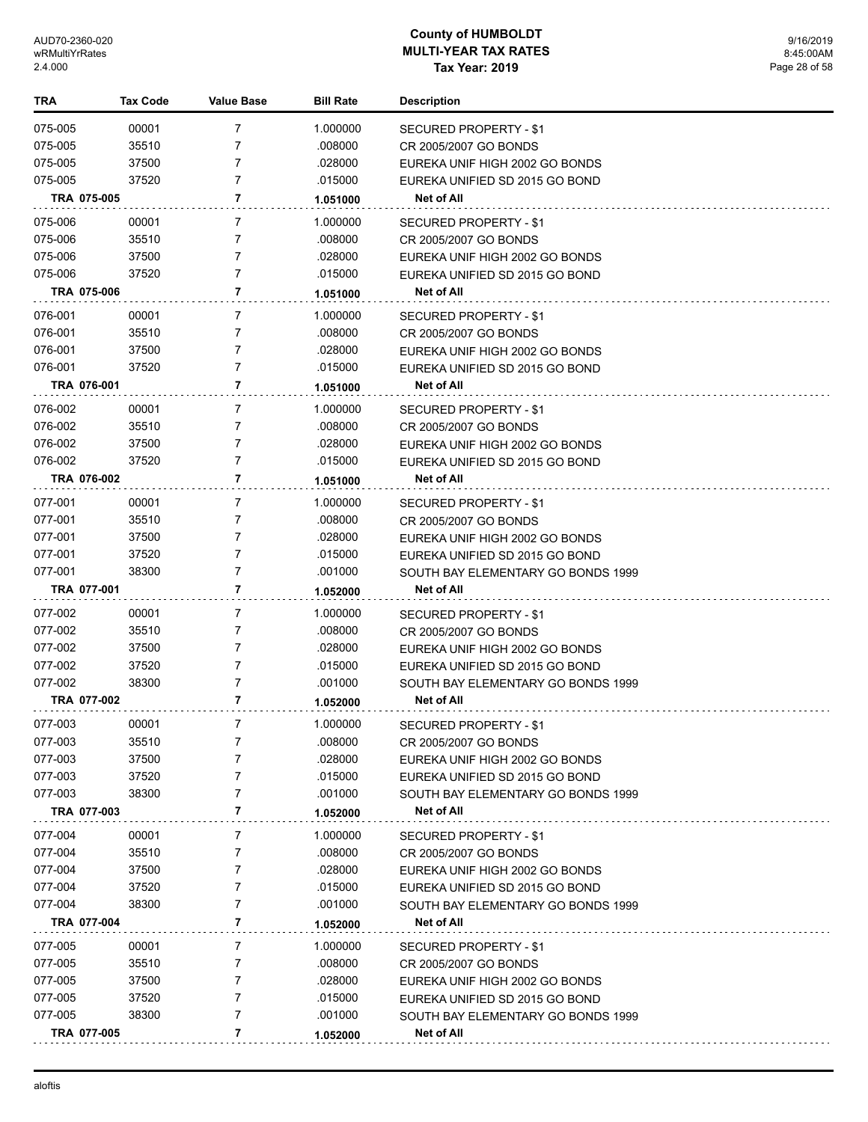| TRA                | <b>Tax Code</b> | <b>Value Base</b> | <b>Bill Rate</b>   | <b>Description</b>                                      |
|--------------------|-----------------|-------------------|--------------------|---------------------------------------------------------|
| 075-005            | 00001           | 7                 | 1.000000           | SECURED PROPERTY - \$1                                  |
| 075-005            | 35510           | 7                 | .008000            | CR 2005/2007 GO BONDS                                   |
| 075-005            | 37500           | 7                 | .028000            | EUREKA UNIF HIGH 2002 GO BONDS                          |
| 075-005            | 37520           | 7                 | .015000            | EUREKA UNIFIED SD 2015 GO BOND                          |
| TRA 075-005        |                 | 7                 | 1.051000           | Net of All                                              |
|                    |                 |                   |                    |                                                         |
| 075-006            | 00001<br>35510  | 7<br>7            | 1.000000           | SECURED PROPERTY - \$1                                  |
| 075-006<br>075-006 | 37500           | 7                 | .008000<br>.028000 | CR 2005/2007 GO BONDS<br>EUREKA UNIF HIGH 2002 GO BONDS |
| 075-006            | 37520           | 7                 | .015000            | EUREKA UNIFIED SD 2015 GO BOND                          |
| TRA 075-006        |                 | 7                 | 1.051000           | Net of All                                              |
| 076-001            | 00001           | 7                 | 1.000000           |                                                         |
| 076-001            | 35510           | 7                 | .008000            | SECURED PROPERTY - \$1<br>CR 2005/2007 GO BONDS         |
| 076-001            | 37500           | 7                 | .028000            | EUREKA UNIF HIGH 2002 GO BONDS                          |
| 076-001            | 37520           | 7                 | .015000            | EUREKA UNIFIED SD 2015 GO BOND                          |
| TRA 076-001        |                 | 7                 | 1.051000           | Net of All                                              |
| 076-002            | 00001           | 7                 | 1.000000           | SECURED PROPERTY - \$1                                  |
| 076-002            | 35510           | 7                 | .008000            | CR 2005/2007 GO BONDS                                   |
| 076-002            | 37500           | 7                 | .028000            | EUREKA UNIF HIGH 2002 GO BONDS                          |
| 076-002            | 37520           | 7                 | .015000            | EUREKA UNIFIED SD 2015 GO BOND                          |
| TRA 076-002        |                 | 7                 | 1.051000           | Net of All                                              |
| 077-001            | 00001           | 7                 | 1.000000           | SECURED PROPERTY - \$1                                  |
| 077-001            | 35510           | 7                 | .008000            | CR 2005/2007 GO BONDS                                   |
| 077-001            | 37500           | 7                 | .028000            | EUREKA UNIF HIGH 2002 GO BONDS                          |
| 077-001            | 37520           | 7                 | .015000            | EUREKA UNIFIED SD 2015 GO BOND                          |
| 077-001            | 38300           | 7                 | .001000            | SOUTH BAY ELEMENTARY GO BONDS 1999                      |
| TRA 077-001        |                 | 7                 | 1.052000           | Net of All                                              |
| 077-002            | 00001           | 7                 | 1.000000           | SECURED PROPERTY - \$1                                  |
| 077-002            | 35510           | 7                 | .008000            | CR 2005/2007 GO BONDS                                   |
| 077-002            | 37500           | 7                 | .028000            | EUREKA UNIF HIGH 2002 GO BONDS                          |
| 077-002            | 37520           | 7                 | .015000            | EUREKA UNIFIED SD 2015 GO BOND                          |
| 077-002            | 38300           | 7                 | .001000            | SOUTH BAY ELEMENTARY GO BONDS 1999                      |
| TRA 077-002        |                 | 7                 | 1.052000           | Net of All                                              |
| 077-003            | 00001           | 7                 | 1.000000           | SECURED PROPERTY - \$1                                  |
| 077-003            | 35510           | 7                 | .008000            | CR 2005/2007 GO BONDS                                   |
| 077-003            | 37500           | 7                 | .028000            | EUREKA UNIF HIGH 2002 GO BONDS                          |
| 077-003            | 37520           | 7                 | .015000            | EUREKA UNIFIED SD 2015 GO BOND                          |
| 077-003            | 38300           | 7                 | .001000            | SOUTH BAY ELEMENTARY GO BONDS 1999                      |
| TRA 077-003        |                 | 7                 | 1.052000           | Net of All                                              |
| 077-004            | 00001           | 7                 | 1.000000           | SECURED PROPERTY - \$1                                  |
| 077-004            | 35510           | 7                 | .008000            | CR 2005/2007 GO BONDS                                   |
| 077-004            | 37500           | 7                 | .028000            | EUREKA UNIF HIGH 2002 GO BONDS                          |
| 077-004            | 37520           | 7                 | .015000            | EUREKA UNIFIED SD 2015 GO BOND                          |
| 077-004            | 38300           | 7                 | .001000            | SOUTH BAY ELEMENTARY GO BONDS 1999                      |
| TRA 077-004        |                 | 7                 | 1.052000           | Net of All                                              |
| 077-005            | 00001           | 7                 | 1.000000           | SECURED PROPERTY - \$1                                  |
| 077-005            | 35510           | 7                 | .008000            | CR 2005/2007 GO BONDS                                   |
| 077-005            | 37500           | 7                 | .028000            | EUREKA UNIF HIGH 2002 GO BONDS                          |
| 077-005            | 37520           | 7                 | .015000            | EUREKA UNIFIED SD 2015 GO BOND                          |
| 077-005            | 38300           | 7                 | .001000            | SOUTH BAY ELEMENTARY GO BONDS 1999                      |
| TRA 077-005        |                 | 7                 | 1.052000           | Net of All                                              |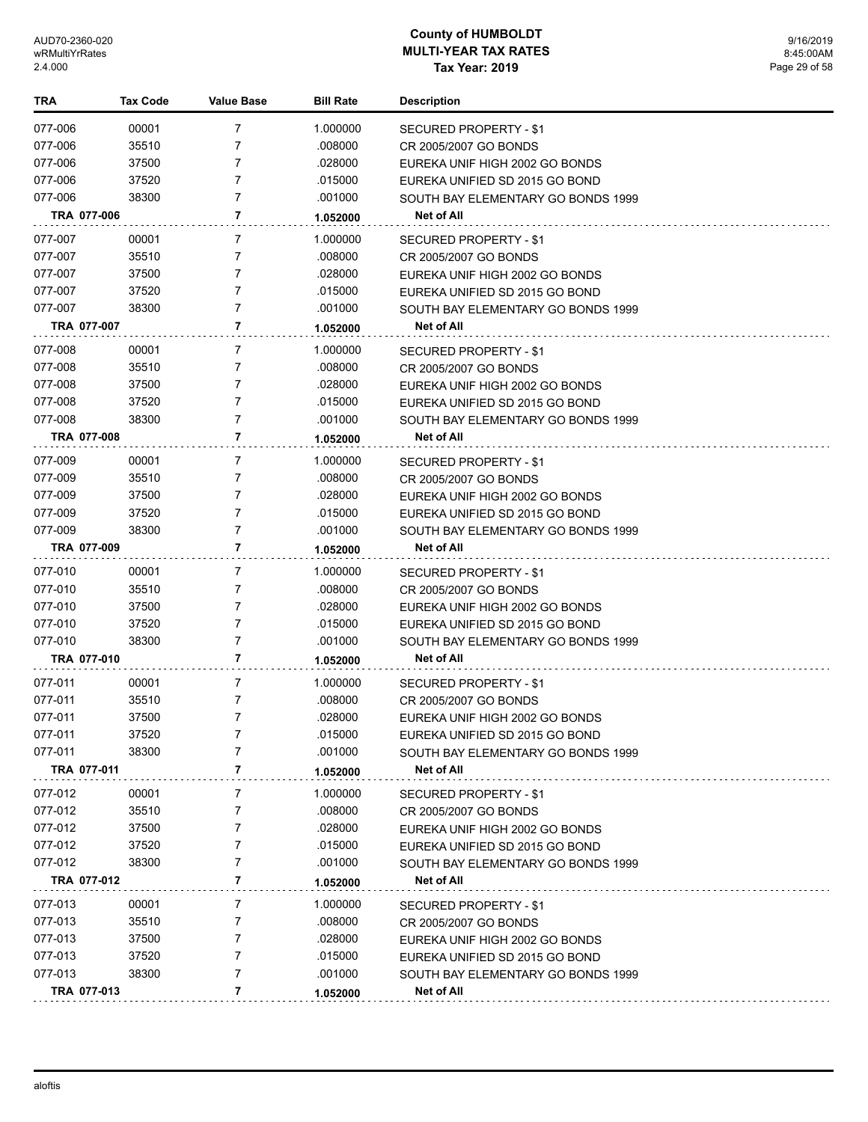| TRA         | Tax Code | <b>Value Base</b> | <b>Bill Rate</b> | <b>Description</b>                 |
|-------------|----------|-------------------|------------------|------------------------------------|
| 077-006     | 00001    | 7                 | 1.000000         | SECURED PROPERTY - \$1             |
| 077-006     | 35510    | 7                 | .008000          | CR 2005/2007 GO BONDS              |
| 077-006     | 37500    | 7                 | .028000          | EUREKA UNIF HIGH 2002 GO BONDS     |
| 077-006     | 37520    | $\overline{7}$    | .015000          | EUREKA UNIFIED SD 2015 GO BOND     |
| 077-006     | 38300    | 7                 | .001000          | SOUTH BAY ELEMENTARY GO BONDS 1999 |
| TRA 077-006 |          | 7                 | 1.052000         | Net of All                         |
| 077-007     | 00001    | $\overline{7}$    | 1.000000         | SECURED PROPERTY - \$1             |
| 077-007     | 35510    | 7                 | .008000          | CR 2005/2007 GO BONDS              |
| 077-007     | 37500    | 7                 | .028000          | EUREKA UNIF HIGH 2002 GO BONDS     |
| 077-007     | 37520    | 7                 | .015000          | EUREKA UNIFIED SD 2015 GO BOND     |
| 077-007     | 38300    | 7                 | .001000          | SOUTH BAY ELEMENTARY GO BONDS 1999 |
| TRA 077-007 |          | 7                 | 1.052000         | Net of All                         |
| 077-008     | 00001    | 7                 | 1.000000         | SECURED PROPERTY - \$1             |
| 077-008     | 35510    | 7                 | .008000          | CR 2005/2007 GO BONDS              |
| 077-008     | 37500    | 7                 | .028000          | EUREKA UNIF HIGH 2002 GO BONDS     |
| 077-008     | 37520    | 7                 | .015000          | EUREKA UNIFIED SD 2015 GO BOND     |
| 077-008     | 38300    | 7                 | .001000          | SOUTH BAY ELEMENTARY GO BONDS 1999 |
| TRA 077-008 |          | 7                 | 1.052000         | Net of All                         |
| 077-009     | 00001    | 7                 | 1.000000         | SECURED PROPERTY - \$1             |
| 077-009     | 35510    | 7                 | .008000          | CR 2005/2007 GO BONDS              |
| 077-009     | 37500    | 7                 | .028000          | EUREKA UNIF HIGH 2002 GO BONDS     |
| 077-009     | 37520    | 7                 | .015000          | EUREKA UNIFIED SD 2015 GO BOND     |
| 077-009     | 38300    | 7                 | .001000          | SOUTH BAY ELEMENTARY GO BONDS 1999 |
| TRA 077-009 |          | 7                 | 1.052000         | Net of All                         |
| 077-010     | 00001    | 7                 | 1.000000         | SECURED PROPERTY - \$1             |
| 077-010     | 35510    | 7                 | .008000          | CR 2005/2007 GO BONDS              |
| 077-010     | 37500    | 7                 | .028000          | EUREKA UNIF HIGH 2002 GO BONDS     |
| 077-010     | 37520    | 7                 | .015000          | EUREKA UNIFIED SD 2015 GO BOND     |
| 077-010     | 38300    | 7                 | .001000          | SOUTH BAY ELEMENTARY GO BONDS 1999 |
| TRA 077-010 |          | 7                 | 1.052000         | Net of All                         |
| 077-011     | 00001    | 7                 | 1.000000         | SECURED PROPERTY - \$1             |
| 077-011     | 35510    | 7                 | .008000          | CR 2005/2007 GO BONDS              |
| 077-011     | 37500    | 7                 | .028000          | EUREKA UNIF HIGH 2002 GO BONDS     |
| 077-011     | 37520    |                   | .015000          | EUREKA UNIFIED SD 2015 GO BOND     |
| 077-011     | 38300    | 7                 | .001000          | SOUTH BAY ELEMENTARY GO BONDS 1999 |
| TRA 077-011 |          | 7                 | 1.052000         | Net of All                         |
| 077-012     | 00001    | 7                 | 1.000000         | SECURED PROPERTY - \$1             |
| 077-012     | 35510    | 7                 | .008000          | CR 2005/2007 GO BONDS              |
| 077-012     | 37500    | 7                 | .028000          | EUREKA UNIF HIGH 2002 GO BONDS     |
| 077-012     | 37520    | 7                 | .015000          | EUREKA UNIFIED SD 2015 GO BOND     |
| 077-012     | 38300    | 7                 | .001000          | SOUTH BAY ELEMENTARY GO BONDS 1999 |
| TRA 077-012 |          | 7                 | 1.052000         | Net of All                         |
| 077-013     | 00001    | 7                 | 1.000000         | SECURED PROPERTY - \$1             |
| 077-013     | 35510    | 7                 | .008000          | CR 2005/2007 GO BONDS              |
| 077-013     | 37500    | 7                 | .028000          | EUREKA UNIF HIGH 2002 GO BONDS     |
| 077-013     | 37520    | 7                 | .015000          | EUREKA UNIFIED SD 2015 GO BOND     |
| 077-013     | 38300    | 7                 | .001000          | SOUTH BAY ELEMENTARY GO BONDS 1999 |
| TRA 077-013 |          | 7                 | 1.052000         | Net of All                         |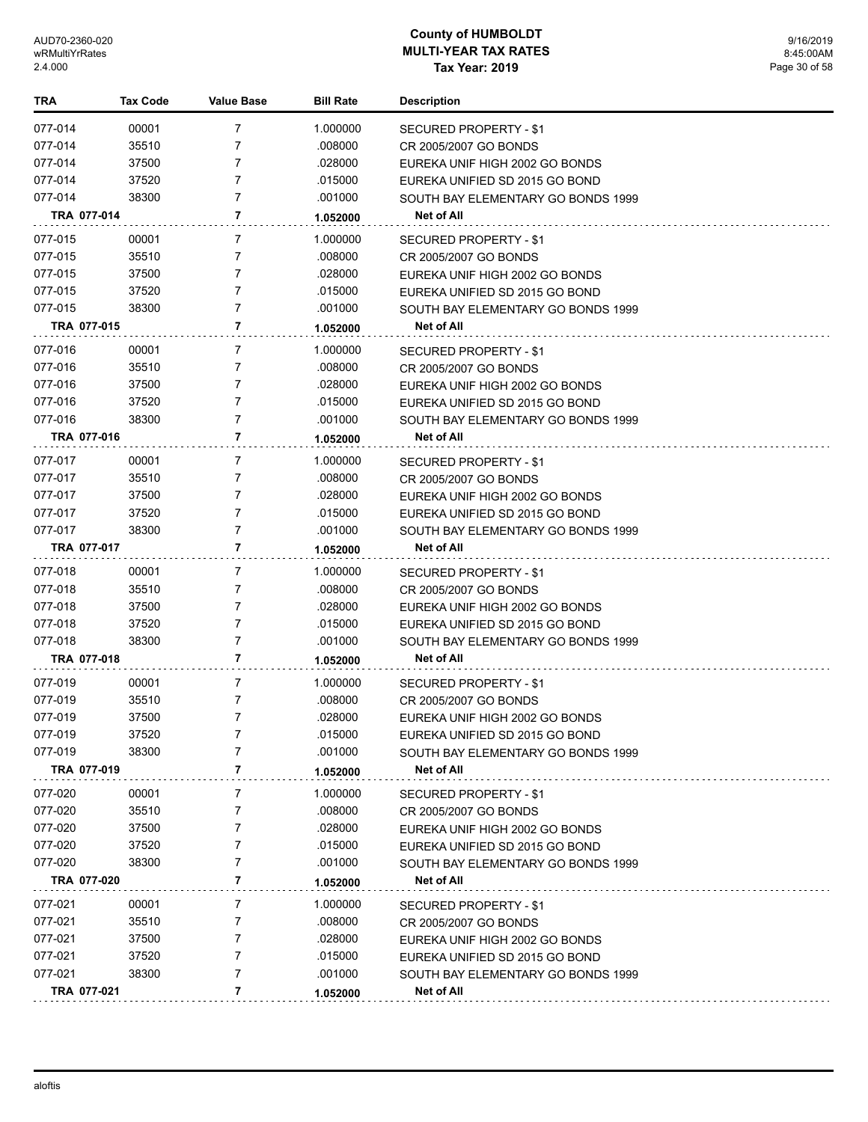| TRA         | <b>Tax Code</b> | Value Base     | <b>Bill Rate</b> | <b>Description</b>                 |
|-------------|-----------------|----------------|------------------|------------------------------------|
| 077-014     | 00001           | $\overline{7}$ | 1.000000         | SECURED PROPERTY - \$1             |
| 077-014     | 35510           | 7              | .008000          | CR 2005/2007 GO BONDS              |
| 077-014     | 37500           | $\overline{7}$ | .028000          | EUREKA UNIF HIGH 2002 GO BONDS     |
| 077-014     | 37520           | 7              | .015000          | EUREKA UNIFIED SD 2015 GO BOND     |
| 077-014     | 38300           | 7              | .001000          | SOUTH BAY ELEMENTARY GO BONDS 1999 |
| TRA 077-014 |                 | 7              | 1.052000         | <b>Net of All</b>                  |
| 077-015     | 00001           | 7              | 1.000000         | SECURED PROPERTY - \$1             |
| 077-015     | 35510           | 7              | .008000          | CR 2005/2007 GO BONDS              |
| 077-015     | 37500           | 7              | .028000          | EUREKA UNIF HIGH 2002 GO BONDS     |
| 077-015     | 37520           | 7              | .015000          | EUREKA UNIFIED SD 2015 GO BOND     |
| 077-015     | 38300           | 7              | .001000          | SOUTH BAY ELEMENTARY GO BONDS 1999 |
| TRA 077-015 |                 | 7              | 1.052000         | Net of All                         |
| 077-016     | 00001           | 7              | 1.000000         | SECURED PROPERTY - \$1             |
| 077-016     | 35510           | 7              | .008000          | CR 2005/2007 GO BONDS              |
| 077-016     | 37500           | 7              | .028000          | EUREKA UNIF HIGH 2002 GO BONDS     |
| 077-016     | 37520           | 7              | .015000          | EUREKA UNIFIED SD 2015 GO BOND     |
| 077-016     | 38300           | $\overline{7}$ | .001000          | SOUTH BAY ELEMENTARY GO BONDS 1999 |
| TRA 077-016 |                 | 7              | 1.052000         | <b>Net of All</b>                  |
| 077-017     | 00001           | 7              | 1.000000         | SECURED PROPERTY - \$1             |
| 077-017     | 35510           | 7              | .008000          | CR 2005/2007 GO BONDS              |
| 077-017     | 37500           | 7              | .028000          | EUREKA UNIF HIGH 2002 GO BONDS     |
| 077-017     | 37520           | $\overline{7}$ | .015000          | EUREKA UNIFIED SD 2015 GO BOND     |
| 077-017     | 38300           | 7              | .001000          | SOUTH BAY ELEMENTARY GO BONDS 1999 |
| TRA 077-017 |                 | 7              | 1.052000         | Net of All                         |
| 077-018     | 00001           | 7              | 1.000000         | <b>SECURED PROPERTY - \$1</b>      |
| 077-018     | 35510           | 7              | .008000          | CR 2005/2007 GO BONDS              |
| 077-018     | 37500           | 7              | .028000          | EUREKA UNIF HIGH 2002 GO BONDS     |
| 077-018     | 37520           | $\overline{7}$ | .015000          | EUREKA UNIFIED SD 2015 GO BOND     |
| 077-018     | 38300           | 7              | .001000          | SOUTH BAY ELEMENTARY GO BONDS 1999 |
| TRA 077-018 |                 | 7              | 1.052000         | Net of All                         |
| 077-019     | 00001           | 7              | 1.000000         | SECURED PROPERTY - \$1             |
| 077-019     | 35510           | 7              | .008000          | CR 2005/2007 GO BONDS              |
| 077-019     | 37500           | 7              | .028000          | EUREKA UNIF HIGH 2002 GO BONDS     |
| 077-019     | 37520           | 7              | .015000          | EUREKA UNIFIED SD 2015 GO BOND     |
| 077-019     | 38300           | 7              | .001000          | SOUTH BAY ELEMENTARY GO BONDS 1999 |
| TRA 077-019 |                 | 7              | 1.052000         | Net of All                         |
| 077-020     | 00001           | 7              | 1.000000         | <b>SECURED PROPERTY - \$1</b>      |
| 077-020     | 35510           | 7              | .008000          | CR 2005/2007 GO BONDS              |
| 077-020     | 37500           | 7              | .028000          | EUREKA UNIF HIGH 2002 GO BONDS     |
| 077-020     | 37520           | 7              | .015000          | EUREKA UNIFIED SD 2015 GO BOND     |
| 077-020     | 38300           | 7              | .001000          | SOUTH BAY ELEMENTARY GO BONDS 1999 |
| TRA 077-020 |                 | 7              | 1.052000         | Net of All                         |
| 077-021     | 00001           | 7              | 1.000000         | SECURED PROPERTY - \$1             |
| 077-021     | 35510           | 7              | .008000          | CR 2005/2007 GO BONDS              |
| 077-021     | 37500           | 7              | .028000          | EUREKA UNIF HIGH 2002 GO BONDS     |
| 077-021     | 37520           | 7              | .015000          | EUREKA UNIFIED SD 2015 GO BOND     |
| 077-021     | 38300           | $\overline{7}$ | .001000          | SOUTH BAY ELEMENTARY GO BONDS 1999 |
| TRA 077-021 |                 | 7              | 1.052000         | <b>Net of All</b>                  |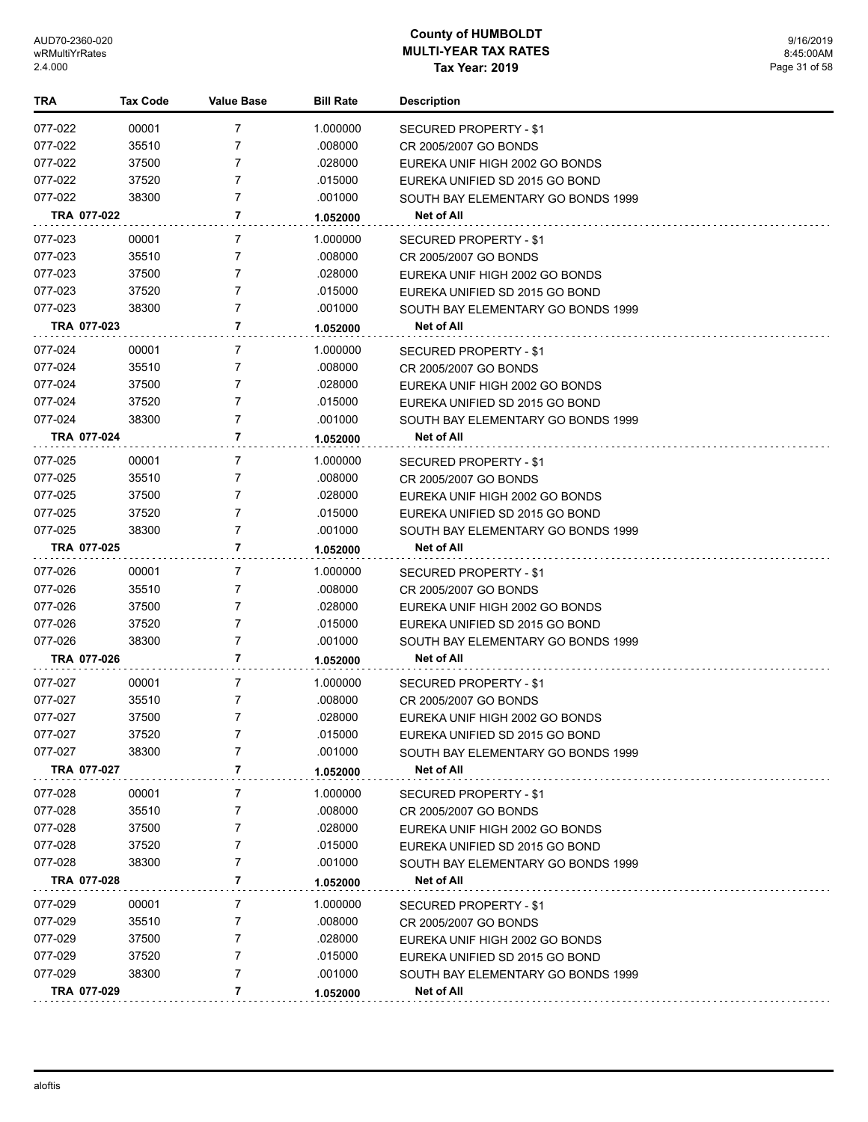| TRA         | <b>Tax Code</b> | <b>Value Base</b> | <b>Bill Rate</b> | <b>Description</b>                 |
|-------------|-----------------|-------------------|------------------|------------------------------------|
| 077-022     | 00001           | 7                 | 1.000000         | SECURED PROPERTY - \$1             |
| 077-022     | 35510           | 7                 | .008000          | CR 2005/2007 GO BONDS              |
| 077-022     | 37500           | 7                 | .028000          | EUREKA UNIF HIGH 2002 GO BONDS     |
| 077-022     | 37520           | 7                 | .015000          | EUREKA UNIFIED SD 2015 GO BOND     |
| 077-022     | 38300           | 7                 | .001000          | SOUTH BAY ELEMENTARY GO BONDS 1999 |
| TRA 077-022 |                 | 7                 | 1.052000         | Net of All                         |
| 077-023     | 00001           | 7                 | 1.000000         | SECURED PROPERTY - \$1             |
| 077-023     | 35510           | 7                 | .008000          | CR 2005/2007 GO BONDS              |
| 077-023     | 37500           | 7                 | .028000          | EUREKA UNIF HIGH 2002 GO BONDS     |
| 077-023     | 37520           | 7                 | .015000          | EUREKA UNIFIED SD 2015 GO BOND     |
| 077-023     | 38300           | 7                 | .001000          | SOUTH BAY ELEMENTARY GO BONDS 1999 |
| TRA 077-023 |                 | 7                 | 1.052000         | Net of All                         |
| 077-024     | 00001           | 7                 | 1.000000         | SECURED PROPERTY - \$1             |
| 077-024     | 35510           | 7                 | .008000          | CR 2005/2007 GO BONDS              |
| 077-024     | 37500           | 7                 | .028000          | EUREKA UNIF HIGH 2002 GO BONDS     |
| 077-024     | 37520           | 7                 | .015000          | EUREKA UNIFIED SD 2015 GO BOND     |
| 077-024     | 38300           | 7                 | .001000          | SOUTH BAY ELEMENTARY GO BONDS 1999 |
| TRA 077-024 |                 | 7                 | 1.052000         | Net of All                         |
| 077-025     | 00001           | 7                 | 1.000000         | SECURED PROPERTY - \$1             |
| 077-025     | 35510           | 7                 | .008000          | CR 2005/2007 GO BONDS              |
| 077-025     | 37500           | 7                 | .028000          | EUREKA UNIF HIGH 2002 GO BONDS     |
| 077-025     | 37520           | 7                 | .015000          | EUREKA UNIFIED SD 2015 GO BOND     |
| 077-025     | 38300           | 7                 | .001000          | SOUTH BAY ELEMENTARY GO BONDS 1999 |
| TRA 077-025 |                 | 7                 | 1.052000         | Net of All                         |
| 077-026     | 00001           | 7                 | 1.000000         | SECURED PROPERTY - \$1             |
| 077-026     | 35510           | 7                 | .008000          | CR 2005/2007 GO BONDS              |
| 077-026     | 37500           | 7                 | .028000          | EUREKA UNIF HIGH 2002 GO BONDS     |
| 077-026     | 37520           | 7                 | .015000          | EUREKA UNIFIED SD 2015 GO BOND     |
| 077-026     | 38300           | 7                 | .001000          | SOUTH BAY ELEMENTARY GO BONDS 1999 |
| TRA 077-026 |                 | 7                 | 1.052000         | Net of All                         |
| 077-027     | 00001           | 7                 | 1.000000         | SECURED PROPERTY - \$1             |
| 077-027     | 35510           | 7                 | .008000          | CR 2005/2007 GO BONDS              |
| 077-027     | 37500           | 7                 | .028000          | EUREKA UNIF HIGH 2002 GO BONDS     |
| 077-027     | 37520           | 7                 | .015000          | EUREKA UNIFIED SD 2015 GO BOND     |
| 077-027     | 38300           | 7                 | .001000          | SOUTH BAY ELEMENTARY GO BONDS 1999 |
| TRA 077-027 |                 | 7                 | 1.052000         | Net of All                         |
| 077-028     | 00001           | 7                 | 1.000000         | <b>SECURED PROPERTY - \$1</b>      |
| 077-028     | 35510           | 7                 | .008000          | CR 2005/2007 GO BONDS              |
| 077-028     | 37500           | 7                 | .028000          | EUREKA UNIF HIGH 2002 GO BONDS     |
| 077-028     | 37520           | 7                 | .015000          | EUREKA UNIFIED SD 2015 GO BOND     |
| 077-028     | 38300           | 7                 | .001000          | SOUTH BAY ELEMENTARY GO BONDS 1999 |
| TRA 077-028 |                 | 7                 | 1.052000         | Net of All                         |
| 077-029     | 00001           | 7                 | 1.000000         | <b>SECURED PROPERTY - \$1</b>      |
| 077-029     | 35510           | 7                 | .008000          | CR 2005/2007 GO BONDS              |
| 077-029     | 37500           | 7                 | .028000          | EUREKA UNIF HIGH 2002 GO BONDS     |
| 077-029     | 37520           | 7                 | .015000          | EUREKA UNIFIED SD 2015 GO BOND     |
| 077-029     | 38300           | 7                 | .001000          | SOUTH BAY ELEMENTARY GO BONDS 1999 |
| TRA 077-029 |                 | 7                 | 1.052000         | Net of All                         |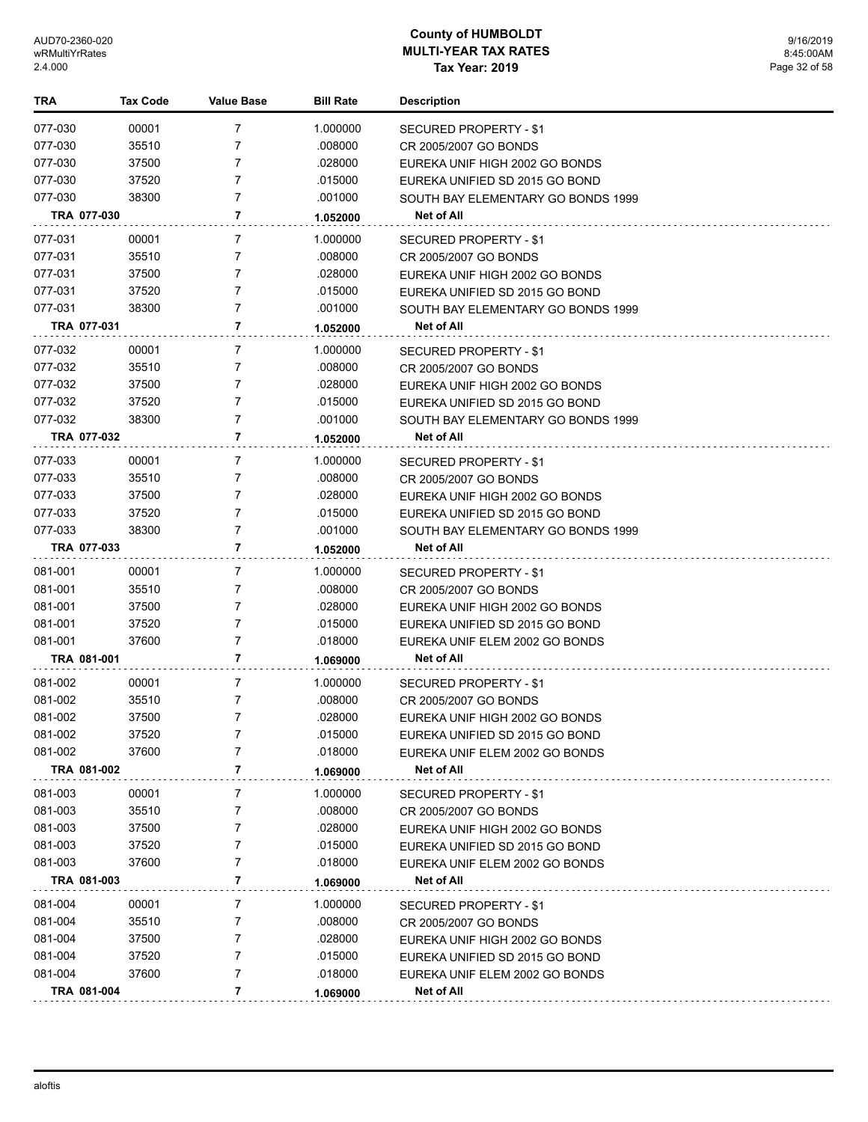| TRA         | Tax Code | <b>Value Base</b> | <b>Bill Rate</b> | <b>Description</b>                 |
|-------------|----------|-------------------|------------------|------------------------------------|
| 077-030     | 00001    | 7                 | 1.000000         | SECURED PROPERTY - \$1             |
| 077-030     | 35510    | 7                 | .008000          | CR 2005/2007 GO BONDS              |
| 077-030     | 37500    | 7                 | .028000          | EUREKA UNIF HIGH 2002 GO BONDS     |
| 077-030     | 37520    | $\overline{7}$    | .015000          | EUREKA UNIFIED SD 2015 GO BOND     |
| 077-030     | 38300    | 7                 | .001000          | SOUTH BAY ELEMENTARY GO BONDS 1999 |
| TRA 077-030 |          | 7                 | 1.052000         | Net of All                         |
| 077-031     | 00001    | $\overline{7}$    | 1.000000         | SECURED PROPERTY - \$1             |
| 077-031     | 35510    | 7                 | .008000          | CR 2005/2007 GO BONDS              |
| 077-031     | 37500    | 7                 | .028000          | EUREKA UNIF HIGH 2002 GO BONDS     |
| 077-031     | 37520    | 7                 | .015000          | EUREKA UNIFIED SD 2015 GO BOND     |
| 077-031     | 38300    | 7                 | .001000          | SOUTH BAY ELEMENTARY GO BONDS 1999 |
| TRA 077-031 |          | 7                 | 1.052000         | Net of All                         |
| 077-032     | 00001    | 7                 | 1.000000         | SECURED PROPERTY - \$1             |
| 077-032     | 35510    | 7                 | .008000          | CR 2005/2007 GO BONDS              |
| 077-032     | 37500    | 7                 | .028000          | EUREKA UNIF HIGH 2002 GO BONDS     |
| 077-032     | 37520    | 7                 | .015000          | EUREKA UNIFIED SD 2015 GO BOND     |
| 077-032     | 38300    | 7                 | .001000          | SOUTH BAY ELEMENTARY GO BONDS 1999 |
| TRA 077-032 |          | 7                 | 1.052000         | Net of All                         |
| 077-033     | 00001    | 7                 | 1.000000         | SECURED PROPERTY - \$1             |
| 077-033     | 35510    | 7                 | .008000          | CR 2005/2007 GO BONDS              |
| 077-033     | 37500    | 7                 | .028000          | EUREKA UNIF HIGH 2002 GO BONDS     |
| 077-033     | 37520    | 7                 | .015000          | EUREKA UNIFIED SD 2015 GO BOND     |
| 077-033     | 38300    | 7                 | .001000          | SOUTH BAY ELEMENTARY GO BONDS 1999 |
| TRA 077-033 |          | 7                 | 1.052000         | Net of All                         |
| 081-001     | 00001    | 7                 | 1.000000         | SECURED PROPERTY - \$1             |
| 081-001     | 35510    | 7                 | .008000          | CR 2005/2007 GO BONDS              |
| 081-001     | 37500    | 7                 | .028000          | EUREKA UNIF HIGH 2002 GO BONDS     |
| 081-001     | 37520    | 7                 | .015000          | EUREKA UNIFIED SD 2015 GO BOND     |
| 081-001     | 37600    | 7                 | .018000          | EUREKA UNIF ELEM 2002 GO BONDS     |
| TRA 081-001 |          | 7                 | 1.069000         | <b>Net of All</b>                  |
| 081-002     | 00001    | 7                 | 1.000000         | SECURED PROPERTY - \$1             |
| 081-002     | 35510    | 7                 | .008000          | CR 2005/2007 GO BONDS              |
| 081-002     | 37500    | 7                 | .028000          | EUREKA UNIF HIGH 2002 GO BONDS     |
| 081-002     | 37520    |                   | .015000          | EUREKA UNIFIED SD 2015 GO BOND     |
| 081-002     | 37600    | 7                 | .018000          | EUREKA UNIF ELEM 2002 GO BONDS     |
| TRA 081-002 |          | 7                 | 1.069000         | Net of All                         |
| 081-003     | 00001    | 7                 | 1.000000         | SECURED PROPERTY - \$1             |
| 081-003     | 35510    | 7                 | .008000          | CR 2005/2007 GO BONDS              |
| 081-003     | 37500    | 7                 | .028000          | EUREKA UNIF HIGH 2002 GO BONDS     |
| 081-003     | 37520    | 7                 | .015000          | EUREKA UNIFIED SD 2015 GO BOND     |
| 081-003     | 37600    | 7                 | .018000          | EUREKA UNIF ELEM 2002 GO BONDS     |
| TRA 081-003 |          | 7                 | 1.069000         | Net of All                         |
| 081-004     | 00001    | 7                 | 1.000000         | SECURED PROPERTY - \$1             |
| 081-004     | 35510    | 7                 | .008000          | CR 2005/2007 GO BONDS              |
| 081-004     | 37500    | 7                 | .028000          | EUREKA UNIF HIGH 2002 GO BONDS     |
| 081-004     | 37520    | 7                 | .015000          | EUREKA UNIFIED SD 2015 GO BOND     |
| 081-004     | 37600    | 7                 | .018000          | EUREKA UNIF ELEM 2002 GO BONDS     |
| TRA 081-004 |          | 7                 | 1.069000         | Net of All                         |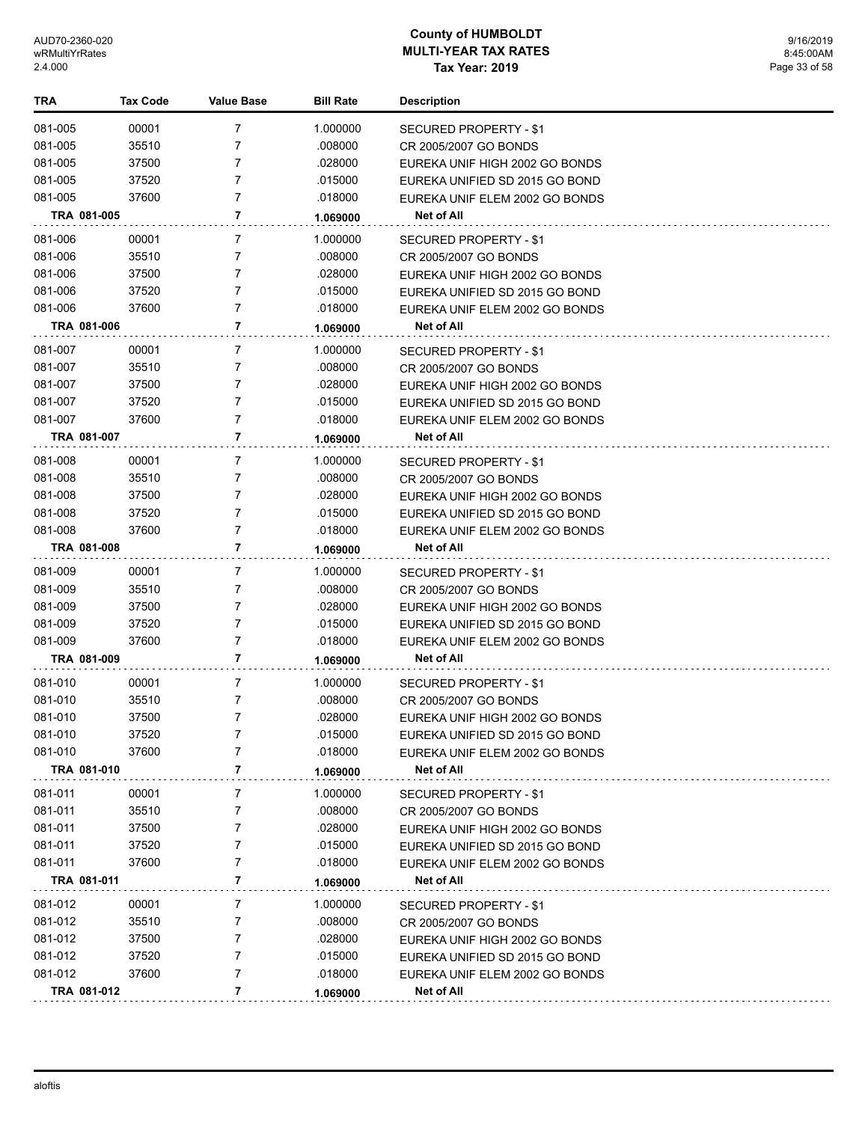| TRA                | <b>Tax Code</b> | <b>Value Base</b> | <b>Bill Rate</b>   | <b>Description</b>                                               |
|--------------------|-----------------|-------------------|--------------------|------------------------------------------------------------------|
| 081-005            | 00001           | 7                 | 1.000000           | SECURED PROPERTY - \$1                                           |
| 081-005            | 35510           | 7                 | .008000            | CR 2005/2007 GO BONDS                                            |
| 081-005            | 37500           | 7                 | .028000            | EUREKA UNIF HIGH 2002 GO BONDS                                   |
| 081-005            | 37520           | 7                 | .015000            | EUREKA UNIFIED SD 2015 GO BOND                                   |
| 081-005            | 37600           | 7                 | .018000            | EUREKA UNIF ELEM 2002 GO BONDS                                   |
| TRA 081-005        |                 | 7                 | 1.069000           | Net of All                                                       |
| 081-006            | 00001           | 7                 | 1.000000           | SECURED PROPERTY - \$1                                           |
| 081-006            | 35510           | 7                 | .008000            | CR 2005/2007 GO BONDS                                            |
| 081-006            | 37500           | 7                 | .028000            | EUREKA UNIF HIGH 2002 GO BONDS                                   |
| 081-006            | 37520           | 7                 | .015000            | EUREKA UNIFIED SD 2015 GO BOND                                   |
| 081-006            | 37600           | 7                 | .018000            | EUREKA UNIF ELEM 2002 GO BONDS                                   |
| TRA 081-006        |                 | 7                 | 1.069000           | Net of All                                                       |
| 081-007            |                 | 7                 | 1.000000           |                                                                  |
| 081-007            | 00001<br>35510  | 7                 | .008000            | SECURED PROPERTY - \$1<br>CR 2005/2007 GO BONDS                  |
| 081-007            | 37500           | 7                 | .028000            | EUREKA UNIF HIGH 2002 GO BONDS                                   |
| 081-007            | 37520           | 7                 | .015000            | EUREKA UNIFIED SD 2015 GO BOND                                   |
| 081-007            | 37600           | 7                 | .018000            | EUREKA UNIF ELEM 2002 GO BONDS                                   |
| TRA 081-007        |                 | 7                 | 1.069000           | Net of All                                                       |
| 081-008            |                 |                   |                    |                                                                  |
|                    | 00001<br>35510  | 7<br>7            | 1.000000           | SECURED PROPERTY - \$1                                           |
| 081-008<br>081-008 | 37500           | 7                 | .008000<br>.028000 | CR 2005/2007 GO BONDS                                            |
| 081-008            | 37520           | 7                 | .015000            | EUREKA UNIF HIGH 2002 GO BONDS<br>EUREKA UNIFIED SD 2015 GO BOND |
| 081-008            | 37600           | 7                 | .018000            | EUREKA UNIF ELEM 2002 GO BONDS                                   |
| TRA 081-008        |                 | 7                 | 1.069000           | Net of All                                                       |
|                    |                 |                   |                    |                                                                  |
| 081-009            | 00001           | 7                 | 1.000000           | SECURED PROPERTY - \$1                                           |
| 081-009            | 35510           | 7<br>7            | .008000            | CR 2005/2007 GO BONDS                                            |
| 081-009<br>081-009 | 37500<br>37520  | 7                 | .028000<br>.015000 | EUREKA UNIF HIGH 2002 GO BONDS                                   |
| 081-009            | 37600           | 7                 | .018000            | EUREKA UNIFIED SD 2015 GO BOND<br>EUREKA UNIF ELEM 2002 GO BONDS |
| TRA 081-009        |                 | 7                 | 1.069000           | <b>Net of All</b>                                                |
|                    |                 |                   |                    |                                                                  |
| 081-010            | 00001           | 7                 | 1.000000           | SECURED PROPERTY - \$1                                           |
| 081-010            | 35510           | 7                 | .008000            | CR 2005/2007 GO BONDS                                            |
| 081-010            | 37500           | 7                 | .028000            | EUREKA UNIF HIGH 2002 GO BONDS                                   |
| 081-010<br>081-010 | 37520<br>37600  | 7                 | .015000            | EUREKA UNIFIED SD 2015 GO BOND                                   |
| TRA 081-010        |                 | 7                 | .018000            | EUREKA UNIF ELEM 2002 GO BONDS<br>Net of All                     |
|                    |                 |                   | 1.069000           |                                                                  |
| 081-011            | 00001           | 7                 | 1.000000           | SECURED PROPERTY - \$1                                           |
| 081-011            | 35510           | 7                 | .008000            | CR 2005/2007 GO BONDS                                            |
| 081-011            | 37500           | 7                 | .028000            | EUREKA UNIF HIGH 2002 GO BONDS                                   |
| 081-011            | 37520           | 7                 | .015000            | EUREKA UNIFIED SD 2015 GO BOND                                   |
| 081-011            | 37600           | 7                 | .018000            | EUREKA UNIF ELEM 2002 GO BONDS                                   |
| TRA 081-011        |                 | 7                 | 1.069000           | Net of All                                                       |
| 081-012            | 00001           | 7                 | 1.000000           | SECURED PROPERTY - \$1                                           |
| 081-012            | 35510           | 7                 | .008000            | CR 2005/2007 GO BONDS                                            |
| 081-012            | 37500           | 7                 | .028000            | EUREKA UNIF HIGH 2002 GO BONDS                                   |
| 081-012            | 37520           | 7                 | .015000            | EUREKA UNIFIED SD 2015 GO BOND                                   |
| 081-012            | 37600           | 7                 | .018000            | EUREKA UNIF ELEM 2002 GO BONDS                                   |
| TRA 081-012        |                 | 7                 | 1.069000           | Net of All                                                       |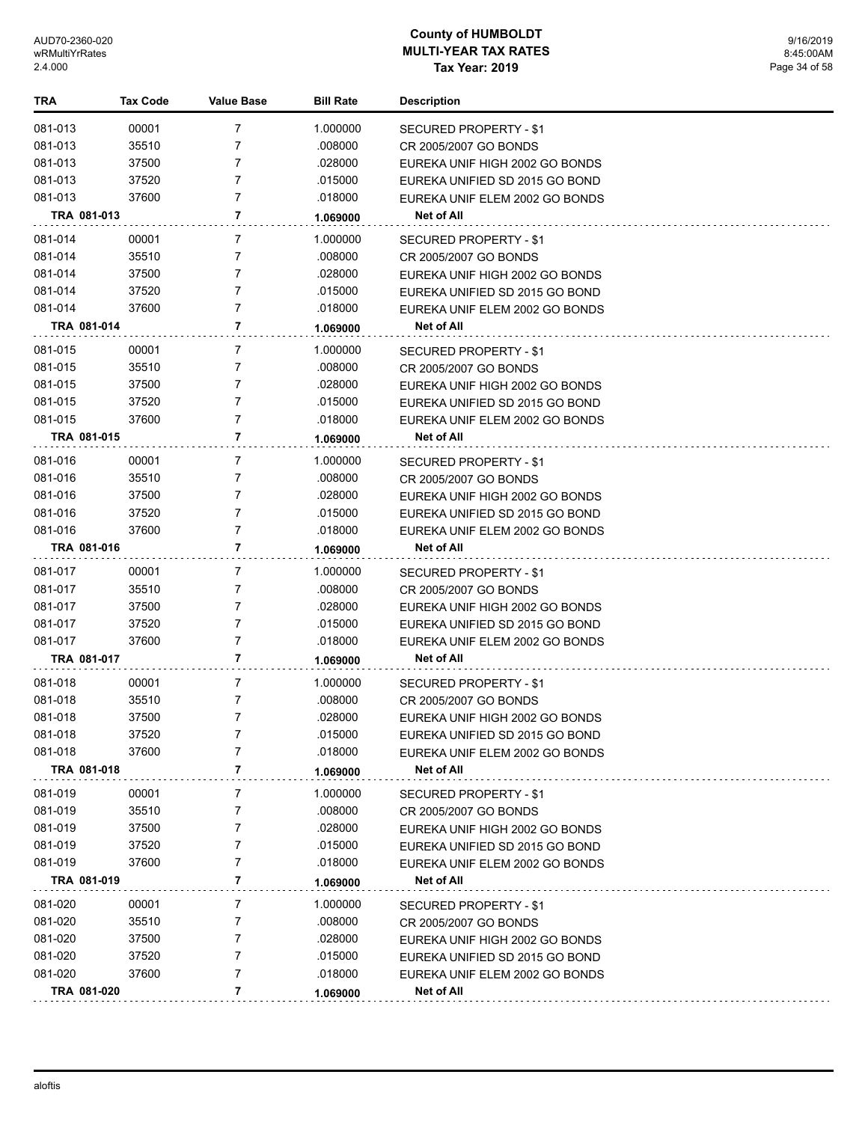| <b>TRA</b>  | Tax Code | <b>Value Base</b> | <b>Bill Rate</b> | <b>Description</b>             |
|-------------|----------|-------------------|------------------|--------------------------------|
| 081-013     | 00001    | 7                 | 1.000000         | SECURED PROPERTY - \$1         |
| 081-013     | 35510    | 7                 | .008000          | CR 2005/2007 GO BONDS          |
| 081-013     | 37500    | 7                 | .028000          | EUREKA UNIF HIGH 2002 GO BONDS |
| 081-013     | 37520    | 7                 | .015000          | EUREKA UNIFIED SD 2015 GO BOND |
| 081-013     | 37600    | 7                 | .018000          | EUREKA UNIF ELEM 2002 GO BONDS |
| TRA 081-013 |          | 7                 | 1.069000         | Net of All                     |
| 081-014     | 00001    | 7                 | 1.000000         | SECURED PROPERTY - \$1         |
| 081-014     | 35510    | 7                 | .008000          | CR 2005/2007 GO BONDS          |
| 081-014     | 37500    | 7                 | .028000          | EUREKA UNIF HIGH 2002 GO BONDS |
| 081-014     | 37520    | 7                 | .015000          | EUREKA UNIFIED SD 2015 GO BOND |
| 081-014     | 37600    | 7                 | .018000          | EUREKA UNIF ELEM 2002 GO BONDS |
| TRA 081-014 |          | 7                 | 1.069000         | Net of All                     |
| 081-015     | 00001    | 7                 | 1.000000         | SECURED PROPERTY - \$1         |
| 081-015     | 35510    | 7                 | .008000          | CR 2005/2007 GO BONDS          |
| 081-015     | 37500    | 7                 | .028000          | EUREKA UNIF HIGH 2002 GO BONDS |
| 081-015     | 37520    | 7                 | .015000          | EUREKA UNIFIED SD 2015 GO BOND |
| 081-015     | 37600    | 7                 | .018000          | EUREKA UNIF ELEM 2002 GO BONDS |
| TRA 081-015 |          | 7                 | 1.069000         | Net of All                     |
| 081-016     | 00001    | 7                 | 1.000000         | SECURED PROPERTY - \$1         |
| 081-016     | 35510    | 7                 | .008000          | CR 2005/2007 GO BONDS          |
| 081-016     | 37500    | 7                 | .028000          | EUREKA UNIF HIGH 2002 GO BONDS |
| 081-016     | 37520    | 7                 | .015000          | EUREKA UNIFIED SD 2015 GO BOND |
| 081-016     | 37600    | 7                 | .018000          | EUREKA UNIF ELEM 2002 GO BONDS |
| TRA 081-016 |          | 7                 | 1.069000         | Net of All                     |
| 081-017     | 00001    | 7                 | 1.000000         | SECURED PROPERTY - \$1         |
| 081-017     | 35510    | 7                 | .008000          | CR 2005/2007 GO BONDS          |
| 081-017     | 37500    | 7                 | .028000          | EUREKA UNIF HIGH 2002 GO BONDS |
| 081-017     | 37520    | 7                 | .015000          | EUREKA UNIFIED SD 2015 GO BOND |
| 081-017     | 37600    | 7                 | .018000          | EUREKA UNIF ELEM 2002 GO BONDS |
| TRA 081-017 |          | 7                 | 1.069000         | Net of All                     |
| 081-018     | 00001    | 7                 | 1.000000         | SECURED PROPERTY - \$1         |
| 081-018     | 35510    | 7                 | .008000          | CR 2005/2007 GO BONDS          |
| 081-018     | 37500    | 7                 | .028000          | EUREKA UNIF HIGH 2002 GO BONDS |
| 081-018     | 37520    | 7                 | .015000          | EUREKA UNIFIED SD 2015 GO BOND |
| 081-018     | 37600    | 7                 | .018000          | EUREKA UNIF ELEM 2002 GO BONDS |
| TRA 081-018 |          | 7                 | 1.069000         | Net of All                     |
| 081-019     | 00001    | 7                 | 1.000000         | SECURED PROPERTY - \$1         |
| 081-019     | 35510    | 7                 | .008000          | CR 2005/2007 GO BONDS          |
| 081-019     | 37500    | 7                 | .028000          | EUREKA UNIF HIGH 2002 GO BONDS |
| 081-019     | 37520    | 7                 | .015000          | EUREKA UNIFIED SD 2015 GO BOND |
| 081-019     | 37600    | 7                 | .018000          | EUREKA UNIF ELEM 2002 GO BONDS |
| TRA 081-019 |          | 7                 | 1.069000         | Net of All                     |
| 081-020     | 00001    | 7                 | 1.000000         | SECURED PROPERTY - \$1         |
| 081-020     | 35510    | 7                 | .008000          | CR 2005/2007 GO BONDS          |
| 081-020     | 37500    | 7                 | .028000          | EUREKA UNIF HIGH 2002 GO BONDS |
| 081-020     | 37520    | 7                 | .015000          | EUREKA UNIFIED SD 2015 GO BOND |
| 081-020     | 37600    | 7                 | .018000          | EUREKA UNIF ELEM 2002 GO BONDS |
| TRA 081-020 |          | 7                 | 1.069000         | Net of All                     |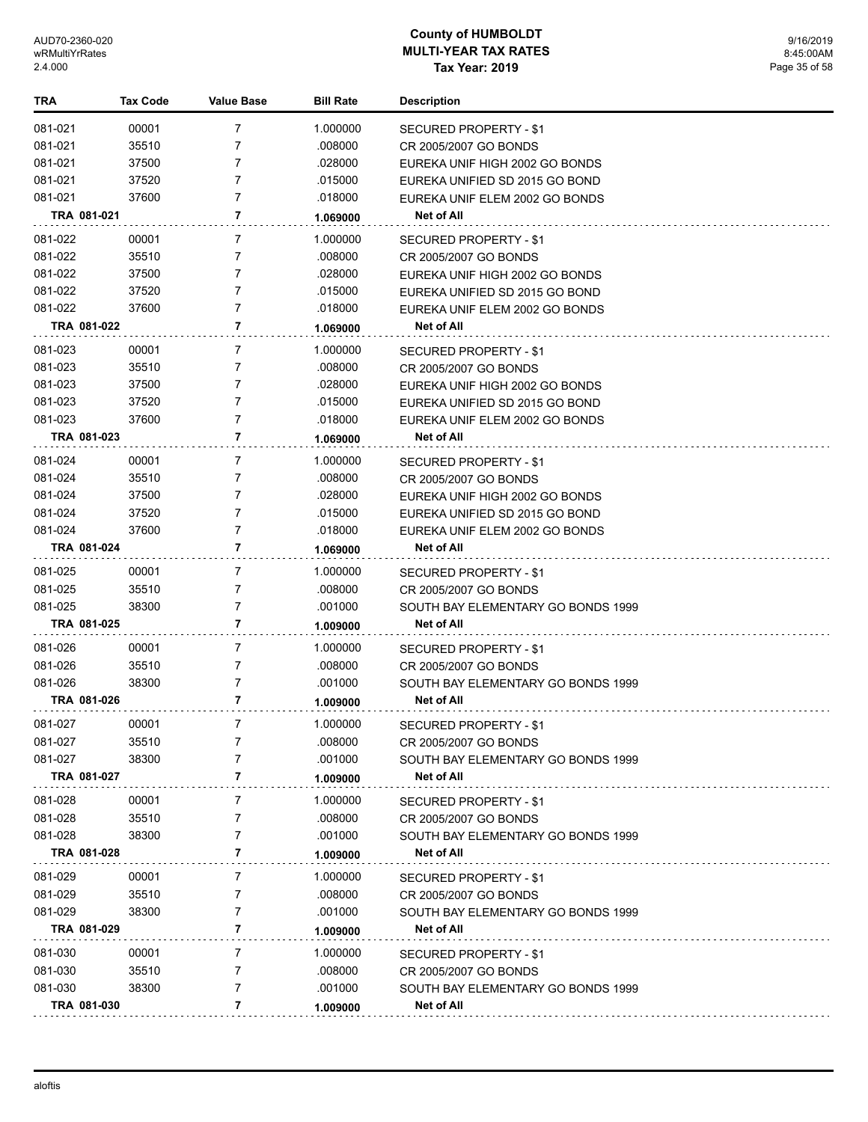| <b>TRA</b>         | <b>Tax Code</b> | <b>Value Base</b> | <b>Bill Rate</b>    | <b>Description</b>                                          |
|--------------------|-----------------|-------------------|---------------------|-------------------------------------------------------------|
| 081-021            | 00001           | $\overline{7}$    | 1.000000            | SECURED PROPERTY - \$1                                      |
| 081-021            | 35510           | $\overline{7}$    | .008000             | CR 2005/2007 GO BONDS                                       |
| 081-021            | 37500           | 7                 | .028000             | EUREKA UNIF HIGH 2002 GO BONDS                              |
| 081-021            | 37520           | 7                 | .015000             | EUREKA UNIFIED SD 2015 GO BOND                              |
| 081-021            | 37600           | $\overline{7}$    | .018000             | EUREKA UNIF ELEM 2002 GO BONDS                              |
|                    | TRA 081-021     | 7                 | 1.069000            | Net of All                                                  |
| 081-022            | 00001           | 7                 | 1.000000            | SECURED PROPERTY - \$1                                      |
| 081-022            | 35510           | 7                 | .008000             | CR 2005/2007 GO BONDS                                       |
| 081-022            | 37500           | 7                 | .028000             | EUREKA UNIF HIGH 2002 GO BONDS                              |
| 081-022            | 37520           | 7                 | .015000             | EUREKA UNIFIED SD 2015 GO BOND                              |
| 081-022            | 37600           | $\overline{7}$    | .018000             | EUREKA UNIF ELEM 2002 GO BONDS                              |
|                    | TRA 081-022     | 7                 | 1.069000            | Net of All                                                  |
| 081-023            | 00001           | 7                 | 1.000000            | SECURED PROPERTY - \$1                                      |
| 081-023            | 35510           | 7                 | .008000             | CR 2005/2007 GO BONDS                                       |
| 081-023            | 37500           | $\overline{7}$    | .028000             | EUREKA UNIF HIGH 2002 GO BONDS                              |
| 081-023            | 37520           | $\overline{7}$    | .015000             | EUREKA UNIFIED SD 2015 GO BOND                              |
| 081-023            | 37600           | $\overline{7}$    | .018000             | EUREKA UNIF ELEM 2002 GO BONDS                              |
|                    | TRA 081-023     | 7                 | 1.069000            | Net of All                                                  |
| 081-024            | 00001           | 7                 | 1.000000            | <b>SECURED PROPERTY - \$1</b>                               |
| 081-024            | 35510           | 7                 | .008000             | CR 2005/2007 GO BONDS                                       |
| 081-024            | 37500           | 7                 | .028000             | EUREKA UNIF HIGH 2002 GO BONDS                              |
| 081-024            | 37520           | 7                 | .015000             | EUREKA UNIFIED SD 2015 GO BOND                              |
| 081-024            | 37600           | 7                 | .018000             | EUREKA UNIF ELEM 2002 GO BONDS                              |
|                    | TRA 081-024     | 7                 | 1.069000            | Net of All                                                  |
| 081-025            | 00001           | 7                 | 1.000000            | SECURED PROPERTY - \$1                                      |
| 081-025            | 35510           | $\overline{7}$    | .008000             | CR 2005/2007 GO BONDS                                       |
| 081-025            | 38300           | $\overline{7}$    | .001000             | SOUTH BAY ELEMENTARY GO BONDS 1999                          |
|                    | TRA 081-025     | $\overline{7}$    | 1.009000            | <b>Net of All</b>                                           |
| 081-026            | 00001           | 7                 | 1.000000            | SECURED PROPERTY - \$1                                      |
| 081-026            | 35510           | 7                 | .008000             | CR 2005/2007 GO BONDS                                       |
| 081-026            | 38300           | $\overline{7}$    | .001000             | SOUTH BAY ELEMENTARY GO BONDS 1999                          |
|                    | TRA 081-026     | 7                 | 1.009000            | Net of All                                                  |
| 081-027            | 00001           | 7                 | 1.000000            |                                                             |
| 081-027            | 35510           | 7                 | .008000             | <b>SECURED PROPERTY - \$1</b><br>CR 2005/2007 GO BONDS      |
| 081-027            | 38300           | 7                 | .001000             | SOUTH BAY ELEMENTARY GO BONDS 1999                          |
|                    | TRA 081-027     | 7                 | 1.009000            | <b>Net of All</b>                                           |
|                    |                 |                   |                     |                                                             |
| 081-028<br>081-028 | 00001<br>35510  | 7<br>7            | 1.000000<br>.008000 | SECURED PROPERTY - \$1                                      |
| 081-028            | 38300           | $\overline{7}$    | .001000             | CR 2005/2007 GO BONDS<br>SOUTH BAY ELEMENTARY GO BONDS 1999 |
|                    | TRA 081-028     | 7                 | 1.009000            | Net of All                                                  |
|                    |                 |                   |                     |                                                             |
| 081-029            | 00001           | 7                 | 1.000000            | SECURED PROPERTY - \$1                                      |
| 081-029            | 35510           | 7                 | .008000             | CR 2005/2007 GO BONDS                                       |
| 081-029            | 38300           | 7<br>7            | .001000             | SOUTH BAY ELEMENTARY GO BONDS 1999                          |
|                    | TRA 081-029     |                   | 1.009000            | Net of All                                                  |
| 081-030            | 00001           | 7                 | 1.000000            | SECURED PROPERTY - \$1                                      |
| 081-030            | 35510           | 7                 | .008000             | CR 2005/2007 GO BONDS                                       |
| 081-030            | 38300           | 7                 | .001000             | SOUTH BAY ELEMENTARY GO BONDS 1999                          |
|                    | TRA 081-030     | 7                 | 1.009000            | Net of All                                                  |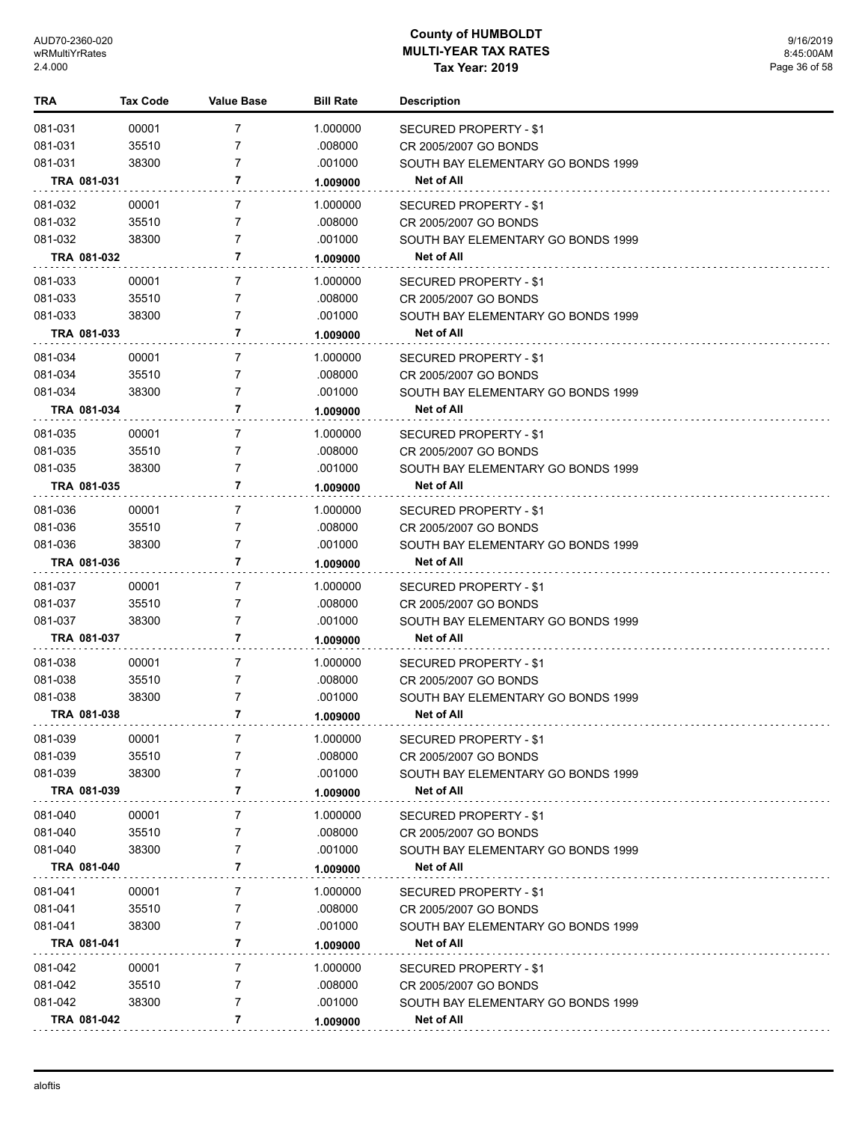| TRA         | <b>Tax Code</b> | <b>Value Base</b> | <b>Bill Rate</b> | <b>Description</b>                 |
|-------------|-----------------|-------------------|------------------|------------------------------------|
| 081-031     | 00001           | 7                 | 1.000000         | SECURED PROPERTY - \$1             |
| 081-031     | 35510           | 7                 | .008000          | CR 2005/2007 GO BONDS              |
| 081-031     | 38300           | 7                 | .001000          | SOUTH BAY ELEMENTARY GO BONDS 1999 |
| TRA 081-031 |                 | 7                 | 1.009000         | Net of All                         |
| 081-032     | 00001           | 7                 | 1.000000         | SECURED PROPERTY - \$1             |
| 081-032     | 35510           | 7                 | .008000          | CR 2005/2007 GO BONDS              |
| 081-032     | 38300           | 7                 | .001000          | SOUTH BAY ELEMENTARY GO BONDS 1999 |
| TRA 081-032 |                 | 7                 | 1.009000         | Net of All                         |
| 081-033     | 00001           | 7                 | 1.000000         | SECURED PROPERTY - \$1             |
| 081-033     | 35510           | 7                 | .008000          | CR 2005/2007 GO BONDS              |
| 081-033     | 38300           | 7                 | .001000          | SOUTH BAY ELEMENTARY GO BONDS 1999 |
| TRA 081-033 |                 | 7                 | 1.009000         | Net of All                         |
| 081-034     | 00001           | 7                 | 1.000000         | SECURED PROPERTY - \$1             |
| 081-034     | 35510           | 7                 | .008000          | CR 2005/2007 GO BONDS              |
| 081-034     | 38300           | 7                 | .001000          | SOUTH BAY ELEMENTARY GO BONDS 1999 |
| TRA 081-034 |                 | 7                 | 1.009000         | Net of All                         |
| 081-035     | 00001           | 7                 | 1.000000         | SECURED PROPERTY - \$1             |
| 081-035     | 35510           | 7                 | .008000          | CR 2005/2007 GO BONDS              |
| 081-035     | 38300           | 7                 | .001000          | SOUTH BAY ELEMENTARY GO BONDS 1999 |
| TRA 081-035 |                 | 7                 | 1.009000         | <b>Net of All</b>                  |
| 081-036     | 00001           | 7                 | 1.000000         | SECURED PROPERTY - \$1             |
| 081-036     | 35510           | 7                 | .008000          | CR 2005/2007 GO BONDS              |
| 081-036     | 38300           | 7                 | .001000          | SOUTH BAY ELEMENTARY GO BONDS 1999 |
| TRA 081-036 |                 | 7                 | 1.009000         | Net of All                         |
| 081-037     | 00001           | 7                 | 1.000000         | SECURED PROPERTY - \$1             |
| 081-037     | 35510           | 7                 | .008000          | CR 2005/2007 GO BONDS              |
| 081-037     | 38300           | 7                 | .001000          | SOUTH BAY ELEMENTARY GO BONDS 1999 |
| TRA 081-037 |                 | 7                 | 1.009000         | Net of All                         |
| 081-038     | 00001           | 7                 | 1.000000         | SECURED PROPERTY - \$1             |
| 081-038     | 35510           | 7                 | .008000          | CR 2005/2007 GO BONDS              |
| 081-038     | 38300           | 7                 | .001000          | SOUTH BAY ELEMENTARY GO BONDS 1999 |
| TRA 081-038 |                 | 7                 | 1.009000         | Net of All                         |
| 081-039     | 00001           | 7                 | 1.000000         | SECURED PROPERTY - \$1             |
| 081-039     | 35510           |                   | .008000          | CR 2005/2007 GO BONDS              |
| 081-039     | 38300           | 7                 | .001000          | SOUTH BAY ELEMENTARY GO BONDS 1999 |
| TRA 081-039 |                 | 7                 | 1.009000         | Net of All                         |
| 081-040     | 00001           | 7                 | 1.000000         | SECURED PROPERTY - \$1             |
| 081-040     | 35510           | 7                 | .008000          | CR 2005/2007 GO BONDS              |
| 081-040     | 38300           | 7                 | .001000          | SOUTH BAY ELEMENTARY GO BONDS 1999 |
| TRA 081-040 |                 | 7                 | 1.009000         | Net of All                         |
| 081-041     | 00001           | 7                 | 1.000000         | SECURED PROPERTY - \$1             |
| 081-041     | 35510           | 7                 | .008000          | CR 2005/2007 GO BONDS              |
| 081-041     | 38300           | 7                 | .001000          | SOUTH BAY ELEMENTARY GO BONDS 1999 |
| TRA 081-041 |                 | 7                 | 1.009000         | Net of All                         |
| 081-042     | 00001           | 7                 | 1.000000         | SECURED PROPERTY - \$1             |
| 081-042     | 35510           | 7                 | .008000          | CR 2005/2007 GO BONDS              |
| 081-042     | 38300           | 7                 | .001000          | SOUTH BAY ELEMENTARY GO BONDS 1999 |
| TRA 081-042 |                 | 7                 | 1.009000         | Net of All                         |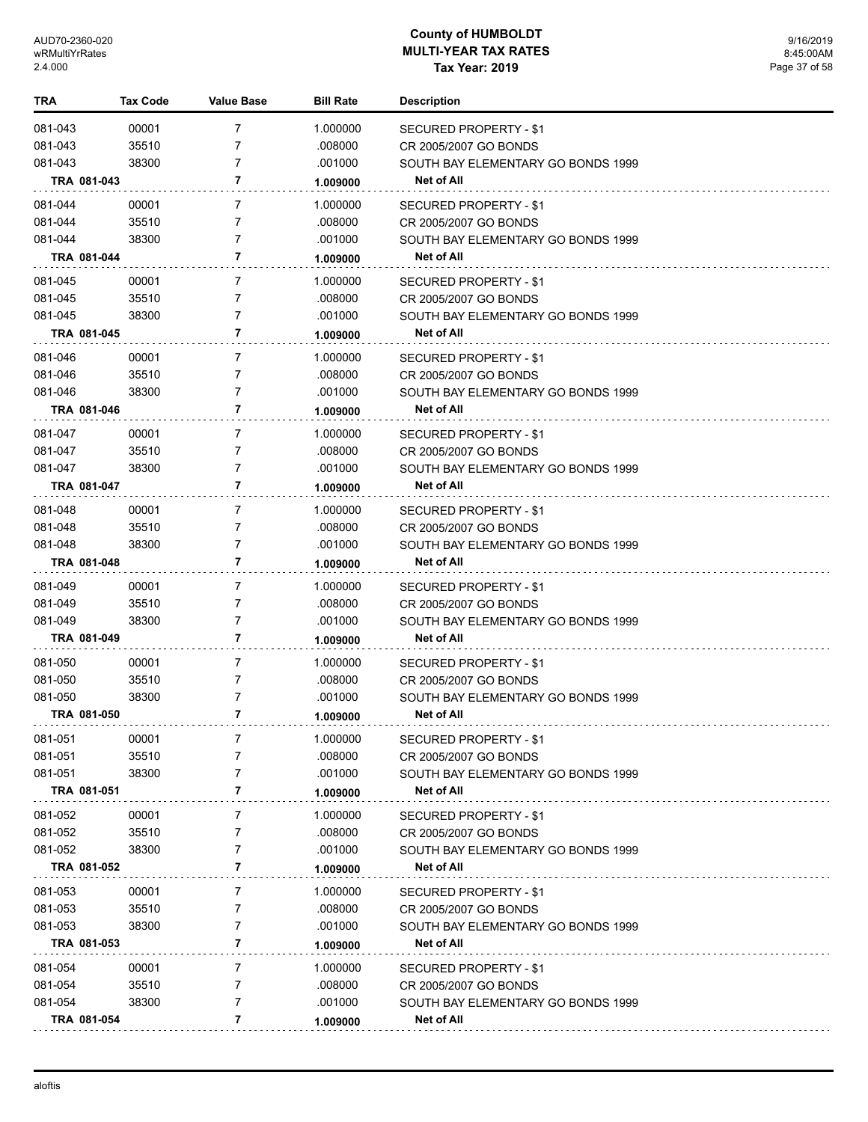| TRA         | <b>Tax Code</b> | Value Base     | <b>Bill Rate</b> | <b>Description</b>                 |
|-------------|-----------------|----------------|------------------|------------------------------------|
| 081-043     | 00001           | 7              | 1.000000         | <b>SECURED PROPERTY - \$1</b>      |
| 081-043     | 35510           | 7              | .008000          | CR 2005/2007 GO BONDS              |
| 081-043     | 38300           | 7              | .001000          | SOUTH BAY ELEMENTARY GO BONDS 1999 |
| TRA 081-043 |                 | 7              | 1.009000         | Net of All                         |
| 081-044     | 00001           | $\overline{7}$ | 1.000000         | SECURED PROPERTY - \$1             |
| 081-044     | 35510           | 7              | .008000          | CR 2005/2007 GO BONDS              |
| 081-044     | 38300           | 7              | .001000          | SOUTH BAY ELEMENTARY GO BONDS 1999 |
| TRA 081-044 |                 | 7              | 1.009000         | Net of All                         |
| 081-045     | 00001           | $\overline{7}$ | 1.000000         | SECURED PROPERTY - \$1             |
| 081-045     | 35510           | 7              | .008000          | CR 2005/2007 GO BONDS              |
| 081-045     | 38300           | 7              | .001000          | SOUTH BAY ELEMENTARY GO BONDS 1999 |
| TRA 081-045 |                 | 7              | 1.009000         | <b>Net of All</b>                  |
| 081-046     | 00001           | 7              | 1.000000         | SECURED PROPERTY - \$1             |
| 081-046     | 35510           | 7              | .008000          | CR 2005/2007 GO BONDS              |
| 081-046     | 38300           | 7              | .001000          | SOUTH BAY ELEMENTARY GO BONDS 1999 |
| TRA 081-046 |                 | 7              | 1.009000         | <b>Net of All</b>                  |
| 081-047     | 00001           | $\overline{7}$ | 1.000000         | SECURED PROPERTY - \$1             |
| 081-047     | 35510           | 7              | .008000          | CR 2005/2007 GO BONDS              |
| 081-047     | 38300           | 7              | .001000          | SOUTH BAY ELEMENTARY GO BONDS 1999 |
| TRA 081-047 |                 | 7              | 1.009000         | Net of All                         |
| 081-048     | 00001           | 7              | 1.000000         | SECURED PROPERTY - \$1             |
| 081-048     | 35510           | 7              | .008000          | CR 2005/2007 GO BONDS              |
| 081-048     | 38300           | 7              | .001000          | SOUTH BAY ELEMENTARY GO BONDS 1999 |
| TRA 081-048 |                 | 7              | 1.009000         | Net of All                         |
| 081-049     | 00001           | 7              | 1.000000         | SECURED PROPERTY - \$1             |
| 081-049     | 35510           | 7              | .008000          | CR 2005/2007 GO BONDS              |
| 081-049     | 38300           | 7              | .001000          | SOUTH BAY ELEMENTARY GO BONDS 1999 |
| TRA 081-049 |                 | 7              | 1.009000         | <b>Net of All</b>                  |
| 081-050     | 00001           | $\overline{7}$ | 1.000000         | SECURED PROPERTY - \$1             |
| 081-050     | 35510           | 7              | .008000          | CR 2005/2007 GO BONDS              |
| 081-050     | 38300           | 7              | .001000          | SOUTH BAY ELEMENTARY GO BONDS 1999 |
| TRA 081-050 |                 | 7              | 1.009000         | <b>Net of All</b>                  |
| 081-051     | 00001           | 7              | 1.000000         | <b>SECURED PROPERTY - \$1</b>      |
| 081-051     | 35510           | 7              | .008000          | CR 2005/2007 GO BONDS              |
| 081-051     | 38300           | 7              | .001000          | SOUTH BAY ELEMENTARY GO BONDS 1999 |
| TRA 081-051 |                 | 7              | 1.009000         | <b>Net of All</b>                  |
| 081-052     | 00001           | 7              | 1.000000         | SECURED PROPERTY - \$1             |
| 081-052     | 35510           | 7              | .008000          | CR 2005/2007 GO BONDS              |
| 081-052     | 38300           | 7              | .001000          | SOUTH BAY ELEMENTARY GO BONDS 1999 |
| TRA 081-052 |                 | 7              | 1.009000         | Net of All                         |
| 081-053     | 00001           | 7              | 1.000000         | SECURED PROPERTY - \$1             |
| 081-053     | 35510           | 7              | .008000          | CR 2005/2007 GO BONDS              |
| 081-053     | 38300           | 7              | .001000          | SOUTH BAY ELEMENTARY GO BONDS 1999 |
| TRA 081-053 |                 | 7              | 1.009000         | Net of All                         |
| 081-054     | 00001           | 7              | 1.000000         | SECURED PROPERTY - \$1             |
| 081-054     | 35510           | 7              | .008000          | CR 2005/2007 GO BONDS              |
| 081-054     | 38300           | 7              | .001000          | SOUTH BAY ELEMENTARY GO BONDS 1999 |
| TRA 081-054 |                 | 7              | 1.009000         | Net of All                         |
|             |                 |                |                  |                                    |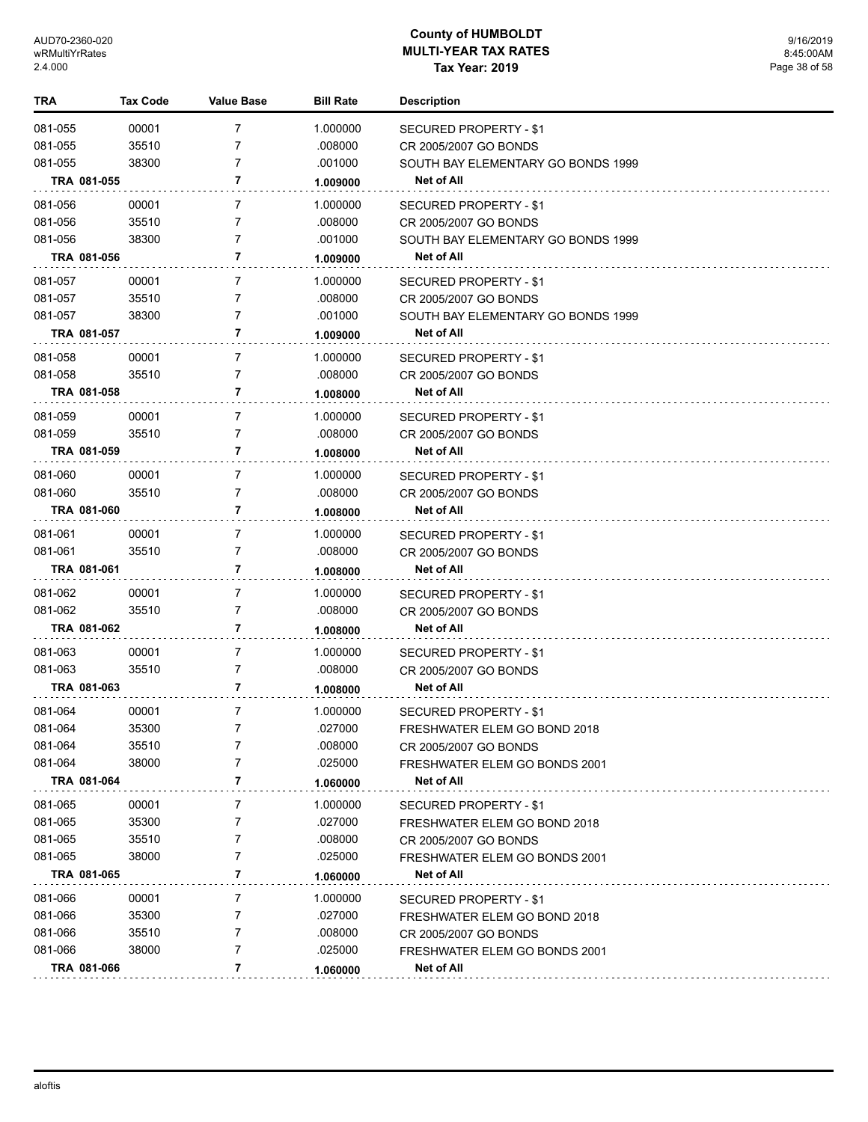| <b>TRA</b>  | <b>Tax Code</b> | Value Base     | <b>Bill Rate</b> | <b>Description</b>                 |
|-------------|-----------------|----------------|------------------|------------------------------------|
| 081-055     | 00001           | 7              | 1.000000         | SECURED PROPERTY - \$1             |
| 081-055     | 35510           | 7              | .008000          | CR 2005/2007 GO BONDS              |
| 081-055     | 38300           | 7              | .001000          | SOUTH BAY ELEMENTARY GO BONDS 1999 |
| TRA 081-055 |                 | 7              | 1.009000         | Net of All                         |
| 081-056     | 00001           | 7              | 1.000000         | SECURED PROPERTY - \$1             |
| 081-056     | 35510           | 7              | .008000          | CR 2005/2007 GO BONDS              |
| 081-056     | 38300           | 7              | .001000          | SOUTH BAY ELEMENTARY GO BONDS 1999 |
| TRA 081-056 |                 | 7              | 1.009000         | Net of All                         |
| 081-057     | 00001           | 7              | 1.000000         | SECURED PROPERTY - \$1             |
| 081-057     | 35510           | 7              | .008000          | CR 2005/2007 GO BONDS              |
| 081-057     | 38300           | 7              | .001000          | SOUTH BAY ELEMENTARY GO BONDS 1999 |
| TRA 081-057 |                 | 7              | 1.009000         | <b>Net of All</b>                  |
| 081-058     | 00001           | 7              | 1.000000         | SECURED PROPERTY - \$1             |
| 081-058     | 35510           | 7              | .008000          | CR 2005/2007 GO BONDS              |
| TRA 081-058 |                 | 7              | 1.008000         | <b>Net of All</b>                  |
| 081-059     | 00001           | 7              | 1.000000         | SECURED PROPERTY - \$1             |
| 081-059     | 35510           | 7              | .008000          | CR 2005/2007 GO BONDS              |
| TRA 081-059 |                 | 7              | 1.008000         | Net of All                         |
| 081-060     | 00001           | 7              | 1.000000         | SECURED PROPERTY - \$1             |
| 081-060     | 35510           | 7              | .008000          | CR 2005/2007 GO BONDS              |
| TRA 081-060 |                 | 7              | 1.008000         | Net of All                         |
| 081-061     | 00001           | 7              | 1.000000         | <b>SECURED PROPERTY - \$1</b>      |
| 081-061     | 35510           | 7              | .008000          | CR 2005/2007 GO BONDS              |
| TRA 081-061 |                 | 7              | 1.008000         | Net of All                         |
| 081-062     | 00001           | 7              | 1.000000         | <b>SECURED PROPERTY - \$1</b>      |
| 081-062     | 35510           | 7              | .008000          | CR 2005/2007 GO BONDS              |
| TRA 081-062 |                 | 7              | 1.008000         | Net of All                         |
| 081-063     | 00001           | $\overline{7}$ | 1.000000         | <b>SECURED PROPERTY - \$1</b>      |
| 081-063     | 35510           | 7              | .008000          | CR 2005/2007 GO BONDS              |
| TRA 081-063 |                 | 7              | 1.008000         | Net of All                         |
| 081-064     | 00001           | 7              | 1.000000         | SECURED PROPERTY - \$1             |
| 081-064     | 35300           | $\overline{7}$ | .027000          | FRESHWATER ELEM GO BOND 2018       |
| 081-064     | 35510           | 7              | .008000          | CR 2005/2007 GO BONDS              |
| 081-064     | 38000           | 7              | .025000          | FRESHWATER ELEM GO BONDS 2001      |
| TRA 081-064 |                 | 7              | 1.060000         | Net of All                         |
| 081-065     | 00001           | 7              | 1.000000         | SECURED PROPERTY - \$1             |
| 081-065     | 35300           | 7              | .027000          | FRESHWATER ELEM GO BOND 2018       |
| 081-065     | 35510           | 7              | .008000          | CR 2005/2007 GO BONDS              |
| 081-065     | 38000           | 7              | .025000          | FRESHWATER ELEM GO BONDS 2001      |
| TRA 081-065 |                 | 7              | 1.060000         | Net of All                         |
| 081-066     | 00001           | 7              | 1.000000         | SECURED PROPERTY - \$1             |
| 081-066     | 35300           | 7              | .027000          | FRESHWATER ELEM GO BOND 2018       |
| 081-066     | 35510           | 7              | .008000          | CR 2005/2007 GO BONDS              |
| 081-066     | 38000           | 7              | .025000          | FRESHWATER ELEM GO BONDS 2001      |
| TRA 081-066 |                 | 7              | 1.060000         | Net of All                         |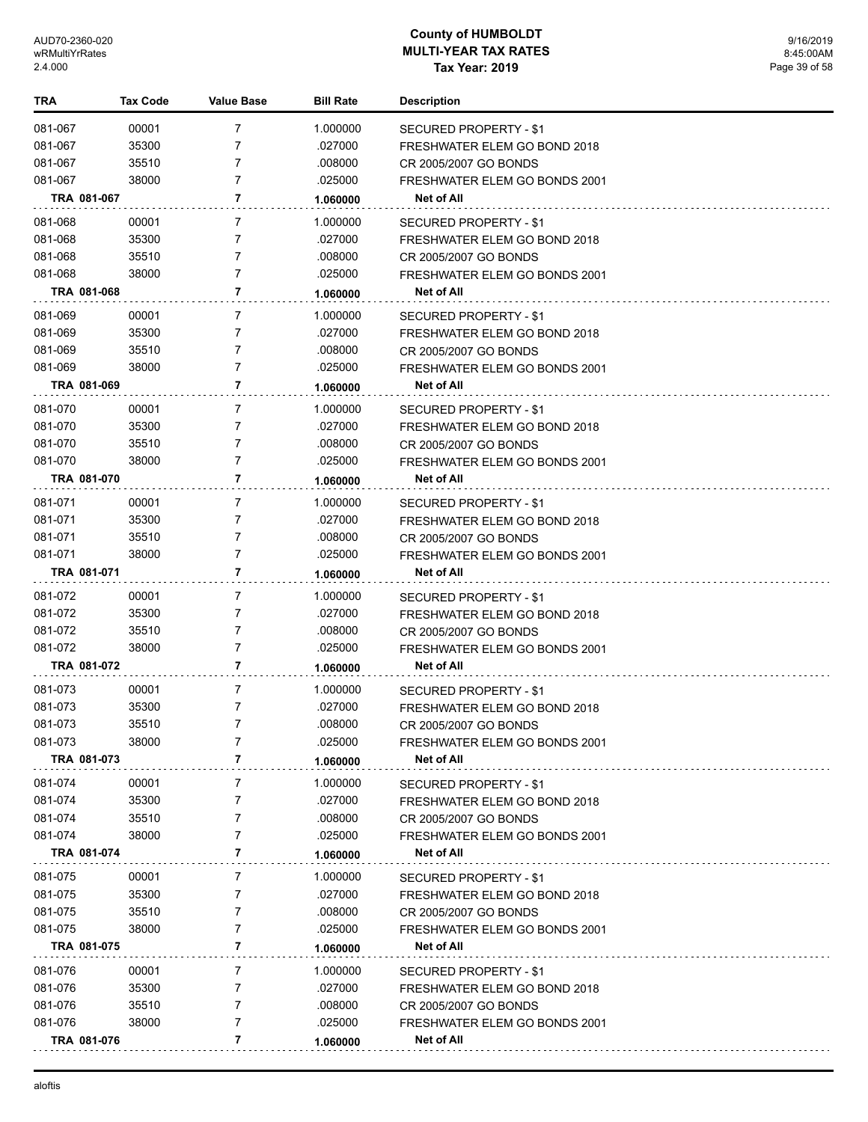| <b>TRA</b>  | <b>Tax Code</b> | Value Base | <b>Bill Rate</b> | Description                          |
|-------------|-----------------|------------|------------------|--------------------------------------|
| 081-067     | 00001           | 7          | 1.000000         | SECURED PROPERTY - \$1               |
| 081-067     | 35300           | 7          | .027000          | FRESHWATER ELEM GO BOND 2018         |
| 081-067     | 35510           | 7          | .008000          | CR 2005/2007 GO BONDS                |
| 081-067     | 38000           | 7          | .025000          | FRESHWATER ELEM GO BONDS 2001        |
| TRA 081-067 |                 | 7          | 1.060000         | Net of All                           |
| 081-068     | 00001           | 7          | 1.000000         | <b>SECURED PROPERTY - \$1</b>        |
| 081-068     | 35300           | 7          | .027000          | FRESHWATER ELEM GO BOND 2018         |
| 081-068     | 35510           | 7          | .008000          | CR 2005/2007 GO BONDS                |
| 081-068     | 38000           | 7          | .025000          | FRESHWATER ELEM GO BONDS 2001        |
| TRA 081-068 |                 | 7          | 1.060000         | Net of All                           |
| 081-069     | 00001           | 7          | 1.000000         | SECURED PROPERTY - \$1               |
| 081-069     | 35300           | 7          | .027000          | FRESHWATER ELEM GO BOND 2018         |
| 081-069     | 35510           | 7          | .008000          | CR 2005/2007 GO BONDS                |
| 081-069     | 38000           | 7          | .025000          | <b>FRESHWATER ELEM GO BONDS 2001</b> |
| TRA 081-069 |                 | 7          | 1.060000         | Net of All                           |
| 081-070     | 00001           | 7          | 1.000000         | SECURED PROPERTY - \$1               |
| 081-070     | 35300           | 7          | .027000          | FRESHWATER ELEM GO BOND 2018         |
| 081-070     | 35510           | 7          | .008000          | CR 2005/2007 GO BONDS                |
| 081-070     | 38000           | 7          | .025000          | FRESHWATER ELEM GO BONDS 2001        |
| TRA 081-070 |                 | 7          | 1.060000         | Net of All                           |
| 081-071     | 00001           | 7          | 1.000000         | SECURED PROPERTY - \$1               |
| 081-071     | 35300           | 7          | .027000          | FRESHWATER ELEM GO BOND 2018         |
| 081-071     | 35510           | 7          | .008000          | CR 2005/2007 GO BONDS                |
| 081-071     | 38000           | 7          | .025000          | FRESHWATER ELEM GO BONDS 2001        |
| TRA 081-071 |                 | 7          | 1.060000         | Net of All                           |
| 081-072     | 00001           | 7          | 1.000000         | SECURED PROPERTY - \$1               |
| 081-072     | 35300           | 7          | .027000          | FRESHWATER ELEM GO BOND 2018         |
| 081-072     | 35510           | 7          | .008000          | CR 2005/2007 GO BONDS                |
| 081-072     | 38000           | 7          | .025000          | FRESHWATER ELEM GO BONDS 2001        |
| TRA 081-072 |                 | 7          | 1.060000         | Net of All                           |
| 081-073     | 00001           | 7          | 1.000000         | SECURED PROPERTY - \$1               |
| 081-073     | 35300           | 7          | .027000          | FRESHWATER ELEM GO BOND 2018         |
| 081-073     | 35510           | 7          | .008000          | CR 2005/2007 GO BONDS                |
| 081-073     | 38000           | 7          | .025000          | FRESHWATER ELEM GO BONDS 2001        |
| TRA 081-073 |                 | 7          | 1.060000         | Net of All                           |
| 081-074     | 00001           | 7          | 1.000000         | <b>SECURED PROPERTY - \$1</b>        |
| 081-074     | 35300           | 7          | .027000          | FRESHWATER ELEM GO BOND 2018         |
| 081-074     | 35510           | 7          | .008000          | CR 2005/2007 GO BONDS                |
| 081-074     | 38000           | 7          | .025000          | FRESHWATER ELEM GO BONDS 2001        |
| TRA 081-074 |                 | 7          | 1.060000         | Net of All                           |
| 081-075     | 00001           | 7          | 1.000000         | SECURED PROPERTY - \$1               |
| 081-075     | 35300           | 7          | .027000          | FRESHWATER ELEM GO BOND 2018         |
| 081-075     | 35510           | 7          | .008000          | CR 2005/2007 GO BONDS                |
| 081-075     | 38000           | 7          | .025000          | FRESHWATER ELEM GO BONDS 2001        |
| TRA 081-075 |                 | 7          | 1.060000         | Net of All                           |
| 081-076     | 00001           | 7          | 1.000000         | SECURED PROPERTY - \$1               |
| 081-076     | 35300           | 7          | .027000          | FRESHWATER ELEM GO BOND 2018         |
| 081-076     | 35510           | 7          | .008000          | CR 2005/2007 GO BONDS                |
| 081-076     | 38000           | 7          | .025000          | FRESHWATER ELEM GO BONDS 2001        |
| TRA 081-076 |                 | 7          | 1.060000         | Net of All                           |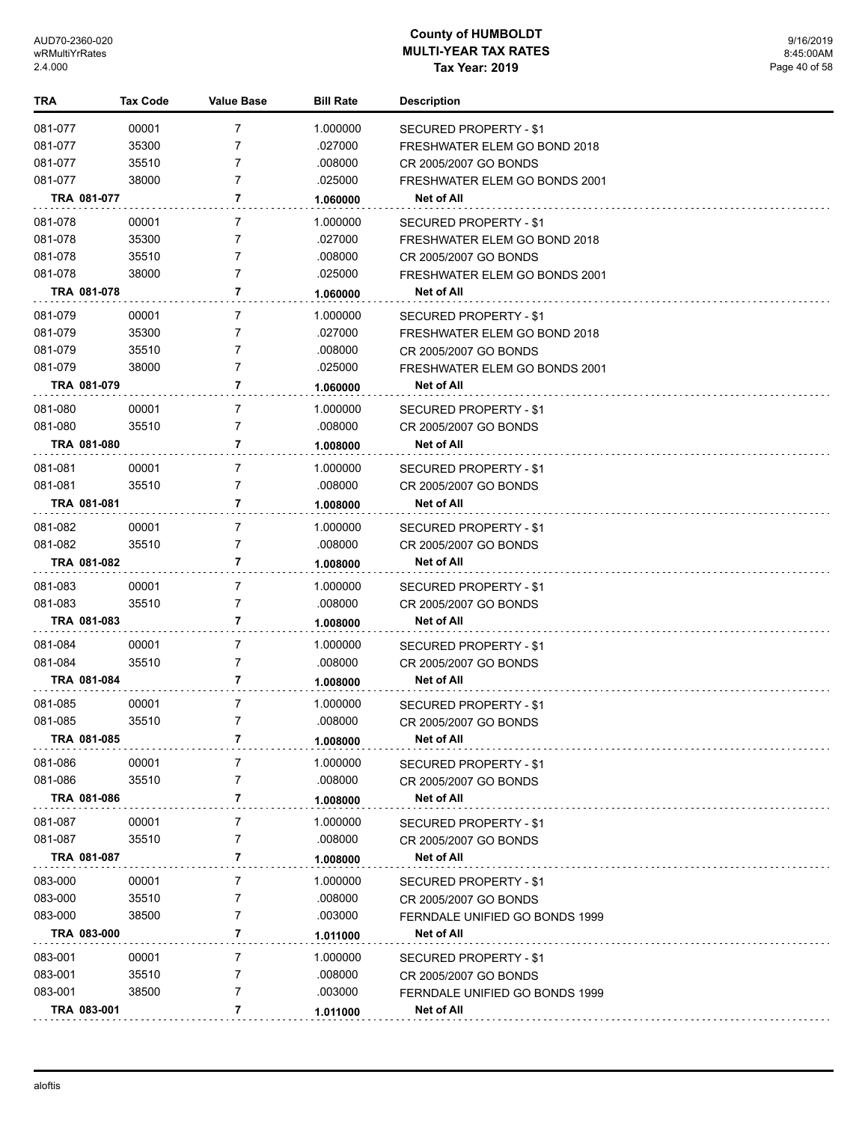| TRA         | <b>Tax Code</b> | <b>Value Base</b> | <b>Bill Rate</b> | <b>Description</b>                              |
|-------------|-----------------|-------------------|------------------|-------------------------------------------------|
| 081-077     | 00001           | $\overline{7}$    | 1.000000         | <b>SECURED PROPERTY - \$1</b>                   |
| 081-077     | 35300           | 7                 | .027000          | FRESHWATER ELEM GO BOND 2018                    |
| 081-077     | 35510           | 7                 | .008000          | CR 2005/2007 GO BONDS                           |
| 081-077     | 38000           | $\overline{7}$    | .025000          | FRESHWATER ELEM GO BONDS 2001                   |
| TRA 081-077 |                 | 7                 | 1.060000         | Net of All                                      |
| 081-078     | 00001           | 7                 | 1.000000         | <b>SECURED PROPERTY - \$1</b>                   |
| 081-078     | 35300           | 7                 | .027000          | FRESHWATER ELEM GO BOND 2018                    |
| 081-078     | 35510           | 7                 | .008000          | CR 2005/2007 GO BONDS                           |
| 081-078     | 38000           | $\overline{7}$    | .025000          | FRESHWATER ELEM GO BONDS 2001                   |
| TRA 081-078 |                 | 7                 | 1.060000         | Net of All                                      |
| 081-079     | 00001           | 7                 | 1.000000         | SECURED PROPERTY - \$1                          |
| 081-079     | 35300           | 7                 | .027000          | FRESHWATER ELEM GO BOND 2018                    |
| 081-079     | 35510           | 7                 | .008000          | CR 2005/2007 GO BONDS                           |
| 081-079     | 38000           | $\overline{7}$    | .025000          | FRESHWATER ELEM GO BONDS 2001                   |
| TRA 081-079 |                 | 7                 | 1.060000         | Net of All                                      |
| 081-080     | 00001           | 7                 | 1.000000         | <b>SECURED PROPERTY - \$1</b>                   |
| 081-080     | 35510           | 7                 | .008000          | CR 2005/2007 GO BONDS                           |
| TRA 081-080 |                 | 7                 | 1.008000         | <b>Net of All</b>                               |
|             |                 |                   |                  |                                                 |
| 081-081     | 00001           | 7<br>7            | 1.000000         | SECURED PROPERTY - \$1                          |
| 081-081     | 35510           | 7                 | .008000          | CR 2005/2007 GO BONDS                           |
| TRA 081-081 |                 |                   | 1.008000         | Net of All                                      |
| 081-082     | 00001           | 7                 | 1.000000         | SECURED PROPERTY - \$1                          |
| 081-082     | 35510           | 7                 | .008000          | CR 2005/2007 GO BONDS                           |
| TRA 081-082 |                 | 7                 | 1.008000         | Net of All                                      |
| 081-083     | 00001           | $\overline{7}$    | 1.000000         | <b>SECURED PROPERTY - \$1</b>                   |
| 081-083     | 35510           | $\overline{7}$    | .008000          | CR 2005/2007 GO BONDS                           |
| TRA 081-083 |                 | 7                 | 1.008000         | Net of All                                      |
| 081-084     | 00001           | $\overline{7}$    | 1.000000         | <b>SECURED PROPERTY - \$1</b>                   |
| 081-084     | 35510           | $\overline{7}$    | .008000          | CR 2005/2007 GO BONDS                           |
| TRA 081-084 |                 | 7                 | 1.008000         | Net of All                                      |
| 081-085     | 00001           | $\overline{7}$    | 1.000000         | <b>SECURED PROPERTY - \$1</b>                   |
| 081-085     | 35510           | $\overline{7}$    | .008000          | CR 2005/2007 GO BONDS                           |
| TRA 081-085 |                 | 7                 | 1.008000         | <b>Net of All</b>                               |
| 081-086     | 00001           | 7                 | 1.000000         | <b>SECURED PROPERTY - \$1</b>                   |
| 081-086     | 35510           | 7                 | .008000          | CR 2005/2007 GO BONDS                           |
| TRA 081-086 |                 | 7                 | 1.008000         | Net of All                                      |
| 081-087     | 00001           | $\overline{7}$    | 1.000000         |                                                 |
| 081-087     | 35510           | 7                 | .008000          | SECURED PROPERTY - \$1<br>CR 2005/2007 GO BONDS |
| TRA 081-087 |                 | 7                 |                  | Net of All                                      |
|             |                 |                   | 1.008000         |                                                 |
| 083-000     | 00001           | 7                 | 1.000000         | <b>SECURED PROPERTY - \$1</b>                   |
| 083-000     | 35510           | 7                 | .008000          | CR 2005/2007 GO BONDS                           |
| 083-000     | 38500           | 7                 | .003000          | FERNDALE UNIFIED GO BONDS 1999                  |
| TRA 083-000 |                 | 7                 | 1.011000         | Net of All                                      |
| 083-001     | 00001           | $\overline{7}$    | 1.000000         | SECURED PROPERTY - \$1                          |
| 083-001     | 35510           | 7                 | .008000          | CR 2005/2007 GO BONDS                           |
| 083-001     | 38500           | 7                 | .003000          | FERNDALE UNIFIED GO BONDS 1999                  |
| TRA 083-001 |                 | 7                 | 1.011000         | <b>Net of All</b>                               |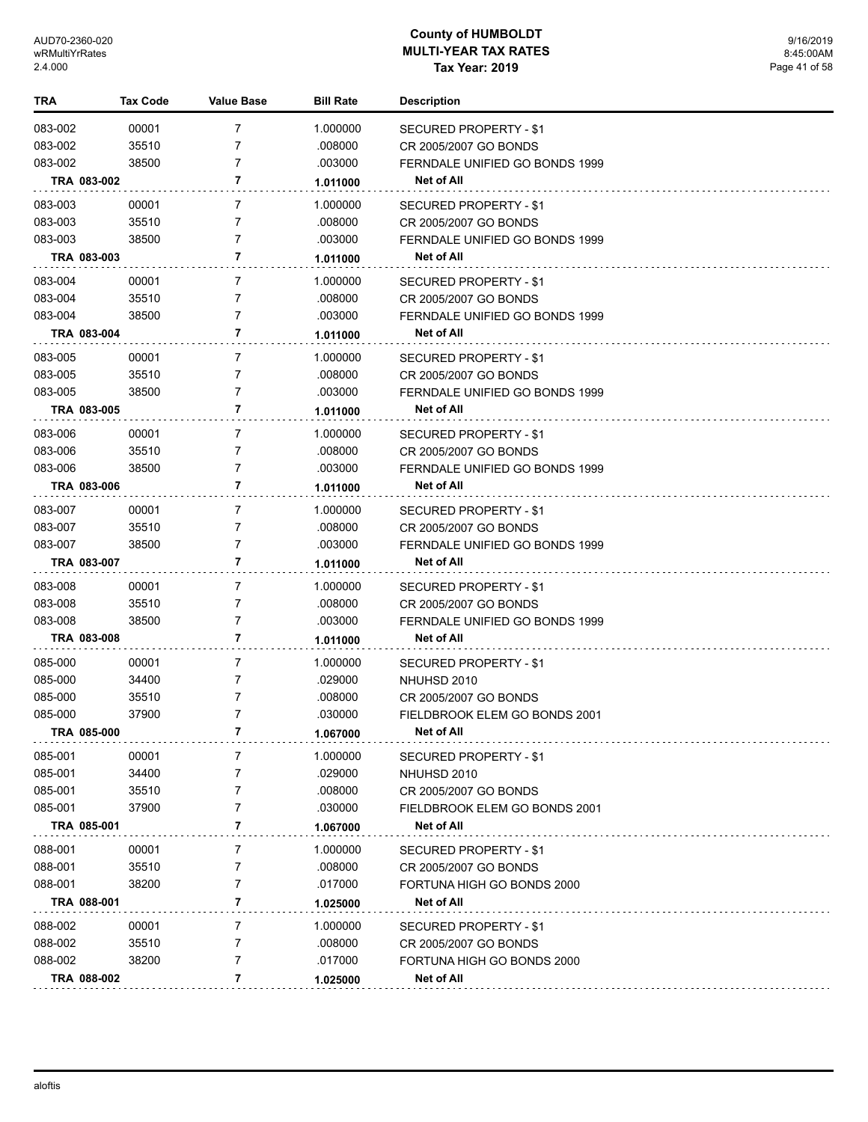| TRA     |             | <b>Tax Code</b> | <b>Value Base</b> | <b>Bill Rate</b> | <b>Description</b>                           |
|---------|-------------|-----------------|-------------------|------------------|----------------------------------------------|
| 083-002 |             | 00001           | $\overline{7}$    | 1.000000         | SECURED PROPERTY - \$1                       |
| 083-002 |             | 35510           | 7                 | .008000          | CR 2005/2007 GO BONDS                        |
| 083-002 |             | 38500           | 7                 | .003000          | FERNDALE UNIFIED GO BONDS 1999               |
|         | TRA 083-002 |                 | 7                 | 1.011000         | Net of All                                   |
|         |             |                 |                   |                  |                                              |
| 083-003 |             | 00001           | $\overline{7}$    | 1.000000         | <b>SECURED PROPERTY - \$1</b>                |
| 083-003 |             | 35510           | 7                 | .008000          | CR 2005/2007 GO BONDS                        |
| 083-003 |             | 38500           | 7                 | .003000          | FERNDALE UNIFIED GO BONDS 1999               |
|         | TRA 083-003 |                 | 7                 | 1.011000         | <b>Net of All</b>                            |
| 083-004 |             | 00001           | 7                 | 1.000000         | <b>SECURED PROPERTY - \$1</b>                |
| 083-004 |             | 35510           | $\overline{7}$    | .008000          | CR 2005/2007 GO BONDS                        |
| 083-004 |             | 38500           | 7                 | .003000          | FERNDALE UNIFIED GO BONDS 1999               |
|         | TRA 083-004 |                 | 7                 | 1.011000         | Net of All                                   |
| 083-005 |             | 00001           | $\overline{7}$    | 1.000000         | SECURED PROPERTY - \$1                       |
| 083-005 |             | 35510           | 7                 | .008000          | CR 2005/2007 GO BONDS                        |
| 083-005 |             | 38500           | 7                 | .003000          | FERNDALE UNIFIED GO BONDS 1999               |
|         | TRA 083-005 |                 | 7                 | 1.011000         | Net of All                                   |
| 083-006 |             | 00001           | $\overline{7}$    | 1.000000         |                                              |
| 083-006 |             | 35510           | 7                 | .008000          | SECURED PROPERTY - \$1                       |
| 083-006 |             | 38500           | 7                 | .003000          | CR 2005/2007 GO BONDS                        |
|         | TRA 083-006 |                 | 7                 |                  | FERNDALE UNIFIED GO BONDS 1999<br>Net of All |
|         |             |                 |                   | 1.011000         |                                              |
| 083-007 |             | 00001           | $\overline{7}$    | 1.000000         | SECURED PROPERTY - \$1                       |
| 083-007 |             | 35510           | 7                 | .008000          | CR 2005/2007 GO BONDS                        |
| 083-007 |             | 38500           | 7                 | .003000          | FERNDALE UNIFIED GO BONDS 1999               |
|         | TRA 083-007 |                 | 7                 | 1.011000         | <b>Net of All</b>                            |
| 083-008 |             | 00001           | $\overline{7}$    | 1.000000         | SECURED PROPERTY - \$1                       |
| 083-008 |             | 35510           | 7                 | .008000          | CR 2005/2007 GO BONDS                        |
| 083-008 |             | 38500           | $\overline{7}$    | .003000          | FERNDALE UNIFIED GO BONDS 1999               |
|         | TRA 083-008 |                 | 7                 | 1.011000         | Net of All                                   |
| 085-000 |             | 00001           | $\overline{7}$    | 1.000000         | SECURED PROPERTY - \$1                       |
| 085-000 |             | 34400           | 7                 | .029000          | NHUHSD 2010                                  |
| 085-000 |             | 35510           | 7                 | .008000          | CR 2005/2007 GO BONDS                        |
| 085-000 |             | 37900           | 7                 | .030000          | FIELDBROOK ELEM GO BONDS 2001                |
|         | TRA 085-000 |                 | $\overline{7}$    | 1.067000         | <b>Net of All</b>                            |
| 085-001 |             | 00001           | 7                 | 1.000000         | SECURED PROPERTY - \$1                       |
| 085-001 |             | 34400           | $\overline{7}$    | .029000          | NHUHSD 2010                                  |
| 085-001 |             | 35510           | 7                 | .008000          | CR 2005/2007 GO BONDS                        |
| 085-001 |             | 37900           | 7                 | .030000          | FIELDBROOK ELEM GO BONDS 2001                |
|         | TRA 085-001 |                 | 7                 | 1.067000         | Net of All                                   |
| 088-001 |             | 00001           | 7                 | 1.000000         |                                              |
| 088-001 |             | 35510           | $\overline{7}$    | .008000          | SECURED PROPERTY - \$1                       |
| 088-001 |             | 38200           | 7                 | .017000          | CR 2005/2007 GO BONDS                        |
|         | TRA 088-001 |                 | 7                 |                  | FORTUNA HIGH GO BONDS 2000<br>Net of All     |
|         |             |                 |                   | 1.025000         |                                              |
| 088-002 |             | 00001           | $\overline{7}$    | 1.000000         | SECURED PROPERTY - \$1                       |
| 088-002 |             | 35510           | $\overline{7}$    | .008000          | CR 2005/2007 GO BONDS                        |
| 088-002 |             | 38200           | 7                 | .017000          | FORTUNA HIGH GO BONDS 2000                   |
|         | TRA 088-002 |                 | 7                 | 1.025000         | Net of All                                   |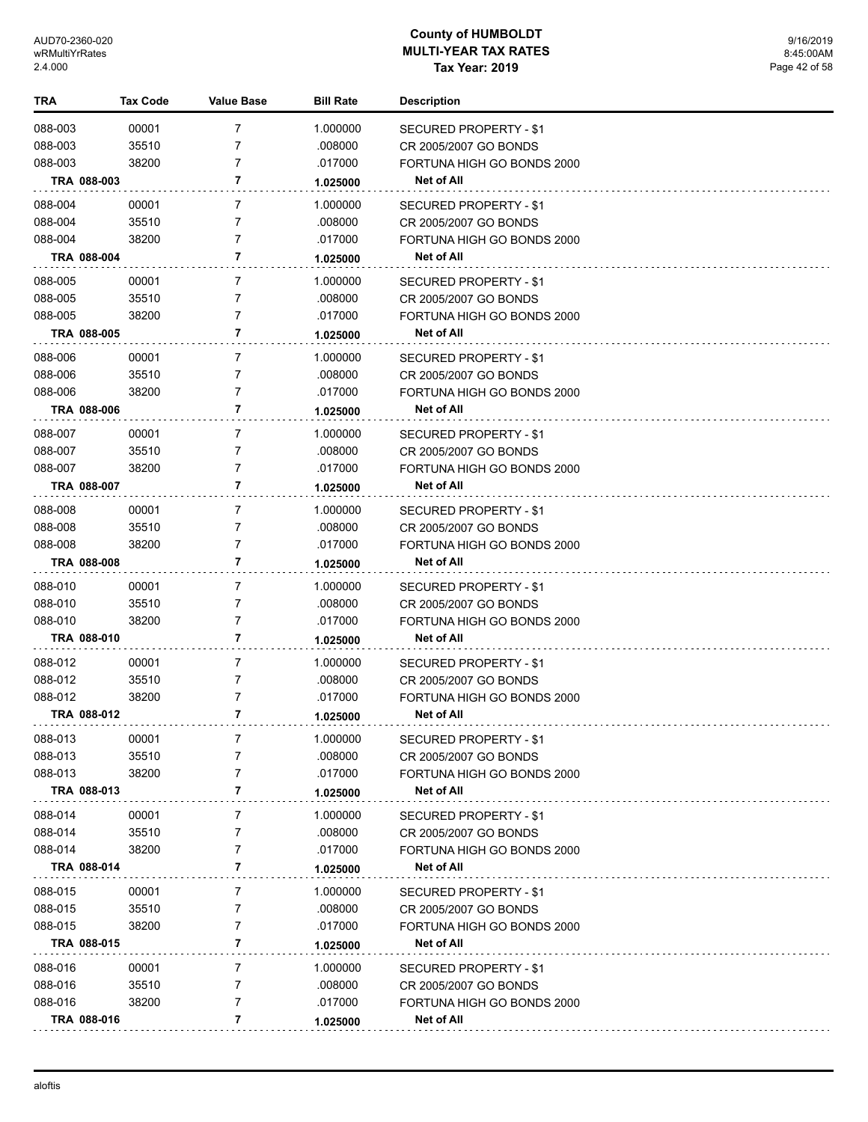| TRA     | <b>Tax Code</b> | <b>Value Base</b> | <b>Bill Rate</b> | <b>Description</b>            |  |
|---------|-----------------|-------------------|------------------|-------------------------------|--|
| 088-003 | 00001           | 7                 | 1.000000         | <b>SECURED PROPERTY - \$1</b> |  |
| 088-003 | 35510           | 7                 | .008000          | CR 2005/2007 GO BONDS         |  |
| 088-003 | 38200           | 7                 | .017000          | FORTUNA HIGH GO BONDS 2000    |  |
|         | TRA 088-003     | 7                 | 1.025000         | Net of All                    |  |
| 088-004 | 00001           | 7                 | 1.000000         | <b>SECURED PROPERTY - \$1</b> |  |
| 088-004 | 35510           | 7                 | .008000          | CR 2005/2007 GO BONDS         |  |
| 088-004 | 38200           | 7                 | .017000          | FORTUNA HIGH GO BONDS 2000    |  |
|         | TRA 088-004     | 7                 | 1.025000         | <b>Net of All</b>             |  |
| 088-005 | 00001           | $\overline{7}$    | 1.000000         | SECURED PROPERTY - \$1        |  |
| 088-005 | 35510           | $\overline{7}$    | .008000          | CR 2005/2007 GO BONDS         |  |
| 088-005 | 38200           | $\overline{7}$    | .017000          | FORTUNA HIGH GO BONDS 2000    |  |
|         | TRA 088-005     | 7                 | 1.025000         | Net of All                    |  |
| 088-006 | 00001           | $\overline{7}$    | 1.000000         | SECURED PROPERTY - \$1        |  |
| 088-006 | 35510           | $\overline{7}$    | .008000          | CR 2005/2007 GO BONDS         |  |
| 088-006 | 38200           | 7                 | .017000          | FORTUNA HIGH GO BONDS 2000    |  |
|         | TRA 088-006     | 7                 | 1.025000         | <b>Net of All</b>             |  |
| 088-007 | 00001           | $\overline{7}$    | 1.000000         | SECURED PROPERTY - \$1        |  |
| 088-007 | 35510           | 7                 | .008000          | CR 2005/2007 GO BONDS         |  |
| 088-007 | 38200           | 7                 | .017000          | FORTUNA HIGH GO BONDS 2000    |  |
|         | TRA 088-007     | 7                 | 1.025000         | Net of All                    |  |
| 088-008 | 00001           | $\overline{7}$    | 1.000000         | SECURED PROPERTY - \$1        |  |
| 088-008 | 35510           | 7                 | .008000          | CR 2005/2007 GO BONDS         |  |
| 088-008 | 38200           | 7                 | .017000          | FORTUNA HIGH GO BONDS 2000    |  |
|         | TRA 088-008     | 7                 | 1.025000         | <b>Net of All</b>             |  |
| 088-010 | 00001           | $\overline{7}$    | 1.000000         | SECURED PROPERTY - \$1        |  |
| 088-010 | 35510           | 7                 | .008000          | CR 2005/2007 GO BONDS         |  |
| 088-010 | 38200           | 7                 | .017000          | FORTUNA HIGH GO BONDS 2000    |  |
|         | TRA 088-010     | 7                 | 1.025000         | <b>Net of All</b>             |  |
| 088-012 | 00001           | $\overline{7}$    | 1.000000         | SECURED PROPERTY - \$1        |  |
| 088-012 | 35510           | 7                 | .008000          | CR 2005/2007 GO BONDS         |  |
| 088-012 | 38200           | 7                 | .017000          | FORTUNA HIGH GO BONDS 2000    |  |
|         | TRA 088-012     | 7                 | 1.025000         | <b>Net of All</b>             |  |
| 088-013 | 00001           | 7                 | 1.000000         | SECURED PROPERTY - \$1        |  |
| 088-013 | 35510           | 7                 | .008000          | CR 2005/2007 GO BONDS         |  |
| 088-013 | 38200           | 7                 | .017000          | FORTUNA HIGH GO BONDS 2000    |  |
|         | TRA 088-013     | 7                 | 1.025000         | <b>Net of All</b>             |  |
| 088-014 | 00001           | 7                 | 1.000000         | <b>SECURED PROPERTY - \$1</b> |  |
| 088-014 | 35510           | 7                 | .008000          | CR 2005/2007 GO BONDS         |  |
| 088-014 | 38200           | 7                 | .017000          | FORTUNA HIGH GO BONDS 2000    |  |
|         | TRA 088-014     | 7                 | 1.025000         | Net of All                    |  |
| 088-015 | 00001           | 7                 | 1.000000         | SECURED PROPERTY - \$1        |  |
| 088-015 | 35510           | 7                 | .008000          | CR 2005/2007 GO BONDS         |  |
| 088-015 | 38200           | 7                 | .017000          | FORTUNA HIGH GO BONDS 2000    |  |
|         | TRA 088-015     | 7                 | 1.025000         | Net of All                    |  |
| 088-016 | 00001           | 7                 | 1.000000         | SECURED PROPERTY - \$1        |  |
| 088-016 | 35510           | 7                 | .008000          | CR 2005/2007 GO BONDS         |  |
| 088-016 | 38200           | 7                 | .017000          | FORTUNA HIGH GO BONDS 2000    |  |
|         | TRA 088-016     | 7                 | 1.025000         | Net of All                    |  |
|         |                 |                   |                  |                               |  |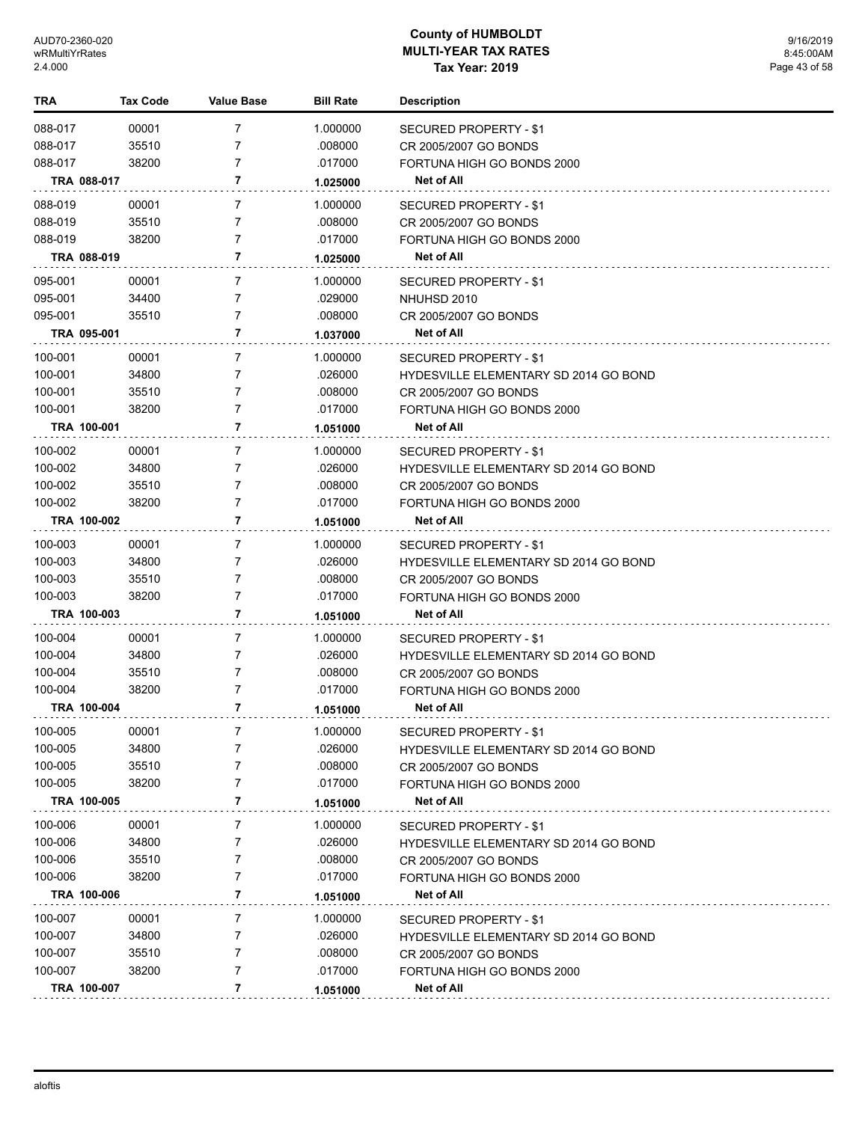| TRA                | <b>Tax Code</b> | <b>Value Base</b> | <b>Bill Rate</b>   | <b>Description</b>                                  |
|--------------------|-----------------|-------------------|--------------------|-----------------------------------------------------|
| 088-017            | 00001           | 7                 | 1.000000           | <b>SECURED PROPERTY - \$1</b>                       |
| 088-017            | 35510           | 7                 | .008000            | CR 2005/2007 GO BONDS                               |
| 088-017            | 38200           | 7                 | .017000            | FORTUNA HIGH GO BONDS 2000                          |
|                    | TRA 088-017     | 7                 | 1.025000           | Net of All                                          |
| 088-019            | 00001           | 7                 | 1.000000           | <b>SECURED PROPERTY - \$1</b>                       |
| 088-019            | 35510           | 7                 | .008000            | CR 2005/2007 GO BONDS                               |
| 088-019            | 38200           | 7                 | .017000            | FORTUNA HIGH GO BONDS 2000                          |
|                    | TRA 088-019     | 7                 | 1.025000           | <b>Net of All</b>                                   |
| 095-001            | 00001           | 7                 | 1.000000           | SECURED PROPERTY - \$1                              |
| 095-001            | 34400           | 7                 | .029000            | NHUHSD 2010                                         |
| 095-001            | 35510           | 7                 | .008000            | CR 2005/2007 GO BONDS                               |
|                    | TRA 095-001     | 7                 | 1.037000           | Net of All                                          |
| 100-001            | 00001           | 7                 | 1.000000           | SECURED PROPERTY - \$1                              |
| 100-001            | 34800           | 7                 | .026000            | <b>HYDESVILLE ELEMENTARY SD 2014 GO BOND</b>        |
| 100-001            | 35510           | 7                 | .008000            | CR 2005/2007 GO BONDS                               |
| 100-001            | 38200           | 7                 | .017000            | FORTUNA HIGH GO BONDS 2000                          |
|                    | TRA 100-001     | 7                 | 1.051000           | <b>Net of All</b>                                   |
| 100-002            | 00001           | 7                 | 1.000000           | SECURED PROPERTY - \$1                              |
| 100-002            | 34800           | 7                 | .026000            | <b>HYDESVILLE ELEMENTARY SD 2014 GO BOND</b>        |
| 100-002            | 35510           | 7                 | .008000            | CR 2005/2007 GO BONDS                               |
| 100-002            | 38200           | 7                 | .017000            | FORTUNA HIGH GO BONDS 2000                          |
|                    | TRA 100-002     | 7                 | 1.051000           | Net of All                                          |
| 100-003            | 00001           | 7                 | 1.000000           | SECURED PROPERTY - \$1                              |
| 100-003            | 34800           | 7                 | .026000            | <b>HYDESVILLE ELEMENTARY SD 2014 GO BOND</b>        |
| 100-003            | 35510           | 7                 | .008000            | CR 2005/2007 GO BONDS                               |
| 100-003            | 38200           | 7                 | .017000            | FORTUNA HIGH GO BONDS 2000                          |
|                    | TRA 100-003     | 7                 | 1.051000           | <b>Net of All</b>                                   |
|                    |                 |                   |                    |                                                     |
| 100-004            | 00001           | 7                 | 1.000000           | SECURED PROPERTY - \$1                              |
| 100-004<br>100-004 | 34800           | 7<br>7            | .026000            | <b>HYDESVILLE ELEMENTARY SD 2014 GO BOND</b>        |
| 100-004            | 35510<br>38200  | 7                 | .008000<br>.017000 | CR 2005/2007 GO BONDS<br>FORTUNA HIGH GO BONDS 2000 |
|                    | TRA 100-004     | 7                 | 1.051000           | Net of All                                          |
|                    |                 |                   |                    |                                                     |
| 100-005            | 00001           |                   | 1.000000           | <b>SECURED PROPERTY - \$1</b>                       |
| 100-005            | 34800           | 7                 | .026000            | <b>HYDESVILLE ELEMENTARY SD 2014 GO BOND</b>        |
| 100-005            | 35510           | 7                 | .008000            | CR 2005/2007 GO BONDS                               |
| 100-005            | 38200           | 7                 | .017000            | FORTUNA HIGH GO BONDS 2000                          |
|                    | TRA 100-005     | 7                 | 1.051000           | <b>Net of All</b>                                   |
| 100-006            | 00001           | 7                 | 1.000000           | <b>SECURED PROPERTY - \$1</b>                       |
| 100-006            | 34800           | 7                 | .026000            | <b>HYDESVILLE ELEMENTARY SD 2014 GO BOND</b>        |
| 100-006            | 35510           | 7                 | .008000            | CR 2005/2007 GO BONDS                               |
| 100-006            | 38200           | 7                 | .017000            | FORTUNA HIGH GO BONDS 2000                          |
|                    | TRA 100-006     | 7                 | 1.051000           | <b>Net of All</b>                                   |
| 100-007            | 00001           | 7                 | 1.000000           | SECURED PROPERTY - \$1                              |
| 100-007            | 34800           | 7                 | .026000            | <b>HYDESVILLE ELEMENTARY SD 2014 GO BOND</b>        |
| 100-007            | 35510           | 7                 | .008000            | CR 2005/2007 GO BONDS                               |
| 100-007            | 38200           | 7                 | .017000            | FORTUNA HIGH GO BONDS 2000                          |
|                    | TRA 100-007     | 7                 | 1.051000           | Net of All                                          |
|                    |                 |                   |                    |                                                     |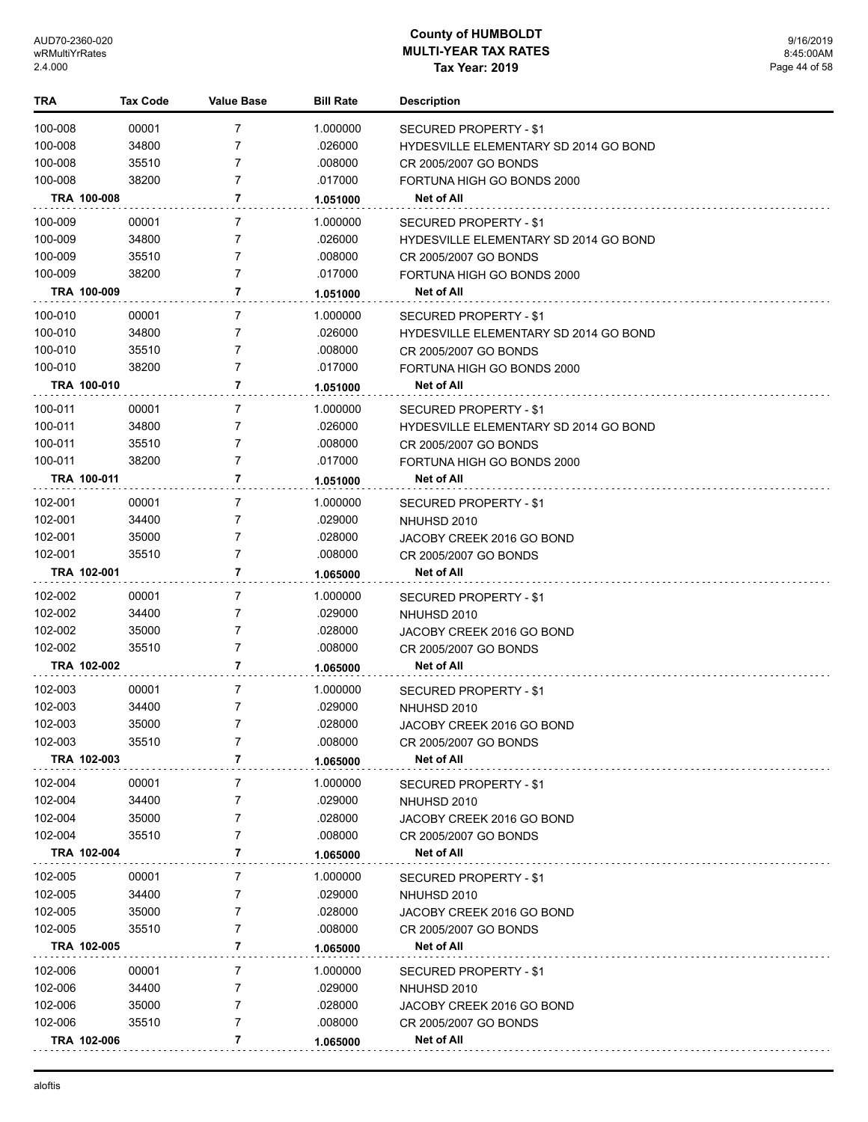| TRA         | Tax Code    | <b>Value Base</b> | <b>Bill Rate</b> | <b>Description</b>                           |
|-------------|-------------|-------------------|------------------|----------------------------------------------|
| 100-008     | 00001       | 7                 | 1.000000         | <b>SECURED PROPERTY - \$1</b>                |
| 100-008     | 34800       | 7                 | .026000          | <b>HYDESVILLE ELEMENTARY SD 2014 GO BOND</b> |
| 100-008     | 35510       | 7                 | .008000          | CR 2005/2007 GO BONDS                        |
| 100-008     | 38200       | 7                 | .017000          | FORTUNA HIGH GO BONDS 2000                   |
|             | TRA 100-008 | 7                 | 1.051000         | Net of All                                   |
| 100-009     | 00001       | 7                 | 1.000000         | SECURED PROPERTY - \$1                       |
| 100-009     | 34800       | 7                 | .026000          | <b>HYDESVILLE ELEMENTARY SD 2014 GO BOND</b> |
| 100-009     | 35510       | 7                 | .008000          | CR 2005/2007 GO BONDS                        |
| 100-009     | 38200       | 7                 | .017000          | FORTUNA HIGH GO BONDS 2000                   |
| TRA 100-009 |             | 7                 | 1.051000         | <b>Net of All</b>                            |
| 100-010     | 00001       | 7                 | 1.000000         | SECURED PROPERTY - \$1                       |
| 100-010     | 34800       | 7                 | .026000          | <b>HYDESVILLE ELEMENTARY SD 2014 GO BOND</b> |
| 100-010     | 35510       | 7                 | .008000          | CR 2005/2007 GO BONDS                        |
| 100-010     | 38200       | 7                 | .017000          | FORTUNA HIGH GO BONDS 2000                   |
|             | TRA 100-010 | 7                 | 1.051000         | Net of All                                   |
| 100-011     | 00001       | 7                 | 1.000000         | SECURED PROPERTY - \$1                       |
| 100-011     | 34800       | 7                 | .026000          | <b>HYDESVILLE ELEMENTARY SD 2014 GO BOND</b> |
| 100-011     | 35510       | 7                 | .008000          | CR 2005/2007 GO BONDS                        |
| 100-011     | 38200       | 7                 | .017000          | FORTUNA HIGH GO BONDS 2000                   |
| TRA 100-011 |             | 7                 | 1.051000         | Net of All                                   |
| 102-001     | 00001       | 7                 | 1.000000         | SECURED PROPERTY - \$1                       |
| 102-001     | 34400       | 7                 | .029000          | NHUHSD 2010                                  |
| 102-001     | 35000       | 7                 | .028000          | JACOBY CREEK 2016 GO BOND                    |
| 102-001     | 35510       | 7                 | .008000          | CR 2005/2007 GO BONDS                        |
| TRA 102-001 |             | 7                 | 1.065000         | Net of All                                   |
| 102-002     | 00001       | 7                 | 1.000000         | SECURED PROPERTY - \$1                       |
| 102-002     | 34400       | 7                 | .029000          | NHUHSD 2010                                  |
| 102-002     | 35000       | 7                 | .028000          | JACOBY CREEK 2016 GO BOND                    |
| 102-002     | 35510       | 7                 | .008000          | CR 2005/2007 GO BONDS                        |
|             | TRA 102-002 | 7                 | 1.065000         | Net of All                                   |
| 102-003     | 00001       | 7                 | 1.000000         | SECURED PROPERTY - \$1                       |
| 102-003     | 34400       | 7                 | .029000          | NHUHSD 2010                                  |
| 102-003     | 35000       | 7                 | .028000          | JACOBY CREEK 2016 GO BOND                    |
| 102-003     | 35510       | 7                 | .008000          | CR 2005/2007 GO BONDS                        |
| TRA 102-003 |             | 7                 | 1.065000         | Net of All                                   |
| 102-004     | 00001       | 7                 | 1.000000         | SECURED PROPERTY - \$1                       |
| 102-004     | 34400       | 7                 | .029000          | NHUHSD 2010                                  |
| 102-004     | 35000       | 7                 | .028000          | JACOBY CREEK 2016 GO BOND                    |
| 102-004     | 35510       | 7                 | .008000          | CR 2005/2007 GO BONDS                        |
|             | TRA 102-004 | 7                 | 1.065000         | Net of All                                   |
| 102-005     | 00001       | 7                 | 1.000000         | <b>SECURED PROPERTY - \$1</b>                |
| 102-005     | 34400       | 7                 | .029000          | NHUHSD 2010                                  |
| 102-005     | 35000       | 7                 | .028000          | JACOBY CREEK 2016 GO BOND                    |
| 102-005     | 35510       | 7                 | .008000          | CR 2005/2007 GO BONDS                        |
|             | TRA 102-005 | 7                 | 1.065000         | Net of All                                   |
| 102-006     | 00001       | 7                 | 1.000000         | SECURED PROPERTY - \$1                       |
| 102-006     | 34400       | 7                 | .029000          | NHUHSD 2010                                  |
| 102-006     | 35000       | 7                 | .028000          | JACOBY CREEK 2016 GO BOND                    |
| 102-006     | 35510       | 7                 | .008000          | CR 2005/2007 GO BONDS                        |
|             | TRA 102-006 | 7                 | 1.065000         | Net of All                                   |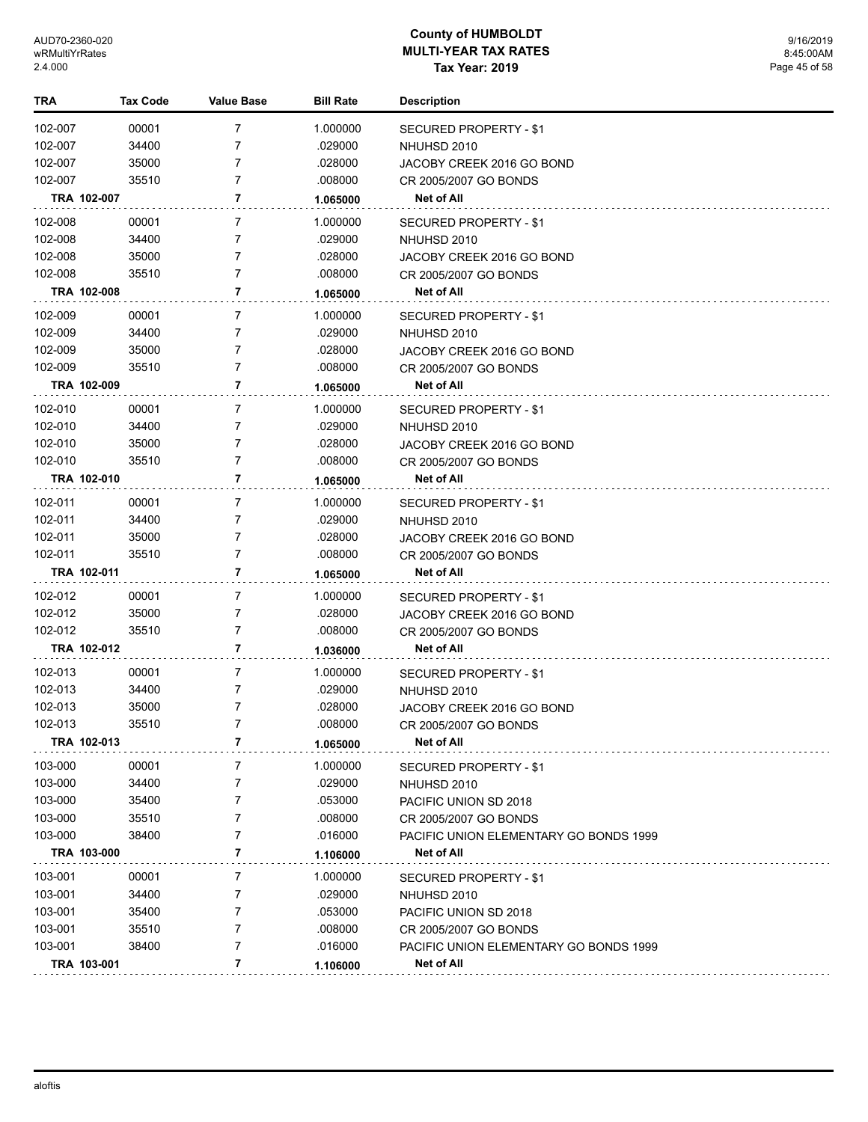| TRA         | <b>Tax Code</b> | <b>Value Base</b> | <b>Bill Rate</b> | <b>Description</b>                     |
|-------------|-----------------|-------------------|------------------|----------------------------------------|
| 102-007     | 00001           | 7                 | 1.000000         | <b>SECURED PROPERTY - \$1</b>          |
| 102-007     | 34400           | 7                 | .029000          | NHUHSD 2010                            |
| 102-007     | 35000           | 7                 | .028000          | JACOBY CREEK 2016 GO BOND              |
| 102-007     | 35510           | 7                 | .008000          | CR 2005/2007 GO BONDS                  |
| TRA 102-007 |                 | 7                 | 1.065000         | Net of All                             |
| 102-008     | 00001           | 7                 | 1.000000         | SECURED PROPERTY - \$1                 |
| 102-008     | 34400           | 7                 | .029000          | NHUHSD 2010                            |
| 102-008     | 35000           | 7                 | .028000          | JACOBY CREEK 2016 GO BOND              |
| 102-008     | 35510           | 7                 | .008000          | CR 2005/2007 GO BONDS                  |
| TRA 102-008 |                 | 7                 | 1.065000         | Net of All                             |
| 102-009     | 00001           | 7                 | 1.000000         | SECURED PROPERTY - \$1                 |
| 102-009     | 34400           | 7                 | .029000          | NHUHSD 2010                            |
| 102-009     | 35000           | 7                 | .028000          | JACOBY CREEK 2016 GO BOND              |
| 102-009     | 35510           | 7                 | .008000          | CR 2005/2007 GO BONDS                  |
| TRA 102-009 |                 | 7                 | 1.065000         | Net of All                             |
| 102-010     | 00001           | 7                 | 1.000000         | SECURED PROPERTY - \$1                 |
| 102-010     | 34400           | 7                 | .029000          | NHUHSD 2010                            |
| 102-010     | 35000           | 7                 | .028000          | JACOBY CREEK 2016 GO BOND              |
| 102-010     | 35510           | 7                 | .008000          | CR 2005/2007 GO BONDS                  |
| TRA 102-010 |                 | 7                 | 1.065000         | Net of All                             |
| 102-011     | 00001           | 7                 | 1.000000         | SECURED PROPERTY - \$1                 |
| 102-011     | 34400           | 7                 | .029000          | NHUHSD 2010                            |
| 102-011     | 35000           | 7                 | .028000          | JACOBY CREEK 2016 GO BOND              |
| 102-011     | 35510           | 7                 | .008000          | CR 2005/2007 GO BONDS                  |
| TRA 102-011 |                 | 7                 | 1.065000         | Net of All                             |
| 102-012     | 00001           | 7                 | 1.000000         | SECURED PROPERTY - \$1                 |
| 102-012     | 35000           | 7                 | .028000          | JACOBY CREEK 2016 GO BOND              |
| 102-012     | 35510           | 7                 | .008000          | CR 2005/2007 GO BONDS                  |
| TRA 102-012 |                 | 7                 | 1.036000         | Net of All                             |
| 102-013     | 00001           | 7                 | 1.000000         | SECURED PROPERTY - \$1                 |
| 102-013     | 34400           | 7                 | .029000          | NHUHSD 2010                            |
| 102-013     | 35000           | 7                 | .028000          | JACOBY CREEK 2016 GO BOND              |
| 102-013     | 35510           | 7                 | .008000          | CR 2005/2007 GO BONDS                  |
| TRA 102-013 |                 | 7                 | 1.065000         | Net of All                             |
| 103-000     | 00001           | 7                 | 1.000000         | SECURED PROPERTY - \$1                 |
| 103-000     | 34400           | 7                 | .029000          | NHUHSD 2010                            |
| 103-000     | 35400           | 7                 | .053000          | PACIFIC UNION SD 2018                  |
| 103-000     | 35510           | 7                 | .008000          | CR 2005/2007 GO BONDS                  |
| 103-000     | 38400           | 7                 | .016000          | PACIFIC UNION ELEMENTARY GO BONDS 1999 |
| TRA 103-000 |                 | 7                 | 1.106000         | Net of All                             |
| 103-001     | 00001           | 7                 | 1.000000         | SECURED PROPERTY - \$1                 |
| 103-001     | 34400           | 7                 | .029000          | NHUHSD 2010                            |
| 103-001     | 35400           | 7                 | .053000          | PACIFIC UNION SD 2018                  |
| 103-001     | 35510           | 7                 | .008000          | CR 2005/2007 GO BONDS                  |
| 103-001     | 38400           | 7                 | .016000          | PACIFIC UNION ELEMENTARY GO BONDS 1999 |
| TRA 103-001 |                 | 7                 | 1.106000         | Net of All                             |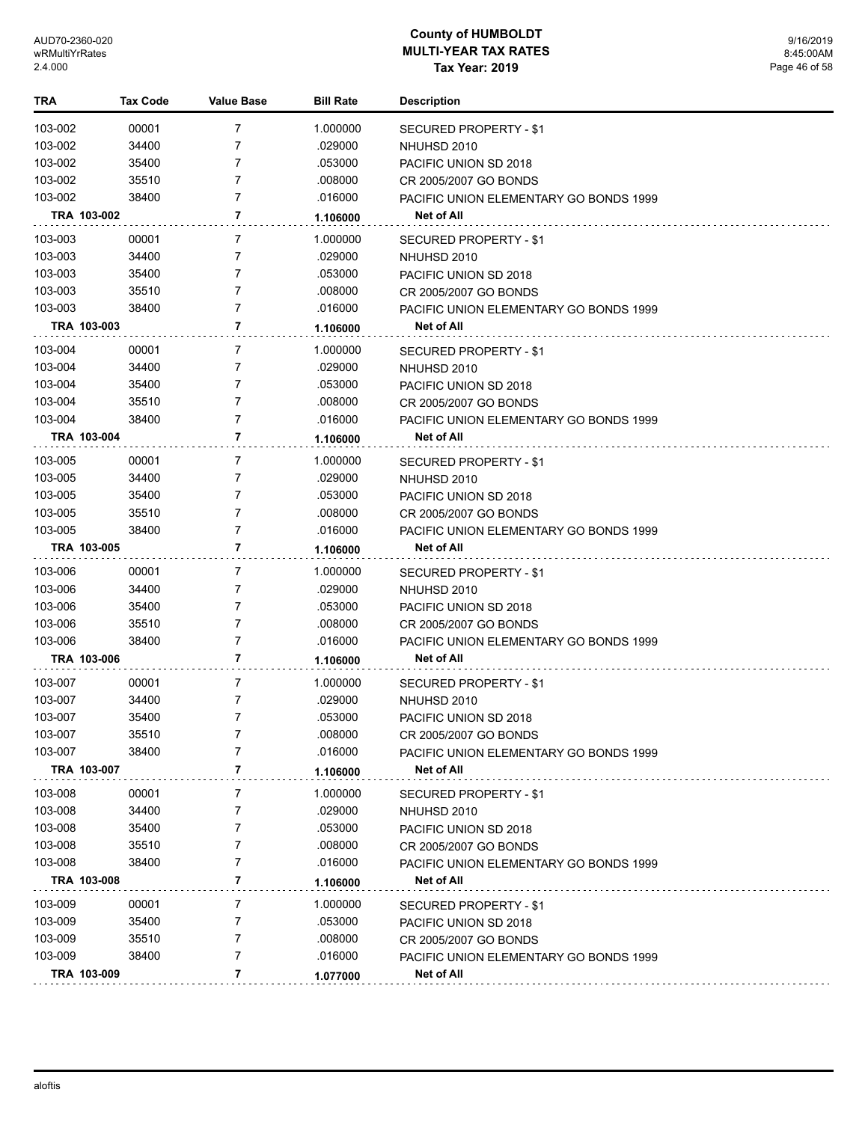| TRA                | Tax Code | Value Base | <b>Bill Rate</b> | <b>Description</b>                                   |
|--------------------|----------|------------|------------------|------------------------------------------------------|
| 103-002            | 00001    | 7          | 1.000000         | <b>SECURED PROPERTY - \$1</b>                        |
| 103-002            | 34400    | 7          | .029000          | NHUHSD 2010                                          |
| 103-002            | 35400    | 7          | .053000          | PACIFIC UNION SD 2018                                |
| 103-002            | 35510    | 7          | .008000          | CR 2005/2007 GO BONDS                                |
| 103-002            | 38400    | 7          | .016000          | PACIFIC UNION ELEMENTARY GO BONDS 1999               |
| TRA 103-002        |          | 7          | 1.106000         | Net of All                                           |
| 103-003            | 00001    | 7          | 1.000000         | SECURED PROPERTY - \$1                               |
| 103-003            | 34400    | 7          | .029000          | NHUHSD 2010                                          |
| 103-003            | 35400    | 7          | .053000          | PACIFIC UNION SD 2018                                |
| 103-003            | 35510    | 7          | .008000          | CR 2005/2007 GO BONDS                                |
| 103-003            | 38400    | 7          | .016000          | PACIFIC UNION ELEMENTARY GO BONDS 1999               |
| TRA 103-003        |          | 7          | 1.106000         | Net of All                                           |
| 103-004            | 00001    | 7          | 1.000000         | SECURED PROPERTY - \$1                               |
| 103-004            | 34400    | 7          | .029000          | NHUHSD 2010                                          |
| 103-004            | 35400    | 7          | .053000          | PACIFIC UNION SD 2018                                |
| 103-004            | 35510    | 7          | .008000          | CR 2005/2007 GO BONDS                                |
| 103-004            | 38400    | 7          | .016000          | PACIFIC UNION ELEMENTARY GO BONDS 1999               |
| TRA 103-004        |          | 7          | 1.106000         | <b>Net of All</b>                                    |
| 103-005            | 00001    | 7          | 1.000000         | SECURED PROPERTY - \$1                               |
| 103-005            | 34400    | 7          | .029000          | NHUHSD 2010                                          |
| 103-005            | 35400    | 7          | .053000          | PACIFIC UNION SD 2018                                |
| 103-005            | 35510    | 7          | .008000          | CR 2005/2007 GO BONDS                                |
| 103-005            | 38400    | 7          | .016000          | PACIFIC UNION ELEMENTARY GO BONDS 1999               |
| TRA 103-005        |          | 7          | 1.106000         | Net of All                                           |
| 103-006            | 00001    | 7          | 1.000000         | SECURED PROPERTY - \$1                               |
| 103-006            | 34400    | 7          | .029000          | NHUHSD 2010                                          |
| 103-006            | 35400    | 7          | .053000          | PACIFIC UNION SD 2018                                |
| 103-006            | 35510    | 7          | .008000          | CR 2005/2007 GO BONDS                                |
| 103-006            | 38400    | 7          | .016000          | PACIFIC UNION ELEMENTARY GO BONDS 1999               |
| TRA 103-006        |          | 7          | 1.106000         | Net of All                                           |
|                    | 00001    | 7          | 1.000000         |                                                      |
| 103-007<br>103-007 | 34400    | 7          | .029000          | <b>SECURED PROPERTY - \$1</b>                        |
| 103-007            | 35400    | 7          | .053000          | NHUHSD 2010                                          |
| 103-007            | 35510    | 7          | .008000          | PACIFIC UNION SD 2018                                |
| 103-007            | 38400    | 7          | .016000          | CR 2005/2007 GO BONDS                                |
| TRA 103-007        |          | 7          | 1.106000         | PACIFIC UNION ELEMENTARY GO BONDS 1999<br>Net of All |
|                    |          |            |                  |                                                      |
| 103-008            | 00001    | 7          | 1.000000         | SECURED PROPERTY - \$1                               |
| 103-008            | 34400    | 7          | .029000          | NHUHSD 2010                                          |
| 103-008            | 35400    | 7          | .053000          | PACIFIC UNION SD 2018                                |
| 103-008            | 35510    | 7          | .008000          | CR 2005/2007 GO BONDS                                |
| 103-008            | 38400    | 7          | .016000          | PACIFIC UNION ELEMENTARY GO BONDS 1999               |
| TRA 103-008        |          | 7          | 1.106000         | Net of All                                           |
| 103-009            | 00001    | 7          | 1.000000         | SECURED PROPERTY - \$1                               |
| 103-009            | 35400    | 7          | .053000          | PACIFIC UNION SD 2018                                |
| 103-009            | 35510    | 7          | .008000          | CR 2005/2007 GO BONDS                                |
| 103-009            | 38400    | 7          | .016000          | PACIFIC UNION ELEMENTARY GO BONDS 1999               |
| TRA 103-009        |          | 7          | 1.077000         | Net of All                                           |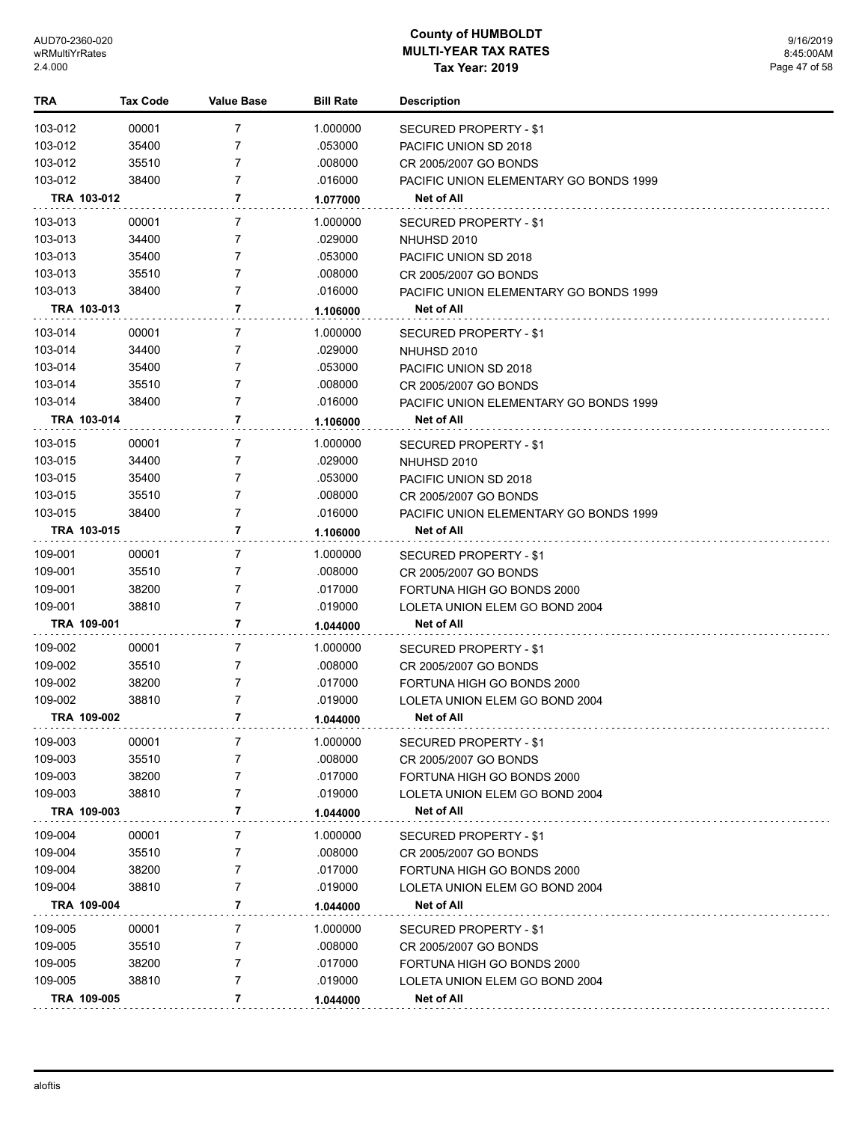| TRA                |             | <b>Tax Code</b> | <b>Value Base</b> | <b>Bill Rate</b>   | <b>Description</b>                                          |
|--------------------|-------------|-----------------|-------------------|--------------------|-------------------------------------------------------------|
| 103-012            |             | 00001           | 7                 | 1.000000           | SECURED PROPERTY - \$1                                      |
| 103-012            |             | 35400           | 7                 | .053000            | PACIFIC UNION SD 2018                                       |
| 103-012            |             | 35510           | 7                 | .008000            | CR 2005/2007 GO BONDS                                       |
| 103-012            |             | 38400           | 7                 | .016000            | PACIFIC UNION ELEMENTARY GO BONDS 1999                      |
|                    | TRA 103-012 |                 | 7                 | 1.077000           | Net of All                                                  |
| 103-013            |             | 00001           | 7                 | 1.000000           | SECURED PROPERTY - \$1                                      |
| 103-013            |             | 34400           | 7                 | .029000            | NHUHSD 2010                                                 |
| 103-013            |             | 35400           | 7                 | .053000            | PACIFIC UNION SD 2018                                       |
| 103-013            |             | 35510           | 7                 | .008000            | CR 2005/2007 GO BONDS                                       |
| 103-013            |             | 38400           | 7                 | .016000            | PACIFIC UNION ELEMENTARY GO BONDS 1999                      |
|                    | TRA 103-013 |                 | 7                 | 1.106000           | Net of All                                                  |
|                    |             |                 |                   |                    |                                                             |
| 103-014            |             | 00001           | 7                 | 1.000000           | SECURED PROPERTY - \$1                                      |
| 103-014            |             | 34400           | 7<br>7            | .029000            | NHUHSD 2010                                                 |
| 103-014<br>103-014 |             | 35400<br>35510  | 7                 | .053000<br>.008000 | PACIFIC UNION SD 2018                                       |
| 103-014            |             | 38400           | 7                 | .016000            | CR 2005/2007 GO BONDS                                       |
|                    | TRA 103-014 |                 | 7                 |                    | PACIFIC UNION ELEMENTARY GO BONDS 1999<br><b>Net of All</b> |
|                    |             |                 |                   | 1.106000           |                                                             |
| 103-015            |             | 00001           | 7                 | 1.000000           | <b>SECURED PROPERTY - \$1</b>                               |
| 103-015            |             | 34400           | 7                 | .029000            | NHUHSD 2010                                                 |
| 103-015            |             | 35400           | 7                 | .053000            | PACIFIC UNION SD 2018                                       |
| 103-015            |             | 35510           | 7                 | .008000            | CR 2005/2007 GO BONDS                                       |
| 103-015            |             | 38400           | 7                 | .016000            | PACIFIC UNION ELEMENTARY GO BONDS 1999                      |
|                    | TRA 103-015 |                 | 7                 | 1.106000           | Net of All                                                  |
| 109-001            |             | 00001           | 7                 | 1.000000           | SECURED PROPERTY - \$1                                      |
| 109-001            |             | 35510           | 7                 | .008000            | CR 2005/2007 GO BONDS                                       |
| 109-001            |             | 38200           | 7                 | .017000            | FORTUNA HIGH GO BONDS 2000                                  |
| 109-001            |             | 38810           | 7                 | .019000            | LOLETA UNION ELEM GO BOND 2004                              |
|                    | TRA 109-001 |                 | 7                 | 1.044000           | Net of All                                                  |
| 109-002            |             | 00001           | 7                 | 1.000000           | SECURED PROPERTY - \$1                                      |
| 109-002            |             | 35510           | 7                 | .008000            | CR 2005/2007 GO BONDS                                       |
| 109-002            |             | 38200           | 7                 | .017000            | FORTUNA HIGH GO BONDS 2000                                  |
| 109-002            |             | 38810           | 7                 | .019000            | LOLETA UNION ELEM GO BOND 2004                              |
|                    | TRA 109-002 |                 | 7                 | 1.044000           | <b>Net of All</b>                                           |
| 109-003            |             | 00001           | 7                 | 1.000000           | SECURED PROPERTY - \$1                                      |
| 109-003            |             | 35510           | 7                 | .008000            | CR 2005/2007 GO BONDS                                       |
| 109-003            |             | 38200           | 7                 | .017000            | FORTUNA HIGH GO BONDS 2000                                  |
| 109-003            |             | 38810           | 7                 | .019000            | LOLETA UNION ELEM GO BOND 2004                              |
|                    | TRA 109-003 |                 | 7                 | 1.044000           | Net of All                                                  |
| 109-004            |             | 00001           | 7                 | 1.000000           | SECURED PROPERTY - \$1                                      |
| 109-004            |             | 35510           | 7                 | .008000            | CR 2005/2007 GO BONDS                                       |
| 109-004            |             | 38200           | 7                 | .017000            | FORTUNA HIGH GO BONDS 2000                                  |
| 109-004            |             | 38810           | 7                 | .019000            | LOLETA UNION ELEM GO BOND 2004                              |
|                    | TRA 109-004 |                 | 7                 | 1.044000           | Net of All                                                  |
| 109-005            |             | 00001           | 7                 | 1.000000           | SECURED PROPERTY - \$1                                      |
| 109-005            |             | 35510           | 7                 | .008000            | CR 2005/2007 GO BONDS                                       |
| 109-005            |             | 38200           | 7                 | .017000            | FORTUNA HIGH GO BONDS 2000                                  |
| 109-005            |             | 38810           | 7                 | .019000            | LOLETA UNION ELEM GO BOND 2004                              |
|                    | TRA 109-005 |                 | 7                 | 1.044000           | Net of All                                                  |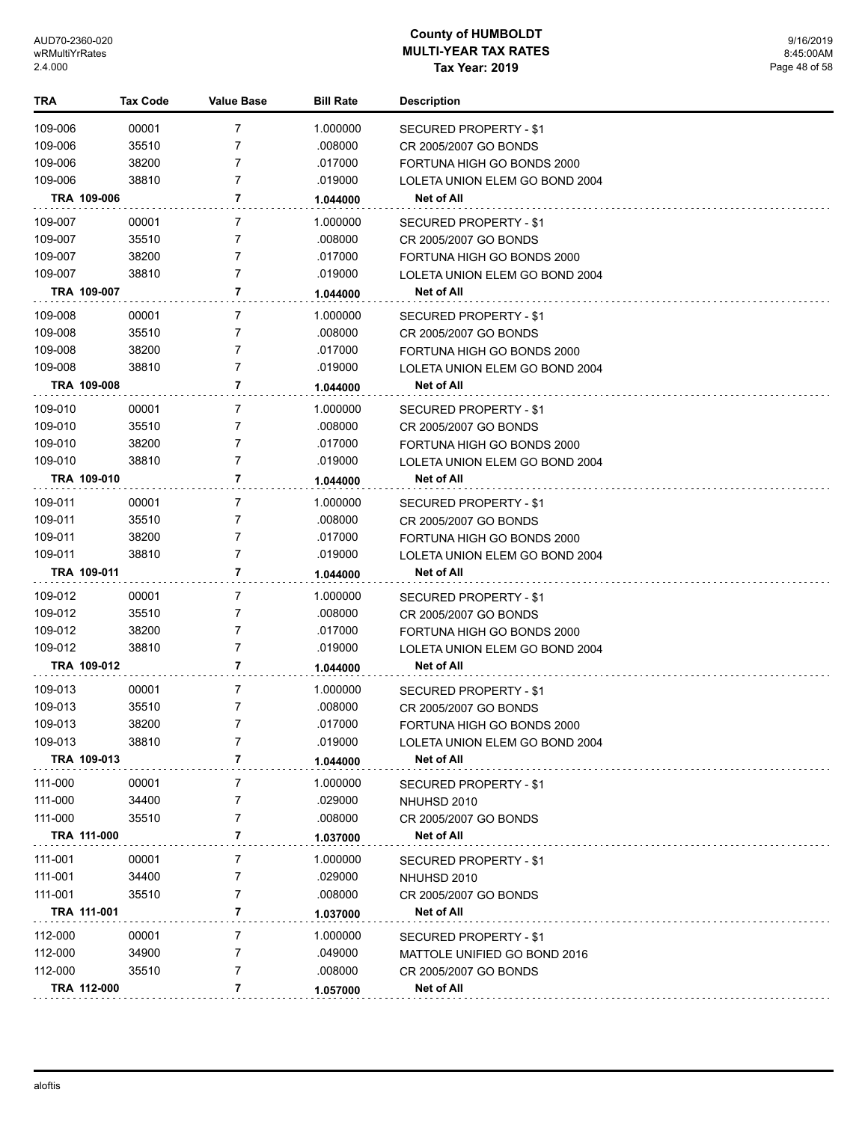| TRA     | <b>Tax Code</b> | <b>Value Base</b> | <b>Bill Rate</b> | <b>Description</b>             |
|---------|-----------------|-------------------|------------------|--------------------------------|
| 109-006 | 00001           | $\overline{7}$    | 1.000000         | SECURED PROPERTY - \$1         |
| 109-006 | 35510           | 7                 | .008000          | CR 2005/2007 GO BONDS          |
| 109-006 | 38200           | 7                 | .017000          | FORTUNA HIGH GO BONDS 2000     |
| 109-006 | 38810           | 7                 | .019000          | LOLETA UNION ELEM GO BOND 2004 |
|         | TRA 109-006     | 7                 | 1.044000         | Net of All                     |
|         |                 |                   |                  |                                |
| 109-007 | 00001           | $\overline{7}$    | 1.000000         | SECURED PROPERTY - \$1         |
| 109-007 | 35510           | $\overline{7}$    | .008000          | CR 2005/2007 GO BONDS          |
| 109-007 | 38200           | 7                 | .017000          | FORTUNA HIGH GO BONDS 2000     |
| 109-007 | 38810           | 7                 | .019000          | LOLETA UNION ELEM GO BOND 2004 |
|         | TRA 109-007     | 7                 | 1.044000         | Net of All                     |
| 109-008 | 00001           | 7                 | 1.000000         | SECURED PROPERTY - \$1         |
| 109-008 | 35510           | $\overline{7}$    | .008000          | CR 2005/2007 GO BONDS          |
| 109-008 | 38200           | 7                 | .017000          | FORTUNA HIGH GO BONDS 2000     |
| 109-008 | 38810           | 7                 | .019000          | LOLETA UNION ELEM GO BOND 2004 |
|         | TRA 109-008     | 7                 | 1.044000         | Net of All                     |
| 109-010 | 00001           | 7                 | 1.000000         | SECURED PROPERTY - \$1         |
| 109-010 | 35510           | 7                 | .008000          | CR 2005/2007 GO BONDS          |
| 109-010 | 38200           | 7                 | .017000          | FORTUNA HIGH GO BONDS 2000     |
| 109-010 | 38810           | 7                 | .019000          | LOLETA UNION ELEM GO BOND 2004 |
|         | TRA 109-010     | 7                 | 1.044000         | Net of All                     |
| 109-011 | 00001           | $\overline{7}$    | 1.000000         | SECURED PROPERTY - \$1         |
| 109-011 | 35510           | 7                 | .008000          | CR 2005/2007 GO BONDS          |
| 109-011 | 38200           | 7                 | .017000          | FORTUNA HIGH GO BONDS 2000     |
| 109-011 | 38810           | $\overline{7}$    | .019000          | LOLETA UNION ELEM GO BOND 2004 |
|         | TRA 109-011     | 7                 |                  | Net of All                     |
|         |                 |                   | 1.044000         |                                |
| 109-012 | 00001           | 7                 | 1.000000         | SECURED PROPERTY - \$1         |
| 109-012 | 35510           | 7                 | .008000          | CR 2005/2007 GO BONDS          |
| 109-012 | 38200           | 7                 | .017000          | FORTUNA HIGH GO BONDS 2000     |
| 109-012 | 38810           | $\overline{7}$    | .019000          | LOLETA UNION ELEM GO BOND 2004 |
|         | TRA 109-012     | 7                 | 1.044000         | Net of All                     |
| 109-013 | 00001           | $\overline{7}$    | 1.000000         | <b>SECURED PROPERTY - \$1</b>  |
| 109-013 | 35510           | 7                 | .008000          | CR 2005/2007 GO BONDS          |
| 109-013 | 38200           | $\overline{7}$    | .017000          | FORTUNA HIGH GO BONDS 2000     |
| 109-013 | 38810           | 7                 | .019000          | LOLETA UNION ELEM GO BOND 2004 |
|         | TRA 109-013     | 7                 | 1.044000         | Net of All                     |
| 111-000 | 00001           | 7                 | 1.000000         | SECURED PROPERTY - \$1         |
| 111-000 | 34400           | 7                 | .029000          | NHUHSD 2010                    |
| 111-000 | 35510           | 7                 | .008000          | CR 2005/2007 GO BONDS          |
|         | TRA 111-000     | 7                 | 1.037000         | Net of All                     |
|         |                 |                   |                  |                                |
| 111-001 | 00001           | 7                 | 1.000000         | SECURED PROPERTY - \$1         |
| 111-001 | 34400           | 7                 | .029000          | NHUHSD 2010                    |
| 111-001 | 35510           | 7                 | .008000          | CR 2005/2007 GO BONDS          |
|         | TRA 111-001     | 7                 | 1.037000         | Net of All                     |
| 112-000 | 00001           | 7                 | 1.000000         | SECURED PROPERTY - \$1         |
| 112-000 | 34900           | 7                 | .049000          | MATTOLE UNIFIED GO BOND 2016   |
| 112-000 | 35510           | 7                 | .008000          | CR 2005/2007 GO BONDS          |
|         | TRA 112-000     | 7                 | 1.057000         | Net of All                     |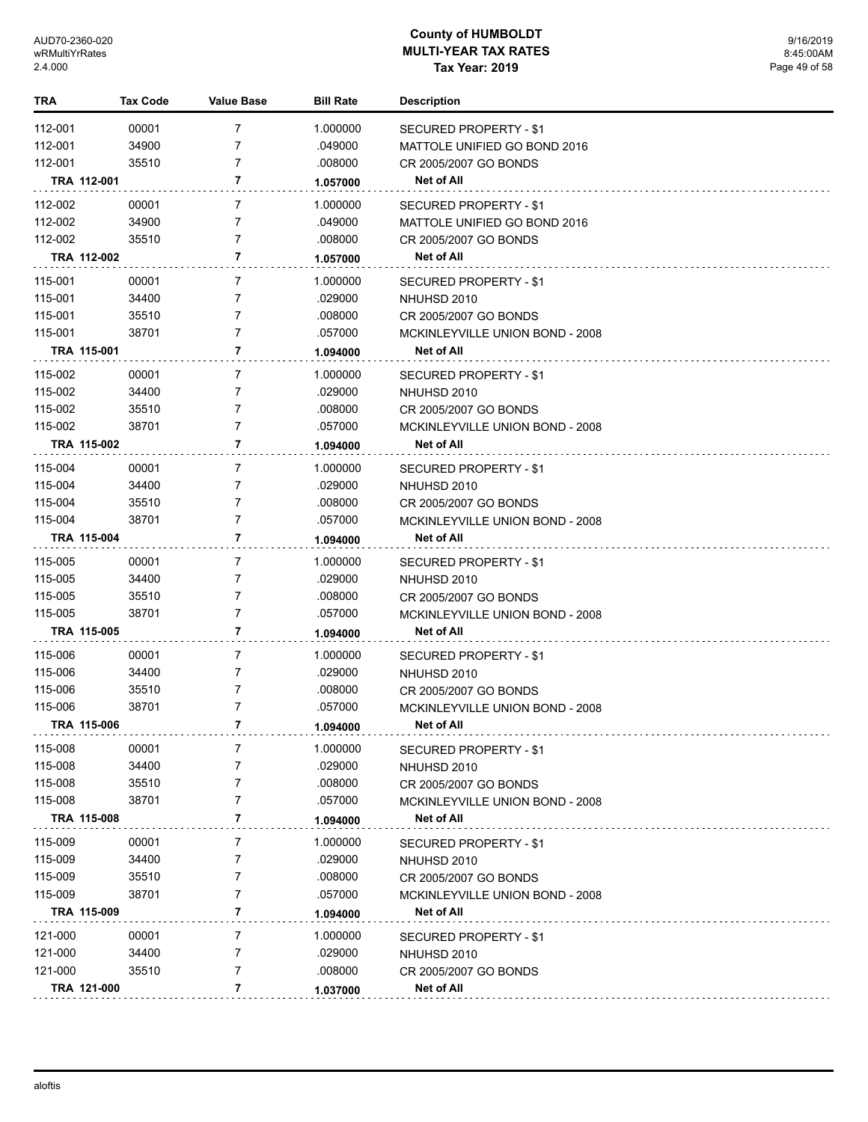| TRA     | <b>Tax Code</b> | Value Base     | <b>Bill Rate</b> | <b>Description</b>              |  |
|---------|-----------------|----------------|------------------|---------------------------------|--|
| 112-001 | 00001           | 7              | 1.000000         | SECURED PROPERTY - \$1          |  |
| 112-001 | 34900           | $\overline{7}$ | .049000          | MATTOLE UNIFIED GO BOND 2016    |  |
| 112-001 | 35510           | $\overline{7}$ | .008000          | CR 2005/2007 GO BONDS           |  |
|         | TRA 112-001     | 7              | 1.057000         | Net of All                      |  |
| 112-002 | 00001           | 7              | 1.000000         | <b>SECURED PROPERTY - \$1</b>   |  |
| 112-002 | 34900           | $\overline{7}$ | .049000          | MATTOLE UNIFIED GO BOND 2016    |  |
| 112-002 | 35510           | $\overline{7}$ | .008000          | CR 2005/2007 GO BONDS           |  |
|         | TRA 112-002     | 7              | 1.057000         | Net of All                      |  |
| 115-001 | 00001           | 7              | 1.000000         | SECURED PROPERTY - \$1          |  |
| 115-001 | 34400           | 7              | .029000          | NHUHSD 2010                     |  |
| 115-001 | 35510           | $\overline{7}$ | .008000          | CR 2005/2007 GO BONDS           |  |
| 115-001 | 38701           | $\overline{7}$ | .057000          | MCKINLEYVILLE UNION BOND - 2008 |  |
|         | TRA 115-001     | 7              | 1.094000         | Net of All                      |  |
| 115-002 | 00001           | 7              | 1.000000         | SECURED PROPERTY - \$1          |  |
| 115-002 | 34400           | 7              | .029000          | NHUHSD 2010                     |  |
| 115-002 | 35510           | $\overline{7}$ | .008000          | CR 2005/2007 GO BONDS           |  |
| 115-002 | 38701           | $\overline{7}$ | .057000          | MCKINLEYVILLE UNION BOND - 2008 |  |
|         | TRA 115-002     | 7              | 1.094000         | Net of All                      |  |
| 115-004 | 00001           | 7              | 1.000000         | SECURED PROPERTY - \$1          |  |
| 115-004 | 34400           | 7              | .029000          | NHUHSD 2010                     |  |
| 115-004 | 35510           | $\overline{7}$ | .008000          | CR 2005/2007 GO BONDS           |  |
| 115-004 | 38701           | $\overline{7}$ | .057000          | MCKINLEYVILLE UNION BOND - 2008 |  |
|         | TRA 115-004     | 7              | 1.094000         | Net of All                      |  |
| 115-005 | 00001           | 7              | 1.000000         | SECURED PROPERTY - \$1          |  |
| 115-005 | 34400           | 7              | .029000          | NHUHSD 2010                     |  |
| 115-005 | 35510           | $\overline{7}$ | .008000          | CR 2005/2007 GO BONDS           |  |
| 115-005 | 38701           | 7              | .057000          | MCKINLEYVILLE UNION BOND - 2008 |  |
|         | TRA 115-005     | 7              | 1.094000         | Net of All                      |  |
| 115-006 | 00001           | 7              | 1.000000         | SECURED PROPERTY - \$1          |  |
| 115-006 | 34400           | $\overline{7}$ | .029000          | NHUHSD 2010                     |  |
| 115-006 | 35510           | $\overline{7}$ | .008000          | CR 2005/2007 GO BONDS           |  |
| 115-006 | 38701           | $\overline{7}$ | .057000          | MCKINLEYVILLE UNION BOND - 2008 |  |
|         | TRA 115-006     | 7              | 1.094000         | Net of All                      |  |
| 115-008 | 00001           | 7              | 1.000000         | SECURED PROPERTY - \$1          |  |
| 115-008 | 34400           | $\overline{7}$ | .029000          | NHUHSD 2010                     |  |
| 115-008 | 35510           | $\overline{7}$ | .008000          | CR 2005/2007 GO BONDS           |  |
| 115-008 | 38701           | 7              | .057000          | MCKINLEYVILLE UNION BOND - 2008 |  |
|         | TRA 115-008     | 7              | 1.094000         | Net of All                      |  |
| 115-009 | 00001           | 7              | 1.000000         | SECURED PROPERTY - \$1          |  |
| 115-009 | 34400           | 7              | .029000          | NHUHSD 2010                     |  |
| 115-009 | 35510           | 7              | .008000          | CR 2005/2007 GO BONDS           |  |
| 115-009 | 38701           | 7              | .057000          | MCKINLEYVILLE UNION BOND - 2008 |  |
|         | TRA 115-009     | 7              | 1.094000         | Net of All                      |  |
|         |                 |                |                  |                                 |  |
| 121-000 | 00001           | 7              | 1.000000         | SECURED PROPERTY - \$1          |  |
| 121-000 | 34400           | 7              | .029000          | NHUHSD 2010                     |  |
| 121-000 | 35510           | $\overline{7}$ | .008000          | CR 2005/2007 GO BONDS           |  |
|         | TRA 121-000     | 7              | 1.037000         | Net of All                      |  |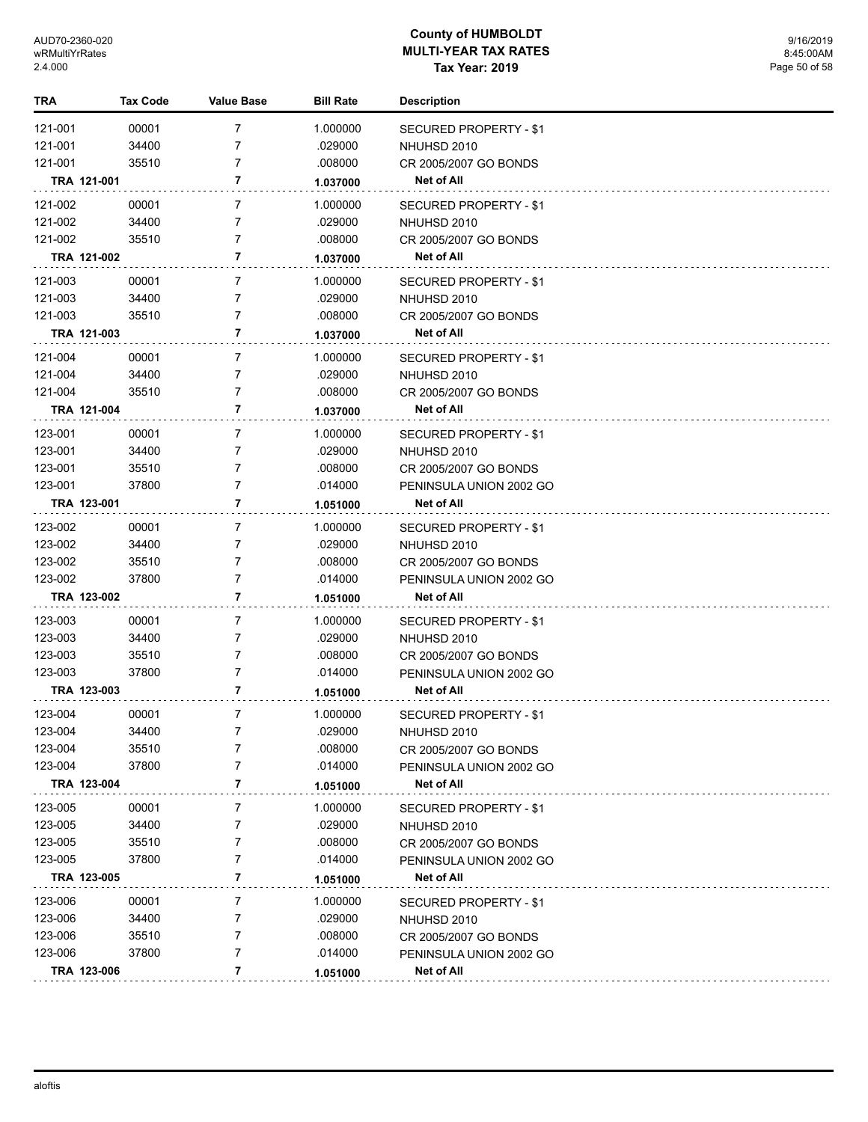| TRA         | <b>Tax Code</b> | <b>Value Base</b> | <b>Bill Rate</b> | <b>Description</b>            |  |
|-------------|-----------------|-------------------|------------------|-------------------------------|--|
| 121-001     | 00001           | 7                 | 1.000000         | <b>SECURED PROPERTY - \$1</b> |  |
| 121-001     | 34400           | 7                 | .029000          | NHUHSD 2010                   |  |
| 121-001     | 35510           | 7                 | .008000          | CR 2005/2007 GO BONDS         |  |
| TRA 121-001 |                 | 7                 | 1.037000         | Net of All                    |  |
| 121-002     | 00001           | $\overline{7}$    | 1.000000         | <b>SECURED PROPERTY - \$1</b> |  |
| 121-002     | 34400           | 7                 | .029000          | NHUHSD 2010                   |  |
| 121-002     | 35510           | 7                 | .008000          | CR 2005/2007 GO BONDS         |  |
| TRA 121-002 |                 | 7                 | 1.037000         | Net of All                    |  |
|             |                 |                   |                  |                               |  |
| 121-003     | 00001           | 7                 | 1.000000         | <b>SECURED PROPERTY - \$1</b> |  |
| 121-003     | 34400           | 7                 | .029000          | NHUHSD 2010                   |  |
| 121-003     | 35510           | 7                 | .008000          | CR 2005/2007 GO BONDS         |  |
| TRA 121-003 |                 | 7                 | 1.037000         | Net of All                    |  |
| 121-004     | 00001           | 7                 | 1.000000         | SECURED PROPERTY - \$1        |  |
| 121-004     | 34400           | 7                 | .029000          | NHUHSD 2010                   |  |
| 121-004     | 35510           | 7                 | .008000          | CR 2005/2007 GO BONDS         |  |
| TRA 121-004 |                 | 7                 | 1.037000         | Net of All                    |  |
| 123-001     | 00001           | 7                 | 1.000000         | SECURED PROPERTY - \$1        |  |
| 123-001     | 34400           | 7                 | .029000          | NHUHSD 2010                   |  |
| 123-001     | 35510           | 7                 | .008000          | CR 2005/2007 GO BONDS         |  |
| 123-001     | 37800           | 7                 | .014000          | PENINSULA UNION 2002 GO       |  |
| TRA 123-001 |                 | 7                 | 1.051000         | Net of All                    |  |
| 123-002     | 00001           | 7                 | 1.000000         | <b>SECURED PROPERTY - \$1</b> |  |
| 123-002     | 34400           | 7                 | .029000          | NHUHSD 2010                   |  |
| 123-002     | 35510           | 7                 | .008000          | CR 2005/2007 GO BONDS         |  |
| 123-002     | 37800           | 7                 | .014000          | PENINSULA UNION 2002 GO       |  |
| TRA 123-002 |                 | 7                 | 1.051000         | Net of All                    |  |
|             |                 |                   |                  |                               |  |
| 123-003     | 00001           | 7                 | 1.000000         | SECURED PROPERTY - \$1        |  |
| 123-003     | 34400           | 7                 | .029000          | NHUHSD 2010                   |  |
| 123-003     | 35510           | 7                 | .008000          | CR 2005/2007 GO BONDS         |  |
| 123-003     | 37800           | 7                 | .014000          | PENINSULA UNION 2002 GO       |  |
| TRA 123-003 |                 | 7                 | 1.051000         | Net of All                    |  |
| 123-004     | 00001           | 7                 | 1.000000         | <b>SECURED PROPERTY - \$1</b> |  |
| 123-004     | 34400           | 7                 | .029000          | NHUHSD 2010                   |  |
| 123-004     | 35510           | 7                 | .008000          | CR 2005/2007 GO BONDS         |  |
| 123-004     | 37800           | 7                 | .014000          | PENINSULA UNION 2002 GO       |  |
| TRA 123-004 |                 | 7                 | 1.051000         | <b>Net of All</b>             |  |
| 123-005     | 00001           | 7                 | 1.000000         | SECURED PROPERTY - \$1        |  |
| 123-005     | 34400           | 7                 | .029000          | NHUHSD 2010                   |  |
| 123-005     | 35510           | 7                 | .008000          | CR 2005/2007 GO BONDS         |  |
| 123-005     | 37800           | 7                 | .014000          | PENINSULA UNION 2002 GO       |  |
| TRA 123-005 |                 | 7                 | 1.051000         | <b>Net of All</b>             |  |
| 123-006     | 00001           | 7                 | 1.000000         | SECURED PROPERTY - \$1        |  |
| 123-006     | 34400           | 7                 | .029000          | NHUHSD 2010                   |  |
| 123-006     | 35510           | 7                 | .008000          | CR 2005/2007 GO BONDS         |  |
| 123-006     | 37800           | 7                 | .014000          | PENINSULA UNION 2002 GO       |  |
| TRA 123-006 |                 | 7                 | 1.051000         | Net of All                    |  |
|             |                 |                   |                  |                               |  |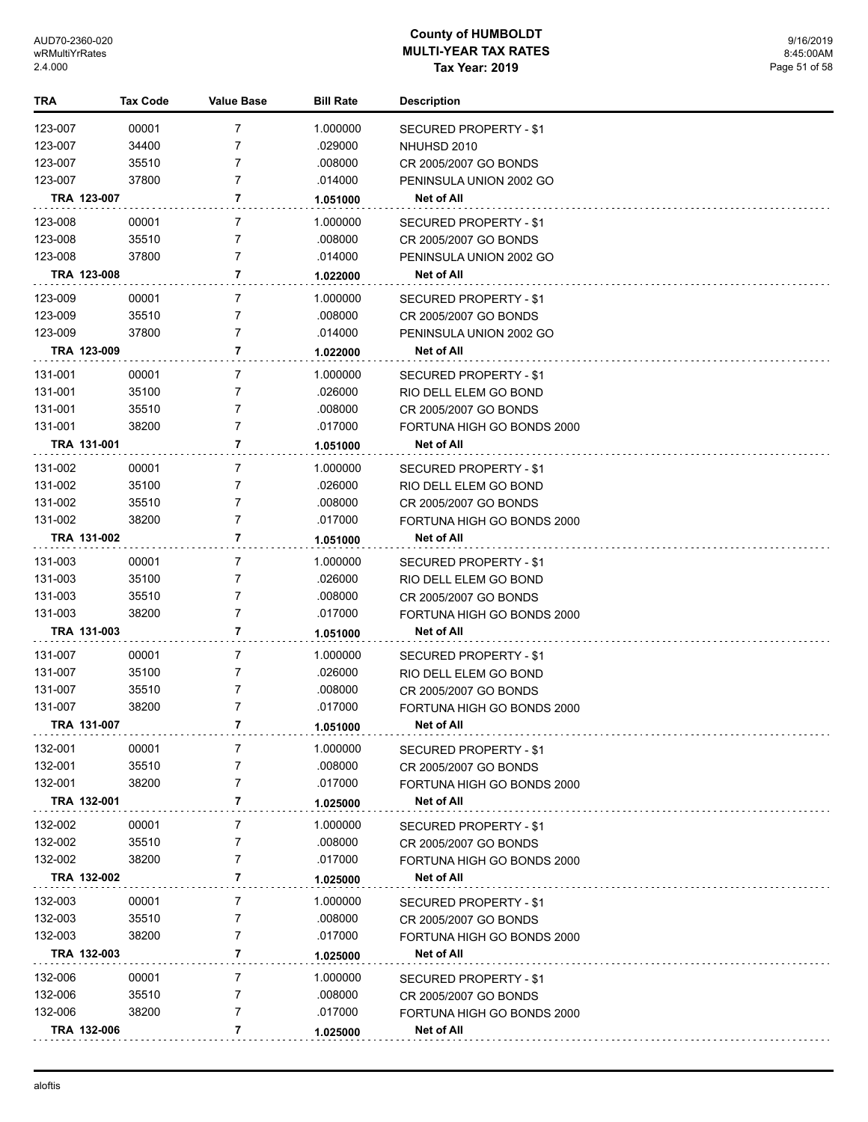| TRA                | <b>Tax Code</b> | Value Base     | <b>Bill Rate</b>    | <b>Description</b>                                  |
|--------------------|-----------------|----------------|---------------------|-----------------------------------------------------|
| 123-007            | 00001           | 7              | 1.000000            | <b>SECURED PROPERTY - \$1</b>                       |
| 123-007            | 34400           | 7              | .029000             | NHUHSD 2010                                         |
| 123-007            | 35510           | 7              | .008000             | CR 2005/2007 GO BONDS                               |
| 123-007            | 37800           | $\overline{7}$ | .014000             | PENINSULA UNION 2002 GO                             |
| TRA 123-007        |                 | 7              | 1.051000            | Net of All                                          |
| 123-008            | 00001           | 7              | 1.000000            | <b>SECURED PROPERTY - \$1</b>                       |
| 123-008            | 35510           | 7              | .008000             | CR 2005/2007 GO BONDS                               |
| 123-008            | 37800           | $\overline{7}$ | .014000             | PENINSULA UNION 2002 GO                             |
| TRA 123-008        |                 | 7              | 1.022000            | Net of All                                          |
| 123-009            |                 | 7              |                     |                                                     |
| 123-009            | 00001<br>35510  | 7              | 1.000000<br>.008000 | SECURED PROPERTY - \$1                              |
| 123-009            | 37800           | $\overline{7}$ | .014000             | CR 2005/2007 GO BONDS<br>PENINSULA UNION 2002 GO    |
| TRA 123-009        |                 | 7              | 1.022000            | Net of All                                          |
|                    |                 |                |                     |                                                     |
| 131-001            | 00001           | 7              | 1.000000            | SECURED PROPERTY - \$1                              |
| 131-001            | 35100           | 7              | .026000             | RIO DELL ELEM GO BOND                               |
| 131-001            | 35510           | 7              | .008000             | CR 2005/2007 GO BONDS                               |
| 131-001            | 38200           | $\overline{7}$ | .017000             | FORTUNA HIGH GO BONDS 2000                          |
| TRA 131-001        |                 | 7              | 1.051000            | <b>Net of All</b>                                   |
| 131-002            | 00001           | 7              | 1.000000            | SECURED PROPERTY - \$1                              |
| 131-002            | 35100           | 7              | .026000             | RIO DELL ELEM GO BOND                               |
| 131-002            | 35510           | 7              | .008000             | CR 2005/2007 GO BONDS                               |
| 131-002            | 38200           | $\overline{7}$ | .017000             | FORTUNA HIGH GO BONDS 2000                          |
| TRA 131-002        |                 | 7              | 1.051000            | <b>Net of All</b>                                   |
| 131-003            | 00001           | 7              | 1.000000            | SECURED PROPERTY - \$1                              |
| 131-003            | 35100           | 7              | .026000             | RIO DELL ELEM GO BOND                               |
| 131-003            | 35510           | 7              | .008000             | CR 2005/2007 GO BONDS                               |
| 131-003            | 38200           | $\overline{7}$ | .017000             | FORTUNA HIGH GO BONDS 2000                          |
| TRA 131-003        |                 | 7              | 1.051000            | Net of All                                          |
| 131-007            | 00001           | 7              | 1.000000            | SECURED PROPERTY - \$1                              |
| 131-007            | 35100           | 7              | .026000             | RIO DELL ELEM GO BOND                               |
| 131-007            | 35510           | 7              | .008000             | CR 2005/2007 GO BONDS                               |
| 131-007            | 38200           | $\overline{7}$ | .017000             | FORTUNA HIGH GO BONDS 2000                          |
| TRA 131-007        |                 | 7              | 1.051000            | Net of All                                          |
| 132-001            | 00001           | 7              | 1.000000            | SECURED PROPERTY - \$1                              |
| 132-001            | 35510           | 7              | .008000             | CR 2005/2007 GO BONDS                               |
| 132-001            | 38200           | 7              | .017000             | FORTUNA HIGH GO BONDS 2000                          |
| TRA 132-001        |                 | 7              | 1.025000            | Net of All                                          |
| 132-002            | 00001           | 7              | 1.000000            | SECURED PROPERTY - \$1                              |
| 132-002            | 35510           | 7              | .008000             | CR 2005/2007 GO BONDS                               |
| 132-002            | 38200           | 7              | .017000             | FORTUNA HIGH GO BONDS 2000                          |
| TRA 132-002        |                 | 7              | 1.025000            | Net of All                                          |
| 132-003            | 00001           | 7              | 1.000000            | <b>SECURED PROPERTY - \$1</b>                       |
| 132-003            | 35510           | 7              | .008000             | CR 2005/2007 GO BONDS                               |
| 132-003            | 38200           | 7              | .017000             | FORTUNA HIGH GO BONDS 2000                          |
| TRA 132-003        |                 | 7              | 1.025000            | Net of All                                          |
|                    |                 |                |                     |                                                     |
| 132-006<br>132-006 | 00001<br>35510  | 7<br>7         | 1.000000            | SECURED PROPERTY - \$1                              |
| 132-006            | 38200           | 7              | .008000<br>.017000  | CR 2005/2007 GO BONDS<br>FORTUNA HIGH GO BONDS 2000 |
| TRA 132-006        |                 | 7              |                     | Net of All                                          |
|                    |                 |                | 1.025000            |                                                     |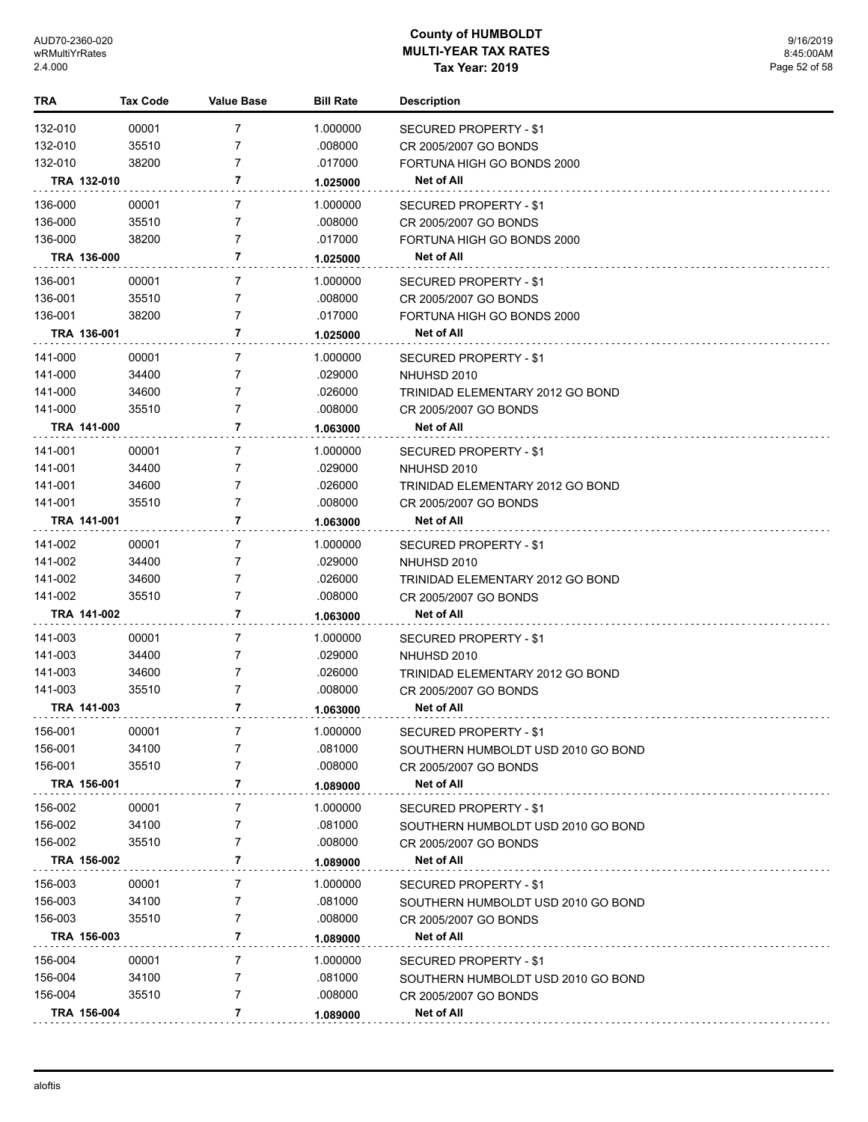| TRA     | <b>Tax Code</b> | Value Base     | <b>Bill Rate</b> | <b>Description</b>                           |
|---------|-----------------|----------------|------------------|----------------------------------------------|
| 132-010 | 00001           | $\overline{7}$ | 1.000000         | <b>SECURED PROPERTY - \$1</b>                |
| 132-010 | 35510           | $\overline{7}$ | .008000          | CR 2005/2007 GO BONDS                        |
| 132-010 | 38200           | 7              | .017000          | FORTUNA HIGH GO BONDS 2000                   |
|         | TRA 132-010     | 7              | 1.025000         | Net of All                                   |
| 136-000 | 00001           | 7              | 1.000000         | <b>SECURED PROPERTY - \$1</b>                |
| 136-000 | 35510           | $\overline{7}$ | .008000          | CR 2005/2007 GO BONDS                        |
| 136-000 | 38200           | $\overline{7}$ | .017000          | FORTUNA HIGH GO BONDS 2000                   |
|         | TRA 136-000     | 7              | 1.025000         | <b>Net of All</b>                            |
| 136-001 | 00001           | 7              | 1.000000         | SECURED PROPERTY - \$1                       |
| 136-001 | 35510           | 7              | .008000          | CR 2005/2007 GO BONDS                        |
| 136-001 | 38200           | $\overline{7}$ | .017000          | FORTUNA HIGH GO BONDS 2000                   |
|         | TRA 136-001     | 7              | 1.025000         | Net of All                                   |
| 141-000 | 00001           | 7              | 1.000000         | SECURED PROPERTY - \$1                       |
| 141-000 | 34400           | 7              | .029000          | NHUHSD 2010                                  |
| 141-000 | 34600           | 7              | .026000          | TRINIDAD ELEMENTARY 2012 GO BOND             |
| 141-000 | 35510           | $\overline{7}$ | .008000          | CR 2005/2007 GO BONDS                        |
|         | TRA 141-000     | 7              | 1.063000         | Net of All                                   |
| 141-001 | 00001           | 7              | 1.000000         | SECURED PROPERTY - \$1                       |
| 141-001 | 34400           | 7              | .029000          | NHUHSD 2010                                  |
| 141-001 | 34600           | 7              | .026000          | TRINIDAD ELEMENTARY 2012 GO BOND             |
| 141-001 | 35510           | $\overline{7}$ | .008000          | CR 2005/2007 GO BONDS                        |
|         | TRA 141-001     | 7              | 1.063000         | Net of All                                   |
| 141-002 | 00001           | 7              | 1.000000         |                                              |
| 141-002 | 34400           | 7              | .029000          | <b>SECURED PROPERTY - \$1</b><br>NHUHSD 2010 |
| 141-002 | 34600           | $\overline{7}$ | .026000          | TRINIDAD ELEMENTARY 2012 GO BOND             |
| 141-002 | 35510           | $\overline{7}$ | .008000          | CR 2005/2007 GO BONDS                        |
|         | TRA 141-002     | 7              | 1.063000         | Net of All                                   |
| 141-003 | 00001           | 7              | 1.000000         |                                              |
| 141-003 | 34400           | 7              | .029000          | SECURED PROPERTY - \$1<br>NHUHSD 2010        |
| 141-003 | 34600           | $\overline{7}$ | .026000          | TRINIDAD ELEMENTARY 2012 GO BOND             |
| 141-003 | 35510           | $\overline{7}$ | .008000          | CR 2005/2007 GO BONDS                        |
|         | TRA 141-003     | 7              | 1.063000         | Net of All                                   |
|         |                 |                |                  |                                              |
| 156-001 | 00001           |                | 1.000000         | <b>SECURED PROPERTY - \$1</b>                |
| 156-001 | 34100           | 7<br>7         | .081000          | SOUTHERN HUMBOLDT USD 2010 GO BOND           |
| 156-001 | 35510           | 7              | .008000          | CR 2005/2007 GO BONDS                        |
|         | TRA 156-001     |                | 1.089000         | Net of All                                   |
| 156-002 | 00001           | 7              | 1.000000         | <b>SECURED PROPERTY - \$1</b>                |
| 156-002 | 34100           | 7              | .081000          | SOUTHERN HUMBOLDT USD 2010 GO BOND           |
| 156-002 | 35510           | 7              | .008000          | CR 2005/2007 GO BONDS                        |
|         | TRA 156-002     | 7              | 1.089000         | <b>Net of All</b>                            |
| 156-003 | 00001           | 7              | 1.000000         | SECURED PROPERTY - \$1                       |
| 156-003 | 34100           | 7              | .081000          | SOUTHERN HUMBOLDT USD 2010 GO BOND           |
| 156-003 | 35510           | 7              | .008000          | CR 2005/2007 GO BONDS                        |
|         | TRA 156-003     | 7              | 1.089000         | Net of All                                   |
| 156-004 | 00001           | 7              | 1.000000         | SECURED PROPERTY - \$1                       |
| 156-004 | 34100           | 7              | .081000          | SOUTHERN HUMBOLDT USD 2010 GO BOND           |
| 156-004 | 35510           | 7              | .008000          | CR 2005/2007 GO BONDS                        |
|         | TRA 156-004     | 7              | 1.089000         | Net of All                                   |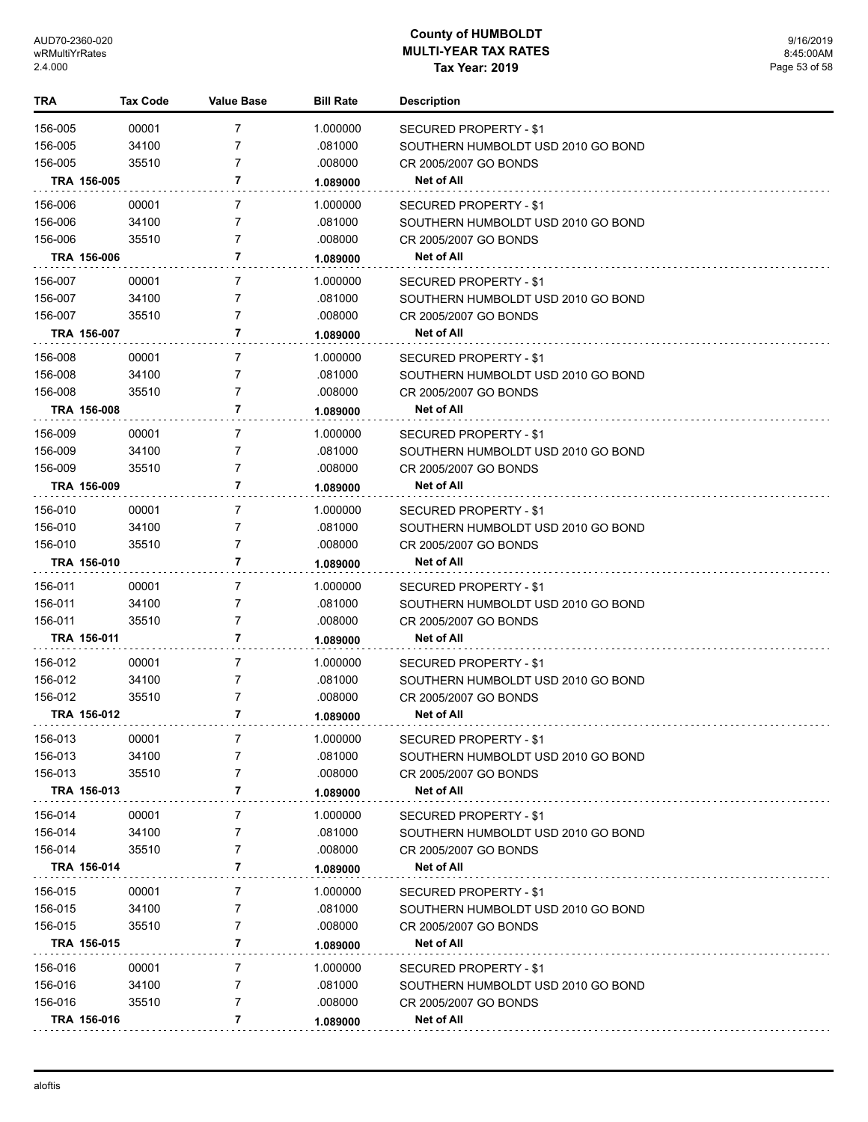| 00001<br>$\overline{7}$<br>156-005<br>1.000000<br>SECURED PROPERTY - \$1<br>156-005<br>34100<br>7<br>.081000<br>SOUTHERN HUMBOLDT USD 2010 GO BOND<br>7<br>156-005<br>35510<br>.008000<br>CR 2005/2007 GO BONDS<br>7<br>TRA 156-005<br>Net of All<br>1.089000<br>156-006<br>7<br>1.000000<br>00001<br>SECURED PROPERTY - \$1<br>156-006<br>34100<br>7<br>.081000<br>SOUTHERN HUMBOLDT USD 2010 GO BOND<br>156-006<br>35510<br>7<br>.008000<br>CR 2005/2007 GO BONDS<br>TRA 156-006<br>7<br><b>Net of All</b><br>1.089000<br>156-007<br>00001<br>7<br>1.000000<br>SECURED PROPERTY - \$1<br>156-007<br>34100<br>7<br>.081000<br>SOUTHERN HUMBOLDT USD 2010 GO BOND<br>$\overline{7}$<br>156-007<br>35510<br>.008000<br>CR 2005/2007 GO BONDS<br>7<br>TRA 156-007<br>Net of All<br>1.089000<br>156-008<br>00001<br>7<br>1.000000<br>SECURED PROPERTY - \$1<br>156-008<br>34100<br>7<br>.081000<br>SOUTHERN HUMBOLDT USD 2010 GO BOND<br>156-008<br>35510<br>7<br>.008000<br>CR 2005/2007 GO BONDS<br>7<br><b>Net of All</b><br>TRA 156-008<br>1.089000<br>156-009<br>00001<br>7<br>1.000000<br>SECURED PROPERTY - \$1<br>156-009<br>34100<br>7<br>.081000<br>SOUTHERN HUMBOLDT USD 2010 GO BOND<br>$\overline{7}$<br>156-009<br>35510<br>.008000<br>CR 2005/2007 GO BONDS<br>TRA 156-009<br>7<br>Net of All<br>1.089000<br>156-010<br>00001<br>7<br>1.000000<br>SECURED PROPERTY - \$1<br>156-010<br>34100<br>7<br>.081000<br>SOUTHERN HUMBOLDT USD 2010 GO BOND<br>$\overline{7}$<br>156-010<br>35510<br>.008000<br>CR 2005/2007 GO BONDS<br>TRA 156-010<br>7<br><b>Net of All</b><br>1.089000<br>$\overline{7}$<br>156-011<br>00001<br>1.000000<br>SECURED PROPERTY - \$1<br>156-011<br>34100<br>7<br>.081000<br>SOUTHERN HUMBOLDT USD 2010 GO BOND<br>7<br>156-011<br>35510<br>.008000<br>CR 2005/2007 GO BONDS<br>TRA 156-011<br>7<br>Net of All<br>1.089000<br>$\overline{7}$<br>156-012<br>00001<br>1.000000<br>SECURED PROPERTY - \$1<br>156-012<br>34100<br>7<br>.081000<br>SOUTHERN HUMBOLDT USD 2010 GO BOND<br>156-012<br>7<br>35510<br>.008000<br>CR 2005/2007 GO BONDS<br>7<br>TRA 156-012<br><b>Net of All</b><br>1.089000<br>156-013<br>00001<br>7<br>1.000000<br>SECURED PROPERTY - \$1<br>156-013<br>34100<br>.081000<br>7<br>SOUTHERN HUMBOLDT USD 2010 GO BOND<br>156-013<br>7<br>35510<br>.008000<br>CR 2005/2007 GO BONDS<br>TRA 156-013<br>7<br><b>Net of All</b><br>1.089000<br>156-014<br>00001<br>7<br>1.000000<br><b>SECURED PROPERTY - \$1</b><br>156-014<br>34100<br>7<br>.081000<br>SOUTHERN HUMBOLDT USD 2010 GO BOND<br>7<br>156-014<br>35510<br>.008000<br>CR 2005/2007 GO BONDS<br>TRA 156-014<br>7<br>Net of All<br>1.089000<br>7<br>156-015<br>00001<br>1.000000<br>SECURED PROPERTY - \$1<br>156-015<br>34100<br>7<br>.081000<br>SOUTHERN HUMBOLDT USD 2010 GO BOND<br>156-015<br>35510<br>7<br>.008000<br>CR 2005/2007 GO BONDS<br>TRA 156-015<br>7<br>Net of All<br>1.089000<br>156-016<br>00001<br>7<br>1.000000<br>SECURED PROPERTY - \$1<br>156-016<br>34100<br>7<br>.081000<br>SOUTHERN HUMBOLDT USD 2010 GO BOND<br>156-016<br>7<br>35510<br>.008000<br>CR 2005/2007 GO BONDS<br>TRA 156-016<br>7<br><b>Net of All</b><br>1.089000 | TRA | Tax Code | <b>Value Base</b> | <b>Bill Rate</b> | <b>Description</b> |
|-----------------------------------------------------------------------------------------------------------------------------------------------------------------------------------------------------------------------------------------------------------------------------------------------------------------------------------------------------------------------------------------------------------------------------------------------------------------------------------------------------------------------------------------------------------------------------------------------------------------------------------------------------------------------------------------------------------------------------------------------------------------------------------------------------------------------------------------------------------------------------------------------------------------------------------------------------------------------------------------------------------------------------------------------------------------------------------------------------------------------------------------------------------------------------------------------------------------------------------------------------------------------------------------------------------------------------------------------------------------------------------------------------------------------------------------------------------------------------------------------------------------------------------------------------------------------------------------------------------------------------------------------------------------------------------------------------------------------------------------------------------------------------------------------------------------------------------------------------------------------------------------------------------------------------------------------------------------------------------------------------------------------------------------------------------------------------------------------------------------------------------------------------------------------------------------------------------------------------------------------------------------------------------------------------------------------------------------------------------------------------------------------------------------------------------------------------------------------------------------------------------------------------------------------------------------------------------------------------------------------------------------------------------------------------------------------------------------------------------------------------------------------------------------------------------------------------------------------------------------------------------------------------------------------------------------------------------------------------------------------------------------------------------------------------------------------------------------------------------------------------------------------------------------------------|-----|----------|-------------------|------------------|--------------------|
|                                                                                                                                                                                                                                                                                                                                                                                                                                                                                                                                                                                                                                                                                                                                                                                                                                                                                                                                                                                                                                                                                                                                                                                                                                                                                                                                                                                                                                                                                                                                                                                                                                                                                                                                                                                                                                                                                                                                                                                                                                                                                                                                                                                                                                                                                                                                                                                                                                                                                                                                                                                                                                                                                                                                                                                                                                                                                                                                                                                                                                                                                                                                                                             |     |          |                   |                  |                    |
|                                                                                                                                                                                                                                                                                                                                                                                                                                                                                                                                                                                                                                                                                                                                                                                                                                                                                                                                                                                                                                                                                                                                                                                                                                                                                                                                                                                                                                                                                                                                                                                                                                                                                                                                                                                                                                                                                                                                                                                                                                                                                                                                                                                                                                                                                                                                                                                                                                                                                                                                                                                                                                                                                                                                                                                                                                                                                                                                                                                                                                                                                                                                                                             |     |          |                   |                  |                    |
|                                                                                                                                                                                                                                                                                                                                                                                                                                                                                                                                                                                                                                                                                                                                                                                                                                                                                                                                                                                                                                                                                                                                                                                                                                                                                                                                                                                                                                                                                                                                                                                                                                                                                                                                                                                                                                                                                                                                                                                                                                                                                                                                                                                                                                                                                                                                                                                                                                                                                                                                                                                                                                                                                                                                                                                                                                                                                                                                                                                                                                                                                                                                                                             |     |          |                   |                  |                    |
|                                                                                                                                                                                                                                                                                                                                                                                                                                                                                                                                                                                                                                                                                                                                                                                                                                                                                                                                                                                                                                                                                                                                                                                                                                                                                                                                                                                                                                                                                                                                                                                                                                                                                                                                                                                                                                                                                                                                                                                                                                                                                                                                                                                                                                                                                                                                                                                                                                                                                                                                                                                                                                                                                                                                                                                                                                                                                                                                                                                                                                                                                                                                                                             |     |          |                   |                  |                    |
|                                                                                                                                                                                                                                                                                                                                                                                                                                                                                                                                                                                                                                                                                                                                                                                                                                                                                                                                                                                                                                                                                                                                                                                                                                                                                                                                                                                                                                                                                                                                                                                                                                                                                                                                                                                                                                                                                                                                                                                                                                                                                                                                                                                                                                                                                                                                                                                                                                                                                                                                                                                                                                                                                                                                                                                                                                                                                                                                                                                                                                                                                                                                                                             |     |          |                   |                  |                    |
|                                                                                                                                                                                                                                                                                                                                                                                                                                                                                                                                                                                                                                                                                                                                                                                                                                                                                                                                                                                                                                                                                                                                                                                                                                                                                                                                                                                                                                                                                                                                                                                                                                                                                                                                                                                                                                                                                                                                                                                                                                                                                                                                                                                                                                                                                                                                                                                                                                                                                                                                                                                                                                                                                                                                                                                                                                                                                                                                                                                                                                                                                                                                                                             |     |          |                   |                  |                    |
|                                                                                                                                                                                                                                                                                                                                                                                                                                                                                                                                                                                                                                                                                                                                                                                                                                                                                                                                                                                                                                                                                                                                                                                                                                                                                                                                                                                                                                                                                                                                                                                                                                                                                                                                                                                                                                                                                                                                                                                                                                                                                                                                                                                                                                                                                                                                                                                                                                                                                                                                                                                                                                                                                                                                                                                                                                                                                                                                                                                                                                                                                                                                                                             |     |          |                   |                  |                    |
|                                                                                                                                                                                                                                                                                                                                                                                                                                                                                                                                                                                                                                                                                                                                                                                                                                                                                                                                                                                                                                                                                                                                                                                                                                                                                                                                                                                                                                                                                                                                                                                                                                                                                                                                                                                                                                                                                                                                                                                                                                                                                                                                                                                                                                                                                                                                                                                                                                                                                                                                                                                                                                                                                                                                                                                                                                                                                                                                                                                                                                                                                                                                                                             |     |          |                   |                  |                    |
|                                                                                                                                                                                                                                                                                                                                                                                                                                                                                                                                                                                                                                                                                                                                                                                                                                                                                                                                                                                                                                                                                                                                                                                                                                                                                                                                                                                                                                                                                                                                                                                                                                                                                                                                                                                                                                                                                                                                                                                                                                                                                                                                                                                                                                                                                                                                                                                                                                                                                                                                                                                                                                                                                                                                                                                                                                                                                                                                                                                                                                                                                                                                                                             |     |          |                   |                  |                    |
|                                                                                                                                                                                                                                                                                                                                                                                                                                                                                                                                                                                                                                                                                                                                                                                                                                                                                                                                                                                                                                                                                                                                                                                                                                                                                                                                                                                                                                                                                                                                                                                                                                                                                                                                                                                                                                                                                                                                                                                                                                                                                                                                                                                                                                                                                                                                                                                                                                                                                                                                                                                                                                                                                                                                                                                                                                                                                                                                                                                                                                                                                                                                                                             |     |          |                   |                  |                    |
|                                                                                                                                                                                                                                                                                                                                                                                                                                                                                                                                                                                                                                                                                                                                                                                                                                                                                                                                                                                                                                                                                                                                                                                                                                                                                                                                                                                                                                                                                                                                                                                                                                                                                                                                                                                                                                                                                                                                                                                                                                                                                                                                                                                                                                                                                                                                                                                                                                                                                                                                                                                                                                                                                                                                                                                                                                                                                                                                                                                                                                                                                                                                                                             |     |          |                   |                  |                    |
|                                                                                                                                                                                                                                                                                                                                                                                                                                                                                                                                                                                                                                                                                                                                                                                                                                                                                                                                                                                                                                                                                                                                                                                                                                                                                                                                                                                                                                                                                                                                                                                                                                                                                                                                                                                                                                                                                                                                                                                                                                                                                                                                                                                                                                                                                                                                                                                                                                                                                                                                                                                                                                                                                                                                                                                                                                                                                                                                                                                                                                                                                                                                                                             |     |          |                   |                  |                    |
|                                                                                                                                                                                                                                                                                                                                                                                                                                                                                                                                                                                                                                                                                                                                                                                                                                                                                                                                                                                                                                                                                                                                                                                                                                                                                                                                                                                                                                                                                                                                                                                                                                                                                                                                                                                                                                                                                                                                                                                                                                                                                                                                                                                                                                                                                                                                                                                                                                                                                                                                                                                                                                                                                                                                                                                                                                                                                                                                                                                                                                                                                                                                                                             |     |          |                   |                  |                    |
|                                                                                                                                                                                                                                                                                                                                                                                                                                                                                                                                                                                                                                                                                                                                                                                                                                                                                                                                                                                                                                                                                                                                                                                                                                                                                                                                                                                                                                                                                                                                                                                                                                                                                                                                                                                                                                                                                                                                                                                                                                                                                                                                                                                                                                                                                                                                                                                                                                                                                                                                                                                                                                                                                                                                                                                                                                                                                                                                                                                                                                                                                                                                                                             |     |          |                   |                  |                    |
|                                                                                                                                                                                                                                                                                                                                                                                                                                                                                                                                                                                                                                                                                                                                                                                                                                                                                                                                                                                                                                                                                                                                                                                                                                                                                                                                                                                                                                                                                                                                                                                                                                                                                                                                                                                                                                                                                                                                                                                                                                                                                                                                                                                                                                                                                                                                                                                                                                                                                                                                                                                                                                                                                                                                                                                                                                                                                                                                                                                                                                                                                                                                                                             |     |          |                   |                  |                    |
|                                                                                                                                                                                                                                                                                                                                                                                                                                                                                                                                                                                                                                                                                                                                                                                                                                                                                                                                                                                                                                                                                                                                                                                                                                                                                                                                                                                                                                                                                                                                                                                                                                                                                                                                                                                                                                                                                                                                                                                                                                                                                                                                                                                                                                                                                                                                                                                                                                                                                                                                                                                                                                                                                                                                                                                                                                                                                                                                                                                                                                                                                                                                                                             |     |          |                   |                  |                    |
|                                                                                                                                                                                                                                                                                                                                                                                                                                                                                                                                                                                                                                                                                                                                                                                                                                                                                                                                                                                                                                                                                                                                                                                                                                                                                                                                                                                                                                                                                                                                                                                                                                                                                                                                                                                                                                                                                                                                                                                                                                                                                                                                                                                                                                                                                                                                                                                                                                                                                                                                                                                                                                                                                                                                                                                                                                                                                                                                                                                                                                                                                                                                                                             |     |          |                   |                  |                    |
|                                                                                                                                                                                                                                                                                                                                                                                                                                                                                                                                                                                                                                                                                                                                                                                                                                                                                                                                                                                                                                                                                                                                                                                                                                                                                                                                                                                                                                                                                                                                                                                                                                                                                                                                                                                                                                                                                                                                                                                                                                                                                                                                                                                                                                                                                                                                                                                                                                                                                                                                                                                                                                                                                                                                                                                                                                                                                                                                                                                                                                                                                                                                                                             |     |          |                   |                  |                    |
|                                                                                                                                                                                                                                                                                                                                                                                                                                                                                                                                                                                                                                                                                                                                                                                                                                                                                                                                                                                                                                                                                                                                                                                                                                                                                                                                                                                                                                                                                                                                                                                                                                                                                                                                                                                                                                                                                                                                                                                                                                                                                                                                                                                                                                                                                                                                                                                                                                                                                                                                                                                                                                                                                                                                                                                                                                                                                                                                                                                                                                                                                                                                                                             |     |          |                   |                  |                    |
|                                                                                                                                                                                                                                                                                                                                                                                                                                                                                                                                                                                                                                                                                                                                                                                                                                                                                                                                                                                                                                                                                                                                                                                                                                                                                                                                                                                                                                                                                                                                                                                                                                                                                                                                                                                                                                                                                                                                                                                                                                                                                                                                                                                                                                                                                                                                                                                                                                                                                                                                                                                                                                                                                                                                                                                                                                                                                                                                                                                                                                                                                                                                                                             |     |          |                   |                  |                    |
|                                                                                                                                                                                                                                                                                                                                                                                                                                                                                                                                                                                                                                                                                                                                                                                                                                                                                                                                                                                                                                                                                                                                                                                                                                                                                                                                                                                                                                                                                                                                                                                                                                                                                                                                                                                                                                                                                                                                                                                                                                                                                                                                                                                                                                                                                                                                                                                                                                                                                                                                                                                                                                                                                                                                                                                                                                                                                                                                                                                                                                                                                                                                                                             |     |          |                   |                  |                    |
|                                                                                                                                                                                                                                                                                                                                                                                                                                                                                                                                                                                                                                                                                                                                                                                                                                                                                                                                                                                                                                                                                                                                                                                                                                                                                                                                                                                                                                                                                                                                                                                                                                                                                                                                                                                                                                                                                                                                                                                                                                                                                                                                                                                                                                                                                                                                                                                                                                                                                                                                                                                                                                                                                                                                                                                                                                                                                                                                                                                                                                                                                                                                                                             |     |          |                   |                  |                    |
|                                                                                                                                                                                                                                                                                                                                                                                                                                                                                                                                                                                                                                                                                                                                                                                                                                                                                                                                                                                                                                                                                                                                                                                                                                                                                                                                                                                                                                                                                                                                                                                                                                                                                                                                                                                                                                                                                                                                                                                                                                                                                                                                                                                                                                                                                                                                                                                                                                                                                                                                                                                                                                                                                                                                                                                                                                                                                                                                                                                                                                                                                                                                                                             |     |          |                   |                  |                    |
|                                                                                                                                                                                                                                                                                                                                                                                                                                                                                                                                                                                                                                                                                                                                                                                                                                                                                                                                                                                                                                                                                                                                                                                                                                                                                                                                                                                                                                                                                                                                                                                                                                                                                                                                                                                                                                                                                                                                                                                                                                                                                                                                                                                                                                                                                                                                                                                                                                                                                                                                                                                                                                                                                                                                                                                                                                                                                                                                                                                                                                                                                                                                                                             |     |          |                   |                  |                    |
|                                                                                                                                                                                                                                                                                                                                                                                                                                                                                                                                                                                                                                                                                                                                                                                                                                                                                                                                                                                                                                                                                                                                                                                                                                                                                                                                                                                                                                                                                                                                                                                                                                                                                                                                                                                                                                                                                                                                                                                                                                                                                                                                                                                                                                                                                                                                                                                                                                                                                                                                                                                                                                                                                                                                                                                                                                                                                                                                                                                                                                                                                                                                                                             |     |          |                   |                  |                    |
|                                                                                                                                                                                                                                                                                                                                                                                                                                                                                                                                                                                                                                                                                                                                                                                                                                                                                                                                                                                                                                                                                                                                                                                                                                                                                                                                                                                                                                                                                                                                                                                                                                                                                                                                                                                                                                                                                                                                                                                                                                                                                                                                                                                                                                                                                                                                                                                                                                                                                                                                                                                                                                                                                                                                                                                                                                                                                                                                                                                                                                                                                                                                                                             |     |          |                   |                  |                    |
|                                                                                                                                                                                                                                                                                                                                                                                                                                                                                                                                                                                                                                                                                                                                                                                                                                                                                                                                                                                                                                                                                                                                                                                                                                                                                                                                                                                                                                                                                                                                                                                                                                                                                                                                                                                                                                                                                                                                                                                                                                                                                                                                                                                                                                                                                                                                                                                                                                                                                                                                                                                                                                                                                                                                                                                                                                                                                                                                                                                                                                                                                                                                                                             |     |          |                   |                  |                    |
|                                                                                                                                                                                                                                                                                                                                                                                                                                                                                                                                                                                                                                                                                                                                                                                                                                                                                                                                                                                                                                                                                                                                                                                                                                                                                                                                                                                                                                                                                                                                                                                                                                                                                                                                                                                                                                                                                                                                                                                                                                                                                                                                                                                                                                                                                                                                                                                                                                                                                                                                                                                                                                                                                                                                                                                                                                                                                                                                                                                                                                                                                                                                                                             |     |          |                   |                  |                    |
|                                                                                                                                                                                                                                                                                                                                                                                                                                                                                                                                                                                                                                                                                                                                                                                                                                                                                                                                                                                                                                                                                                                                                                                                                                                                                                                                                                                                                                                                                                                                                                                                                                                                                                                                                                                                                                                                                                                                                                                                                                                                                                                                                                                                                                                                                                                                                                                                                                                                                                                                                                                                                                                                                                                                                                                                                                                                                                                                                                                                                                                                                                                                                                             |     |          |                   |                  |                    |
|                                                                                                                                                                                                                                                                                                                                                                                                                                                                                                                                                                                                                                                                                                                                                                                                                                                                                                                                                                                                                                                                                                                                                                                                                                                                                                                                                                                                                                                                                                                                                                                                                                                                                                                                                                                                                                                                                                                                                                                                                                                                                                                                                                                                                                                                                                                                                                                                                                                                                                                                                                                                                                                                                                                                                                                                                                                                                                                                                                                                                                                                                                                                                                             |     |          |                   |                  |                    |
|                                                                                                                                                                                                                                                                                                                                                                                                                                                                                                                                                                                                                                                                                                                                                                                                                                                                                                                                                                                                                                                                                                                                                                                                                                                                                                                                                                                                                                                                                                                                                                                                                                                                                                                                                                                                                                                                                                                                                                                                                                                                                                                                                                                                                                                                                                                                                                                                                                                                                                                                                                                                                                                                                                                                                                                                                                                                                                                                                                                                                                                                                                                                                                             |     |          |                   |                  |                    |
|                                                                                                                                                                                                                                                                                                                                                                                                                                                                                                                                                                                                                                                                                                                                                                                                                                                                                                                                                                                                                                                                                                                                                                                                                                                                                                                                                                                                                                                                                                                                                                                                                                                                                                                                                                                                                                                                                                                                                                                                                                                                                                                                                                                                                                                                                                                                                                                                                                                                                                                                                                                                                                                                                                                                                                                                                                                                                                                                                                                                                                                                                                                                                                             |     |          |                   |                  |                    |
|                                                                                                                                                                                                                                                                                                                                                                                                                                                                                                                                                                                                                                                                                                                                                                                                                                                                                                                                                                                                                                                                                                                                                                                                                                                                                                                                                                                                                                                                                                                                                                                                                                                                                                                                                                                                                                                                                                                                                                                                                                                                                                                                                                                                                                                                                                                                                                                                                                                                                                                                                                                                                                                                                                                                                                                                                                                                                                                                                                                                                                                                                                                                                                             |     |          |                   |                  |                    |
|                                                                                                                                                                                                                                                                                                                                                                                                                                                                                                                                                                                                                                                                                                                                                                                                                                                                                                                                                                                                                                                                                                                                                                                                                                                                                                                                                                                                                                                                                                                                                                                                                                                                                                                                                                                                                                                                                                                                                                                                                                                                                                                                                                                                                                                                                                                                                                                                                                                                                                                                                                                                                                                                                                                                                                                                                                                                                                                                                                                                                                                                                                                                                                             |     |          |                   |                  |                    |
|                                                                                                                                                                                                                                                                                                                                                                                                                                                                                                                                                                                                                                                                                                                                                                                                                                                                                                                                                                                                                                                                                                                                                                                                                                                                                                                                                                                                                                                                                                                                                                                                                                                                                                                                                                                                                                                                                                                                                                                                                                                                                                                                                                                                                                                                                                                                                                                                                                                                                                                                                                                                                                                                                                                                                                                                                                                                                                                                                                                                                                                                                                                                                                             |     |          |                   |                  |                    |
|                                                                                                                                                                                                                                                                                                                                                                                                                                                                                                                                                                                                                                                                                                                                                                                                                                                                                                                                                                                                                                                                                                                                                                                                                                                                                                                                                                                                                                                                                                                                                                                                                                                                                                                                                                                                                                                                                                                                                                                                                                                                                                                                                                                                                                                                                                                                                                                                                                                                                                                                                                                                                                                                                                                                                                                                                                                                                                                                                                                                                                                                                                                                                                             |     |          |                   |                  |                    |
|                                                                                                                                                                                                                                                                                                                                                                                                                                                                                                                                                                                                                                                                                                                                                                                                                                                                                                                                                                                                                                                                                                                                                                                                                                                                                                                                                                                                                                                                                                                                                                                                                                                                                                                                                                                                                                                                                                                                                                                                                                                                                                                                                                                                                                                                                                                                                                                                                                                                                                                                                                                                                                                                                                                                                                                                                                                                                                                                                                                                                                                                                                                                                                             |     |          |                   |                  |                    |
|                                                                                                                                                                                                                                                                                                                                                                                                                                                                                                                                                                                                                                                                                                                                                                                                                                                                                                                                                                                                                                                                                                                                                                                                                                                                                                                                                                                                                                                                                                                                                                                                                                                                                                                                                                                                                                                                                                                                                                                                                                                                                                                                                                                                                                                                                                                                                                                                                                                                                                                                                                                                                                                                                                                                                                                                                                                                                                                                                                                                                                                                                                                                                                             |     |          |                   |                  |                    |
|                                                                                                                                                                                                                                                                                                                                                                                                                                                                                                                                                                                                                                                                                                                                                                                                                                                                                                                                                                                                                                                                                                                                                                                                                                                                                                                                                                                                                                                                                                                                                                                                                                                                                                                                                                                                                                                                                                                                                                                                                                                                                                                                                                                                                                                                                                                                                                                                                                                                                                                                                                                                                                                                                                                                                                                                                                                                                                                                                                                                                                                                                                                                                                             |     |          |                   |                  |                    |
|                                                                                                                                                                                                                                                                                                                                                                                                                                                                                                                                                                                                                                                                                                                                                                                                                                                                                                                                                                                                                                                                                                                                                                                                                                                                                                                                                                                                                                                                                                                                                                                                                                                                                                                                                                                                                                                                                                                                                                                                                                                                                                                                                                                                                                                                                                                                                                                                                                                                                                                                                                                                                                                                                                                                                                                                                                                                                                                                                                                                                                                                                                                                                                             |     |          |                   |                  |                    |
|                                                                                                                                                                                                                                                                                                                                                                                                                                                                                                                                                                                                                                                                                                                                                                                                                                                                                                                                                                                                                                                                                                                                                                                                                                                                                                                                                                                                                                                                                                                                                                                                                                                                                                                                                                                                                                                                                                                                                                                                                                                                                                                                                                                                                                                                                                                                                                                                                                                                                                                                                                                                                                                                                                                                                                                                                                                                                                                                                                                                                                                                                                                                                                             |     |          |                   |                  |                    |
|                                                                                                                                                                                                                                                                                                                                                                                                                                                                                                                                                                                                                                                                                                                                                                                                                                                                                                                                                                                                                                                                                                                                                                                                                                                                                                                                                                                                                                                                                                                                                                                                                                                                                                                                                                                                                                                                                                                                                                                                                                                                                                                                                                                                                                                                                                                                                                                                                                                                                                                                                                                                                                                                                                                                                                                                                                                                                                                                                                                                                                                                                                                                                                             |     |          |                   |                  |                    |
|                                                                                                                                                                                                                                                                                                                                                                                                                                                                                                                                                                                                                                                                                                                                                                                                                                                                                                                                                                                                                                                                                                                                                                                                                                                                                                                                                                                                                                                                                                                                                                                                                                                                                                                                                                                                                                                                                                                                                                                                                                                                                                                                                                                                                                                                                                                                                                                                                                                                                                                                                                                                                                                                                                                                                                                                                                                                                                                                                                                                                                                                                                                                                                             |     |          |                   |                  |                    |
|                                                                                                                                                                                                                                                                                                                                                                                                                                                                                                                                                                                                                                                                                                                                                                                                                                                                                                                                                                                                                                                                                                                                                                                                                                                                                                                                                                                                                                                                                                                                                                                                                                                                                                                                                                                                                                                                                                                                                                                                                                                                                                                                                                                                                                                                                                                                                                                                                                                                                                                                                                                                                                                                                                                                                                                                                                                                                                                                                                                                                                                                                                                                                                             |     |          |                   |                  |                    |
|                                                                                                                                                                                                                                                                                                                                                                                                                                                                                                                                                                                                                                                                                                                                                                                                                                                                                                                                                                                                                                                                                                                                                                                                                                                                                                                                                                                                                                                                                                                                                                                                                                                                                                                                                                                                                                                                                                                                                                                                                                                                                                                                                                                                                                                                                                                                                                                                                                                                                                                                                                                                                                                                                                                                                                                                                                                                                                                                                                                                                                                                                                                                                                             |     |          |                   |                  |                    |
|                                                                                                                                                                                                                                                                                                                                                                                                                                                                                                                                                                                                                                                                                                                                                                                                                                                                                                                                                                                                                                                                                                                                                                                                                                                                                                                                                                                                                                                                                                                                                                                                                                                                                                                                                                                                                                                                                                                                                                                                                                                                                                                                                                                                                                                                                                                                                                                                                                                                                                                                                                                                                                                                                                                                                                                                                                                                                                                                                                                                                                                                                                                                                                             |     |          |                   |                  |                    |
|                                                                                                                                                                                                                                                                                                                                                                                                                                                                                                                                                                                                                                                                                                                                                                                                                                                                                                                                                                                                                                                                                                                                                                                                                                                                                                                                                                                                                                                                                                                                                                                                                                                                                                                                                                                                                                                                                                                                                                                                                                                                                                                                                                                                                                                                                                                                                                                                                                                                                                                                                                                                                                                                                                                                                                                                                                                                                                                                                                                                                                                                                                                                                                             |     |          |                   |                  |                    |
|                                                                                                                                                                                                                                                                                                                                                                                                                                                                                                                                                                                                                                                                                                                                                                                                                                                                                                                                                                                                                                                                                                                                                                                                                                                                                                                                                                                                                                                                                                                                                                                                                                                                                                                                                                                                                                                                                                                                                                                                                                                                                                                                                                                                                                                                                                                                                                                                                                                                                                                                                                                                                                                                                                                                                                                                                                                                                                                                                                                                                                                                                                                                                                             |     |          |                   |                  |                    |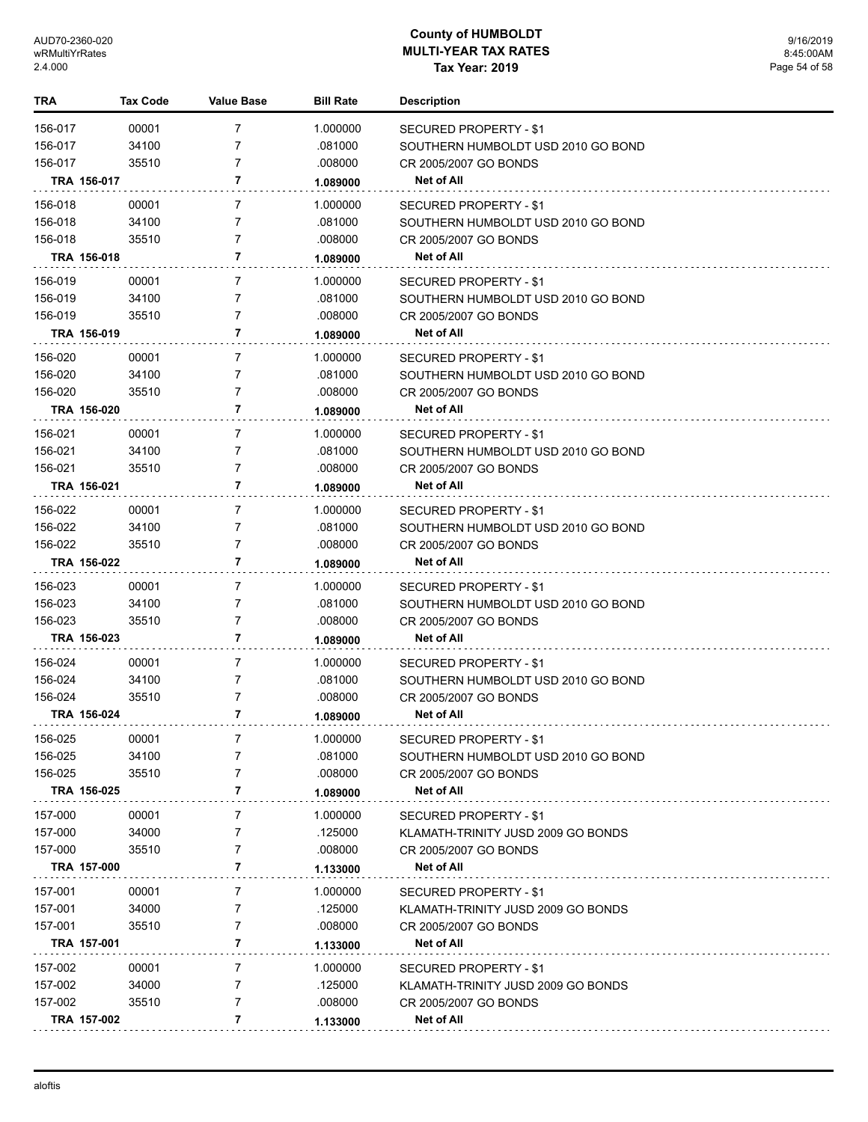| TRA                | <b>Tax Code</b>      | <b>Value Base</b>                | <b>Bill Rate</b>    | <b>Description</b>                                           |
|--------------------|----------------------|----------------------------------|---------------------|--------------------------------------------------------------|
| 156-017            | 00001                | $\overline{7}$                   | 1.000000            | SECURED PROPERTY - \$1                                       |
| 156-017            | 34100                | 7                                | .081000             | SOUTHERN HUMBOLDT USD 2010 GO BOND                           |
| 156-017            | 35510                | $\overline{7}$                   | .008000             | CR 2005/2007 GO BONDS                                        |
|                    | TRA 156-017          | 7                                | 1.089000            | Net of All                                                   |
| 156-018            | 00001                | $\overline{7}$                   | 1.000000            | SECURED PROPERTY - \$1                                       |
| 156-018            | 34100                | 7                                | .081000             | SOUTHERN HUMBOLDT USD 2010 GO BOND                           |
| 156-018            | 35510                | 7                                | .008000             | CR 2005/2007 GO BONDS                                        |
|                    | TRA 156-018          | 7                                | 1.089000            | Net of All                                                   |
| 156-019            | 00001                | 7                                | 1.000000            |                                                              |
| 156-019            | 34100                | 7                                | .081000             | SECURED PROPERTY - \$1<br>SOUTHERN HUMBOLDT USD 2010 GO BOND |
| 156-019            | 35510                | 7                                | .008000             | CR 2005/2007 GO BONDS                                        |
|                    | TRA 156-019          | 7                                | 1.089000            | Net of All                                                   |
|                    |                      | $\overline{7}$                   |                     |                                                              |
| 156-020<br>156-020 | 00001<br>34100       | 7                                | 1.000000<br>.081000 | SECURED PROPERTY - \$1                                       |
| 156-020            | 35510                | 7                                | .008000             | SOUTHERN HUMBOLDT USD 2010 GO BOND<br>CR 2005/2007 GO BONDS  |
|                    | TRA 156-020          | 7                                | 1.089000            | Net of All                                                   |
|                    |                      |                                  |                     |                                                              |
| 156-021            | 00001                | $\overline{7}$<br>$\overline{7}$ | 1.000000            | <b>SECURED PROPERTY - \$1</b>                                |
| 156-021<br>156-021 | 34100<br>35510       | $\overline{7}$                   | .081000<br>.008000  | SOUTHERN HUMBOLDT USD 2010 GO BOND<br>CR 2005/2007 GO BONDS  |
|                    | TRA 156-021          | 7                                |                     | <b>Net of All</b>                                            |
|                    |                      |                                  | 1.089000            |                                                              |
| 156-022            | 00001                | $\overline{7}$                   | 1.000000            | SECURED PROPERTY - \$1                                       |
| 156-022            | 34100                | 7                                | .081000             | SOUTHERN HUMBOLDT USD 2010 GO BOND                           |
| 156-022            | 35510<br>TRA 156-022 | $\overline{7}$<br>7              | .008000             | CR 2005/2007 GO BONDS                                        |
|                    |                      |                                  | 1.089000            | <b>Net of All</b>                                            |
| 156-023            | 00001                | $\overline{7}$                   | 1.000000            | SECURED PROPERTY - \$1                                       |
| 156-023            | 34100                | $\overline{7}$                   | .081000             | SOUTHERN HUMBOLDT USD 2010 GO BOND                           |
| 156-023            | 35510<br>TRA 156-023 | $\overline{7}$<br>7              | .008000             | CR 2005/2007 GO BONDS<br>Net of All                          |
|                    |                      |                                  | 1.089000            |                                                              |
| 156-024            | 00001                | $\overline{7}$                   | 1.000000            | SECURED PROPERTY - \$1                                       |
| 156-024            | 34100                | $\overline{7}$                   | .081000             | SOUTHERN HUMBOLDT USD 2010 GO BOND                           |
| 156-024            | 35510<br>TRA 156-024 | 7<br>7                           | .008000             | CR 2005/2007 GO BONDS<br><b>Net of All</b>                   |
|                    |                      |                                  | 1.089000            |                                                              |
| 156-025            | 00001                | 7                                | 1.000000            | SECURED PROPERTY - \$1                                       |
| 156-025            | 34100                | 7                                | .081000             | SOUTHERN HUMBOLDT USD 2010 GO BOND                           |
| 156-025            | 35510                | 7                                | .008000             | CR 2005/2007 GO BONDS                                        |
|                    | TRA 156-025          | 7                                | 1.089000            | <b>Net of All</b>                                            |
| 157-000            | 00001                | 7                                | 1.000000            | SECURED PROPERTY - \$1                                       |
| 157-000            | 34000                | 7                                | .125000             | KLAMATH-TRINITY JUSD 2009 GO BONDS                           |
| 157-000            | 35510                | 7                                | .008000             | CR 2005/2007 GO BONDS                                        |
|                    | TRA 157-000          | 7                                | 1.133000            | <b>Net of All</b>                                            |
| 157-001            | 00001                | $\overline{7}$                   | 1.000000            | SECURED PROPERTY - \$1                                       |
| 157-001            | 34000                | 7                                | .125000             | KLAMATH-TRINITY JUSD 2009 GO BONDS                           |
| 157-001            | 35510                | 7                                | .008000             | CR 2005/2007 GO BONDS                                        |
|                    | TRA 157-001          | 7                                | 1.133000            | <b>Net of All</b>                                            |
| 157-002            | 00001                | 7                                | 1.000000            | SECURED PROPERTY - \$1                                       |
| 157-002            | 34000                | 7                                | .125000             | KLAMATH-TRINITY JUSD 2009 GO BONDS                           |
| 157-002            | 35510                | 7                                | .008000             | CR 2005/2007 GO BONDS                                        |
|                    | TRA 157-002          | 7                                | 1.133000            | <b>Net of All</b>                                            |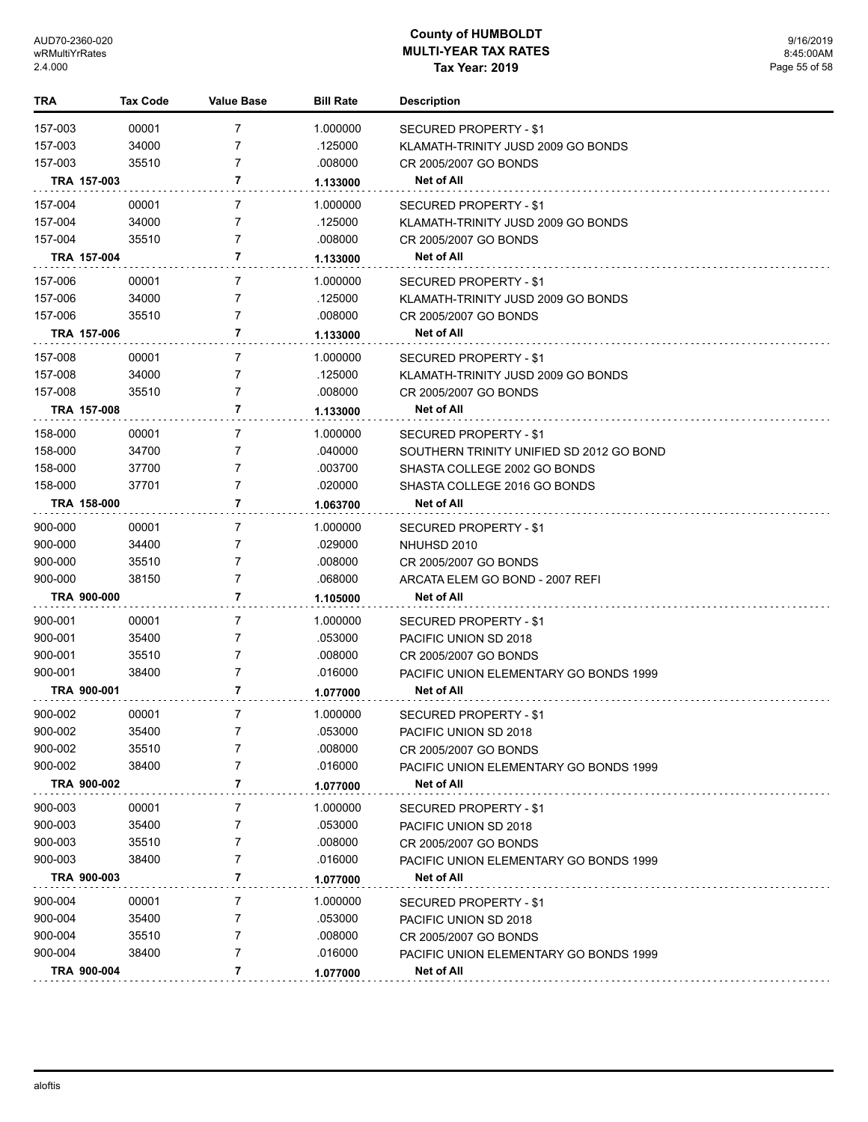| TRA                | <b>Tax Code</b> | <b>Value Base</b>   | <b>Bill Rate</b> | <b>Description</b>                                   |
|--------------------|-----------------|---------------------|------------------|------------------------------------------------------|
| 157-003            | 00001           | 7                   | 1.000000         | SECURED PROPERTY - \$1                               |
| 157-003            | 34000           | 7                   | .125000          | KLAMATH-TRINITY JUSD 2009 GO BONDS                   |
| 157-003            | 35510           | 7                   | .008000          | CR 2005/2007 GO BONDS                                |
|                    | TRA 157-003     | 7                   | 1.133000         | Net of All                                           |
| 157-004            | 00001           | $\overline{7}$      | 1.000000         | SECURED PROPERTY - \$1                               |
| 157-004            | 34000           | $\overline{7}$      | .125000          | KLAMATH-TRINITY JUSD 2009 GO BONDS                   |
| 157-004            | 35510           | $\overline{7}$      | .008000          | CR 2005/2007 GO BONDS                                |
|                    | TRA 157-004     | 7                   | 1.133000         | Net of All                                           |
|                    |                 |                     |                  |                                                      |
| 157-006            | 00001           | $\overline{7}$      | 1.000000         | SECURED PROPERTY - \$1                               |
| 157-006            | 34000           | 7<br>$\overline{7}$ | .125000          | KLAMATH-TRINITY JUSD 2009 GO BONDS                   |
| 157-006            | 35510           |                     | .008000          | CR 2005/2007 GO BONDS                                |
|                    | TRA 157-006     | 7                   | 1.133000         | Net of All                                           |
| 157-008            | 00001           | $\overline{7}$      | 1.000000         | SECURED PROPERTY - \$1                               |
| 157-008            | 34000           | 7                   | .125000          | KLAMATH-TRINITY JUSD 2009 GO BONDS                   |
| 157-008            | 35510           | $\overline{7}$      | .008000          | CR 2005/2007 GO BONDS                                |
|                    | TRA 157-008     | 7                   | 1.133000         | <b>Net of All</b>                                    |
| 158-000            | 00001           | $\overline{7}$      | 1.000000         | <b>SECURED PROPERTY - \$1</b>                        |
| 158-000            | 34700           | 7                   | .040000          | SOUTHERN TRINITY UNIFIED SD 2012 GO BOND             |
| 158-000            | 37700           | 7                   | .003700          | SHASTA COLLEGE 2002 GO BONDS                         |
| 158-000            | 37701           | $\overline{7}$      | .020000          | SHASTA COLLEGE 2016 GO BONDS                         |
|                    | TRA 158-000     | 7                   | 1.063700         | Net of All                                           |
| 900-000            | 00001           | $\overline{7}$      | 1.000000         | <b>SECURED PROPERTY - \$1</b>                        |
| 900-000            | 34400           | 7                   | .029000          | NHUHSD 2010                                          |
| 900-000            | 35510           | 7                   | .008000          | CR 2005/2007 GO BONDS                                |
| 900-000            | 38150           | $\overline{7}$      | .068000          | ARCATA ELEM GO BOND - 2007 REFI                      |
|                    | TRA 900-000     | 7                   | 1.105000         | <b>Net of All</b>                                    |
| 900-001            | 00001           | $\overline{7}$      | 1.000000         |                                                      |
|                    | 35400           | 7                   | .053000          | SECURED PROPERTY - \$1                               |
| 900-001<br>900-001 | 35510           | 7                   | .008000          | PACIFIC UNION SD 2018<br>CR 2005/2007 GO BONDS       |
| 900-001            | 38400           | $\overline{7}$      | .016000          |                                                      |
|                    | TRA 900-001     | 7                   | 1.077000         | PACIFIC UNION ELEMENTARY GO BONDS 1999<br>Net of All |
|                    |                 |                     |                  |                                                      |
| 900-002            | 00001           | 7                   | 1.000000         | SECURED PROPERTY - \$1                               |
| 900-002            | 35400           | $\overline{7}$      | .053000          | PACIFIC UNION SD 2018                                |
| 900-002            | 35510           | 7<br>7              | .008000          | CR 2005/2007 GO BONDS                                |
| 900-002            | 38400           |                     | .016000          | <b>PACIFIC UNION ELEMENTARY GO BONDS 1999</b>        |
|                    | TRA 900-002     | 7                   | 1.077000         | Net of All                                           |
| 900-003            | 00001           | 7                   | 1.000000         | SECURED PROPERTY - \$1                               |
| 900-003            | 35400           | 7                   | .053000          | PACIFIC UNION SD 2018                                |
| 900-003            | 35510           | 7                   | .008000          | CR 2005/2007 GO BONDS                                |
| 900-003            | 38400           | 7                   | .016000          | PACIFIC UNION ELEMENTARY GO BONDS 1999               |
|                    | TRA 900-003     | 7                   | 1.077000         | Net of All                                           |
| 900-004            | 00001           | 7                   | 1.000000         | SECURED PROPERTY - \$1                               |
| 900-004            | 35400           | 7                   | .053000          | PACIFIC UNION SD 2018                                |
| 900-004            | 35510           | 7                   | .008000          | CR 2005/2007 GO BONDS                                |
| 900-004            | 38400           | 7                   | .016000          | PACIFIC UNION ELEMENTARY GO BONDS 1999               |
|                    | TRA 900-004     | 7                   | 1.077000         | <b>Net of All</b>                                    |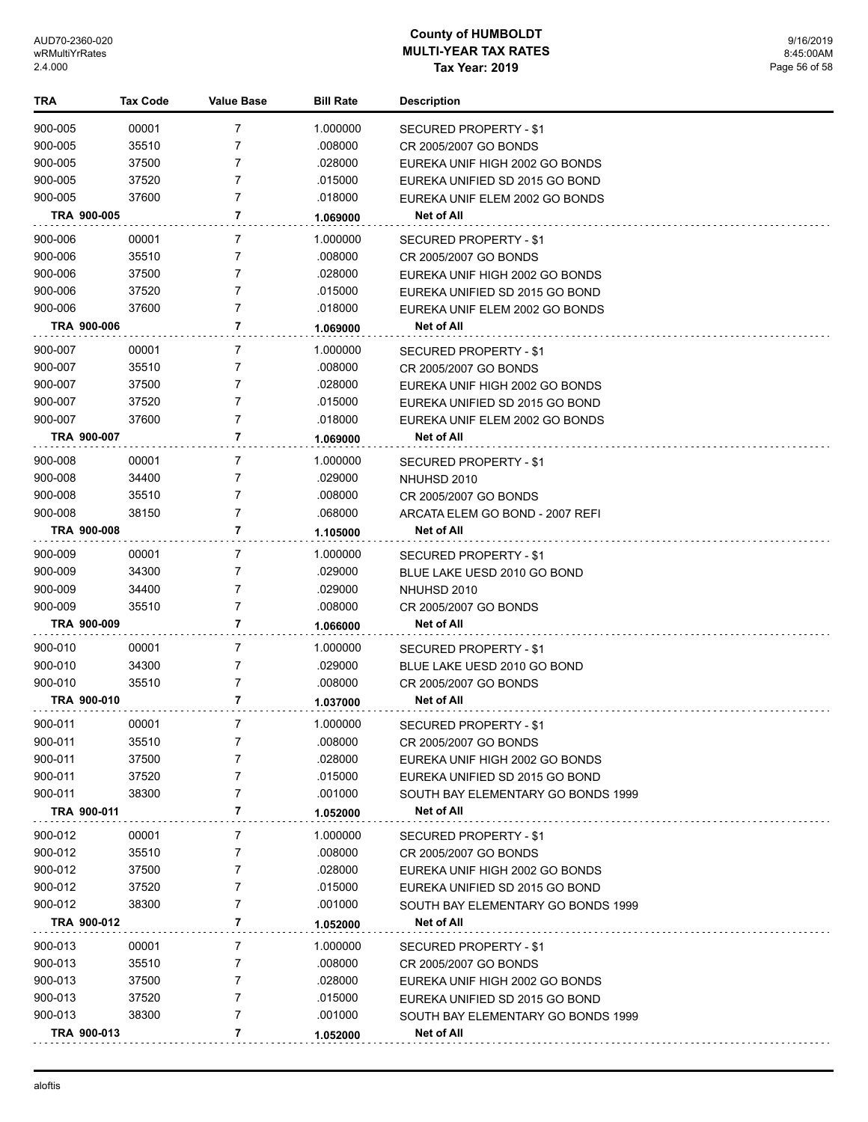| TRA     |             | <b>Tax Code</b> | <b>Value Base</b> | <b>Bill Rate</b> | <b>Description</b>                 |
|---------|-------------|-----------------|-------------------|------------------|------------------------------------|
| 900-005 |             | 00001           | 7                 | 1.000000         | SECURED PROPERTY - \$1             |
| 900-005 |             | 35510           | 7                 | .008000          | CR 2005/2007 GO BONDS              |
| 900-005 |             | 37500           | 7                 | .028000          | EUREKA UNIF HIGH 2002 GO BONDS     |
| 900-005 |             | 37520           | 7                 | .015000          | EUREKA UNIFIED SD 2015 GO BOND     |
| 900-005 |             | 37600           | 7                 | .018000          | EUREKA UNIF ELEM 2002 GO BONDS     |
|         | TRA 900-005 |                 | 7                 | 1.069000         | Net of All                         |
|         |             |                 |                   |                  |                                    |
| 900-006 |             | 00001           | 7                 | 1.000000         | SECURED PROPERTY - \$1             |
| 900-006 |             | 35510           | 7                 | .008000          | CR 2005/2007 GO BONDS              |
| 900-006 |             | 37500           | 7                 | .028000          | EUREKA UNIF HIGH 2002 GO BONDS     |
| 900-006 |             | 37520           | 7                 | .015000          | EUREKA UNIFIED SD 2015 GO BOND     |
| 900-006 |             | 37600           | 7                 | .018000          | EUREKA UNIF ELEM 2002 GO BONDS     |
|         | TRA 900-006 |                 | 7                 | 1.069000         | Net of All                         |
| 900-007 |             | 00001           | 7                 | 1.000000         | SECURED PROPERTY - \$1             |
| 900-007 |             | 35510           | 7                 | .008000          | CR 2005/2007 GO BONDS              |
| 900-007 |             | 37500           | 7                 | .028000          | EUREKA UNIF HIGH 2002 GO BONDS     |
| 900-007 |             | 37520           | 7                 | .015000          | EUREKA UNIFIED SD 2015 GO BOND     |
| 900-007 |             | 37600           | 7                 | .018000          | EUREKA UNIF ELEM 2002 GO BONDS     |
|         | TRA 900-007 |                 | 7                 | 1.069000         | Net of All                         |
| 900-008 |             | 00001           | 7                 | 1.000000         | SECURED PROPERTY - \$1             |
| 900-008 |             | 34400           | 7                 | .029000          | NHUHSD 2010                        |
| 900-008 |             | 35510           | 7                 | .008000          | CR 2005/2007 GO BONDS              |
| 900-008 |             | 38150           | 7                 | .068000          | ARCATA ELEM GO BOND - 2007 REFI    |
|         | TRA 900-008 |                 | 7                 | 1.105000         | Net of All                         |
|         |             |                 |                   |                  |                                    |
| 900-009 |             | 00001           | 7                 | 1.000000         | SECURED PROPERTY - \$1             |
| 900-009 |             | 34300           | 7                 | .029000          | BLUE LAKE UESD 2010 GO BOND        |
| 900-009 |             | 34400           | 7                 | .029000          | NHUHSD 2010                        |
| 900-009 |             | 35510           | 7<br>7            | .008000          | CR 2005/2007 GO BONDS              |
|         | TRA 900-009 |                 |                   | 1.066000         | Net of All                         |
| 900-010 |             | 00001           | 7                 | 1.000000         | SECURED PROPERTY - \$1             |
| 900-010 |             | 34300           | 7                 | .029000          | BLUE LAKE UESD 2010 GO BOND        |
| 900-010 |             | 35510           | 7                 | .008000          | CR 2005/2007 GO BONDS              |
|         | TRA 900-010 |                 | 7                 | 1.037000         | Net of All                         |
| 900-011 |             | 00001           | 7                 | 1.000000         | SECURED PROPERTY - \$1             |
| 900-011 |             | 35510           | 7                 | .008000          | CR 2005/2007 GO BONDS              |
| 900-011 |             | 37500           | 7                 | .028000          | EUREKA UNIF HIGH 2002 GO BONDS     |
| 900-011 |             | 37520           | 7                 | .015000          | EUREKA UNIFIED SD 2015 GO BOND     |
| 900-011 |             | 38300           | 7                 | .001000          | SOUTH BAY ELEMENTARY GO BONDS 1999 |
|         | TRA 900-011 |                 | 7                 | 1.052000         | Net of All                         |
| 900-012 |             | 00001           | 7                 | 1.000000         | <b>SECURED PROPERTY - \$1</b>      |
| 900-012 |             | 35510           | 7                 | .008000          | CR 2005/2007 GO BONDS              |
| 900-012 |             | 37500           | 7                 | .028000          | EUREKA UNIF HIGH 2002 GO BONDS     |
| 900-012 |             | 37520           | 7                 | .015000          | EUREKA UNIFIED SD 2015 GO BOND     |
| 900-012 |             | 38300           | 7                 | .001000          | SOUTH BAY ELEMENTARY GO BONDS 1999 |
|         | TRA 900-012 |                 | 7                 | 1.052000         | Net of All                         |
|         |             |                 |                   |                  |                                    |
| 900-013 |             | 00001           | 7                 | 1.000000         | SECURED PROPERTY - \$1             |
| 900-013 |             | 35510           | 7                 | .008000          | CR 2005/2007 GO BONDS              |
| 900-013 |             | 37500           | 7                 | .028000          | EUREKA UNIF HIGH 2002 GO BONDS     |
| 900-013 |             | 37520           | 7                 | .015000          | EUREKA UNIFIED SD 2015 GO BOND     |
| 900-013 |             | 38300           | 7                 | .001000          | SOUTH BAY ELEMENTARY GO BONDS 1999 |
|         | TRA 900-013 |                 | 7                 | 1.052000         | Net of All                         |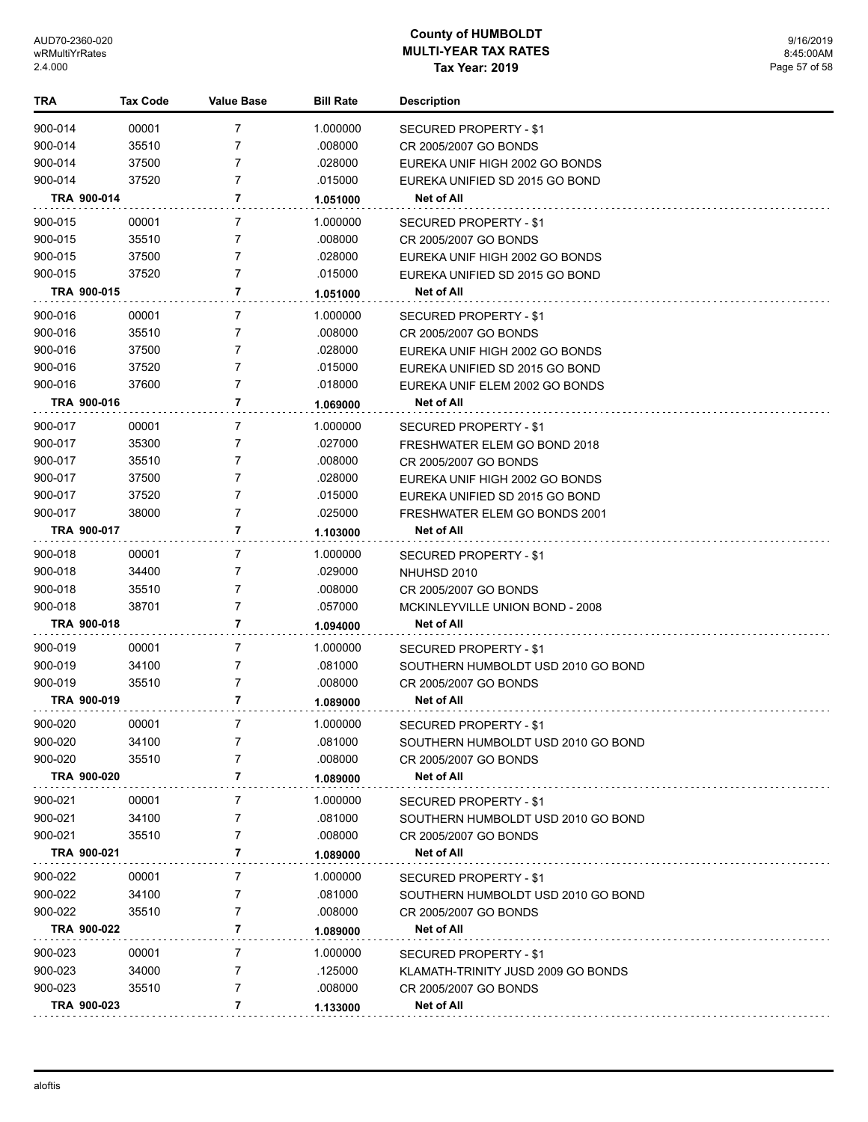| TRA                | <b>Tax Code</b> | <b>Value Base</b> | <b>Bill Rate</b>   | Description                                                  |
|--------------------|-----------------|-------------------|--------------------|--------------------------------------------------------------|
| 900-014            | 00001           | 7                 | 1.000000           | SECURED PROPERTY - \$1                                       |
| 900-014            | 35510           | 7                 | .008000            | CR 2005/2007 GO BONDS                                        |
| 900-014            | 37500           | 7                 | .028000            | EUREKA UNIF HIGH 2002 GO BONDS                               |
| 900-014            | 37520           | 7                 | .015000            | EUREKA UNIFIED SD 2015 GO BOND                               |
| TRA 900-014        |                 | 7                 | 1.051000           | Net of All                                                   |
| 900-015            | 00001           | 7                 | 1.000000           | SECURED PROPERTY - \$1                                       |
| 900-015            | 35510           | 7                 | .008000            | CR 2005/2007 GO BONDS                                        |
| 900-015            | 37500           | 7                 | .028000            | EUREKA UNIF HIGH 2002 GO BONDS                               |
| 900-015            | 37520           | 7                 | .015000            | EUREKA UNIFIED SD 2015 GO BOND                               |
| TRA 900-015        |                 | 7                 | 1.051000           | Net of All                                                   |
| 900-016            | 00001           | 7                 | 1.000000           | SECURED PROPERTY - \$1                                       |
| 900-016            | 35510           | 7                 | .008000            | CR 2005/2007 GO BONDS                                        |
| 900-016            | 37500           | 7                 | .028000            | EUREKA UNIF HIGH 2002 GO BONDS                               |
| 900-016            | 37520           | 7                 | .015000            | EUREKA UNIFIED SD 2015 GO BOND                               |
| 900-016            | 37600           | $\overline{7}$    | .018000            | EUREKA UNIF ELEM 2002 GO BONDS                               |
| TRA 900-016        |                 | 7                 | 1.069000           | <b>Net of All</b>                                            |
| 900-017            | 00001           | 7                 | 1.000000           | SECURED PROPERTY - \$1                                       |
| 900-017            | 35300           | 7                 | .027000            | FRESHWATER ELEM GO BOND 2018                                 |
| 900-017            | 35510           | 7                 | .008000            | CR 2005/2007 GO BONDS                                        |
| 900-017            | 37500           | 7                 | .028000            | EUREKA UNIF HIGH 2002 GO BONDS                               |
| 900-017            | 37520           | $\overline{7}$    | .015000            | EUREKA UNIFIED SD 2015 GO BOND                               |
| 900-017            | 38000           | $\overline{7}$    | .025000            | FRESHWATER ELEM GO BONDS 2001                                |
| TRA 900-017        |                 | 7                 | 1.103000           | Net of All                                                   |
| 900-018            | 00001           | 7                 | 1.000000           | SECURED PROPERTY - \$1                                       |
| 900-018            | 34400           | 7                 | .029000            | NHUHSD 2010                                                  |
| 900-018            | 35510           | 7                 | .008000            | CR 2005/2007 GO BONDS                                        |
| 900-018            | 38701           | 7                 | .057000            | MCKINLEYVILLE UNION BOND - 2008                              |
| TRA 900-018        |                 | 7                 | 1.094000           | Net of All                                                   |
| 900-019            | 00001           | 7                 | 1.000000           | <b>SECURED PROPERTY - \$1</b>                                |
| 900-019            | 34100           | 7                 | .081000            | SOUTHERN HUMBOLDT USD 2010 GO BOND                           |
| 900-019            | 35510           | 7                 | .008000            | CR 2005/2007 GO BONDS                                        |
| TRA 900-019        |                 | 7                 | 1.089000           | Net of All                                                   |
| 900-020            | 00001           | 7                 | 1.000000           | SECURED PROPERTY - \$1                                       |
| 900-020            | 34100           | 7                 | .081000            | SOUTHERN HUMBOLDT USD 2010 GO BOND                           |
| 900-020            | 35510           | 7                 | .008000            | CR 2005/2007 GO BONDS                                        |
| TRA 900-020        |                 | 7                 | 1.089000           | Net of All                                                   |
| 900-021            | 00001           | 7                 | 1.000000           | <b>SECURED PROPERTY - \$1</b>                                |
| 900-021            | 34100           | 7                 | .081000            | SOUTHERN HUMBOLDT USD 2010 GO BOND                           |
| 900-021            | 35510           | 7                 | .008000            | CR 2005/2007 GO BONDS                                        |
| TRA 900-021        |                 | 7                 | 1.089000           | Net of All                                                   |
| 900-022            | 00001           | 7                 | 1.000000           |                                                              |
| 900-022            | 34100           | 7                 | .081000            | SECURED PROPERTY - \$1<br>SOUTHERN HUMBOLDT USD 2010 GO BOND |
| 900-022            | 35510           | 7                 | .008000            | CR 2005/2007 GO BONDS                                        |
| TRA 900-022        |                 | 7                 | 1.089000           | Net of All                                                   |
|                    |                 |                   |                    |                                                              |
| 900-023            | 00001           | 7                 | 1.000000           | SECURED PROPERTY - \$1                                       |
| 900-023<br>900-023 | 34000           | 7<br>7            | .125000<br>.008000 | KLAMATH-TRINITY JUSD 2009 GO BONDS                           |
|                    | 35510           | 7                 |                    | CR 2005/2007 GO BONDS                                        |
| TRA 900-023        |                 |                   | 1.133000           | Net of All                                                   |